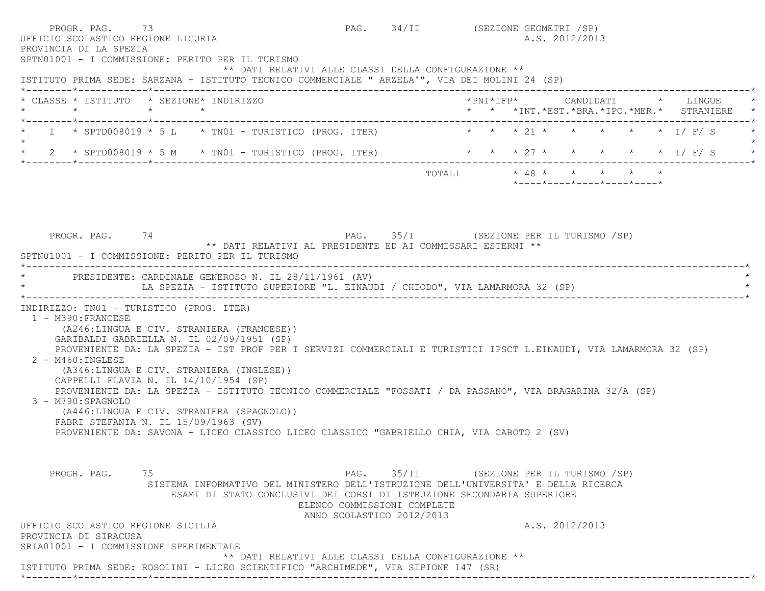| PROGR. PAG. 73<br>UFFICIO SCOLASTICO REGIONE LIGURIA<br>PROVINCIA DI LA SPEZIA | SPTN01001 - I COMMISSIONE: PERITO PER IL TURISMO                                                                                                                                                                                                                                           |                                                          | PAG. 34/II (SEZIONE GEOMETRI /SP)       |  | A.S. 2012/2013                                                              |  |                                                 |
|--------------------------------------------------------------------------------|--------------------------------------------------------------------------------------------------------------------------------------------------------------------------------------------------------------------------------------------------------------------------------------------|----------------------------------------------------------|-----------------------------------------|--|-----------------------------------------------------------------------------|--|-------------------------------------------------|
|                                                                                | ** DATI RELATIVI ALLE CLASSI DELLA CONFIGURAZIONE **<br>ISTITUTO PRIMA SEDE: SARZANA - ISTITUTO TECNICO COMMERCIALE " ARZELA'", VIA DEI MOLINI 24 (SP)                                                                                                                                     |                                                          |                                         |  |                                                                             |  |                                                 |
|                                                                                | * CLASSE * ISTITUTO * SEZIONE* INDIRIZZO                                                                                                                                                                                                                                                   |                                                          |                                         |  |                                                                             |  | * * *INT. *EST. *BRA. *IPO. *MER. * STRANIERE * |
|                                                                                | * 1 * SPTD008019 * 5 L * TN01 - TURISTICO (PROG. ITER) * * * * 21 * * * * * * * I/ F/ S                                                                                                                                                                                                    |                                                          |                                         |  |                                                                             |  |                                                 |
|                                                                                | * 2 * SPTD008019 * 5 M * TN01 - TURISTICO (PROG. ITER)                                                                                                                                                                                                                                     |                                                          |                                         |  |                                                                             |  | * * * 27 * * * * * * I/ F/ S                    |
|                                                                                |                                                                                                                                                                                                                                                                                            |                                                          |                                         |  | TOTALI * 48 * * * * * *<br>$*$ ---- $*$ ---- $*$ ---- $*$ ---- $*$ ---- $*$ |  |                                                 |
| PROGR. PAG. 74                                                                 | PAG. 35/I (SEZIONE PER IL TURISMO /SP)<br>** DATI RELATIVI AL PRESIDENTE ED AI COMMISSARI ESTERNI **<br>SPTN01001 - I COMMISSIONE: PERITO PER IL TURISMO<br>* PRESIDENTE: CARDINALE GENEROSO N. IL 28/11/1961 (AV)                                                                         |                                                          |                                         |  |                                                                             |  |                                                 |
| 1 - M390: FRANCESE                                                             | INDIRIZZO: TN01 - TURISTICO (PROG. ITER)<br>(A246:LINGUA E CIV. STRANIERA (FRANCESE))<br>GARIBALDI GABRIELLA N. IL 02/09/1951 (SP)                                                                                                                                                         |                                                          |                                         |  |                                                                             |  |                                                 |
| 2 - M460: INGLESE                                                              | PROVENIENTE DA: LA SPEZIA - IST PROF PER I SERVIZI COMMERCIALI E TURISTICI IPSCT L.EINAUDI, VIA LAMARMORA 32 (SP)<br>(A346:LINGUA E CIV. STRANIERA (INGLESE))<br>CAPPELLI FLAVIA N. IL $14/10/1954$ (SP)                                                                                   |                                                          |                                         |  |                                                                             |  |                                                 |
| 3 - M790:SPAGNOLO                                                              | PROVENIENTE DA: LA SPEZIA - ISTITUTO TECNICO COMMERCIALE "FOSSATI / DA PASSANO", VIA BRAGARINA 32/A (SP)<br>(A446:LINGUA E CIV. STRANIERA (SPAGNOLO))<br>FABRI STEFANIA N. IL 15/09/1963 (SV)<br>PROVENIENTE DA: SAVONA - LICEO CLASSICO LICEO CLASSICO "GABRIELLO CHIA, VIA CABOTO 2 (SV) |                                                          |                                         |  |                                                                             |  |                                                 |
| PROGR. PAG.                                                                    | 75                                                                                                                                                                                                                                                                                         |                                                          | PAG. 35/II (SEZIONE PER IL TURISMO /SP) |  |                                                                             |  |                                                 |
|                                                                                | SISTEMA INFORMATIVO DEL MINISTERO DELL'ISTRUZIONE DELL'UNIVERSITA' E DELLA RICERCA<br>ESAMI DI STATO CONCLUSIVI DEI CORSI DI ISTRUZIONE SECONDARIA SUPERIORE                                                                                                                               | ELENCO COMMISSIONI COMPLETE<br>ANNO SCOLASTICO 2012/2013 |                                         |  |                                                                             |  |                                                 |
| UFFICIO SCOLASTICO REGIONE SICILIA<br>PROVINCIA DI SIRACUSA                    | SRIA01001 - I COMMISSIONE SPERIMENTALE                                                                                                                                                                                                                                                     |                                                          |                                         |  | A.S. 2012/2013                                                              |  |                                                 |
|                                                                                | ** DATI RELATIVI ALLE CLASSI DELLA CONFIGURAZIONE **<br>ISTITUTO PRIMA SEDE: ROSOLINI - LICEO SCIENTIFICO "ARCHIMEDE", VIA SIPIONE 147 (SR)                                                                                                                                                |                                                          |                                         |  |                                                                             |  |                                                 |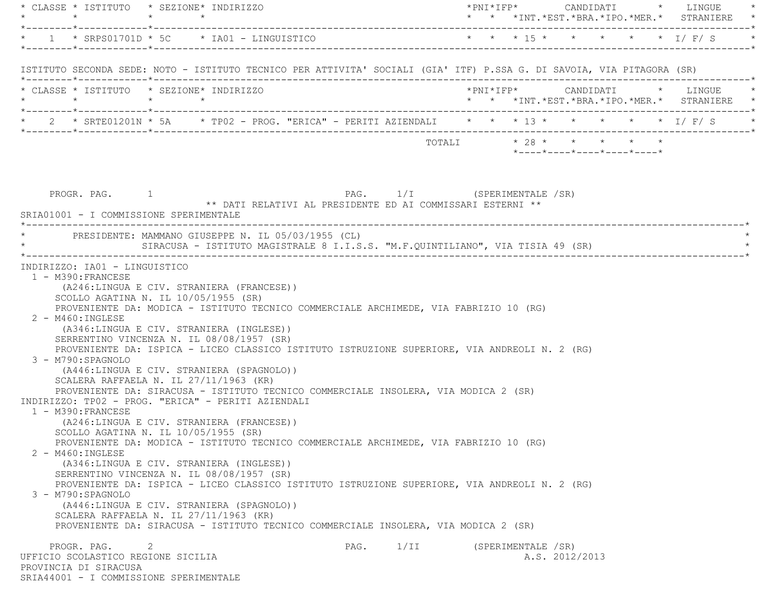| * CLASSE * ISTITUTO * SEZIONE* INDIRIZZO<br>$\star$ $\star$                                                                                                                                                                                                                                                                                                                               |                                                                                                                                                                                                                                                                               |      |                    |                                                       | *PNI*IFP*     CANDIDATI    *   LINGUE<br>* * *INT.*EST.*BRA.*IPO.*MER.* STRANIERE |  |
|-------------------------------------------------------------------------------------------------------------------------------------------------------------------------------------------------------------------------------------------------------------------------------------------------------------------------------------------------------------------------------------------|-------------------------------------------------------------------------------------------------------------------------------------------------------------------------------------------------------------------------------------------------------------------------------|------|--------------------|-------------------------------------------------------|-----------------------------------------------------------------------------------|--|
| $*$ 1 $*$ SRPS01701D $*$ 5C $*$ IA01 - LINGUISTICO                                                                                                                                                                                                                                                                                                                                        |                                                                                                                                                                                                                                                                               |      |                    |                                                       | * * * 15 * * * * * * I/F/S                                                        |  |
| ISTITUTO SECONDA SEDE: NOTO - ISTITUTO TECNICO PER ATTIVITA' SOCIALI (GIA' ITF) P.SSA G. DI SAVOIA, VIA PITAGORA (SR)                                                                                                                                                                                                                                                                     |                                                                                                                                                                                                                                                                               |      |                    |                                                       |                                                                                   |  |
| * CLASSE * ISTITUTO * SEZIONE* INDIRIZZO<br>$\star \qquad \qquad \star \qquad \qquad \star \qquad \qquad \star$                                                                                                                                                                                                                                                                           |                                                                                                                                                                                                                                                                               |      |                    |                                                       | * * *INT.*EST.*BRA.*IPO.*MER.* STRANIERE *                                        |  |
| * 2 * SRTE01201N * 5A * TP02 - PROG. "ERICA" - PERITI AZIENDALI * * * 13 * * * * * * * I/ F/ S                                                                                                                                                                                                                                                                                            |                                                                                                                                                                                                                                                                               |      |                    |                                                       |                                                                                   |  |
|                                                                                                                                                                                                                                                                                                                                                                                           |                                                                                                                                                                                                                                                                               |      |                    | TOTALI * 28 * * * * * *<br>*----*----*----*----*----* |                                                                                   |  |
| PROGR. PAG. 1<br>SRIA01001 - I COMMISSIONE SPERIMENTALE                                                                                                                                                                                                                                                                                                                                   | PAG. 1/I (SPERIMENTALE /SR)<br>** DATI RELATIVI AL PRESIDENTE ED AI COMMISSARI ESTERNI **                                                                                                                                                                                     |      |                    |                                                       |                                                                                   |  |
| * PRESIDENTE: MAMMANO GIUSEPPE N. IL 05/03/1955 (CL)                                                                                                                                                                                                                                                                                                                                      |                                                                                                                                                                                                                                                                               |      |                    |                                                       |                                                                                   |  |
| 2 - M460:INGLESE<br>(A346:LINGUA E CIV. STRANIERA (INGLESE))<br>SERRENTINO VINCENZA N. IL 08/08/1957 (SR)<br>3 - M790: SPAGNOLO<br>(A446:LINGUA E CIV. STRANIERA (SPAGNOLO))<br>SCALERA RAFFAELA N. IL $27/11/1963$ (KR)<br>INDIRIZZO: TP02 - PROG. "ERICA" - PERITI AZIENDALI<br>1 - M390: FRANCESE<br>(A246:LINGUA E CIV. STRANIERA (FRANCESE))<br>SCOLLO AGATINA N. IL 10/05/1955 (SR) | PROVENIENTE DA: ISPICA - LICEO CLASSICO ISTITUTO ISTRUZIONE SUPERIORE, VIA ANDREOLI N. 2 (RG)<br>PROVENIENTE DA: SIRACUSA - ISTITUTO TECNICO COMMERCIALE INSOLERA, VIA MODICA 2 (SR)                                                                                          |      |                    |                                                       |                                                                                   |  |
| 2 - M460: INGLESE<br>(A346:LINGUA E CIV. STRANIERA (INGLESE))<br>SERRENTINO VINCENZA N. IL 08/08/1957 (SR)<br>3 - M790:SPAGNOLO<br>(A446:LINGUA E CIV. STRANIERA (SPAGNOLO))<br>SCALERA RAFFAELA N. IL $27/11/1963$ (KR)                                                                                                                                                                  | PROVENIENTE DA: MODICA - ISTITUTO TECNICO COMMERCIALE ARCHIMEDE, VIA FABRIZIO 10 (RG)<br>PROVENIENTE DA: ISPICA - LICEO CLASSICO ISTITUTO ISTRUZIONE SUPERIORE, VIA ANDREOLI N. 2 (RG)<br>PROVENIENTE DA: SIRACUSA - ISTITUTO TECNICO COMMERCIALE INSOLERA, VIA MODICA 2 (SR) |      |                    |                                                       |                                                                                   |  |
| 2<br>PROGR. PAG.<br>UFFICIO SCOLASTICO REGIONE SICILIA<br>PROVINCIA DI SIRACUSA<br>SRIA44001 - I COMMISSIONE SPERIMENTALE                                                                                                                                                                                                                                                                 | PAG.                                                                                                                                                                                                                                                                          | 1/II | (SPERIMENTALE /SR) | A.S. 2012/2013                                        |                                                                                   |  |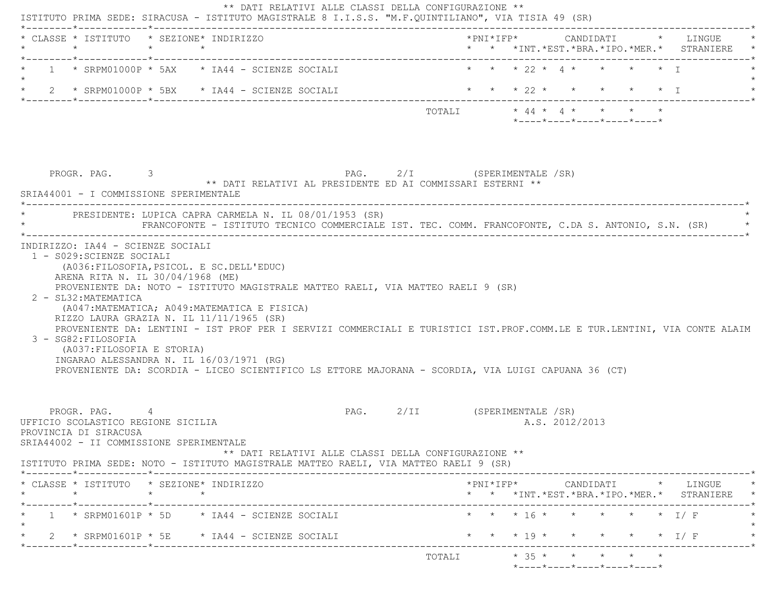| * CLASSE * ISTITUTO * SEZIONE* INDIRIZZO<br>$\star$                                                                     | $\star$ $\star$ |                                                                                                                                                                                                                                                                                                                                                                          |                              |  |  |                |                                                                                                |  | *PNI*IFP* CANDIDATI * LINGUE<br>* * *INT. *EST. *BRA. *IPO. *MER. * STRANIERE                                                                 |
|-------------------------------------------------------------------------------------------------------------------------|-----------------|--------------------------------------------------------------------------------------------------------------------------------------------------------------------------------------------------------------------------------------------------------------------------------------------------------------------------------------------------------------------------|------------------------------|--|--|----------------|------------------------------------------------------------------------------------------------|--|-----------------------------------------------------------------------------------------------------------------------------------------------|
|                                                                                                                         |                 | $1 \times$ SRPM01000P $*$ 5AX $*$ IA44 - SCIENZE SOCIALI                                                                                                                                                                                                                                                                                                                 |                              |  |  |                | * * * 22 * 4 * * * * * I                                                                       |  |                                                                                                                                               |
|                                                                                                                         |                 | * $2$ * SRPM01000P * 5BX * IA44 - SCIENZE SOCIALI                                                                                                                                                                                                                                                                                                                        |                              |  |  |                | $\star$ $\star$ $\star$ $\frac{20}{10}$ $\star$ $\star$ $\star$ $\star$ $\star$ $\star$ $\top$ |  |                                                                                                                                               |
|                                                                                                                         |                 |                                                                                                                                                                                                                                                                                                                                                                          |                              |  |  |                | $*$ ---- $*$ ---- $*$ ---- $*$ ---- $*$ ---- $*$                                               |  |                                                                                                                                               |
| PROGR. PAG. 3<br>SRIA44001 - I COMMISSIONE SPERIMENTALE                                                                 |                 | ** DATI RELATIVI AL PRESIDENTE ED AI COMMISSARI ESTERNI **                                                                                                                                                                                                                                                                                                               | PAG. 2/I (SPERIMENTALE /SR)  |  |  |                |                                                                                                |  |                                                                                                                                               |
|                                                                                                                         |                 | PRESIDENTE: LUPICA CAPRA CARMELA N. IL 08/01/1953 (SR)<br>FRANCOFONTE - ISTITUTO TECNICO COMMERCIALE IST. TEC. COMM. FRANCOFONTE, C.DA S. ANTONIO, S.N. (SR) *                                                                                                                                                                                                           |                              |  |  |                |                                                                                                |  |                                                                                                                                               |
| 2 - SL32: MATEMATICA                                                                                                    |                 | ARENA RITA N. IL 30/04/1968 (ME)<br>PROVENIENTE DA: NOTO - ISTITUTO MAGISTRALE MATTEO RAELI, VIA MATTEO RAELI 9 (SR)                                                                                                                                                                                                                                                     |                              |  |  |                |                                                                                                |  |                                                                                                                                               |
| 3 - SG82: FILOSOFIA<br>(A037:FILOSOFIA E STORIA)                                                                        |                 | (A047: MATEMATICA; A049: MATEMATICA E FISICA)<br>RIZZO LAURA GRAZIA N. IL 11/11/1965 (SR)<br>PROVENIENTE DA: LENTINI - IST PROF PER I SERVIZI COMMERCIALI E TURISTICI IST.PROF.COMM.LE E TUR.LENTINI, VIA CONTE ALAIM<br>INGARAO ALESSANDRA N. IL 16/03/1971 (RG)<br>PROVENIENTE DA: SCORDIA - LICEO SCIENTIFICO LS ETTORE MAJORANA - SCORDIA, VIA LUIGI CAPUANA 36 (CT) |                              |  |  |                |                                                                                                |  |                                                                                                                                               |
| PROGR. PAG. 4<br>UFFICIO SCOLASTICO REGIONE SICILIA<br>PROVINCIA DI SIRACUSA<br>SRIA44002 - II COMMISSIONE SPERIMENTALE |                 | ** DATI RELATIVI ALLE CLASSI DELLA CONFIGURAZIONE **                                                                                                                                                                                                                                                                                                                     | PAG. 2/II (SPERIMENTALE /SR) |  |  | A.S. 2012/2013 |                                                                                                |  |                                                                                                                                               |
|                                                                                                                         |                 | ISTITUTO PRIMA SEDE: NOTO - ISTITUTO MAGISTRALE MATTEO RAELI, VIA MATTEO RAELI 9 (SR)                                                                                                                                                                                                                                                                                    |                              |  |  |                |                                                                                                |  |                                                                                                                                               |
| * CLASSE * ISTITUTO * SEZIONE* INDIRIZZO<br>$\star$                                                                     |                 |                                                                                                                                                                                                                                                                                                                                                                          |                              |  |  |                |                                                                                                |  | $*PNI*IFP* \qquad \qquad \text{CANDIDATI} \qquad \qquad * \qquad \text{LINGUE} \qquad \qquad *$<br>* * *INT.*EST.*BRA.*IPO.*MER.* STRANIERE * |
|                                                                                                                         |                 | $1 \times$ SRPM01601P * 5D $\times$ IA44 - SCIENZE SOCIALI                                                                                                                                                                                                                                                                                                               |                              |  |  |                | * * * 16 * * * * * * 1/ F                                                                      |  |                                                                                                                                               |
|                                                                                                                         |                 | 2 * SRPM01601P * 5E * IA44 - SCIENZE SOCIALI                                                                                                                                                                                                                                                                                                                             |                              |  |  |                |                                                                                                |  | * * * 19 * * * * * * I/F                                                                                                                      |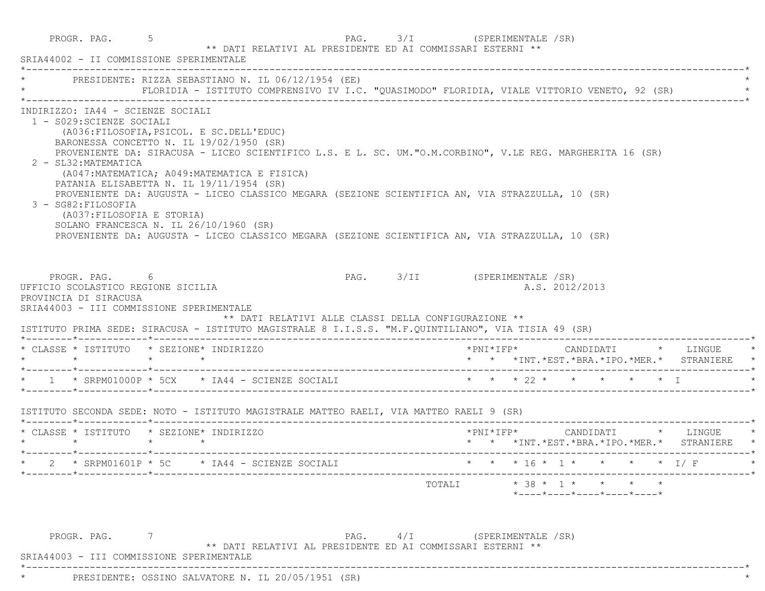|                                                                                                                                                                                                                                                                         | PRESIDENTE: RIZZA SEBASTIANO N. IL 06/12/1954 (EE)<br>FLORIDIA - ISTITUTO COMPRENSIVO IV I.C. "QUASIMODO" FLORIDIA, VIALE VITTORIO VENETO, 92 (SR)                                                                                                                                                                                                                                                                                                                                                                                                                                                         |                                                                                                            |
|-------------------------------------------------------------------------------------------------------------------------------------------------------------------------------------------------------------------------------------------------------------------------|------------------------------------------------------------------------------------------------------------------------------------------------------------------------------------------------------------------------------------------------------------------------------------------------------------------------------------------------------------------------------------------------------------------------------------------------------------------------------------------------------------------------------------------------------------------------------------------------------------|------------------------------------------------------------------------------------------------------------|
| INDIRIZZO: IA44 - SCIENZE SOCIALI<br>1 - S029: SCIENZE SOCIALI<br>2 - SL32: MATEMATICA<br>3 - SG82: FILOSOFIA<br>(A037: FILOSOFIA E STORIA)<br>PROGR. PAG. 6<br>UFFICIO SCOLASTICO REGIONE SICILIA<br>PROVINCIA DI SIRACUSA<br>SRIA44003 - III COMMISSIONE SPERIMENTALE | (A036: FILOSOFIA, PSICOL. E SC. DELL'EDUC)<br>BARONESSA CONCETTO N. IL 19/02/1950 (SR)<br>PROVENIENTE DA: SIRACUSA - LICEO SCIENTIFICO L.S. E L. SC. UM."O.M.CORBINO", V.LE REG. MARGHERITA 16 (SR)<br>(A047: MATEMATICA; A049: MATEMATICA E FISICA)<br>PATANIA ELISABETTA N. IL 19/11/1954 (SR)<br>PROVENIENTE DA: AUGUSTA - LICEO CLASSICO MEGARA (SEZIONE SCIENTIFICA AN, VIA STRAZZULLA, 10 (SR)<br>SOLANO FRANCESCA N. IL 26/10/1960 (SR)<br>PROVENIENTE DA: AUGUSTA - LICEO CLASSICO MEGARA (SEZIONE SCIENTIFICA AN, VIA STRAZZULLA, 10 (SR)<br>** DATI RELATIVI ALLE CLASSI DELLA CONFIGURAZIONE ** | PAG. 3/II (SPERIMENTALE /SR)<br>A.S. 2012/2013                                                             |
|                                                                                                                                                                                                                                                                         | ISTITUTO PRIMA SEDE: SIRACUSA - ISTITUTO MAGISTRALE 8 I.I.S.S. "M.F.QUINTILIANO", VIA TISIA 49 (SR)<br>* CLASSE * ISTITUTO * SEZIONE* INDIRIZZO                                                                                                                                                                                                                                                                                                                                                                                                                                                            | *PNI*IFP*     CANDIDATI    *  LINGUE   *<br>* * *INT.*EST.*BRA.*IPO.*MER.* STRANIERE *                     |
|                                                                                                                                                                                                                                                                         |                                                                                                                                                                                                                                                                                                                                                                                                                                                                                                                                                                                                            |                                                                                                            |
|                                                                                                                                                                                                                                                                         |                                                                                                                                                                                                                                                                                                                                                                                                                                                                                                                                                                                                            |                                                                                                            |
|                                                                                                                                                                                                                                                                         | ISTITUTO SECONDA SEDE: NOTO - ISTITUTO MAGISTRALE MATTEO RAELI, VIA MATTEO RAELI 9 (SR)                                                                                                                                                                                                                                                                                                                                                                                                                                                                                                                    |                                                                                                            |
|                                                                                                                                                                                                                                                                         | * CLASSE * ISTITUTO * SEZIONE* INDIRIZZO                                                                                                                                                                                                                                                                                                                                                                                                                                                                                                                                                                   |                                                                                                            |
|                                                                                                                                                                                                                                                                         | 2 * SRPM01601P * 5C $\rightarrow$ TA44 - SCIENZE SOCIALI                                                                                                                                                                                                                                                                                                                                                                                                                                                                                                                                                   | *PNI*IFP* CANDIDATI * LINGUE *<br>* * *INT.*EST.*BRA.*IPO.*MER.* STRANIERE *<br>* * * 16 * 1 * * * * * I/F |

PRESIDENTE: OSSINO SALVATORE N. IL 20/05/1951 (SR)

\*----------------------------------------------------------------------------------------------------------------------------\*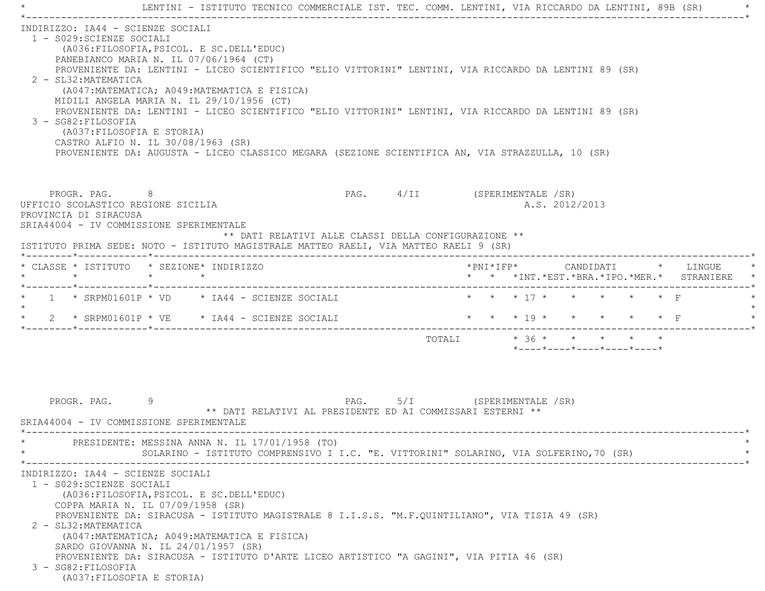|                                             |                                                                                                                                    | LENTINI - ISTITUTO TECNICO COMMERCIALE IST. TEC. COMM. LENTINI, VIA RICCARDO DA LENTINI, 89B (SR)                                                                                                                                                                                                                                                                                                                                                                                                        |                                                            |                              |                        |                        |                |                                                                 |                                                                               |
|---------------------------------------------|------------------------------------------------------------------------------------------------------------------------------------|----------------------------------------------------------------------------------------------------------------------------------------------------------------------------------------------------------------------------------------------------------------------------------------------------------------------------------------------------------------------------------------------------------------------------------------------------------------------------------------------------------|------------------------------------------------------------|------------------------------|------------------------|------------------------|----------------|-----------------------------------------------------------------|-------------------------------------------------------------------------------|
| 2 - SL32: MATEMATICA<br>3 - SG82: FILOSOFIA | INDIRIZZO: IA44 - SCIENZE SOCIALI<br>1 - S029: SCIENZE SOCIALI<br>(A037: FILOSOFIA E STORIA)<br>CASTRO ALFIO N. IL 30/08/1963 (SR) | (A036: FILOSOFIA, PSICOL. E SC. DELL'EDUC)<br>PANEBIANCO MARIA N. IL 07/06/1964 (CT)<br>PROVENIENTE DA: LENTINI - LICEO SCIENTIFICO "ELIO VITTORINI" LENTINI, VIA RICCARDO DA LENTINI 89 (SR)<br>(A047: MATEMATICA; A049: MATEMATICA E FISICA)<br>MIDILI ANGELA MARIA N. IL 29/10/1956 (CT)<br>PROVENIENTE DA: LENTINI - LICEO SCIENTIFICO "ELIO VITTORINI" LENTINI, VIA RICCARDO DA LENTINI 89 (SR)<br>PROVENIENTE DA: AUGUSTA - LICEO CLASSICO MEGARA (SEZIONE SCIENTIFICA AN, VIA STRAZZULLA, 10 (SR) |                                                            |                              |                        |                        |                |                                                                 |                                                                               |
| PROVINCIA DI SIRACUSA                       | PROGR. PAG. 8<br>UFFICIO SCOLASTICO REGIONE SICILIA<br>SRIA44004 - IV COMMISSIONE SPERIMENTALE                                     | ISTITUTO PRIMA SEDE: NOTO - ISTITUTO MAGISTRALE MATTEO RAELI, VIA MATTEO RAELI 9 (SR)                                                                                                                                                                                                                                                                                                                                                                                                                    | ** DATI RELATIVI ALLE CLASSI DELLA CONFIGURAZIONE **       | PAG. 4/II (SPERIMENTALE /SR) |                        |                        | A.S. 2012/2013 |                                                                 |                                                                               |
| $\star$                                     |                                                                                                                                    | * CLASSE * ISTITUTO * SEZIONE* INDIRIZZO<br>$\star$ $\star$                                                                                                                                                                                                                                                                                                                                                                                                                                              |                                                            |                              |                        |                        |                |                                                                 | *PNI*IFP* CANDIDATI * LINGUE<br>* * *INT. *EST. *BRA. *IPO. *MER. * STRANIERE |
|                                             | *--------*------------*--------------                                                                                              | 1 * SRPM01601P * VD * IA44 - SCIENZE SOCIALI<br>2 * SRPM01601P * VE $*$ IA44 - SCIENZE SOCIALI                                                                                                                                                                                                                                                                                                                                                                                                           |                                                            |                              | * * * 19 * * * * * * F | * * * 17 * * * * * * F |                |                                                                 |                                                                               |
|                                             |                                                                                                                                    |                                                                                                                                                                                                                                                                                                                                                                                                                                                                                                          |                                                            |                              | TOTALI                 | $* 36 * * * * * * *$   |                | $*$ - - - - $*$ - - - - $*$ - - - - $*$ - - - - $*$ - - - - $*$ |                                                                               |
| PROGR. PAG.                                 | SRIA44004 - IV COMMISSIONE SPERIMENTALE                                                                                            |                                                                                                                                                                                                                                                                                                                                                                                                                                                                                                          | ** DATI RELATIVI AL PRESIDENTE ED AI COMMISSARI ESTERNI ** | PAG. 5/I (SPERIMENTALE /SR)  |                        |                        |                |                                                                 |                                                                               |
|                                             |                                                                                                                                    | PRESIDENTE: MESSINA ANNA N. IL 17/01/1958 (TO)<br>SOLARINO - ISTITUTO COMPRENSIVO I I.C. "E. VITTORINI" SOLARINO, VIA SOLFERINO, 70 (SR)                                                                                                                                                                                                                                                                                                                                                                 |                                                            |                              |                        |                        |                |                                                                 |                                                                               |
| 2 - SL32: MATEMATICA<br>3 - SG82: FILOSOFIA | INDIRIZZO: IA44 - SCIENZE SOCIALI<br>1 - S029: SCIENZE SOCIALI<br>COPPA MARIA N. IL 07/09/1958 (SR)<br>(A037: FILOSOFIA E STORIA)  | (A036: FILOSOFIA, PSICOL. E SC. DELL'EDUC)<br>PROVENIENTE DA: SIRACUSA - ISTITUTO MAGISTRALE 8 I.I.S.S. "M.F.QUINTILIANO", VIA TISIA 49 (SR)<br>(A047: MATEMATICA; A049: MATEMATICA E FISICA)<br>SARDO GIOVANNA N. IL 24/01/1957 (SR)<br>PROVENIENTE DA: SIRACUSA - ISTITUTO D'ARTE LICEO ARTISTICO "A GAGINI", VIA PITIA 46 (SR)                                                                                                                                                                        |                                                            |                              |                        |                        |                |                                                                 |                                                                               |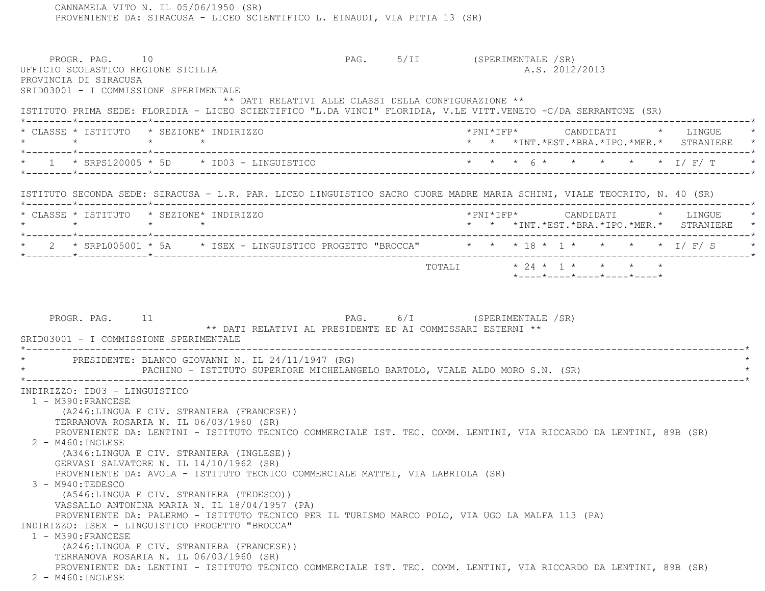| PROGR. PAG. 10<br>UFFICIO SCOLASTICO REGIONE SICILIA<br>PROVINCIA DI SIRACUSA<br>SRID03001 - I COMMISSIONE SPERIMENTALE<br>ISTITUTO PRIMA SEDE: FLORIDIA - LICEO SCIENTIFICO "L.DA VINCI" FLORIDIA, V.LE VITT.VENETO -C/DA SERRANTONE (SR) |                                                                              | ** DATI RELATIVI ALLE CLASSI DELLA CONFIGURAZIONE **                                      | PAG. 5/II (SPERIMENTALE /SR) |  | A.S. 2012/2013                                                  |  |  |                                            |  |
|--------------------------------------------------------------------------------------------------------------------------------------------------------------------------------------------------------------------------------------------|------------------------------------------------------------------------------|-------------------------------------------------------------------------------------------|------------------------------|--|-----------------------------------------------------------------|--|--|--------------------------------------------|--|
| * CLASSE * ISTITUTO * SEZIONE* INDIRIZZO                                                                                                                                                                                                   | $\star$ $\star$                                                              |                                                                                           |                              |  |                                                                 |  |  | * * *INT.*EST.*BRA.*IPO.*MER.* STRANIERE * |  |
|                                                                                                                                                                                                                                            |                                                                              |                                                                                           |                              |  |                                                                 |  |  | * * * 6 * * * * * * I/ F/ T                |  |
| ISTITUTO SECONDA SEDE: SIRACUSA - L.R. PAR. LICEO LINGUISTICO SACRO CUORE MADRE MARIA SCHINI, VIALE TEOCRITO, N. 40 (SR)                                                                                                                   |                                                                              |                                                                                           |                              |  |                                                                 |  |  |                                            |  |
| * CLASSE * ISTITUTO * SEZIONE* INDIRIZZO<br>$\star$ $\star$                                                                                                                                                                                |                                                                              |                                                                                           |                              |  |                                                                 |  |  | * * *INT.*EST.*BRA.*IPO.*MER.* STRANIERE * |  |
|                                                                                                                                                                                                                                            |                                                                              |                                                                                           |                              |  |                                                                 |  |  |                                            |  |
| PROGR. PAG. 11                                                                                                                                                                                                                             |                                                                              | PAG. 6/I (SPERIMENTALE /SR)<br>** DATI RELATIVI AL PRESIDENTE ED AI COMMISSARI ESTERNI ** |                              |  | $*$ - - - - $*$ - - - - $*$ - - - - $*$ - - - - $*$ - - - - $*$ |  |  |                                            |  |
| * 2 * SRPL005001 * 5A * ISEX - LINGUISTICO PROGETTO "BROCCA" * * * 18 * 1 * * * * * 1/ F/ S<br>SRID03001 - I COMMISSIONE SPERIMENTALE<br>* PRESIDENTE: BLANCO GIOVANNI N. IL 24/11/1947 (RG)                                               | PACHINO - ISTITUTO SUPERIORE MICHELANGELO BARTOLO, VIALE ALDO MORO S.N. (SR) |                                                                                           |                              |  |                                                                 |  |  |                                            |  |

CANNAMELA VITO N. IL 05/06/1950 (SR)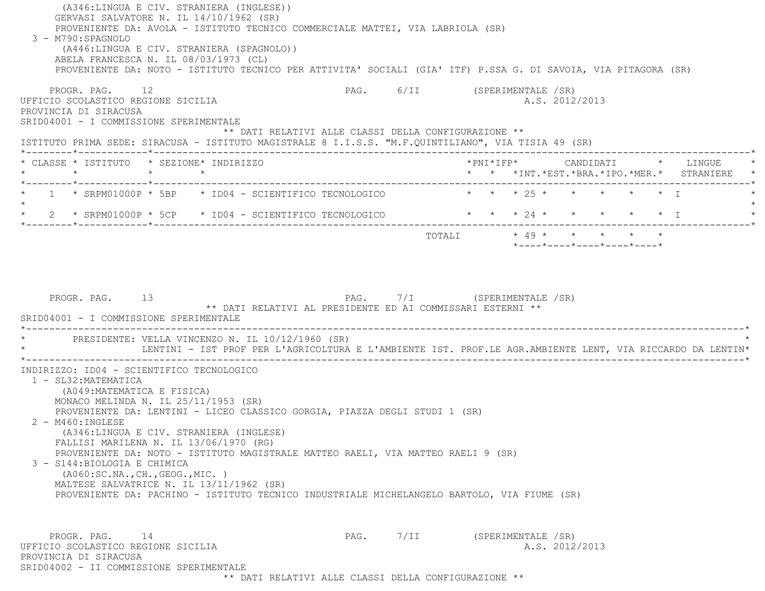(A346:LINGUA E CIV. STRANIERA (INGLESE)) GERVASI SALVATORE N. IL 14/10/1962 (SR) PROVENIENTE DA: AVOLA - ISTITUTO TECNICO COMMERCIALE MATTEI, VIA LABRIOLA (SR) 3 - M790:SPAGNOLO (A446:LINGUA E CIV. STRANIERA (SPAGNOLO)) ABELA FRANCESCA N. IL 08/03/1973 (CL) PROVENIENTE DA: NOTO - ISTITUTO TECNICO PER ATTIVITA' SOCIALI (GIA' ITF) P.SSA G. DI SAVOIA, VIA PITAGORA (SR) PROGR. PAG. 12 **PAG.** 6/II (SPERIMENTALE /SR) UFFICIO SCOLASTICO REGIONE SICILIA A.S. 2012/2013 PROVINCIA DI SIRACUSA SRID04001 - I COMMISSIONE SPERIMENTALE \*\* DATI RELATIVI ALLE CLASSI DELLA CONFIGURAZIONE \*\* ISTITUTO PRIMA SEDE: SIRACUSA - ISTITUTO MAGISTRALE 8 I.I.S.S. "M.F.QUINTILIANO", VIA TISIA 49 (SR) \*--------\*------------\*-------------------------------------------------------------------------------------------------------\* \* CLASSE \* ISTITUTO \* SEZIONE\* INDIRIZZO \*PNI\*IFP\* CANDIDATI \* LINGUE \* \* \* \* \* \* \* \*INT.\*EST.\*BRA.\*IPO.\*MER.\* STRANIERE \* \*--------\*------------\*-------------------------------------------------------------------------------------------------------\* \* 1 \* SRPM01000P \* 5BP \* ID04 - SCIENTIFICO TECNOLOGICO \* \* \* 25 \* \* \* \* \* I \* $\star$ \* 2 \* SRPM01000P \* 5CP \* ID04 - SCIENTIFICO TECNOLOGICO \* \* \* 24 \* \* \* \* \* \* \* I \*--------\*------------\*-------------------------------------------------------------------------------------------------------\* $\text{TOTALI}$  \* 49 \* \* \* \* \* \* \*----\*----\*----\*----\*----\*PROGR. PAG. 13 13 PAG. 7/I (SPERIMENTALE /SR) \*\* DATI RELATIVI AL PRESIDENTE ED AI COMMISSARI ESTERNI \*\* SRID04001 - I COMMISSIONE SPERIMENTALE \*----------------------------------------------------------------------------------------------------------------------------\*PRESIDENTE: VELLA VINCENZO N. IL 10/12/1960 (SR) LENTINI - IST PROF PER L'AGRICOLTURA E L'AMBIENTE IST. PROF.LE AGR.AMBIENTE LENT, VIA RICCARDO DA LENTIN\* \*----------------------------------------------------------------------------------------------------------------------------\* INDIRIZZO: ID04 - SCIENTIFICO TECNOLOGICO 1 - SL32:MATEMATICA (A049:MATEMATICA E FISICA) MONACO MELINDA N. IL 25/11/1953 (SR) PROVENIENTE DA: LENTINI - LICEO CLASSICO GORGIA, PIAZZA DEGLI STUDI 1 (SR) 2 - M460:INGLESE (A346:LINGUA E CIV. STRANIERA (INGLESE) FALLISI MARILENA N. IL 13/06/1970 (RG) PROVENIENTE DA: NOTO - ISTITUTO MAGISTRALE MATTEO RAELI, VIA MATTEO RAELI 9 (SR) 3 - S144:BIOLOGIA E CHIMICA (A060:SC.NA.,CH.,GEOG.,MIC. ) MALTESE SALVATRICE N. IL 13/11/1962 (SR) PROVENIENTE DA: PACHINO - ISTITUTO TECNICO INDUSTRIALE MICHELANGELO BARTOLO, VIA FIUME (SR) PROGR. PAG. 14 PAG. 7/II (SPERIMENTALE /SR) UFFICIO SCOLASTICO REGIONE SICILIA A.S. 2012/2013 PROVINCIA DI SIRACUSA

SRID04002 - II COMMISSIONE SPERIMENTALE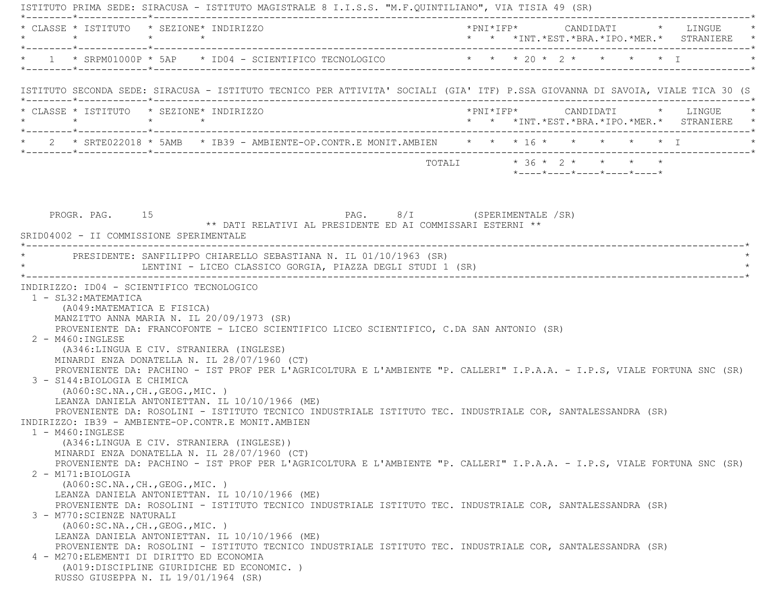| * CLASSE * ISTITUTO * SEZIONE* INDIRIZZO                                                                                                                                                                                                                                                                                                                                                                                                                                                                                                                                                                                                                                                                                                                                        |                                                                                           |  |                           |  |  |  |                            | *PNI*IFP* CANDIDATI * LINGUE *<br>* * *INT.*EST.*BRA.*IPO.*MER.* STRANIERE * |  |
|---------------------------------------------------------------------------------------------------------------------------------------------------------------------------------------------------------------------------------------------------------------------------------------------------------------------------------------------------------------------------------------------------------------------------------------------------------------------------------------------------------------------------------------------------------------------------------------------------------------------------------------------------------------------------------------------------------------------------------------------------------------------------------|-------------------------------------------------------------------------------------------|--|---------------------------|--|--|--|----------------------------|------------------------------------------------------------------------------|--|
| * 1 * SRPM01000P * 5AP * ID04 - SCIENTIFICO TECNOLOGICO * * * * 20 * 2 * * * * * * I                                                                                                                                                                                                                                                                                                                                                                                                                                                                                                                                                                                                                                                                                            |                                                                                           |  |                           |  |  |  |                            |                                                                              |  |
| ISTITUTO SECONDA SEDE: SIRACUSA - ISTITUTO TECNICO PER ATTIVITA' SOCIALI (GIA' ITF) P.SSA GIOVANNA DI SAVOIA, VIALE TICA 30 (S                                                                                                                                                                                                                                                                                                                                                                                                                                                                                                                                                                                                                                                  |                                                                                           |  |                           |  |  |  |                            |                                                                              |  |
| * CLASSE * ISTITUTO * SEZIONE* INDIRIZZO                                                                                                                                                                                                                                                                                                                                                                                                                                                                                                                                                                                                                                                                                                                                        |                                                                                           |  |                           |  |  |  |                            | *PNI*IFP*     CANDIDATI    *   LINGUE                                        |  |
| * 2 * SRTE022018 * 5AMB * IB39 - AMBIENTE-OP.CONTR.E MONIT.AMBIEN * * * 16 *                                                                                                                                                                                                                                                                                                                                                                                                                                                                                                                                                                                                                                                                                                    |                                                                                           |  |                           |  |  |  |                            | $\star$ $\star$ $\star$ $\star$ $\top$                                       |  |
|                                                                                                                                                                                                                                                                                                                                                                                                                                                                                                                                                                                                                                                                                                                                                                                 |                                                                                           |  | TOTALI * 36 * 2 * * * * * |  |  |  | *----*----*----*----*----* |                                                                              |  |
| PROGR. PAG. 15<br>SRID04002 - II COMMISSIONE SPERIMENTALE                                                                                                                                                                                                                                                                                                                                                                                                                                                                                                                                                                                                                                                                                                                       | PAG. 8/I (SPERIMENTALE /SR)<br>** DATI RELATIVI AL PRESIDENTE ED AI COMMISSARI ESTERNI ** |  |                           |  |  |  |                            |                                                                              |  |
| * PRESIDENTE: SANFILIPPO CHIARELLO SEBASTIANA N. IL 01/10/1963 (SR)                                                                                                                                                                                                                                                                                                                                                                                                                                                                                                                                                                                                                                                                                                             | LENTINI - LICEO CLASSICO GORGIA, PIAZZA DEGLI STUDI 1 (SR)                                |  |                           |  |  |  |                            |                                                                              |  |
| (A049:MATEMATICA E FISICA)<br>MANZITTO ANNA MARIA N. IL 20/09/1973 (SR)<br>PROVENIENTE DA: FRANCOFONTE - LICEO SCIENTIFICO LICEO SCIENTIFICO, C.DA SAN ANTONIO (SR)<br>$2 - M460$ : INGLESE<br>(A346:LINGUA E CIV. STRANIERA (INGLESE)<br>MINARDI ENZA DONATELLA N. IL 28/07/1960 (CT)<br>PROVENIENTE DA: PACHINO - IST PROF PER L'AGRICOLTURA E L'AMBIENTE "P. CALLERI" I.P.A.A. - I.P.S, VIALE FORTUNA SNC (SR)<br>3 - S144: BIOLOGIA E CHIMICA<br>(AO60:SC.NA., CH., GEOG., MIC. )<br>LEANZA DANIELA ANTONIETTAN. IL 10/10/1966 (ME)<br>PROVENIENTE DA: ROSOLINI - ISTITUTO TECNICO INDUSTRIALE ISTITUTO TEC. INDUSTRIALE COR, SANTALESSANDRA (SR)<br>INDIRIZZO: IB39 - AMBIENTE-OP.CONTR.E MONIT.AMBIEN<br>$1 - M460 : INGLESE$<br>(A346:LINGUA E CIV. STRANIERA (INGLESE)) |                                                                                           |  |                           |  |  |  |                            |                                                                              |  |
| MINARDI ENZA DONATELLA N. IL 28/07/1960 (CT)<br>PROVENIENTE DA: PACHINO - IST PROF PER L'AGRICOLTURA E L'AMBIENTE "P. CALLERI" I.P.A.A. - I.P.S, VIALE FORTUNA SNC (SR)<br>2 - M171:BIOLOGIA<br>( A060:SC.NA., CH., GEOG., MIC. )<br>LEANZA DANIELA ANTONIETTAN. IL 10/10/1966 (ME)<br>PROVENIENTE DA: ROSOLINI - ISTITUTO TECNICO INDUSTRIALE ISTITUTO TEC. INDUSTRIALE COR, SANTALESSANDRA (SR)<br>3 - M770: SCIENZE NATURALI                                                                                                                                                                                                                                                                                                                                                 |                                                                                           |  |                           |  |  |  |                            |                                                                              |  |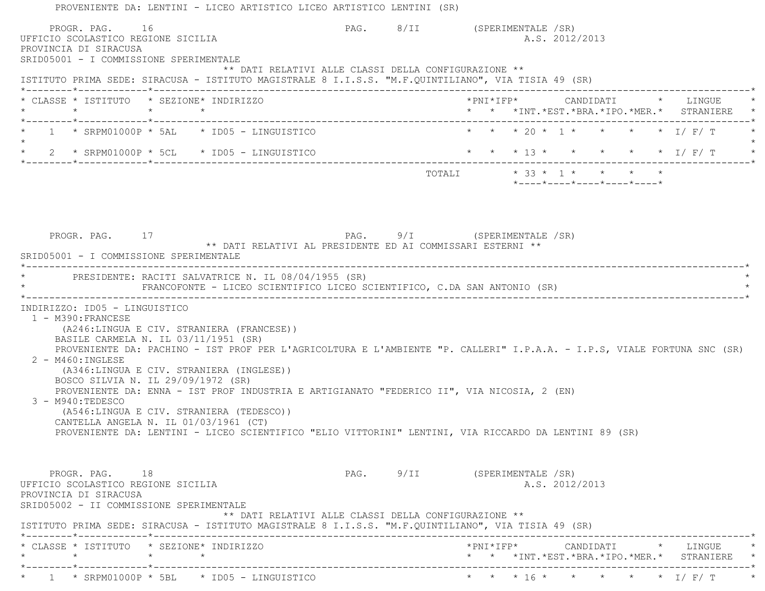PROVENIENTE DA: LENTINI - LICEO ARTISTICO LICEO ARTISTICO LENTINI (SR) PROGR. PAG. 16 16 PAG. 8/II (SPERIMENTALE /SR) UFFICIO SCOLASTICO REGIONE SICILIA A.S. 2012/2013 PROVINCIA DI SIRACUSA SRID05001 - I COMMISSIONE SPERIMENTALE \*\* DATI RELATIVI ALLE CLASSI DELLA CONFIGURAZIONE \*\* ISTITUTO PRIMA SEDE: SIRACUSA - ISTITUTO MAGISTRALE 8 I.I.S.S. "M.F.QUINTILIANO", VIA TISIA 49 (SR) \*--------\*------------\*-------------------------------------------------------------------------------------------------------\* \* CLASSE \* ISTITUTO \* SEZIONE\* INDIRIZZO \*PNI\*IFP\* CANDIDATI \* LINGUE \* \* \* \* \* \* \* \*INT.\*EST.\*BRA.\*IPO.\*MER.\* STRANIERE \* \*--------\*------------\*-------------------------------------------------------------------------------------------------------\*1 \* SRPM01000P \* 5AL \* ID05 - LINGUISTICO \* \* \* \* 20 \* 1 \* \* \* \* \* I/ F/ T  $\star$  \* 2 \* SRPM01000P \* 5CL \* ID05 - LINGUISTICO \* \* \* 13 \* \* \* \* \* I/ F/ T \* \*--------\*------------\*-------------------------------------------------------------------------------------------------------\* $\texttt{TOTAL} \qquad \qquad \star \quad 33 \; \star \quad 1 \; \star \qquad \star \qquad \star \qquad \star \qquad \star$  \*----\*----\*----\*----\*----\*PROGR. PAG. 17 17 PAG. PAG. 9/I (SPERIMENTALE /SR) \*\* DATI RELATIVI AL PRESIDENTE ED AI COMMISSARI ESTERNI \*\* SRID05001 - I COMMISSIONE SPERIMENTALE \*----------------------------------------------------------------------------------------------------------------------------\*PRESIDENTE: RACITI SALVATRICE N. IL 08/04/1955 (SR) \* FRANCOFONTE - LICEO SCIENTIFICO LICEO SCIENTIFICO, C.DA SAN ANTONIO (SR) \* \*----------------------------------------------------------------------------------------------------------------------------\* INDIRIZZO: ID05 - LINGUISTICO 1 - M390:FRANCESE (A246:LINGUA E CIV. STRANIERA (FRANCESE)) BASILE CARMELA N. IL 03/11/1951 (SR) PROVENIENTE DA: PACHINO - IST PROF PER L'AGRICOLTURA E L'AMBIENTE "P. CALLERI" I.P.A.A. - I.P.S, VIALE FORTUNA SNC (SR) 2 - M460:INGLESE (A346:LINGUA E CIV. STRANIERA (INGLESE)) BOSCO SILVIA N. IL 29/09/1972 (SR) PROVENIENTE DA: ENNA - IST PROF INDUSTRIA E ARTIGIANATO "FEDERICO II", VIA NICOSIA, 2 (EN) 3 - M940:TEDESCO (A546:LINGUA E CIV. STRANIERA (TEDESCO)) CANTELLA ANGELA N. IL 01/03/1961 (CT) PROVENIENTE DA: LENTINI - LICEO SCIENTIFICO "ELIO VITTORINI" LENTINI, VIA RICCARDO DA LENTINI 89 (SR) PROGR. PAG. 18 18 PAG. 9/II (SPERIMENTALE /SR) UFFICIO SCOLASTICO REGIONE SICILIA A.S. 2012/2013 PROVINCIA DI SIRACUSA SRID05002 - II COMMISSIONE SPERIMENTALE \*\* DATI RELATIVI ALLE CLASSI DELLA CONFIGURAZIONE \*\* ISTITUTO PRIMA SEDE: SIRACUSA - ISTITUTO MAGISTRALE 8 I.I.S.S. "M.F.QUINTILIANO", VIA TISIA 49 (SR) \*--------\*------------\*-------------------------------------------------------------------------------------------------------\* \* CLASSE \* ISTITUTO \* SEZIONE\* INDIRIZZO \*PNI\*IFP\* CANDIDATI \* LINGUE \* \* \* \* \* \* \* \*INT.\*EST.\*BRA.\*IPO.\*MER.\* STRANIERE \*--\*---------------------------1 \* SRPM01000P \* 5BL \* ID05 - LINGUISTICO \* \* \* \* 16 \* \* \* \* \* \* \* \* I/ F/ T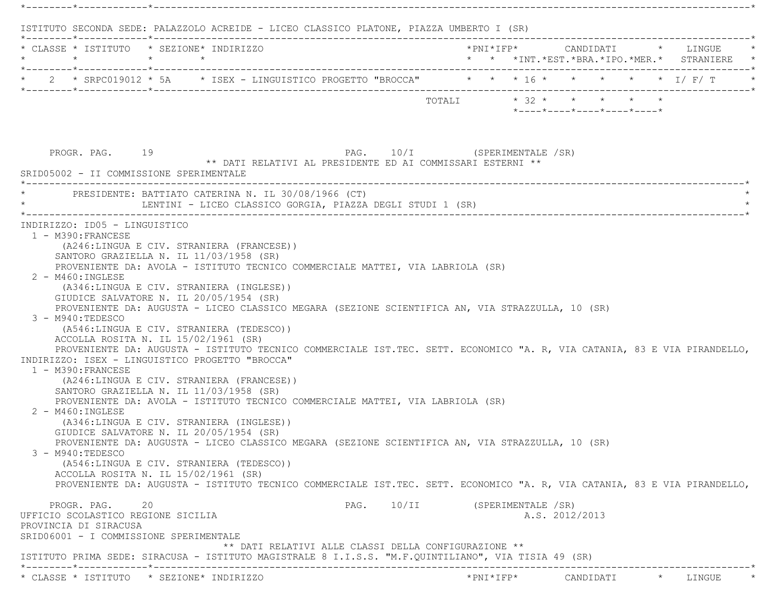| $\star$                                                                                                                                                                                                                                                                                                                                                                                | * CLASSE * ISTITUTO * SEZIONE* INDIRIZZO<br>$\star$ $\star$ |                                                                                                                                                                                                                                                                                                                                                                                                                    |                              |                       |  |                            |  | * * *INT.*EST.*BRA.*IPO.*MER.* STRANIERE |
|----------------------------------------------------------------------------------------------------------------------------------------------------------------------------------------------------------------------------------------------------------------------------------------------------------------------------------------------------------------------------------------|-------------------------------------------------------------|--------------------------------------------------------------------------------------------------------------------------------------------------------------------------------------------------------------------------------------------------------------------------------------------------------------------------------------------------------------------------------------------------------------------|------------------------------|-----------------------|--|----------------------------|--|------------------------------------------|
|                                                                                                                                                                                                                                                                                                                                                                                        |                                                             |                                                                                                                                                                                                                                                                                                                                                                                                                    |                              |                       |  |                            |  |                                          |
|                                                                                                                                                                                                                                                                                                                                                                                        |                                                             | 2 * SRPC019012 * 5A * ISEX - LINGUISTICO PROGETTO "BROCCA" * * * 16 * * * * * * * I/F/T                                                                                                                                                                                                                                                                                                                            |                              |                       |  |                            |  |                                          |
|                                                                                                                                                                                                                                                                                                                                                                                        |                                                             |                                                                                                                                                                                                                                                                                                                                                                                                                    |                              | TOTALI * 32 * * * * * |  | *----*----*----*----*----* |  |                                          |
| PROGR. PAG. 19                                                                                                                                                                                                                                                                                                                                                                         |                                                             | ** DATI RELATIVI AL PRESIDENTE ED AI COMMISSARI ESTERNI **                                                                                                                                                                                                                                                                                                                                                         | PAG. 10/I (SPERIMENTALE /SR) |                       |  |                            |  |                                          |
| SRID05002 - II COMMISSIONE SPERIMENTALE                                                                                                                                                                                                                                                                                                                                                |                                                             |                                                                                                                                                                                                                                                                                                                                                                                                                    |                              |                       |  |                            |  |                                          |
| * PRESIDENTE: BATTIATO CATERINA N. IL 30/08/1966 (CT)                                                                                                                                                                                                                                                                                                                                  |                                                             |                                                                                                                                                                                                                                                                                                                                                                                                                    |                              |                       |  |                            |  |                                          |
| * THENTINI - LICEO CLASSICO GORGIA, PIAZZA DEGLI STUDI 1 (SR)                                                                                                                                                                                                                                                                                                                          |                                                             |                                                                                                                                                                                                                                                                                                                                                                                                                    |                              |                       |  |                            |  |                                          |
| SANTORO GRAZIELLA N. IL 11/03/1958 (SR)<br>$2 - M460 : INGLESE$<br>(A346:LINGUA E CIV. STRANIERA (INGLESE))<br>GIUDICE SALVATORE N. IL 20/05/1954 (SR)                                                                                                                                                                                                                                 |                                                             | PROVENIENTE DA: AVOLA - ISTITUTO TECNICO COMMERCIALE MATTEI, VIA LABRIOLA (SR)                                                                                                                                                                                                                                                                                                                                     |                              |                       |  |                            |  |                                          |
| 3 - M940:TEDESCO<br>(A546:LINGUA E CIV. STRANIERA (TEDESCO))<br>ACCOLLA ROSITA N. IL 15/02/1961 (SR)<br>INDIRIZZO: ISEX - LINGUISTICO PROGETTO "BROCCA"<br>$1 - M390$ : FRANCESE<br>(A246:LINGUA E CIV. STRANIERA (FRANCESE))<br>SANTORO GRAZIELLA N. IL 11/03/1958 (SR)<br>$2 - M460: INGLESE$<br>(A346:LINGUA E CIV. STRANIERA (INGLESE))<br>GIUDICE SALVATORE N. IL 20/05/1954 (SR) |                                                             | PROVENIENTE DA: AUGUSTA - LICEO CLASSICO MEGARA (SEZIONE SCIENTIFICA AN, VIA STRAZZULLA, 10 (SR)<br>PROVENIENTE DA: AUGUSTA - ISTITUTO TECNICO COMMERCIALE IST.TEC. SETT. ECONOMICO "A. R, VIA CATANIA, 83 E VIA PIRANDELLO,<br>PROVENIENTE DA: AVOLA - ISTITUTO TECNICO COMMERCIALE MATTEI, VIA LABRIOLA (SR)<br>PROVENIENTE DA: AUGUSTA - LICEO CLASSICO MEGARA (SEZIONE SCIENTIFICA AN, VIA STRAZZULLA, 10 (SR) |                              |                       |  |                            |  |                                          |
| 3 - M940:TEDESCO<br>(A546:LINGUA E CIV. STRANIERA (TEDESCO))<br>ACCOLLA ROSITA N. IL 15/02/1961 (SR)                                                                                                                                                                                                                                                                                   |                                                             | PROVENIENTE DA: AUGUSTA - ISTITUTO TECNICO COMMERCIALE IST.TEC. SETT. ECONOMICO "A. R, VIA CATANIA, 83 E VIA PIRANDELLO,                                                                                                                                                                                                                                                                                           |                              |                       |  |                            |  |                                          |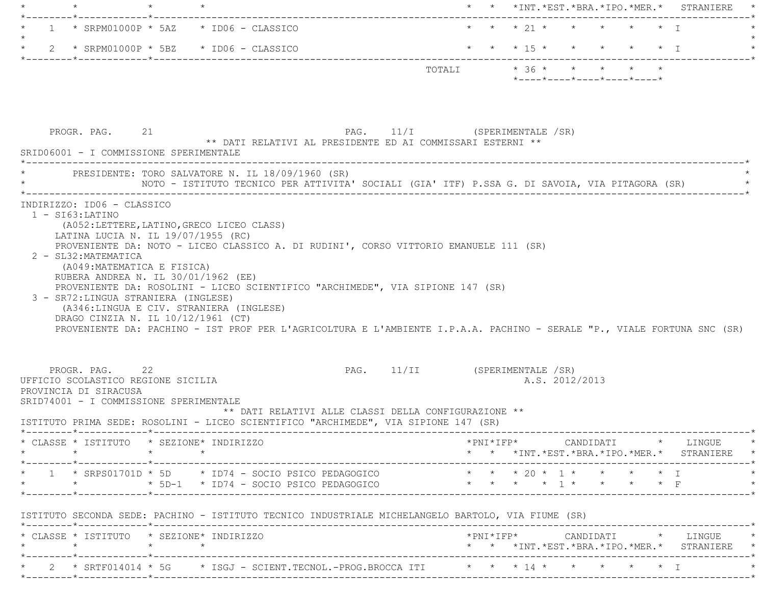|               | $\star$                                                                                                                                          |                                                                                                                                                                                                                                                      |                              |                               | * * *INT. *EST. *BRA. *IPO. *MER. * STRANIERE |  |                |                                                                                               |                                                                                                                                                                                                                                                  |
|---------------|--------------------------------------------------------------------------------------------------------------------------------------------------|------------------------------------------------------------------------------------------------------------------------------------------------------------------------------------------------------------------------------------------------------|------------------------------|-------------------------------|-----------------------------------------------|--|----------------|-----------------------------------------------------------------------------------------------|--------------------------------------------------------------------------------------------------------------------------------------------------------------------------------------------------------------------------------------------------|
|               |                                                                                                                                                  | 1 * SRPM01000P * 5AZ * ID06 - CLASSICO                                                                                                                                                                                                               |                              |                               |                                               |  |                | * * * 21 * * * * * * T                                                                        |                                                                                                                                                                                                                                                  |
|               |                                                                                                                                                  | 2 * SRPM01000P * 5BZ * ID06 - CLASSICO                                                                                                                                                                                                               |                              |                               |                                               |  |                | $\star$ $\star$ $\star$ $\uparrow$ $\uparrow$ $\star$ $\star$ $\star$ $\downarrow$ $\uparrow$ |                                                                                                                                                                                                                                                  |
|               |                                                                                                                                                  |                                                                                                                                                                                                                                                      |                              | TOTALI * 36 * * * * * *       |                                               |  |                | $*$ ---- $*$ ---- $*$ ---- $*$ ---- $*$ ---- $*$                                              |                                                                                                                                                                                                                                                  |
| *------------ | PROGR. PAG. 21<br>SRID06001 - I COMMISSIONE SPERIMENTALE                                                                                         | ** DATI RELATIVI AL PRESIDENTE ED AI COMMISSARI ESTERNI **                                                                                                                                                                                           | PAG. 11/I (SPERIMENTALE /SR) |                               |                                               |  |                |                                                                                               |                                                                                                                                                                                                                                                  |
|               |                                                                                                                                                  | PRESIDENTE: TORO SALVATORE N. IL 18/09/1960 (SR)<br>NOTO - ISTITUTO TECNICO PER ATTIVITA' SOCIALI (GIA' ITF) P.SSA G. DI SAVOIA, VIA PITAGORA (SR)                                                                                                   |                              |                               |                                               |  |                |                                                                                               |                                                                                                                                                                                                                                                  |
|               | $1 - SI63: LATINO$<br>LATINA LUCIA N. IL 19/07/1955 (RC)<br>2 - SL32: MATEMATICA                                                                 | (A052: LETTERE, LATINO, GRECO LICEO CLASS)<br>PROVENIENTE DA: NOTO - LICEO CLASSICO A. DI RUDINI', CORSO VITTORIO EMANUELE 111 (SR)                                                                                                                  |                              |                               |                                               |  |                |                                                                                               |                                                                                                                                                                                                                                                  |
|               | (A049: MATEMATICA E FISICA)<br>RUBERA ANDREA N. IL 30/01/1962 (EE)<br>3 - SR72: LINGUA STRANIERA (INGLESE)<br>DRAGO CINZIA N. IL 10/12/1961 (CT) | PROVENIENTE DA: ROSOLINI - LICEO SCIENTIFICO "ARCHIMEDE", VIA SIPIONE 147 (SR)<br>(A346:LINGUA E CIV. STRANIERA (INGLESE)<br>PROVENIENTE DA: PACHINO - IST PROF PER L'AGRICOLTURA E L'AMBIENTE I.P.A.A. PACHINO - SERALE "P., VIALE FORTUNA SNC (SR) |                              |                               |                                               |  |                |                                                                                               |                                                                                                                                                                                                                                                  |
|               | PROGR. PAG. 22<br>UFFICIO SCOLASTICO REGIONE SICILIA<br>PROVINCIA DI SIRACUSA                                                                    |                                                                                                                                                                                                                                                      |                              | PAG. 11/II (SPERIMENTALE /SR) |                                               |  | A.S. 2012/2013 |                                                                                               |                                                                                                                                                                                                                                                  |
|               | SRID74001 - I COMMISSIONE SPERIMENTALE                                                                                                           | ** DATI RELATIVI ALLE CLASSI DELLA CONFIGURAZIONE **<br>ISTITUTO PRIMA SEDE: ROSOLINI - LICEO SCIENTIFICO "ARCHIMEDE", VIA SIPIONE 147 (SR)                                                                                                          |                              |                               |                                               |  |                |                                                                                               |                                                                                                                                                                                                                                                  |
|               | * CLASSE * ISTITUTO * SEZIONE* INDIRIZZO<br>$\star \qquad \qquad \star \qquad \qquad \star \qquad \qquad \star$                                  |                                                                                                                                                                                                                                                      |                              |                               |                                               |  |                |                                                                                               |                                                                                                                                                                                                                                                  |
|               |                                                                                                                                                  | * 1 * SRPS01701D * 5D * ID74 - SOCIO PSICO PEDAGOGICO * * * * 20 * 1 * * * * * * I                                                                                                                                                                   |                              |                               |                                               |  |                |                                                                                               |                                                                                                                                                                                                                                                  |
|               |                                                                                                                                                  | ISTITUTO SECONDA SEDE: PACHINO - ISTITUTO TECNICO INDUSTRIALE MICHELANGELO BARTOLO, VIA FIUME (SR)                                                                                                                                                   |                              |                               |                                               |  |                |                                                                                               |                                                                                                                                                                                                                                                  |
|               | * CLASSE * ISTITUTO * SEZIONE* INDIRIZZO<br>$\star \qquad \qquad \star \qquad \qquad \star \qquad \qquad \star$                                  |                                                                                                                                                                                                                                                      |                              |                               |                                               |  |                |                                                                                               | $*PNI*IFP* \qquad \qquad \text{CANDIDATI} \qquad \qquad * \qquad \text{LINGUE} \qquad \qquad *$<br>* * *INT. *EST. *BRA. *IPO. *MER. * STRANIERE *<br>$*$ PNI $*$ IFP $*$ CANDIDATI $*$ LINGUE $*$<br>* * *INT.*EST.*BRA.*IPO.*MER.* STRANIERE * |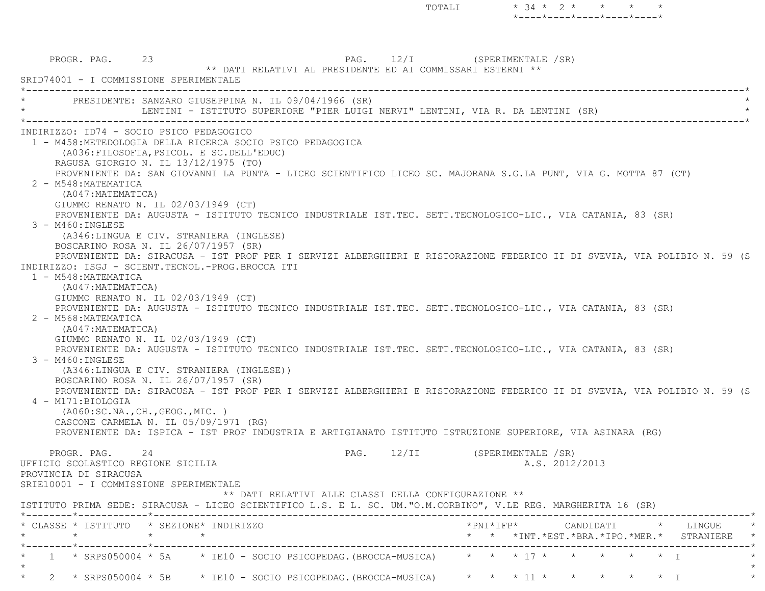PROGR. PAG. 23 23 PAG. 12/I (SPERIMENTALE /SR) \*\* DATI RELATIVI AL PRESIDENTE ED AI COMMISSARI ESTERNI \*\* SRID74001 - I COMMISSIONE SPERIMENTALE \*----------------------------------------------------------------------------------------------------------------------------\*PRESIDENTE: SANZARO GIUSEPPINA N. IL 09/04/1966 (SR) LENTINI - ISTITUTO SUPERIORE "PIER LUIGI NERVI" LENTINI, VIA R. DA LENTINI (SR) \*----------------------------------------------------------------------------------------------------------------------------\* INDIRIZZO: ID74 - SOCIO PSICO PEDAGOGICO 1 - M458:METEDOLOGIA DELLA RICERCA SOCIO PSICO PEDAGOGICA (A036:FILOSOFIA,PSICOL. E SC.DELL'EDUC) RAGUSA GIORGIO N. IL 13/12/1975 (TO) PROVENIENTE DA: SAN GIOVANNI LA PUNTA - LICEO SCIENTIFICO LICEO SC. MAJORANA S.G.LA PUNT, VIA G. MOTTA 87 (CT) 2 - M548:MATEMATICA (A047:MATEMATICA) GIUMMO RENATO N. IL 02/03/1949 (CT) PROVENIENTE DA: AUGUSTA - ISTITUTO TECNICO INDUSTRIALE IST.TEC. SETT.TECNOLOGICO-LIC., VIA CATANIA, 83 (SR) 3 - M460:INGLESE (A346:LINGUA E CIV. STRANIERA (INGLESE) BOSCARINO ROSA N. IL 26/07/1957 (SR) PROVENIENTE DA: SIRACUSA - IST PROF PER I SERVIZI ALBERGHIERI E RISTORAZIONE FEDERICO II DI SVEVIA, VIA POLIBIO N. 59 (S INDIRIZZO: ISGJ - SCIENT.TECNOL.-PROG.BROCCA ITI 1 - M548:MATEMATICA (A047:MATEMATICA) GIUMMO RENATO N. IL 02/03/1949 (CT) PROVENIENTE DA: AUGUSTA - ISTITUTO TECNICO INDUSTRIALE IST.TEC. SETT.TECNOLOGICO-LIC., VIA CATANIA, 83 (SR) 2 - M568:MATEMATICA (A047:MATEMATICA) GIUMMO RENATO N. IL 02/03/1949 (CT) PROVENIENTE DA: AUGUSTA - ISTITUTO TECNICO INDUSTRIALE IST.TEC. SETT.TECNOLOGICO-LIC., VIA CATANIA, 83 (SR) 3 - M460:INGLESE (A346:LINGUA E CIV. STRANIERA (INGLESE)) BOSCARINO ROSA N. IL 26/07/1957 (SR) PROVENIENTE DA: SIRACUSA - IST PROF PER I SERVIZI ALBERGHIERI E RISTORAZIONE FEDERICO II DI SVEVIA, VIA POLIBIO N. 59 (S 4 - M171:BIOLOGIA (A060:SC.NA.,CH.,GEOG.,MIC. ) CASCONE CARMELA N. IL 05/09/1971 (RG) PROVENIENTE DA: ISPICA - IST PROF INDUSTRIA E ARTIGIANATO ISTITUTO ISTRUZIONE SUPERIORE, VIA ASINARA (RG) PROGR. PAG. 24 24 PAG. 12/II (SPERIMENTALE /SR) UFFICIO SCOLASTICO REGIONE SICILIA A.S. 2012/2013 PROVINCIA DI SIRACUSA SRIE10001 - I COMMISSIONE SPERIMENTALE \*\* DATI RELATIVI ALLE CLASSI DELLA CONFIGURAZIONE \*\* ISTITUTO PRIMA SEDE: SIRACUSA - LICEO SCIENTIFICO L.S. E L. SC. UM."O.M.CORBINO", V.LE REG. MARGHERITA 16 (SR) \*--------\*------------\*-------------------------------------------------------------------------------------------------------\* \* CLASSE \* ISTITUTO \* SEZIONE\* INDIRIZZO \*PNI\*IFP\* CANDIDATI \* LINGUE \* \* \* \* \* \* \* \*INT.\*EST.\*BRA.\*IPO.\*MER.\* STRANIERE \* \*--------\*------------\*-------------------------------------------------------------------------------------------------------\*1 \* SRPS050004 \* 5A \* IE10 - SOCIO PSICOPEDAG.(BROCCA-MUSICA) \* \* \* 17 \* \* \* \* \* \* \* I  $\star$ \* 2 \* SRPS050004 \* 5B \* IE10 - SOCIO PSICOPEDAG.(BROCCA-MUSICA) \* \* \* 11 \* \* \* \* \* I \*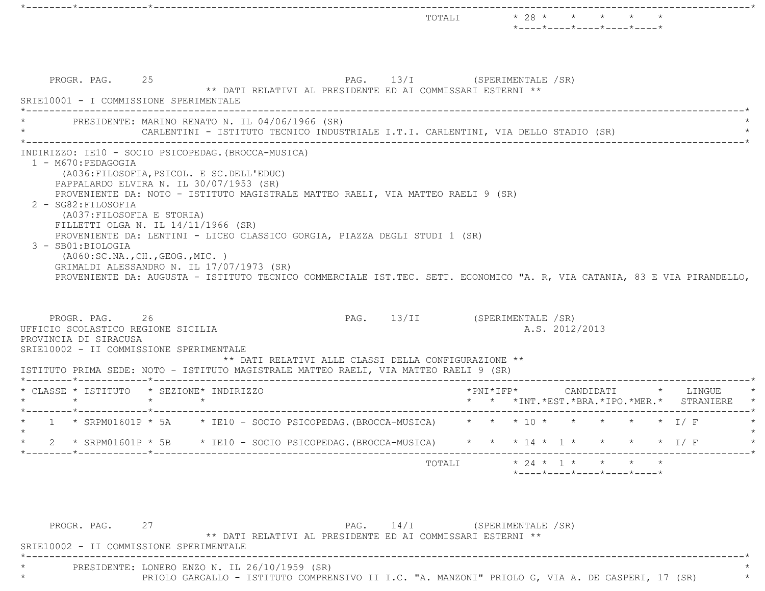|                                                                                                                                                                                                                                                                                                                                                                                                                 |  |                                                                                    |                               | TOTALI * 28 * * * * * |                     | *----*----*----*----*----* |         |                     |                                                                     |
|-----------------------------------------------------------------------------------------------------------------------------------------------------------------------------------------------------------------------------------------------------------------------------------------------------------------------------------------------------------------------------------------------------------------|--|------------------------------------------------------------------------------------|-------------------------------|-----------------------|---------------------|----------------------------|---------|---------------------|---------------------------------------------------------------------|
| PROGR. PAG. 25<br>SRIE10001 - I COMMISSIONE SPERIMENTALE                                                                                                                                                                                                                                                                                                                                                        |  | ** DATI RELATIVI AL PRESIDENTE ED AI COMMISSARI ESTERNI **                         | PAG. 13/I (SPERIMENTALE /SR)  |                       |                     |                            |         |                     |                                                                     |
| PRESIDENTE: MARINO RENATO N. IL 04/06/1966 (SR)                                                                                                                                                                                                                                                                                                                                                                 |  | CARLENTINI - ISTITUTO TECNICO INDUSTRIALE I.T.I. CARLENTINI, VIA DELLO STADIO (SR) |                               |                       |                     |                            |         |                     |                                                                     |
| (A036: FILOSOFIA, PSICOL. E SC. DELL'EDUC)<br>PAPPALARDO ELVIRA N. IL 30/07/1953 (SR)<br>PROVENIENTE DA: NOTO - ISTITUTO MAGISTRALE MATTEO RAELI, VIA MATTEO RAELI 9 (SR)<br>2 - SG82: FILOSOFIA<br>(A037: FILOSOFIA E STORIA)<br>FILLETTI OLGA N. IL $14/11/1966$ (SR)<br>PROVENIENTE DA: LENTINI - LICEO CLASSICO GORGIA, PIAZZA DEGLI STUDI 1 (SR)<br>3 - SB01:BIOLOGIA<br>( A060:SC.NA., CH., GEOG., MIC. ) |  |                                                                                    |                               |                       |                     |                            |         |                     |                                                                     |
| GRIMALDI ALESSANDRO N. IL 17/07/1973 (SR)<br>PROVENIENTE DA: AUGUSTA - ISTITUTO TECNICO COMMERCIALE IST.TEC. SETT. ECONOMICO "A. R, VIA CATANIA, 83 E VIA PIRANDELLO,                                                                                                                                                                                                                                           |  |                                                                                    |                               |                       |                     |                            |         |                     |                                                                     |
| PROGR. PAG. 26                                                                                                                                                                                                                                                                                                                                                                                                  |  | ** DATI RELATIVI ALLE CLASSI DELLA CONFIGURAZIONE **                               | PAG. 13/II (SPERIMENTALE /SR) |                       |                     | A.S. 2012/2013             |         |                     |                                                                     |
| UFFICIO SCOLASTICO REGIONE SICILIA<br>PROVINCIA DI SIRACUSA<br>SRIE10002 - II COMMISSIONE SPERIMENTALE<br>ISTITUTO PRIMA SEDE: NOTO - ISTITUTO MAGISTRALE MATTEO RAELI, VIA MATTEO RAELI 9 (SR)<br>* CLASSE * ISTITUTO * SEZIONE* INDIRIZZO                                                                                                                                                                     |  |                                                                                    |                               |                       | $*$ PNI $*$ IFP $*$ |                            |         |                     | CANDIDATI * LINGUE<br>* * *INT. *EST. *BRA. *IPO. *MER. * STRANIERE |
| * 1 * SRPM01601P * 5A * IE10 - SOCIO PSICOPEDAG. (BROCCA-MUSICA) * * * 10 *                                                                                                                                                                                                                                                                                                                                     |  |                                                                                    |                               |                       |                     | $\star$                    | $\star$ | $\star$ $\star$ T/F |                                                                     |
| 2 * SRPM01601P * 5B * IE10 - SOCIO PSICOPEDAG. (BROCCA-MUSICA) * * * 14 * 1 * * * * * * I/ F<br>$\star$                                                                                                                                                                                                                                                                                                         |  |                                                                                    |                               |                       |                     |                            |         |                     |                                                                     |

PROGR. PAG. 27 27 PAG. 14/I (SPERIMENTALE /SR) \*\* DATI RELATIVI AL PRESIDENTE ED AI COMMISSARI ESTERNI \*\* SRIE10002 - II COMMISSIONE SPERIMENTALE \*----------------------------------------------------------------------------------------------------------------------------\* \* PRESIDENTE: LONERO ENZO N. IL 26/10/1959 (SR) \* \* PRIOLO GARGALLO - ISTITUTO COMPRENSIVO II I.C. "A. MANZONI" PRIOLO G, VIA A. DE GASPERI, 17 (SR) \*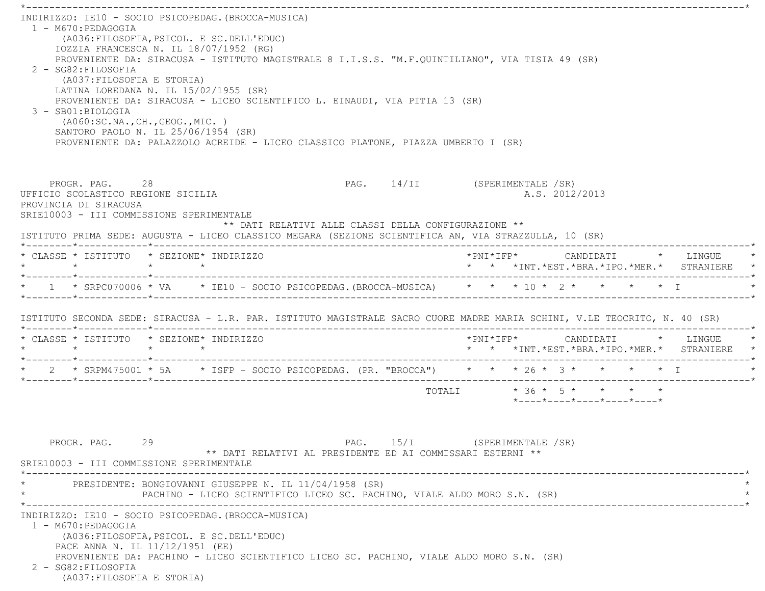\*----------------------------------------------------------------------------------------------------------------------------\* INDIRIZZO: IE10 - SOCIO PSICOPEDAG.(BROCCA-MUSICA) 1 - M670:PEDAGOGIA (A036:FILOSOFIA,PSICOL. E SC.DELL'EDUC) IOZZIA FRANCESCA N. IL 18/07/1952 (RG) PROVENIENTE DA: SIRACUSA - ISTITUTO MAGISTRALE 8 I.I.S.S. "M.F.QUINTILIANO", VIA TISIA 49 (SR) 2 - SG82:FILOSOFIA (A037:FILOSOFIA E STORIA) LATINA LOREDANA N. IL 15/02/1955 (SR) PROVENIENTE DA: SIRACUSA - LICEO SCIENTIFICO L. EINAUDI, VIA PITIA 13 (SR) 3 - SB01:BIOLOGIA (A060:SC.NA.,CH.,GEOG.,MIC. ) SANTORO PAOLO N. IL 25/06/1954 (SR) PROVENIENTE DA: PALAZZOLO ACREIDE - LICEO CLASSICO PLATONE, PIAZZA UMBERTO I (SR) PROGR. PAG. 28 28 PAG. 14/II (SPERIMENTALE /SR) UFFICIO SCOLASTICO REGIONE SICILIA A.S. 2012/2013 PROVINCIA DI SIRACUSA SRIE10003 - III COMMISSIONE SPERIMENTALE \*\* DATI RELATIVI ALLE CLASSI DELLA CONFIGURAZIONE \*\* ISTITUTO PRIMA SEDE: AUGUSTA - LICEO CLASSICO MEGARA (SEZIONE SCIENTIFICA AN, VIA STRAZZULLA, 10 (SR) \*--------\*------------\*-------------------------------------------------------------------------------------------------------\* \* CLASSE \* ISTITUTO \* SEZIONE\* INDIRIZZO \*PNI\*IFP\* CANDIDATI \* LINGUE \* \* \* \* \* \* \* \*INT.\*EST.\*BRA.\*IPO.\*MER.\* STRANIERE \* \*--------\*------------\*-------------------------------------------------------------------------------------------------------\*\* 1 \* SRPC070006 \* VA \* IE10 - SOCIO PSICOPEDAG.(BROCCA-MUSICA) \* \* \* 10 \* 2 \* \* \* \* \* \* I \*--------\*------------\*-------------------------------------------------------------------------------------------------------\* ISTITUTO SECONDA SEDE: SIRACUSA - L.R. PAR. ISTITUTO MAGISTRALE SACRO CUORE MADRE MARIA SCHINI, V.LE TEOCRITO, N. 40 (SR) \*--------\*------------\*-------------------------------------------------------------------------------------------------------\* \* CLASSE \* ISTITUTO \* SEZIONE\* INDIRIZZO \*PNI\*IFP\* CANDIDATI \* LINGUE \* \* \* \* \* \* \* \*INT.\*EST.\*BRA.\*IPO.\*MER.\* STRANIERE \* \*--------\*------------\*-------------------------------------------------------------------------------------------------------\* \* 2 \* SRPM475001 \* 5A \* ISFP - SOCIO PSICOPEDAG. (PR. "BROCCA") \* \* \* 26 \* 3 \* \* \* \* I \* \*--------\*------------\*-------------------------------------------------------------------------------------------------------\* $\texttt{TOTALI} \qquad \qquad \star\;\; \texttt{36}\; \star\;\; \texttt{5}\; \star\; \qquad \star\; \qquad \star\; \qquad \star\; \qquad \star\; \qquad \star\; \qquad \star\; \qquad \star$  \*----\*----\*----\*----\*----\*PROGR. PAG. 29 29 PAG. 15/I (SPERIMENTALE /SR) \*\* DATI RELATIVI AL PRESIDENTE ED AI COMMISSARI ESTERNI \*\* SRIE10003 - III COMMISSIONE SPERIMENTALE \*----------------------------------------------------------------------------------------------------------------------------\*PRESIDENTE: BONGIOVANNI GIUSEPPE N. IL 11/04/1958 (SR) PACHINO - LICEO SCIENTIFICO LICEO SC. PACHINO, VIALE ALDO MORO S.N. (SR) \*----------------------------------------------------------------------------------------------------------------------------\* INDIRIZZO: IE10 - SOCIO PSICOPEDAG.(BROCCA-MUSICA) 1 - M670:PEDAGOGIA (A036:FILOSOFIA,PSICOL. E SC.DELL'EDUC) PACE ANNA N. IL 11/12/1951 (EE) PROVENIENTE DA: PACHINO - LICEO SCIENTIFICO LICEO SC. PACHINO, VIALE ALDO MORO S.N. (SR) 2 - SG82:FILOSOFIA(A037:FILOSOFIA E STORIA)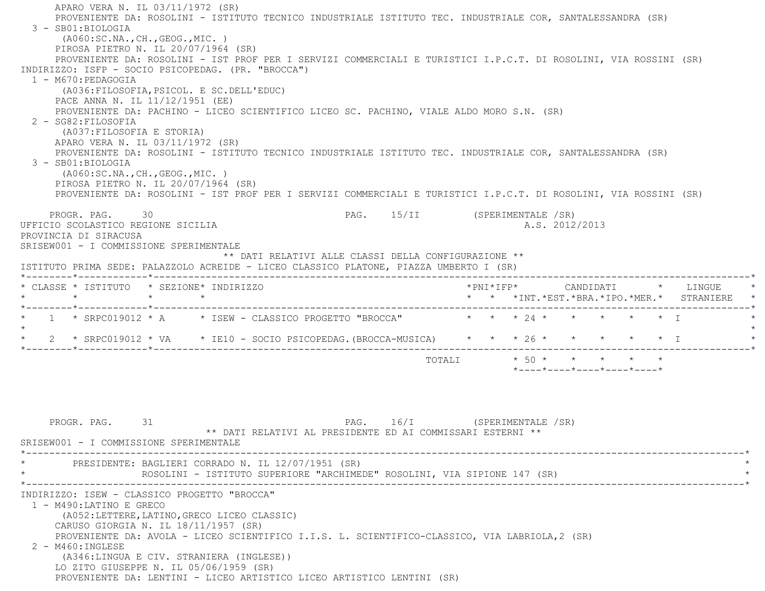APARO VERA N. IL 03/11/1972 (SR) PROVENIENTE DA: ROSOLINI - ISTITUTO TECNICO INDUSTRIALE ISTITUTO TEC. INDUSTRIALE COR, SANTALESSANDRA (SR) 3 - SB01:BIOLOGIA (A060:SC.NA.,CH.,GEOG.,MIC. ) PIROSA PIETRO N. IL 20/07/1964 (SR) PROVENIENTE DA: ROSOLINI - IST PROF PER I SERVIZI COMMERCIALI E TURISTICI I.P.C.T. DI ROSOLINI, VIA ROSSINI (SR) INDIRIZZO: ISFP - SOCIO PSICOPEDAG. (PR. "BROCCA") 1 - M670:PEDAGOGIA (A036:FILOSOFIA,PSICOL. E SC.DELL'EDUC) PACE ANNA N. IL 11/12/1951 (EE) PROVENIENTE DA: PACHINO - LICEO SCIENTIFICO LICEO SC. PACHINO, VIALE ALDO MORO S.N. (SR) 2 - SG82:FILOSOFIA (A037:FILOSOFIA E STORIA) APARO VERA N. IL 03/11/1972 (SR) PROVENIENTE DA: ROSOLINI - ISTITUTO TECNICO INDUSTRIALE ISTITUTO TEC. INDUSTRIALE COR, SANTALESSANDRA (SR) 3 - SB01:BIOLOGIA (A060:SC.NA.,CH.,GEOG.,MIC. ) PIROSA PIETRO N. IL 20/07/1964 (SR) PROVENIENTE DA: ROSOLINI - IST PROF PER I SERVIZI COMMERCIALI E TURISTICI I.P.C.T. DI ROSOLINI, VIA ROSSINI (SR) PROGR. PAG. 30 30 PAG. 15/II (SPERIMENTALE /SR) UFFICIO SCOLASTICO REGIONE SICILIA A.S. 2012/2013 PROVINCIA DI SIRACUSA SRISEW001 - I COMMISSIONE SPERIMENTALE \*\* DATI RELATIVI ALLE CLASSI DELLA CONFIGURAZIONE \*\* ISTITUTO PRIMA SEDE: PALAZZOLO ACREIDE - LICEO CLASSICO PLATONE, PIAZZA UMBERTO I (SR) \*--------\*------------\*-------------------------------------------------------------------------------------------------------\* \* CLASSE \* ISTITUTO \* SEZIONE\* INDIRIZZO \*PNI\*IFP\* CANDIDATI \* LINGUE \* \* \* \* \* \* \* \*INT.\*EST.\*BRA.\*IPO.\*MER.\* STRANIERE \* \*--------\*------------\*-------------------------------------------------------------------------------------------------------\*1 \* SRPC019012 \* A \* ISEW - CLASSICO PROGETTO "BROCCA" \* \* \* 24 \* \* \* \* \* \* \* \* \*  $\star$  \* 2 \* SRPC019012 \* VA \* IE10 - SOCIO PSICOPEDAG.(BROCCA-MUSICA) \* \* \* 26 \* \* \* \* \* I \* \*--------\*------------\*-------------------------------------------------------------------------------------------------------\*TOTALI  $* 50 * * * * * * * *$  \*----\*----\*----\*----\*----\*PROGR. PAG. 31 31 PAG. 16/I (SPERIMENTALE /SR)

 \*\* DATI RELATIVI AL PRESIDENTE ED AI COMMISSARI ESTERNI \*\* SRISEW001 - I COMMISSIONE SPERIMENTALE \*----------------------------------------------------------------------------------------------------------------------------\*PRESIDENTE: BAGLIERI CORRADO N. IL 12/07/1951 (SR) ROSOLINI - ISTITUTO SUPERIORE "ARCHIMEDE" ROSOLINI, VIA SIPIONE 147 (SR) \*----------------------------------------------------------------------------------------------------------------------------\* INDIRIZZO: ISEW - CLASSICO PROGETTO "BROCCA" 1 - M490:LATINO E GRECO (A052:LETTERE,LATINO,GRECO LICEO CLASSIC) CARUSO GIORGIA N. IL 18/11/1957 (SR) PROVENIENTE DA: AVOLA - LICEO SCIENTIFICO I.I.S. L. SCIENTIFICO-CLASSICO, VIA LABRIOLA,2 (SR) 2 - M460:INGLESE (A346:LINGUA E CIV. STRANIERA (INGLESE)) LO ZITO GIUSEPPE N. IL 05/06/1959 (SR) PROVENIENTE DA: LENTINI - LICEO ARTISTICO LICEO ARTISTICO LENTINI (SR)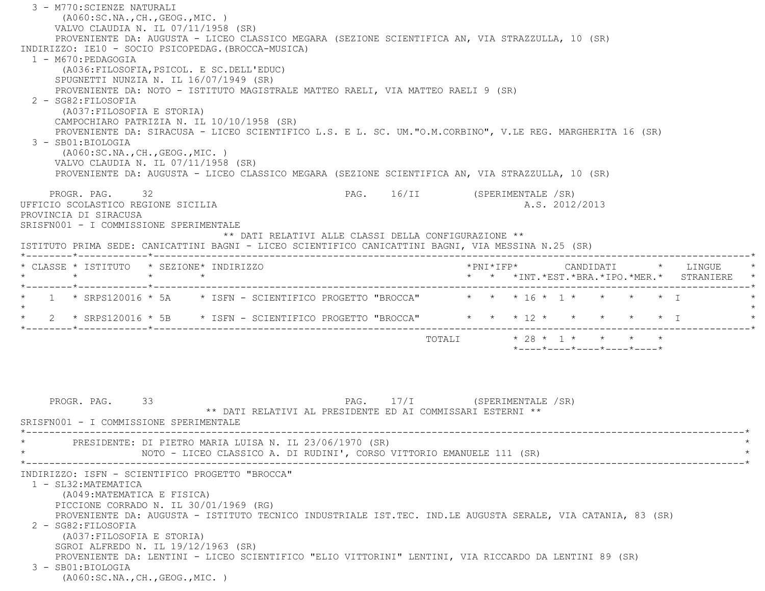3 - M770:SCIENZE NATURALI (A060:SC.NA.,CH.,GEOG.,MIC. ) VALVO CLAUDIA N. IL 07/11/1958 (SR) PROVENIENTE DA: AUGUSTA - LICEO CLASSICO MEGARA (SEZIONE SCIENTIFICA AN, VIA STRAZZULLA, 10 (SR) INDIRIZZO: IE10 - SOCIO PSICOPEDAG.(BROCCA-MUSICA) 1 - M670:PEDAGOGIA (A036:FILOSOFIA,PSICOL. E SC.DELL'EDUC) SPUGNETTI NUNZIA N. IL 16/07/1949 (SR) PROVENIENTE DA: NOTO - ISTITUTO MAGISTRALE MATTEO RAELI, VIA MATTEO RAELI 9 (SR) 2 - SG82:FILOSOFIA (A037:FILOSOFIA E STORIA) CAMPOCHIARO PATRIZIA N. IL 10/10/1958 (SR) PROVENIENTE DA: SIRACUSA - LICEO SCIENTIFICO L.S. E L. SC. UM."O.M.CORBINO", V.LE REG. MARGHERITA 16 (SR) 3 - SB01:BIOLOGIA (A060:SC.NA.,CH.,GEOG.,MIC. ) VALVO CLAUDIA N. IL 07/11/1958 (SR) PROVENIENTE DA: AUGUSTA - LICEO CLASSICO MEGARA (SEZIONE SCIENTIFICA AN, VIA STRAZZULLA, 10 (SR) PROGR. PAG. 32 PAG. 16/II (SPERIMENTALE /SR) UFFICIO SCOLASTICO REGIONE SICILIA A.S. 2012/2013 PROVINCIA DI SIRACUSA SRISFN001 - I COMMISSIONE SPERIMENTALE \*\* DATI RELATIVI ALLE CLASSI DELLA CONFIGURAZIONE \*\* ISTITUTO PRIMA SEDE: CANICATTINI BAGNI - LICEO SCIENTIFICO CANICATTINI BAGNI, VIA MESSINA N.25 (SR) \*--------\*------------\*-------------------------------------------------------------------------------------------------------\* \* CLASSE \* ISTITUTO \* SEZIONE\* INDIRIZZO \*PNI\*IFP\* CANDIDATI \* LINGUE \* \* \* \* \* \* \* \*INT.\*EST.\*BRA.\*IPO.\*MER.\* STRANIERE \* \*--------\*------------\*-------------------------------------------------------------------------------------------------------\* $1 \times$  SRPS120016 \* 5A  $\rightarrow$  ISFN - SCIENTIFICO PROGETTO "BROCCA"  $\rightarrow$  \* \* 16 \* 1 \* \* \* \* \* T  $\star$ \* 2 \* SRPS120016 \* 5B \* ISFN - SCIENTIFICO PROGETTO "BROCCA" \* \* \* 12 \* \* \* \* \* \* \* I \*--------\*------------\*-------------------------------------------------------------------------------------------------------\*TOTALI  $* 28 * 1 * * * * * * *$  \*----\*----\*----\*----\*----\* PROGR. PAG. 33 PAG. 17/I (SPERIMENTALE /SR) \*\* DATI RELATIVI AL PRESIDENTE ED AI COMMISSARI ESTERNI \*\*SRISFN001 - I COMMISSIONE SPERIMENTALE \*----------------------------------------------------------------------------------------------------------------------------\*PRESIDENTE: DI PIETRO MARIA LUISA N. IL 23/06/1970 (SR) NOTO - LICEO CLASSICO A. DI RUDINI', CORSO VITTORIO EMANUELE 111 (SR) \*----------------------------------------------------------------------------------------------------------------------------\* INDIRIZZO: ISFN - SCIENTIFICO PROGETTO "BROCCA" 1 - SL32:MATEMATICA (A049:MATEMATICA E FISICA) PICCIONE CORRADO N. IL 30/01/1969 (RG) PROVENIENTE DA: AUGUSTA - ISTITUTO TECNICO INDUSTRIALE IST.TEC. IND.LE AUGUSTA SERALE, VIA CATANIA, 83 (SR) 2 - SG82:FILOSOFIA (A037:FILOSOFIA E STORIA) SGROI ALFREDO N. IL 19/12/1963 (SR) PROVENIENTE DA: LENTINI - LICEO SCIENTIFICO "ELIO VITTORINI" LENTINI, VIA RICCARDO DA LENTINI 89 (SR) 3 - SB01:BIOLOGIA (A060:SC.NA.,CH.,GEOG.,MIC. )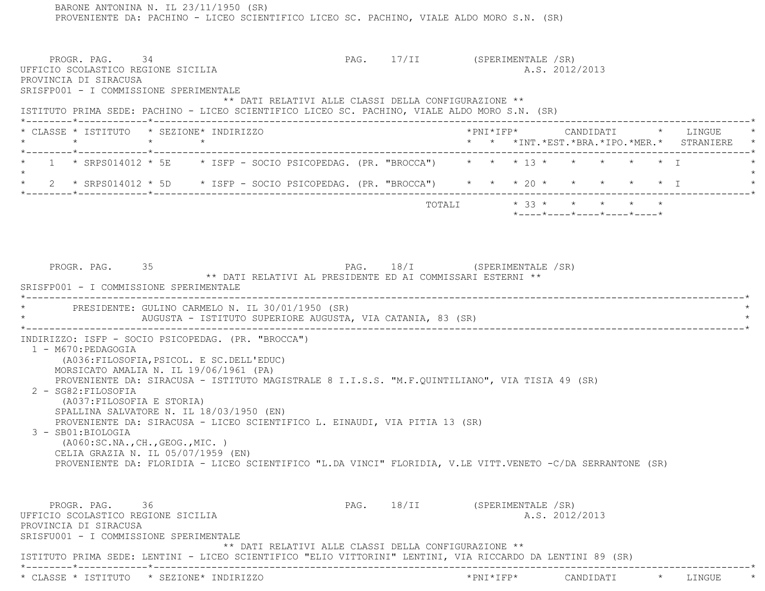BARONE ANTONINA N. IL 23/11/1950 (SR) PROVENIENTE DA: PACHINO - LICEO SCIENTIFICO LICEO SC. PACHINO, VIALE ALDO MORO S.N. (SR) PROGR. PAG. 34 Services and the page of the page of the product of the product of the product of the product of the product of the product of the product of the product of the product of the product of the product of the p UFFICIO SCOLASTICO REGIONE SICILIA A.S. 2012/2013 PROVINCIA DI SIRACUSA SRISFP001 - I COMMISSIONE SPERIMENTALE \*\* DATI RELATIVI ALLE CLASSI DELLA CONFIGURAZIONE \*\* ISTITUTO PRIMA SEDE: PACHINO - LICEO SCIENTIFICO LICEO SC. PACHINO, VIALE ALDO MORO S.N. (SR) \*--------\*------------\*-------------------------------------------------------------------------------------------------------\* \* CLASSE \* ISTITUTO \* SEZIONE\* INDIRIZZO \*PNI\*IFP\* CANDIDATI \* LINGUE \* \* \* \* \* \* \* \*INT.\*EST.\*BRA.\*IPO.\*MER.\* STRANIERE \* \*--------\*------------\*-------------------------------------------------------------------------------------------------------\*1 \* SRPS014012 \* 5E \* ISFP - SOCIO PSICOPEDAG. (PR. "BROCCA") \* \* \* 13 \* \* \* \* \* \* \*  $\star$  \* 2 \* SRPS014012 \* 5D \* ISFP - SOCIO PSICOPEDAG. (PR. "BROCCA") \* \* \* 20 \* \* \* \* \* I \* \*--------\*------------\*-------------------------------------------------------------------------------------------------------\* $\texttt{TOTALI} \qquad \qquad \star \quad 33 \; \star \qquad \star \qquad \star \qquad \star \qquad \star \qquad \star$  \*----\*----\*----\*----\*----\*PROGR. PAG. 35 35 PAG. 18/I (SPERIMENTALE /SR) \*\* DATI RELATIVI AL PRESIDENTE ED AI COMMISSARI ESTERNI \*\* SRISFP001 - I COMMISSIONE SPERIMENTALE \*----------------------------------------------------------------------------------------------------------------------------\*PRESIDENTE: GULINO CARMELO N. IL 30/01/1950 (SR) AUGUSTA - ISTITUTO SUPERIORE AUGUSTA, VIA CATANIA, 83 (SR) \*----------------------------------------------------------------------------------------------------------------------------\* INDIRIZZO: ISFP - SOCIO PSICOPEDAG. (PR. "BROCCA") 1 - M670:PEDAGOGIA (A036:FILOSOFIA,PSICOL. E SC.DELL'EDUC) MORSICATO AMALIA N. IL 19/06/1961 (PA) PROVENIENTE DA: SIRACUSA - ISTITUTO MAGISTRALE 8 I.I.S.S. "M.F.QUINTILIANO", VIA TISIA 49 (SR) 2 - SG82:FILOSOFIA (A037:FILOSOFIA E STORIA) SPALLINA SALVATORE N. IL 18/03/1950 (EN) PROVENIENTE DA: SIRACUSA - LICEO SCIENTIFICO L. EINAUDI, VIA PITIA 13 (SR) 3 - SB01:BIOLOGIA (A060:SC.NA.,CH.,GEOG.,MIC. ) CELIA GRAZIA N. IL 05/07/1959 (EN) PROVENIENTE DA: FLORIDIA - LICEO SCIENTIFICO "L.DA VINCI" FLORIDIA, V.LE VITT.VENETO -C/DA SERRANTONE (SR) PROGR. PAG. 36 36 PAG. 18/II (SPERIMENTALE /SR) UFFICIO SCOLASTICO REGIONE SICILIA A.S. 2012/2013 PROVINCIA DI SIRACUSA SRISFU001 - I COMMISSIONE SPERIMENTALE \*\* DATI RELATIVI ALLE CLASSI DELLA CONFIGURAZIONE \*\* ISTITUTO PRIMA SEDE: LENTINI - LICEO SCIENTIFICO "ELIO VITTORINI" LENTINI, VIA RICCARDO DA LENTINI 89 (SR) \*--------\*------------\*-------------------------------------------------------------------------------------------------------\*\* CLASSE \* ISTITUTO \* SEZIONE\* INDIRIZZO \*PNI\*IFP\* CANDIDATI \* LINGUE \*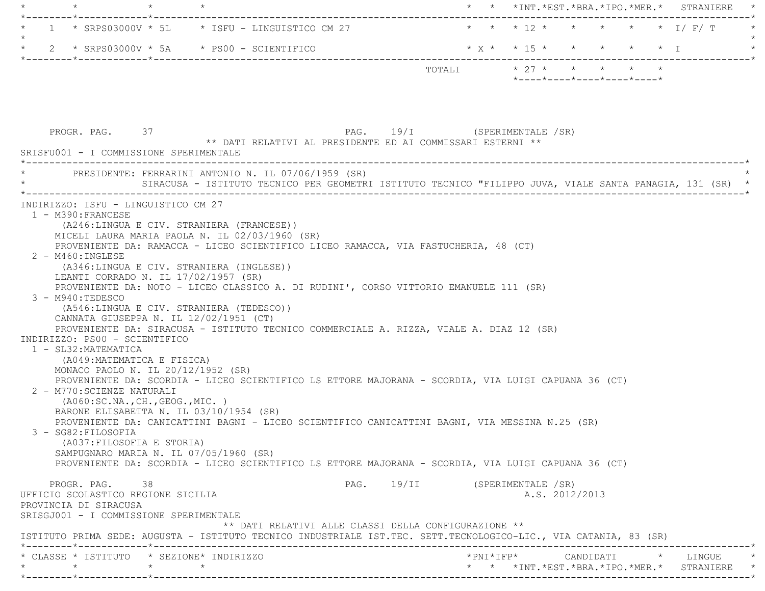|                                                                                                                                                                                                                                                                                                                                                                                                                                                                                                                                                                                                                                                                                                                                                                                                                                                                                                                                                                                                                                                                                                                                                                                                                                                                                                                      | STRANIERE                                                                                                |
|----------------------------------------------------------------------------------------------------------------------------------------------------------------------------------------------------------------------------------------------------------------------------------------------------------------------------------------------------------------------------------------------------------------------------------------------------------------------------------------------------------------------------------------------------------------------------------------------------------------------------------------------------------------------------------------------------------------------------------------------------------------------------------------------------------------------------------------------------------------------------------------------------------------------------------------------------------------------------------------------------------------------------------------------------------------------------------------------------------------------------------------------------------------------------------------------------------------------------------------------------------------------------------------------------------------------|----------------------------------------------------------------------------------------------------------|
| * SRPS03000V * 5L * ISFU - LINGUISTICO CM 27<br>$\mathbf{1}$                                                                                                                                                                                                                                                                                                                                                                                                                                                                                                                                                                                                                                                                                                                                                                                                                                                                                                                                                                                                                                                                                                                                                                                                                                                         | * * * 12 * * * * * * I/F/T                                                                               |
| * SRPS03000V * 5A * PS00 - SCIENTIFICO                                                                                                                                                                                                                                                                                                                                                                                                                                                                                                                                                                                                                                                                                                                                                                                                                                                                                                                                                                                                                                                                                                                                                                                                                                                                               | * X * * 15 * * * * * * 1                                                                                 |
| *--------*------------*---------                                                                                                                                                                                                                                                                                                                                                                                                                                                                                                                                                                                                                                                                                                                                                                                                                                                                                                                                                                                                                                                                                                                                                                                                                                                                                     | TOTALI * 27 * * * * * *<br>$*$ - - - - $*$ - - - - $*$ - - - - $*$ - - - - $*$ - - - - $*$               |
| PROGR. PAG. 37<br>** DATI RELATIVI AL PRESIDENTE ED AI COMMISSARI ESTERNI **<br>SRISFU001 - I COMMISSIONE SPERIMENTALE                                                                                                                                                                                                                                                                                                                                                                                                                                                                                                                                                                                                                                                                                                                                                                                                                                                                                                                                                                                                                                                                                                                                                                                               | PAG. 19/I (SPERIMENTALE /SR)                                                                             |
| PRESIDENTE: FERRARINI ANTONIO N. IL 07/06/1959 (SR)                                                                                                                                                                                                                                                                                                                                                                                                                                                                                                                                                                                                                                                                                                                                                                                                                                                                                                                                                                                                                                                                                                                                                                                                                                                                  | SIRACUSA - ISTITUTO TECNICO PER GEOMETRI ISTITUTO TECNICO "FILIPPO JUVA, VIALE SANTA PANAGIA, 131 (SR) * |
| INDIRIZZO: ISFU - LINGUISTICO CM 27<br>1 - M390: FRANCESE<br>(A246:LINGUA E CIV. STRANIERA (FRANCESE))<br>MICELI LAURA MARIA PAOLA N. IL 02/03/1960 (SR)<br>PROVENIENTE DA: RAMACCA - LICEO SCIENTIFICO LICEO RAMACCA, VIA FASTUCHERIA, 48 (CT)<br>$2 - M460$ : INGLESE<br>(A346:LINGUA E CIV. STRANIERA (INGLESE))<br>LEANTI CORRADO N. IL 17/02/1957 (SR)<br>PROVENIENTE DA: NOTO - LICEO CLASSICO A. DI RUDINI', CORSO VITTORIO EMANUELE 111 (SR)<br>3 - M940:TEDESCO<br>(A546:LINGUA E CIV. STRANIERA (TEDESCO))<br>CANNATA GIUSEPPA N. IL 12/02/1951 (CT)<br>PROVENIENTE DA: SIRACUSA - ISTITUTO TECNICO COMMERCIALE A. RIZZA, VIALE A. DIAZ 12 (SR)<br>INDIRIZZO: PS00 - SCIENTIFICO<br>1 - SL32: MATEMATICA<br>(A049: MATEMATICA E FISICA)<br>MONACO PAOLO N. IL 20/12/1952 (SR)<br>PROVENIENTE DA: SCORDIA - LICEO SCIENTIFICO LS ETTORE MAJORANA - SCORDIA, VIA LUIGI CAPUANA 36 (CT)<br>2 - M770: SCIENZE NATURALI<br>( A060:SC.NA., CH., GEOG., MIC. )<br>BARONE ELISABETTA N. IL 03/10/1954 (SR)<br>PROVENIENTE DA: CANICATTINI BAGNI - LICEO SCIENTIFICO CANICATTINI BAGNI, VIA MESSINA N.25 (SR)<br>3 - SG82: FILOSOFIA<br>(A037: FILOSOFIA E STORIA)<br>SAMPUGNARO MARIA N. IL 07/05/1960 (SR)<br>PROVENIENTE DA: SCORDIA - LICEO SCIENTIFICO LS ETTORE MAJORANA - SCORDIA, VIA LUIGI CAPUANA 36 (CT) |                                                                                                          |
| PROGR. PAG. 38<br>UFFICIO SCOLASTICO REGIONE SICILIA<br>PROVINCIA DI SIRACUSA<br>SRISGJ001 - I COMMISSIONE SPERIMENTALE<br>** DATI RELATIVI ALLE CLASSI DELLA CONFIGURAZIONE **                                                                                                                                                                                                                                                                                                                                                                                                                                                                                                                                                                                                                                                                                                                                                                                                                                                                                                                                                                                                                                                                                                                                      | PAG. 19/II (SPERIMENTALE /SR)<br>A.S. 2012/2013                                                          |
| ISTITUTO PRIMA SEDE: AUGUSTA - ISTITUTO TECNICO INDUSTRIALE IST.TEC. SETT.TECNOLOGICO-LIC., VIA CATANIA, 83 (SR)                                                                                                                                                                                                                                                                                                                                                                                                                                                                                                                                                                                                                                                                                                                                                                                                                                                                                                                                                                                                                                                                                                                                                                                                     |                                                                                                          |
| * CLASSE * ISTITUTO * SEZIONE* INDIRIZZO                                                                                                                                                                                                                                                                                                                                                                                                                                                                                                                                                                                                                                                                                                                                                                                                                                                                                                                                                                                                                                                                                                                                                                                                                                                                             | $*PNI*IFP* \qquad \qquad \text{CANDIDATI} \qquad \qquad * \qquad \text{LINGUE} \qquad \qquad *$          |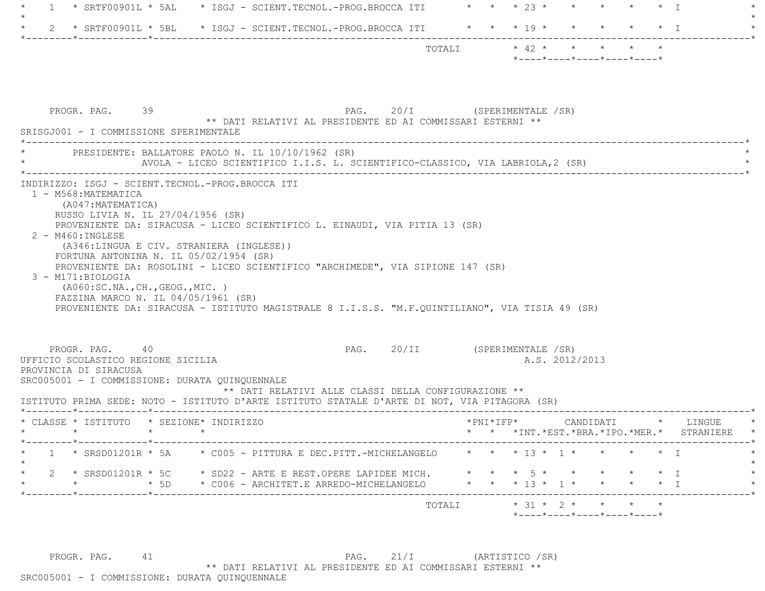| * SRTF00901L * 5AL * ISGJ - SCIENT.TECNOL.-PROG.BROCCA ITI * * * 23 * * * * * * * I<br>$\overline{1}$                                                                                                                                                                                                                                                                                                                                                                                                                                                               |                               |                       |  |                                                                 |  |                                      |                                          |
|---------------------------------------------------------------------------------------------------------------------------------------------------------------------------------------------------------------------------------------------------------------------------------------------------------------------------------------------------------------------------------------------------------------------------------------------------------------------------------------------------------------------------------------------------------------------|-------------------------------|-----------------------|--|-----------------------------------------------------------------|--|--------------------------------------|------------------------------------------|
| 2 * SRTF00901L * 5BL * ISGJ - SCIENT.TECNOL.-PROG.BROCCA ITI * * * 19 * * * * *                                                                                                                                                                                                                                                                                                                                                                                                                                                                                     |                               |                       |  |                                                                 |  | $\star$ T                            |                                          |
|                                                                                                                                                                                                                                                                                                                                                                                                                                                                                                                                                                     |                               | TOTALI * 42 * * * * * |  | $*$ - - - - $*$ - - - - $*$ - - - - $*$ - - - - $*$ - - - - $*$ |  |                                      |                                          |
| PAG. 20/I (SPERIMENTALE /SR)<br>PROGR. PAG. 39<br>** DATI RELATIVI AL PRESIDENTE ED AI COMMISSARI ESTERNI **<br>SRISGJ001 - I COMMISSIONE SPERIMENTALE                                                                                                                                                                                                                                                                                                                                                                                                              |                               |                       |  |                                                                 |  |                                      |                                          |
| * PRESIDENTE: BALLATORE PAOLO N. IL 10/10/1962 (SR)<br>AVOLA - LICEO SCIENTIFICO I.I.S. L. SCIENTIFICO-CLASSICO, VIA LABRIOLA, 2 (SR)                                                                                                                                                                                                                                                                                                                                                                                                                               |                               |                       |  |                                                                 |  |                                      |                                          |
| 1 - M568: MATEMATICA<br>(A047:MATEMATICA)<br>RUSSO LIVIA N. IL 27/04/1956 (SR)<br>PROVENIENTE DA: SIRACUSA - LICEO SCIENTIFICO L. EINAUDI, VIA PITIA 13 (SR)<br>$2 - M460 : INGLESE$<br>(A346:LINGUA E CIV. STRANIERA (INGLESE))<br>FORTUNA ANTONINA N. IL 05/02/1954 (SR)<br>PROVENIENTE DA: ROSOLINI - LICEO SCIENTIFICO "ARCHIMEDE", VIA SIPIONE 147 (SR)<br>$3 - M171$ : BIOLOGIA<br>( A060:SC.NA., CH., GEOG., MIC. )<br>FAZZINA MARCO N. IL 04/05/1961 (SR)<br>PROVENIENTE DA: SIRACUSA - ISTITUTO MAGISTRALE 8 I.I.S.S. "M.F.QUINTILIANO", VIA TISIA 49 (SR) |                               |                       |  |                                                                 |  |                                      |                                          |
| PROGR. PAG. 40<br>UFFICIO SCOLASTICO REGIONE SICILIA<br>PROVINCIA DI SIRACUSA<br>SRC005001 - I COMMISSIONE: DURATA QUINQUENNALE                                                                                                                                                                                                                                                                                                                                                                                                                                     | PAG. 20/II (SPERIMENTALE /SR) |                       |  | A.S. 2012/2013                                                  |  |                                      |                                          |
| ** DATI RELATIVI ALLE CLASSI DELLA CONFIGURAZIONE **                                                                                                                                                                                                                                                                                                                                                                                                                                                                                                                |                               |                       |  |                                                                 |  |                                      |                                          |
|                                                                                                                                                                                                                                                                                                                                                                                                                                                                                                                                                                     |                               |                       |  |                                                                 |  |                                      |                                          |
| * CLASSE * ISTITUTO * SEZIONE* INDIRIZZO<br>$\star$ $\star$ $\star$ $\star$                                                                                                                                                                                                                                                                                                                                                                                                                                                                                         |                               |                       |  |                                                                 |  |                                      | * * *INT.*EST.*BRA.*IPO.*MER.* STRANIERE |
| 1 * SRSD01201R * 5A * C005 - PITTURA E DEC.PITT.-MICHELANGELO * * * 13 * 1 * * * * * * I                                                                                                                                                                                                                                                                                                                                                                                                                                                                            |                               |                       |  |                                                                 |  |                                      |                                          |
| ISTITUTO PRIMA SEDE: NOTO - ISTITUTO D'ARTE ISTITUTO STATALE D'ARTE DI NOT, VIA PITAGORA (SR)<br>2 * SRSD01201R * 5C * SD22 - ARTE E REST.OPERE LAPIDEE MICH. * * * * 5 * * *<br>$\star$ 5D $\star$ C006 - ARCHITET.E ARREDO-MICHELANGELO $\star$ $\star$ $\star$ 13 $\star$ 1 $\star$<br>_____*____________*_____                                                                                                                                                                                                                                                  |                               |                       |  |                                                                 |  | $\star$ T<br>$\star$ $\star$ $\perp$ | ------------*                            |

PROGR. PAG. 41 PAG. 21/I (ARTISTICO /SR) \*\* DATI RELATIVI AL PRESIDENTE ED AI COMMISSARI ESTERNI \*\* SRC005001 - I COMMISSIONE: DURATA QUINQUENNALE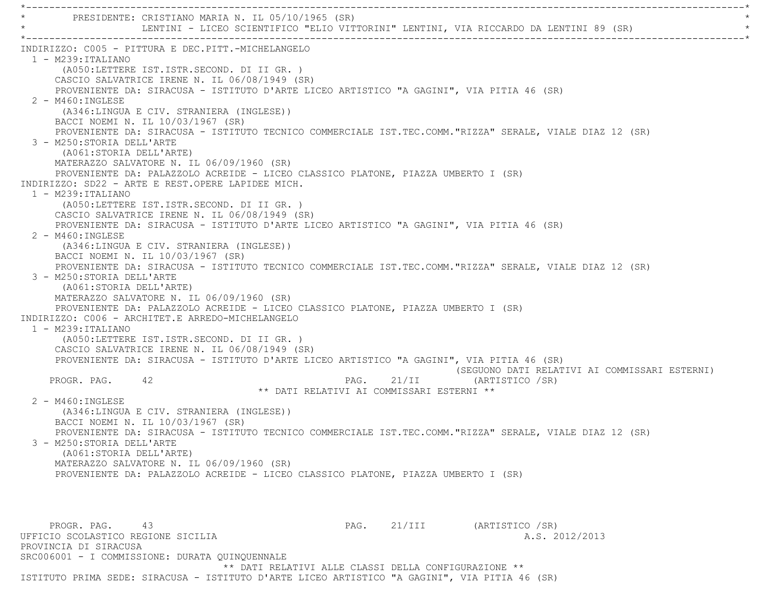\*----------------------------------------------------------------------------------------------------------------------------\* \* PRESIDENTE: CRISTIANO MARIA N. IL 05/10/1965 (SR) \* LENTINI - LICEO SCIENTIFICO "ELIO VITTORINI" LENTINI, VIA RICCARDO DA LENTINI 89 (SR) \*----------------------------------------------------------------------------------------------------------------------------\* INDIRIZZO: C005 - PITTURA E DEC.PITT.-MICHELANGELO 1 - M239:ITALIANO (A050:LETTERE IST.ISTR.SECOND. DI II GR. ) CASCIO SALVATRICE IRENE N. IL 06/08/1949 (SR) PROVENIENTE DA: SIRACUSA - ISTITUTO D'ARTE LICEO ARTISTICO "A GAGINI", VIA PITIA 46 (SR) 2 - M460:INGLESE (A346:LINGUA E CIV. STRANIERA (INGLESE)) BACCI NOEMI N. IL 10/03/1967 (SR) PROVENIENTE DA: SIRACUSA - ISTITUTO TECNICO COMMERCIALE IST.TEC.COMM."RIZZA" SERALE, VIALE DIAZ 12 (SR) 3 - M250:STORIA DELL'ARTE (A061:STORIA DELL'ARTE) MATERAZZO SALVATORE N. IL 06/09/1960 (SR) PROVENIENTE DA: PALAZZOLO ACREIDE - LICEO CLASSICO PLATONE, PIAZZA UMBERTO I (SR) INDIRIZZO: SD22 - ARTE E REST.OPERE LAPIDEE MICH. 1 - M239:ITALIANO (A050:LETTERE IST.ISTR.SECOND. DI II GR. ) CASCIO SALVATRICE IRENE N. IL 06/08/1949 (SR) PROVENIENTE DA: SIRACUSA - ISTITUTO D'ARTE LICEO ARTISTICO "A GAGINI", VIA PITIA 46 (SR) 2 - M460:INGLESE (A346:LINGUA E CIV. STRANIERA (INGLESE)) BACCI NOEMI N. IL 10/03/1967 (SR) PROVENIENTE DA: SIRACUSA - ISTITUTO TECNICO COMMERCIALE IST.TEC.COMM."RIZZA" SERALE, VIALE DIAZ 12 (SR) 3 - M250:STORIA DELL'ARTE (A061:STORIA DELL'ARTE) MATERAZZO SALVATORE N. IL 06/09/1960 (SR) PROVENIENTE DA: PALAZZOLO ACREIDE - LICEO CLASSICO PLATONE, PIAZZA UMBERTO I (SR) INDIRIZZO: C006 - ARCHITET.E ARREDO-MICHELANGELO 1 - M239:ITALIANO (A050:LETTERE IST.ISTR.SECOND. DI II GR. ) CASCIO SALVATRICE IRENE N. IL 06/08/1949 (SR) PROVENIENTE DA: SIRACUSA - ISTITUTO D'ARTE LICEO ARTISTICO "A GAGINI", VIA PITIA 46 (SR) (SEGUONO DATI RELATIVI AI COMMISSARI ESTERNI) PROGR. PAG. 42 21/II (ARTISTICO /SR) \*\* DATI RELATIVI AI COMMISSARI ESTERNI \*\* 2 - M460:INGLESE (A346:LINGUA E CIV. STRANIERA (INGLESE)) BACCI NOEMI N. IL 10/03/1967 (SR) PROVENIENTE DA: SIRACUSA - ISTITUTO TECNICO COMMERCIALE IST.TEC.COMM."RIZZA" SERALE, VIALE DIAZ 12 (SR) 3 - M250:STORIA DELL'ARTE (A061:STORIA DELL'ARTE) MATERAZZO SALVATORE N. IL 06/09/1960 (SR) PROVENIENTE DA: PALAZZOLO ACREIDE - LICEO CLASSICO PLATONE, PIAZZA UMBERTO I (SR) PROGR. PAG. 43 ARTISTICO / SR) UFFICIO SCOLASTICO REGIONE SICILIA A.S. 2012/2013 PROVINCIA DI SIRACUSA SRC006001 - I COMMISSIONE: DURATA QUINQUENNALE \*\* DATI RELATIVI ALLE CLASSI DELLA CONFIGURAZIONE \*\*

ISTITUTO PRIMA SEDE: SIRACUSA - ISTITUTO D'ARTE LICEO ARTISTICO "A GAGINI", VIA PITIA 46 (SR)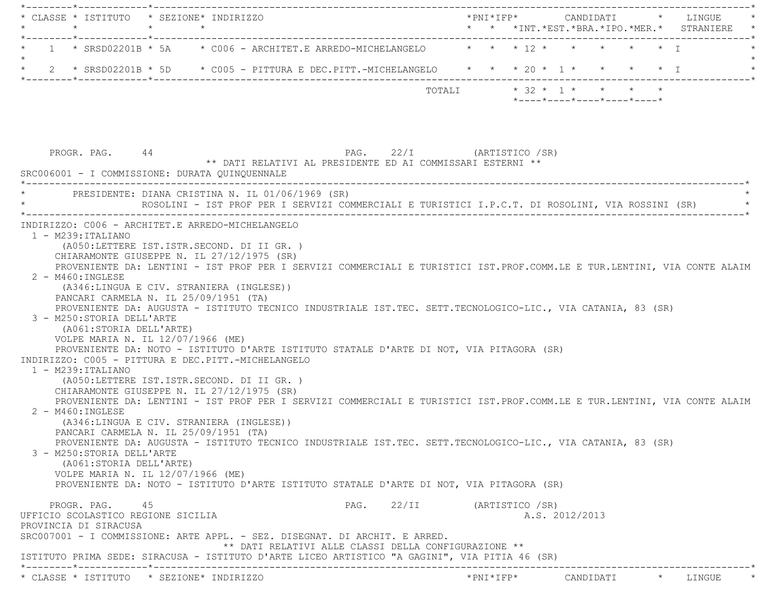|                                                                       | * CLASSE * ISTITUTO * SEZIONE* INDIRIZZO                                                                                                                                                                                                                                                                                                                                                                                                                                                                             |  |                                                                                                                                                                                                                                                                                                                                                                                                                    |  |                                 |  |  |                |                                                  | *PNI*IFP* CANDIDATI * LINGUE                                                                                                                                                                                                                         |
|-----------------------------------------------------------------------|----------------------------------------------------------------------------------------------------------------------------------------------------------------------------------------------------------------------------------------------------------------------------------------------------------------------------------------------------------------------------------------------------------------------------------------------------------------------------------------------------------------------|--|--------------------------------------------------------------------------------------------------------------------------------------------------------------------------------------------------------------------------------------------------------------------------------------------------------------------------------------------------------------------------------------------------------------------|--|---------------------------------|--|--|----------------|--------------------------------------------------|------------------------------------------------------------------------------------------------------------------------------------------------------------------------------------------------------------------------------------------------------|
|                                                                       |                                                                                                                                                                                                                                                                                                                                                                                                                                                                                                                      |  | 1 * SRSD02201B * 5A * C006 - ARCHITET.E ARREDO-MICHELANGELO * * * 12 * * * * * * * I                                                                                                                                                                                                                                                                                                                               |  |                                 |  |  |                |                                                  |                                                                                                                                                                                                                                                      |
|                                                                       |                                                                                                                                                                                                                                                                                                                                                                                                                                                                                                                      |  | * 2 * SRSD02201B * 5D * C005 - PITTURA E DEC.PITT.-MICHELANGELO * * * 20 * 1 * * * * * * I                                                                                                                                                                                                                                                                                                                         |  |                                 |  |  |                |                                                  |                                                                                                                                                                                                                                                      |
|                                                                       |                                                                                                                                                                                                                                                                                                                                                                                                                                                                                                                      |  |                                                                                                                                                                                                                                                                                                                                                                                                                    |  | TOTALI $* 32 * 1 * * * * * * *$ |  |  |                | $*$ ---- $*$ ---- $*$ ---- $*$ ---- $*$ ---- $*$ |                                                                                                                                                                                                                                                      |
|                                                                       | PROGR. PAG. 44<br>SRC006001 - I COMMISSIONE: DURATA QUINQUENNALE                                                                                                                                                                                                                                                                                                                                                                                                                                                     |  | ** DATI RELATIVI AL PRESIDENTE ED AI COMMISSARI ESTERNI **                                                                                                                                                                                                                                                                                                                                                         |  | PAG. 22/I (ARTISTICO / SR)      |  |  |                |                                                  |                                                                                                                                                                                                                                                      |
|                                                                       |                                                                                                                                                                                                                                                                                                                                                                                                                                                                                                                      |  | * PRESIDENTE: DIANA CRISTINA N. IL 01/06/1969 (SR)<br>ROSOLINI - IST PROF PER I SERVIZI COMMERCIALI E TURISTICI I.P.C.T. DI ROSOLINI, VIA ROSSINI (SR)                                                                                                                                                                                                                                                             |  |                                 |  |  |                |                                                  |                                                                                                                                                                                                                                                      |
| $2 - M460$ : INGLESE<br>$1 - M239$ : ITALIANO<br>$2 - M460$ : INGLESE | (A346:LINGUA E CIV. STRANIERA (INGLESE))<br>PANCARI CARMELA N. IL 25/09/1951 (TA)<br>3 - M250: STORIA DELL'ARTE<br>(A061:STORIA DELL'ARTE)<br>VOLPE MARIA N. IL 12/07/1966 (ME)<br>INDIRIZZO: C005 - PITTURA E DEC.PITT.-MICHELANGELO<br>(A050:LETTERE IST.ISTR.SECOND. DI II GR. )<br>CHIARAMONTE GIUSEPPE N. IL 27/12/1975 (SR)<br>(A346:LINGUA E CIV. STRANIERA (INGLESE))<br>PANCARI CARMELA N. IL 25/09/1951 (TA)<br>3 - M250: STORIA DELL'ARTE<br>(A061:STORIA DELL'ARTE)<br>VOLPE MARIA N. IL 12/07/1966 (ME) |  | PROVENIENTE DA: AUGUSTA - ISTITUTO TECNICO INDUSTRIALE IST.TEC. SETT.TECNOLOGICO-LIC., VIA CATANIA, 83 (SR)<br>PROVENIENTE DA: NOTO - ISTITUTO D'ARTE ISTITUTO STATALE D'ARTE DI NOT, VIA PITAGORA (SR)<br>PROVENIENTE DA: AUGUSTA - ISTITUTO TECNICO INDUSTRIALE IST.TEC. SETT.TECNOLOGICO-LIC., VIA CATANIA, 83 (SR)<br>PROVENIENTE DA: NOTO - ISTITUTO D'ARTE ISTITUTO STATALE D'ARTE DI NOT, VIA PITAGORA (SR) |  |                                 |  |  |                |                                                  | PROVENIENTE DA: LENTINI - IST PROF PER I SERVIZI COMMERCIALI E TURISTICI IST.PROF.COMM.LE E TUR.LENTINI, VIA CONTE ALAIM<br>PROVENIENTE DA: LENTINI - IST PROF PER I SERVIZI COMMERCIALI E TURISTICI IST.PROF.COMM.LE E TUR.LENTINI, VIA CONTE ALAIM |
|                                                                       | 45<br>PROGR. PAG.<br>UFFICIO SCOLASTICO REGIONE SICILIA<br>PROVINCIA DI SIRACUSA                                                                                                                                                                                                                                                                                                                                                                                                                                     |  | SRC007001 - I COMMISSIONE: ARTE APPL. - SEZ. DISEGNAT. DI ARCHIT. E ARRED.<br>** DATI RELATIVI ALLE CLASSI DELLA CONFIGURAZIONE **<br>ISTITUTO PRIMA SEDE: SIRACUSA - ISTITUTO D'ARTE LICEO ARTISTICO "A GAGINI", VIA PITIA 46 (SR)                                                                                                                                                                                |  | PAG. 22/II (ARTISTICO / SR)     |  |  | A.S. 2012/2013 |                                                  |                                                                                                                                                                                                                                                      |
|                                                                       |                                                                                                                                                                                                                                                                                                                                                                                                                                                                                                                      |  | * CLASSE * ISTITUTO * SEZIONE* INDIRIZZO                                                                                                                                                                                                                                                                                                                                                                           |  |                                 |  |  |                |                                                  |                                                                                                                                                                                                                                                      |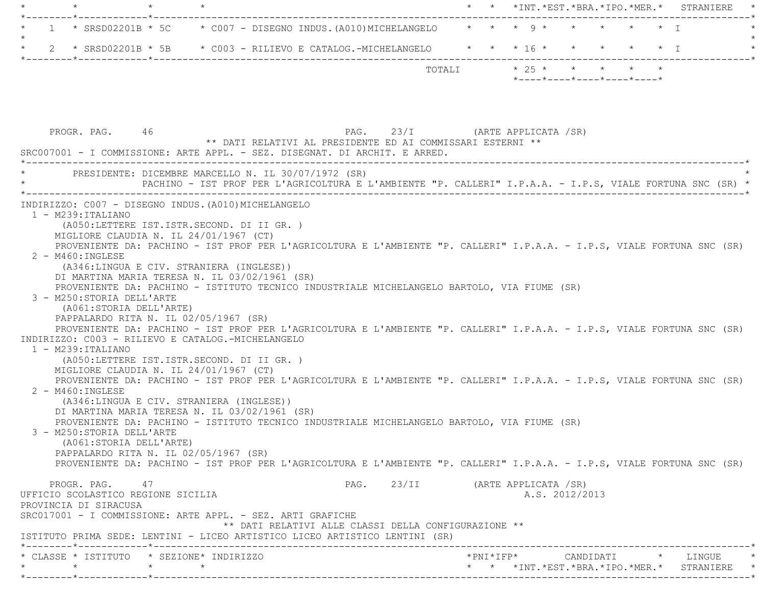|  |                                                                                                                                                                      | TOTALI                                                                                  |  | $* 25 * * * * * * * * * *$<br>$*$ - - - - $*$ - - - - $*$ - - - - $*$ - - - - $*$ - - - - $*$ |  |  |                                            |  |
|--|----------------------------------------------------------------------------------------------------------------------------------------------------------------------|-----------------------------------------------------------------------------------------|--|-----------------------------------------------------------------------------------------------|--|--|--------------------------------------------|--|
|  |                                                                                                                                                                      | $\star$ 2 $\star$ SRSD02201B $\star$ 5B $\star$ C003 - RILIEVO E CATALOG.-MICHELANGELO  |  | * * * 16 * * * * * * T                                                                        |  |  |                                            |  |
|  |                                                                                                                                                                      | * 1 * SRSD02201B * 5C * C007 - DISEGNO INDUS. (A010) MICHELANGELO * * * 9 * * * * * * * |  |                                                                                               |  |  |                                            |  |
|  | $\overline{+}$ $\overline{+}$ $\overline{+}$ $\overline{+}$ $\overline{+}$ $\overline{+}$ $\overline{+}$ $\overline{+}$ $\overline{+}$ $\overline{+}$ $\overline{+}$ |                                                                                         |  |                                                                                               |  |  | * * *INT.*EST.*BRA.*IPO.*MER.* STRANIERE * |  |

| PAG. 23/I (ARTE APPLICATA /SR)<br>PROGR. PAG.<br>46<br>** DATI RELATIVI AL PRESIDENTE ED AI COMMISSARI ESTERNI **<br>SRC007001 - I COMMISSIONE: ARTE APPL. - SEZ. DISEGNAT. DI ARCHIT. E ARRED.                                                                                                                                                                                                                                                                                                                                                                                                                                                                                                                                                                                                                                                                                                                                                                                                                                                                                                                                                                                                                                                                                                                                                                                                                                                                                                                                                                                         |                                                                     |
|-----------------------------------------------------------------------------------------------------------------------------------------------------------------------------------------------------------------------------------------------------------------------------------------------------------------------------------------------------------------------------------------------------------------------------------------------------------------------------------------------------------------------------------------------------------------------------------------------------------------------------------------------------------------------------------------------------------------------------------------------------------------------------------------------------------------------------------------------------------------------------------------------------------------------------------------------------------------------------------------------------------------------------------------------------------------------------------------------------------------------------------------------------------------------------------------------------------------------------------------------------------------------------------------------------------------------------------------------------------------------------------------------------------------------------------------------------------------------------------------------------------------------------------------------------------------------------------------|---------------------------------------------------------------------|
| PRESIDENTE: DICEMBRE MARCELLO N. IL 30/07/1972 (SR)<br>PACHINO - IST PROF PER L'AGRICOLTURA E L'AMBIENTE "P. CALLERI" I.P.A.A. - I.P.S, VIALE FORTUNA SNC (SR) *                                                                                                                                                                                                                                                                                                                                                                                                                                                                                                                                                                                                                                                                                                                                                                                                                                                                                                                                                                                                                                                                                                                                                                                                                                                                                                                                                                                                                        |                                                                     |
| INDIRIZZO: C007 - DISEGNO INDUS. (A010) MICHELANGELO<br>$1 - M239:ITALIANO$<br>(A050:LETTERE IST.ISTR.SECOND. DI II GR. )<br>MIGLIORE CLAUDIA N. IL 24/01/1967 (CT)<br>PROVENIENTE DA: PACHINO - IST PROF PER L'AGRICOLTURA E L'AMBIENTE "P. CALLERI" I.P.A.A. - I.P.S, VIALE FORTUNA SNC (SR)<br>2 - M460:INGLESE<br>(A346:LINGUA E CIV. STRANIERA (INGLESE))<br>DI MARTINA MARIA TERESA N. IL 03/02/1961 (SR)<br>PROVENIENTE DA: PACHINO - ISTITUTO TECNICO INDUSTRIALE MICHELANGELO BARTOLO, VIA FIUME (SR)<br>3 - M250: STORIA DELL'ARTE<br>(A061:STORIA DELL'ARTE)<br>PAPPALARDO RITA N. IL 02/05/1967 (SR)<br>PROVENIENTE DA: PACHINO - IST PROF PER L'AGRICOLTURA E L'AMBIENTE "P. CALLERI" I.P.A.A. - I.P.S, VIALE FORTUNA SNC (SR)<br>INDIRIZZO: C003 - RILIEVO E CATALOG.-MICHELANGELO<br>$1 - M239: ITALIANO$<br>(A050:LETTERE IST.ISTR.SECOND. DI II GR. )<br>MIGLIORE CLAUDIA N. IL 24/01/1967 (CT)<br>PROVENIENTE DA: PACHINO - IST PROF PER L'AGRICOLTURA E L'AMBIENTE "P. CALLERI" I.P.A.A. - I.P.S, VIALE FORTUNA SNC (SR)<br>$2 - M460$ : INGLESE<br>(A346:LINGUA E CIV. STRANIERA (INGLESE))<br>DI MARTINA MARIA TERESA N. IL 03/02/1961 (SR)<br>PROVENIENTE DA: PACHINO - ISTITUTO TECNICO INDUSTRIALE MICHELANGELO BARTOLO, VIA FIUME (SR)<br>3 - M250: STORIA DELL'ARTE<br>(A061:STORIA DELL'ARTE)<br>PAPPALARDO RITA N. IL 02/05/1967 (SR)<br>PROVENIENTE DA: PACHINO - IST PROF PER L'AGRICOLTURA E L'AMBIENTE "P. CALLERI" I.P.A.A. - I.P.S, VIALE FORTUNA SNC (SR)<br>PAG. 23/II (ARTE APPLICATA /SR)<br>PROGR. PAG. 47<br>UFFICIO SCOLASTICO REGIONE SICILIA | A.S. 2012/2013                                                      |
| PROVINCIA DI SIRACUSA<br>SRC017001 - I COMMISSIONE: ARTE APPL. - SEZ. ARTI GRAFICHE<br>** DATI RELATIVI ALLE CLASSI DELLA CONFIGURAZIONE **<br>ISTITUTO PRIMA SEDE: LENTINI - LICEO ARTISTICO LICEO ARTISTICO LENTINI (SR)                                                                                                                                                                                                                                                                                                                                                                                                                                                                                                                                                                                                                                                                                                                                                                                                                                                                                                                                                                                                                                                                                                                                                                                                                                                                                                                                                              |                                                                     |
| * CLASSE * ISTITUTO * SEZIONE* INDIRIZZO<br>*PNI*IFP*                                                                                                                                                                                                                                                                                                                                                                                                                                                                                                                                                                                                                                                                                                                                                                                                                                                                                                                                                                                                                                                                                                                                                                                                                                                                                                                                                                                                                                                                                                                                   | CANDIDATI * LINGUE<br>* * *INT. *EST. *BRA. *IPO. *MER. * STRANIERE |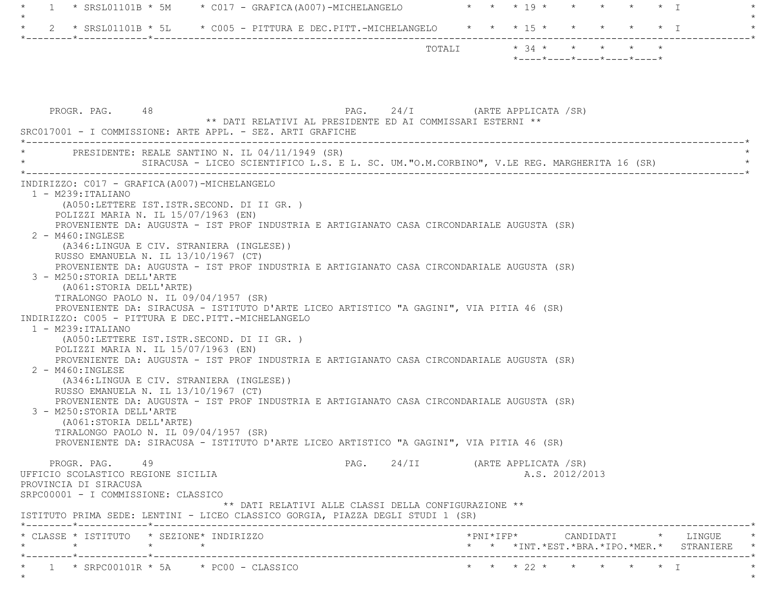| $\mathcal{I}$                                                   | $\star$ SRSL01101B $\star$ 5M $\star$ C017 - GRAFICA (A007) -MICHELANGELO                  |                                 |  |                | * * * 19 * * * * * * T                  |           |                                                 |
|-----------------------------------------------------------------|--------------------------------------------------------------------------------------------|---------------------------------|--|----------------|-----------------------------------------|-----------|-------------------------------------------------|
|                                                                 | 2 * SRSL01101B * 5L * C005 - PITTURA E DEC.PITT.-MICHELANGELO * * * 15 * * * * *           |                                 |  |                |                                         | $\star$ T |                                                 |
|                                                                 |                                                                                            |                                 |  |                |                                         |           |                                                 |
|                                                                 |                                                                                            |                                 |  |                | $*$ ---- $*$ ---- $*$ ---- $*$ ---- $*$ |           |                                                 |
|                                                                 |                                                                                            |                                 |  |                |                                         |           |                                                 |
|                                                                 |                                                                                            |                                 |  |                |                                         |           |                                                 |
|                                                                 |                                                                                            |                                 |  |                |                                         |           |                                                 |
|                                                                 |                                                                                            |                                 |  |                |                                         |           |                                                 |
| PROGR. PAG. 48                                                  | ** DATI RELATIVI AL PRESIDENTE ED AI COMMISSARI ESTERNI **                                 | PAG. 24/I (ARTE APPLICATA /SR)  |  |                |                                         |           |                                                 |
|                                                                 | SRC017001 - I COMMISSIONE: ARTE APPL. - SEZ. ARTI GRAFICHE                                 |                                 |  |                |                                         |           |                                                 |
|                                                                 |                                                                                            |                                 |  |                |                                         |           |                                                 |
|                                                                 | PRESIDENTE: REALE SANTINO N. IL 04/11/1949 (SR)                                            |                                 |  |                |                                         |           |                                                 |
|                                                                 | SIRACUSA - LICEO SCIENTIFICO L.S. E L. SC. UM."O.M.CORBINO", V.LE REG. MARGHERITA 16 (SR)  |                                 |  |                |                                         |           |                                                 |
|                                                                 |                                                                                            |                                 |  |                |                                         |           |                                                 |
| INDIRIZZO: C017 - GRAFICA (A007)-MICHELANGELO                   |                                                                                            |                                 |  |                |                                         |           |                                                 |
| $1 - M239:ITALIANO$                                             |                                                                                            |                                 |  |                |                                         |           |                                                 |
| (A050:LETTERE IST.ISTR.SECOND. DI II GR. )                      |                                                                                            |                                 |  |                |                                         |           |                                                 |
| POLIZZI MARIA N. IL 15/07/1963 (EN)                             | PROVENIENTE DA: AUGUSTA - IST PROF INDUSTRIA E ARTIGIANATO CASA CIRCONDARIALE AUGUSTA (SR) |                                 |  |                |                                         |           |                                                 |
| 2 - M460: INGLESE                                               |                                                                                            |                                 |  |                |                                         |           |                                                 |
| (A346:LINGUA E CIV. STRANIERA (INGLESE))                        |                                                                                            |                                 |  |                |                                         |           |                                                 |
| RUSSO EMANUELA N. IL 13/10/1967 (CT)                            |                                                                                            |                                 |  |                |                                         |           |                                                 |
|                                                                 | PROVENIENTE DA: AUGUSTA - IST PROF INDUSTRIA E ARTIGIANATO CASA CIRCONDARIALE AUGUSTA (SR) |                                 |  |                |                                         |           |                                                 |
| 3 - M250: STORIA DELL'ARTE                                      |                                                                                            |                                 |  |                |                                         |           |                                                 |
| (A061:STORIA DELL'ARTE)                                         |                                                                                            |                                 |  |                |                                         |           |                                                 |
| TIRALONGO PAOLO N. IL 09/04/1957 (SR)                           |                                                                                            |                                 |  |                |                                         |           |                                                 |
|                                                                 | PROVENIENTE DA: SIRACUSA - ISTITUTO D'ARTE LICEO ARTISTICO "A GAGINI", VIA PITIA 46 (SR)   |                                 |  |                |                                         |           |                                                 |
| INDIRIZZO: C005 - PITTURA E DEC.PITT.-MICHELANGELO              |                                                                                            |                                 |  |                |                                         |           |                                                 |
| $1 - M239$ : ITALIANO                                           |                                                                                            |                                 |  |                |                                         |           |                                                 |
| (A050:LETTERE IST.ISTR.SECOND. DI II GR. )                      |                                                                                            |                                 |  |                |                                         |           |                                                 |
| POLIZZI MARIA N. IL 15/07/1963 (EN)                             |                                                                                            |                                 |  |                |                                         |           |                                                 |
|                                                                 | PROVENIENTE DA: AUGUSTA - IST PROF INDUSTRIA E ARTIGIANATO CASA CIRCONDARIALE AUGUSTA (SR) |                                 |  |                |                                         |           |                                                 |
| 2 - M460: INGLESE                                               |                                                                                            |                                 |  |                |                                         |           |                                                 |
| (A346:LINGUA E CIV. STRANIERA (INGLESE))                        |                                                                                            |                                 |  |                |                                         |           |                                                 |
| RUSSO EMANUELA N. IL 13/10/1967 (CT)                            | PROVENIENTE DA: AUGUSTA - IST PROF INDUSTRIA E ARTIGIANATO CASA CIRCONDARIALE AUGUSTA (SR) |                                 |  |                |                                         |           |                                                 |
| 3 - M250: STORIA DELL'ARTE                                      |                                                                                            |                                 |  |                |                                         |           |                                                 |
| (A061:STORIA DELL'ARTE)                                         |                                                                                            |                                 |  |                |                                         |           |                                                 |
| TIRALONGO PAOLO N. IL 09/04/1957 (SR)                           |                                                                                            |                                 |  |                |                                         |           |                                                 |
|                                                                 | PROVENIENTE DA: SIRACUSA - ISTITUTO D'ARTE LICEO ARTISTICO "A GAGINI", VIA PITIA 46 (SR)   |                                 |  |                |                                         |           |                                                 |
|                                                                 |                                                                                            |                                 |  |                |                                         |           |                                                 |
| PROGR. PAG. 49                                                  |                                                                                            | PAG. 24/II (ARTE APPLICATA /SR) |  |                |                                         |           |                                                 |
| UFFICIO SCOLASTICO REGIONE SICILIA                              |                                                                                            |                                 |  | A.S. 2012/2013 |                                         |           |                                                 |
| PROVINCIA DI SIRACUSA                                           |                                                                                            |                                 |  |                |                                         |           |                                                 |
| SRPC00001 - I COMMISSIONE: CLASSICO                             |                                                                                            |                                 |  |                |                                         |           |                                                 |
|                                                                 | ** DATI RELATIVI ALLE CLASSI DELLA CONFIGURAZIONE **                                       |                                 |  |                |                                         |           |                                                 |
|                                                                 | ISTITUTO PRIMA SEDE: LENTINI - LICEO CLASSICO GORGIA, PIAZZA DEGLI STUDI 1 (SR)            |                                 |  |                |                                         |           |                                                 |
| * CLASSE * ISTITUTO * SEZIONE* INDIRIZZO                        |                                                                                            |                                 |  |                |                                         |           | *PNI*IFP*     CANDIDATI    *   LINGUE           |
| $\star$ $\star$ $\star$                                         |                                                                                            |                                 |  |                |                                         |           | * * *INT. *EST. *BRA. *IPO. *MER. * STRANIERE * |
| ------*------------*-------------                               |                                                                                            |                                 |  |                |                                         |           |                                                 |
| $\star$ 1 $\star$ SRPC00101R $\star$ 5A $\star$ PC00 - CLASSICO |                                                                                            |                                 |  |                | * * * 22 * * * * * * I                  |           |                                                 |
|                                                                 |                                                                                            |                                 |  |                |                                         |           |                                                 |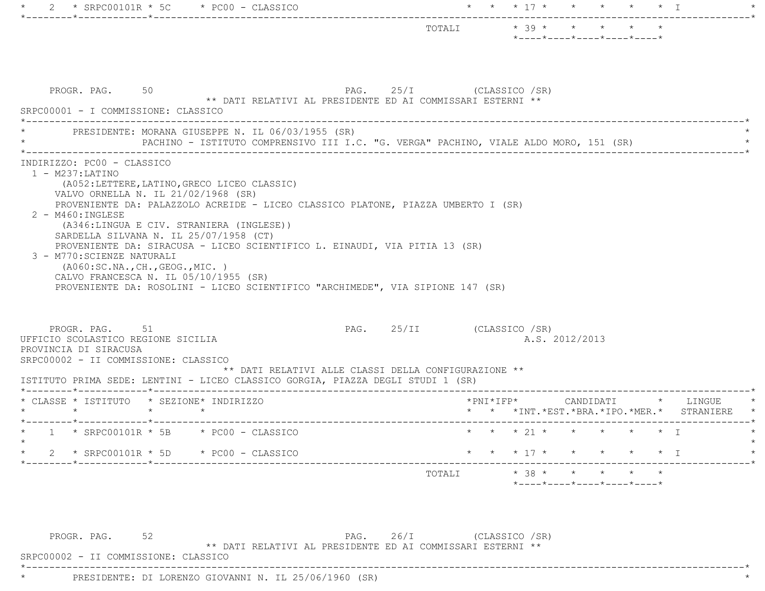|                                                                                                                                                                                                                                                                                                                                                                                                                                                        |                            |  | *----*----*----*----*----*                   |                |                                         |  |           |
|--------------------------------------------------------------------------------------------------------------------------------------------------------------------------------------------------------------------------------------------------------------------------------------------------------------------------------------------------------------------------------------------------------------------------------------------------------|----------------------------|--|----------------------------------------------|----------------|-----------------------------------------|--|-----------|
|                                                                                                                                                                                                                                                                                                                                                                                                                                                        |                            |  |                                              |                |                                         |  |           |
|                                                                                                                                                                                                                                                                                                                                                                                                                                                        |                            |  |                                              |                |                                         |  |           |
|                                                                                                                                                                                                                                                                                                                                                                                                                                                        |                            |  |                                              |                |                                         |  |           |
| PROGR. PAG. 50<br>** DATI RELATIVI AL PRESIDENTE ED AI COMMISSARI ESTERNI **                                                                                                                                                                                                                                                                                                                                                                           | PAG. 25/I (CLASSICO /SR)   |  |                                              |                |                                         |  |           |
| SRPC00001 - I COMMISSIONE: CLASSICO                                                                                                                                                                                                                                                                                                                                                                                                                    |                            |  |                                              |                |                                         |  |           |
| PRESIDENTE: MORANA GIUSEPPE N. IL 06/03/1955 (SR)                                                                                                                                                                                                                                                                                                                                                                                                      |                            |  |                                              |                |                                         |  |           |
| PACHINO - ISTITUTO COMPRENSIVO III I.C. "G. VERGA" PACHINO, VIALE ALDO MORO, 151 (SR)                                                                                                                                                                                                                                                                                                                                                                  |                            |  |                                              |                |                                         |  |           |
| INDIRIZZO: PC00 - CLASSICO<br>$1 - M237$ : LATINO<br>(A052:LETTERE, LATINO, GRECO LICEO CLASSIC)<br>VALVO ORNELLA N. IL 21/02/1968 (SR)<br>PROVENIENTE DA: PALAZZOLO ACREIDE - LICEO CLASSICO PLATONE, PIAZZA UMBERTO I (SR)<br>$2 - M460$ : INGLESE<br>(A346:LINGUA E CIV. STRANIERA (INGLESE))<br>SARDELLA SILVANA N. IL 25/07/1958 (CT)<br>PROVENIENTE DA: SIRACUSA - LICEO SCIENTIFICO L. EINAUDI, VIA PITIA 13 (SR)<br>3 - M770: SCIENZE NATURALI |                            |  |                                              |                |                                         |  |           |
| ( A060:SC.NA., CH., GEOG., MIC. )<br>CALVO FRANCESCA N. IL 05/10/1955 (SR)                                                                                                                                                                                                                                                                                                                                                                             |                            |  |                                              |                |                                         |  |           |
| PROVENIENTE DA: ROSOLINI - LICEO SCIENTIFICO "ARCHIMEDE", VIA SIPIONE 147 (SR)<br>PROGR. PAG. 51<br>UFFICIO SCOLASTICO REGIONE SICILIA<br>PROVINCIA DI SIRACUSA<br>SRPC00002 - II COMMISSIONE: CLASSICO<br>** DATI RELATIVI ALLE CLASSI DELLA CONFIGURAZIONE **                                                                                                                                                                                        | PAG. 25/II (CLASSICO / SR) |  |                                              | A.S. 2012/2013 |                                         |  |           |
| ISTITUTO PRIMA SEDE: LENTINI - LICEO CLASSICO GORGIA, PIAZZA DEGLI STUDI 1 (SR)                                                                                                                                                                                                                                                                                                                                                                        |                            |  |                                              |                |                                         |  |           |
| * CLASSE * ISTITUTO * SEZIONE* INDIRIZZO                                                                                                                                                                                                                                                                                                                                                                                                               |                            |  | * * * INT. * EST. * BRA. * IPO. * MER. *     |                |                                         |  | STRANIERE |
| * $1$ * SRPC00101R * 5B * PC00 - CLASSICO                                                                                                                                                                                                                                                                                                                                                                                                              |                            |  | * * * 21 * * * * * * T                       |                |                                         |  |           |
|                                                                                                                                                                                                                                                                                                                                                                                                                                                        |                            |  |                                              |                |                                         |  |           |
| $\star$ SRPC00101R $\star$ 5D $\star$ PC00 - CLASSICO                                                                                                                                                                                                                                                                                                                                                                                                  |                            |  | $*$ 17 $*$                                   |                | $\star$ $\star$ $\star$ $\star$ $\perp$ |  |           |
|                                                                                                                                                                                                                                                                                                                                                                                                                                                        | TOTALI                     |  | $*$ 38 $*$ $*$<br>*----*----*----*----*----* |                | $\star$                                 |  |           |

PROGR. PAG. 52 52 PAG. 26/I (CLASSICO /SR) \*\* DATI RELATIVI AL PRESIDENTE ED AI COMMISSARI ESTERNI \*\*

 SRPC00002 - II COMMISSIONE: CLASSICO \*----------------------------------------------------------------------------------------------------------------------------\*

\* PRESIDENTE: DI LORENZO GIOVANNI N. IL 25/06/1960 (SR) \*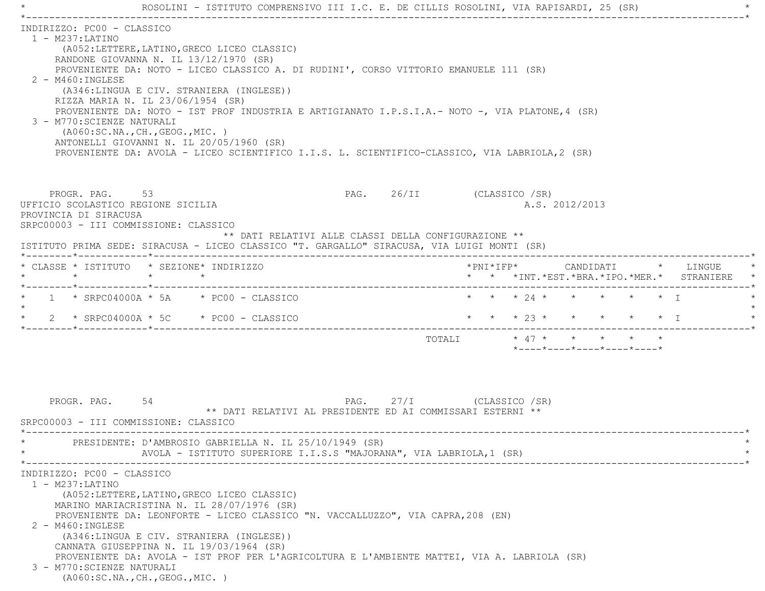|                                         |                                                                                                                                                                                                                                                                                                                                                                                                                                                                                                                                                                                                                                          |         |         |  | ROSOLINI - ISTITUTO COMPRENSIVO III I.C. E. DE CILLIS ROSOLINI, VIA RAPISARDI, 25 (SR) |                        |  |                |                                                            |                   |                                                                          |  |
|-----------------------------------------|------------------------------------------------------------------------------------------------------------------------------------------------------------------------------------------------------------------------------------------------------------------------------------------------------------------------------------------------------------------------------------------------------------------------------------------------------------------------------------------------------------------------------------------------------------------------------------------------------------------------------------------|---------|---------|--|----------------------------------------------------------------------------------------|------------------------|--|----------------|------------------------------------------------------------|-------------------|--------------------------------------------------------------------------|--|
| $1 - M237: LATINO$                      | INDIRIZZO: PC00 - CLASSICO<br>(A052:LETTERE, LATINO, GRECO LICEO CLASSIC)<br>RANDONE GIOVANNA N. IL 13/12/1970 (SR)<br>PROVENIENTE DA: NOTO - LICEO CLASSICO A. DI RUDINI', CORSO VITTORIO EMANUELE 111 (SR)<br>$2 - M460$ : INGLESE<br>(A346:LINGUA E CIV. STRANIERA (INGLESE))<br>RIZZA MARIA N. IL 23/06/1954 (SR)<br>PROVENIENTE DA: NOTO - IST PROF INDUSTRIA E ARTIGIANATO I.P.S.I.A.- NOTO -, VIA PLATONE, 4 (SR)<br>3 - M770: SCIENZE NATURALI<br>(AO60:SC.NA., CH., GEOG., MIC. )<br>ANTONELLI GIOVANNI N. IL 20/05/1960 (SR)<br>PROVENIENTE DA: AVOLA - LICEO SCIENTIFICO I.I.S. L. SCIENTIFICO-CLASSICO, VIA LABRIOLA, 2 (SR) |         |         |  |                                                                                        |                        |  |                |                                                            |                   |                                                                          |  |
|                                         | PROGR. PAG. 53<br>UFFICIO SCOLASTICO REGIONE SICILIA<br>PROVINCIA DI SIRACUSA<br>SRPC00003 - III COMMISSIONE: CLASSICO<br>ISTITUTO PRIMA SEDE: SIRACUSA - LICEO CLASSICO "T. GARGALLO" SIRACUSA, VIA LUIGI MONTI (SR)                                                                                                                                                                                                                                                                                                                                                                                                                    |         |         |  | PAG. 26/II (CLASSICO /SR)<br>** DATI RELATIVI ALLE CLASSI DELLA CONFIGURAZIONE **      |                        |  | A.S. 2012/2013 |                                                            |                   |                                                                          |  |
| $\star$                                 | * CLASSE * ISTITUTO * SEZIONE* INDIRIZZO                                                                                                                                                                                                                                                                                                                                                                                                                                                                                                                                                                                                 | $\star$ | $\star$ |  |                                                                                        |                        |  |                |                                                            |                   | *PNI*IFP* CANDIDATI * LINGUE<br>* * *INT.*EST.*BRA.*IPO.*MER.* STRANIERE |  |
|                                         | $1 *$ SRPC04000A $*$ 5A $*$ PC00 - CLASSICO                                                                                                                                                                                                                                                                                                                                                                                                                                                                                                                                                                                              |         |         |  |                                                                                        |                        |  |                | $\star$ $\star$ $\star$ $\gamma$ 4 $\star$ $\star$ $\star$ | $\star$ $\star$ T |                                                                          |  |
|                                         | 2 * SRPC04000A * 5C * PC00 - CLASSICO                                                                                                                                                                                                                                                                                                                                                                                                                                                                                                                                                                                                    |         |         |  |                                                                                        | * * * 23 * * * * * * I |  |                |                                                            |                   |                                                                          |  |
|                                         |                                                                                                                                                                                                                                                                                                                                                                                                                                                                                                                                                                                                                                          |         |         |  |                                                                                        | TOTALI * 47 * * * * *  |  |                | *----*----*----*----*----*                                 |                   |                                                                          |  |
|                                         | PROGR. PAG.<br>SRPC00003 - III COMMISSIONE: CLASSICO                                                                                                                                                                                                                                                                                                                                                                                                                                                                                                                                                                                     | 54      |         |  | PAG. 27/I (CLASSICO /SR)<br>** DATI RELATIVI AL PRESIDENTE ED AI COMMISSARI ESTERNI ** |                        |  |                |                                                            |                   |                                                                          |  |
|                                         | PRESIDENTE: D'AMBROSIO GABRIELLA N. IL 25/10/1949 (SR)                                                                                                                                                                                                                                                                                                                                                                                                                                                                                                                                                                                   |         |         |  | AVOLA - ISTITUTO SUPERIORE I.I.S.S "MAJORANA", VIA LABRIOLA, 1 (SR)                    |                        |  |                |                                                            |                   |                                                                          |  |
| $1 - M237: LATINO$<br>2 - M460: INGLESE | INDIRIZZO: PC00 - CLASSICO<br>(A052:LETTERE, LATINO, GRECO LICEO CLASSIC)<br>MARINO MARIACRISTINA N. IL 28/07/1976 (SR)<br>PROVENIENTE DA: LEONFORTE - LICEO CLASSICO "N. VACCALLUZZO", VIA CAPRA, 208 (EN)<br>(A346:LINGUA E CIV. STRANIERA (INGLESE))<br>CANNATA GIUSEPPINA N. IL 19/03/1964 (SR)<br>PROVENIENTE DA: AVOLA - IST PROF PER L'AGRICOLTURA E L'AMBIENTE MATTEI, VIA A. LABRIOLA (SR)<br>3 - M770: SCIENZE NATURALI<br>( A060:SC.NA., CH., GEOG., MIC. )                                                                                                                                                                   |         |         |  |                                                                                        |                        |  |                |                                                            |                   |                                                                          |  |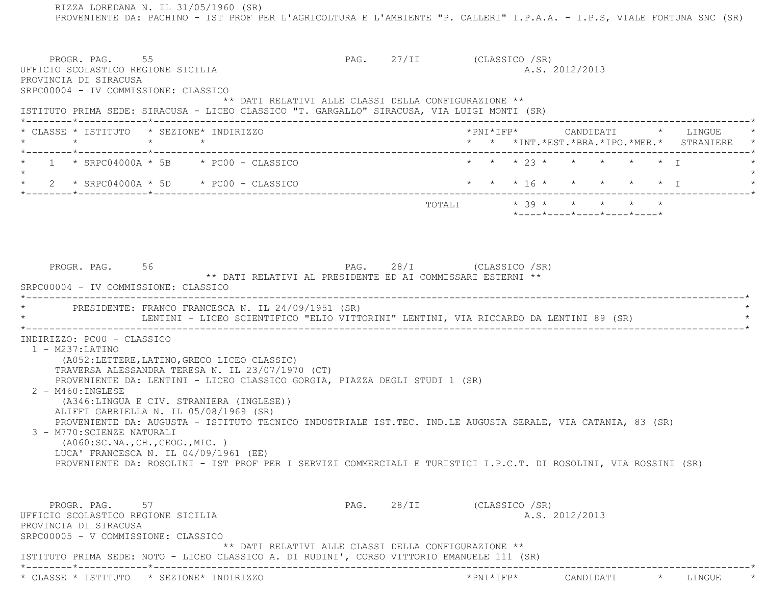RIZZA LOREDANA N. IL 31/05/1960 (SR) PROVENIENTE DA: PACHINO - IST PROF PER L'AGRICOLTURA E L'AMBIENTE "P. CALLERI" I.P.A.A. - I.P.S, VIALE FORTUNA SNC (SR) PROGR. PAG. 55 5 PAG. 27/II (CLASSICO /SR) UFFICIO SCOLASTICO REGIONE SICILIA A.S. 2012/2013 PROVINCIA DI SIRACUSA SRPC00004 - IV COMMISSIONE: CLASSICO \*\* DATI RELATIVI ALLE CLASSI DELLA CONFIGURAZIONE \*\* ISTITUTO PRIMA SEDE: SIRACUSA - LICEO CLASSICO "T. GARGALLO" SIRACUSA, VIA LUIGI MONTI (SR) \*--------\*------------\*-------------------------------------------------------------------------------------------------------\* \* CLASSE \* ISTITUTO \* SEZIONE\* INDIRIZZO \*PNI\*IFP\* CANDIDATI \* LINGUE \* \* \* \* \* \* \* \*INT.\*EST.\*BRA.\*IPO.\*MER.\* STRANIERE \* \*--------\*------------\*-------------------------------------------------------------------------------------------------------\*1 \* SRPC04000A \* 5B \* PC00 - CLASSICO \* \* \* \* 23 \* \* \* \* \* \* \* I  $\star$ \* 2 \* SRPC04000A \* 5D \* PC00 - CLASSICO \* \* \* \* \* 16 \* \* \* \* \* \* \* \* I \*--------\*------------\*-------------------------------------------------------------------------------------------------------\*TOTALI  $* 39 * * * * * * * * *$  \*----\*----\*----\*----\*----\*PROGR. PAG. 56 56 PAG. 28/I (CLASSICO /SR) \*\* DATI RELATIVI AL PRESIDENTE ED AI COMMISSARI ESTERNI \*\* SRPC00004 - IV COMMISSIONE: CLASSICO \*----------------------------------------------------------------------------------------------------------------------------\*PRESIDENTE: FRANCO FRANCESCA N. IL 24/09/1951 (SR) LENTINI - LICEO SCIENTIFICO "ELIO VITTORINI" LENTINI, VIA RICCARDO DA LENTINI 89 (SR) \*----------------------------------------------------------------------------------------------------------------------------\* INDIRIZZO: PC00 - CLASSICO 1 - M237:LATINO (A052:LETTERE,LATINO,GRECO LICEO CLASSIC) TRAVERSA ALESSANDRA TERESA N. IL 23/07/1970 (CT) PROVENIENTE DA: LENTINI - LICEO CLASSICO GORGIA, PIAZZA DEGLI STUDI 1 (SR) 2 - M460:INGLESE (A346:LINGUA E CIV. STRANIERA (INGLESE)) ALIFFI GABRIELLA N. IL 05/08/1969 (SR) PROVENIENTE DA: AUGUSTA - ISTITUTO TECNICO INDUSTRIALE IST.TEC. IND.LE AUGUSTA SERALE, VIA CATANIA, 83 (SR) 3 - M770:SCIENZE NATURALI (A060:SC.NA.,CH.,GEOG.,MIC. ) LUCA' FRANCESCA N. IL 04/09/1961 (EE) PROVENIENTE DA: ROSOLINI - IST PROF PER I SERVIZI COMMERCIALI E TURISTICI I.P.C.T. DI ROSOLINI, VIA ROSSINI (SR) PROGR. PAG. 57 ST 28/II (CLASSICO / SR) UFFICIO SCOLASTICO REGIONE SICILIA A.S. 2012/2013 PROVINCIA DI SIRACUSA SRPC00005 - V COMMISSIONE: CLASSICO \*\* DATI RELATIVI ALLE CLASSI DELLA CONFIGURAZIONE \*\* ISTITUTO PRIMA SEDE: NOTO - LICEO CLASSICO A. DI RUDINI', CORSO VITTORIO EMANUELE 111 (SR) \*--------\*------------\*-------------------------------------------------------------------------------------------------------\*\* CLASSE \* ISTITUTO \* SEZIONE\* INDIRIZZO \*PNI\*IFP\* CANDIDATI \* LINGUE \*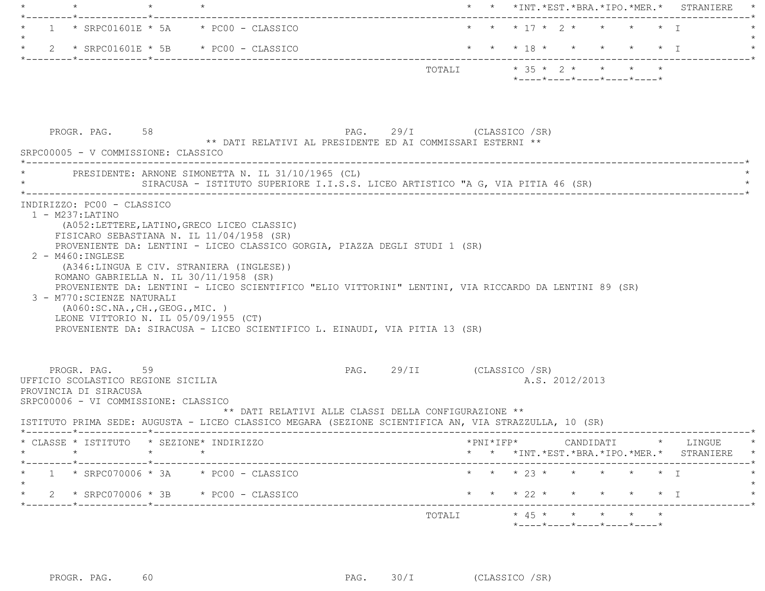|  |                                                                                                                       |                            |                                                                                                                                                                                                                                                                           |                           |  | * * *INT.*EST.*BRA.*IPO.*MER.* STRANIERE                      |                |         |                   |                                                                                                                                                                                                                                                                                                                                                                                                                                                                                  |
|--|-----------------------------------------------------------------------------------------------------------------------|----------------------------|---------------------------------------------------------------------------------------------------------------------------------------------------------------------------------------------------------------------------------------------------------------------------|---------------------------|--|---------------------------------------------------------------|----------------|---------|-------------------|----------------------------------------------------------------------------------------------------------------------------------------------------------------------------------------------------------------------------------------------------------------------------------------------------------------------------------------------------------------------------------------------------------------------------------------------------------------------------------|
|  |                                                                                                                       |                            | $1 *$ SRPC01601E * 5A * PC00 - CLASSICO                                                                                                                                                                                                                                   |                           |  | * * * 17 * 2 *                                                |                | $\star$ | $\star$ $\star$ T |                                                                                                                                                                                                                                                                                                                                                                                                                                                                                  |
|  |                                                                                                                       |                            |                                                                                                                                                                                                                                                                           |                           |  |                                                               |                |         |                   |                                                                                                                                                                                                                                                                                                                                                                                                                                                                                  |
|  |                                                                                                                       |                            |                                                                                                                                                                                                                                                                           |                           |  | TOTALI $* 35 * 2 * * * * * * *$<br>*----*----*----*----*----* |                |         |                   |                                                                                                                                                                                                                                                                                                                                                                                                                                                                                  |
|  | PROGR. PAG. 58<br>SRPC00005 - V COMMISSIONE: CLASSICO                                                                 |                            | PAG. 29/I (CLASSICO /SR)<br>** DATI RELATIVI AL PRESIDENTE ED AI COMMISSARI ESTERNI **                                                                                                                                                                                    |                           |  |                                                               |                |         |                   |                                                                                                                                                                                                                                                                                                                                                                                                                                                                                  |
|  |                                                                                                                       |                            | PRESIDENTE: ARNONE SIMONETTA N. IL 31/10/1965 (CL)<br>SIRACUSA - ISTITUTO SUPERIORE I.I.S.S. LICEO ARTISTICO "A G, VIA PITIA 46 (SR)                                                                                                                                      |                           |  |                                                               |                |         |                   |                                                                                                                                                                                                                                                                                                                                                                                                                                                                                  |
|  | 2 - M460: INGLESE                                                                                                     | 3 - M770: SCIENZE NATURALI | PROVENIENTE DA: LENTINI - LICEO CLASSICO GORGIA, PIAZZA DEGLI STUDI 1 (SR)<br>(A346:LINGUA E CIV. STRANIERA (INGLESE))<br>ROMANO GABRIELLA N. IL 30/11/1958 (SR)<br>PROVENIENTE DA: LENTINI - LICEO SCIENTIFICO "ELIO VITTORINI" LENTINI, VIA RICCARDO DA LENTINI 89 (SR) |                           |  |                                                               |                |         |                   |                                                                                                                                                                                                                                                                                                                                                                                                                                                                                  |
|  | ( A060:SC.NA., CH., GEOG., MIC. )                                                                                     |                            | LEONE VITTORIO N. IL 05/09/1955 (CT)<br>PROVENIENTE DA: SIRACUSA - LICEO SCIENTIFICO L. EINAUDI, VIA PITIA 13 (SR)                                                                                                                                                        |                           |  |                                                               |                |         |                   |                                                                                                                                                                                                                                                                                                                                                                                                                                                                                  |
|  | PROGR. PAG. 59<br>UFFICIO SCOLASTICO REGIONE SICILIA<br>PROVINCIA DI SIRACUSA<br>SRPC00006 - VI COMMISSIONE: CLASSICO |                            | ** DATI RELATIVI ALLE CLASSI DELLA CONFIGURAZIONE **                                                                                                                                                                                                                      | PAG. 29/II (CLASSICO /SR) |  |                                                               | A.S. 2012/2013 |         |                   |                                                                                                                                                                                                                                                                                                                                                                                                                                                                                  |
|  | $\star$ $\star$                                                                                                       |                            | ISTITUTO PRIMA SEDE: AUGUSTA - LICEO CLASSICO MEGARA (SEZIONE SCIENTIFICA AN, VIA STRAZZULLA, 10 (SR)<br>* CLASSE * ISTITUTO * SEZIONE* INDIRIZZO<br>$\star$                                                                                                              |                           |  |                                                               |                |         |                   |                                                                                                                                                                                                                                                                                                                                                                                                                                                                                  |
|  |                                                                                                                       |                            |                                                                                                                                                                                                                                                                           |                           |  |                                                               |                |         |                   |                                                                                                                                                                                                                                                                                                                                                                                                                                                                                  |
|  |                                                                                                                       |                            | $1 *$ SRPC070006 * 3A * PC00 - CLASSICO                                                                                                                                                                                                                                   |                           |  | * * * 23 * * * * * * I                                        |                |         |                   | $\texttt{\char'{134}thm} \star \texttt{PNI*} \texttt{IFP*} \qquad \texttt{\char'{134}thm} \texttt{CANDIDATI} \qquad \texttt{\char'{134}thm} \star \qquad \texttt{\char'{134}thm} \texttt{\char'{134}thm} \star \qquad \texttt{\char'{134}thm} \texttt{\char'{134}thm} \star \qquad \texttt{\char'{134}thm} \texttt{\char'{134}thm} \star \qquad \texttt{\char'{134}thm} \texttt{\char'{134}thm} \star \qquad \texttt{\char'{$<br>* * *INT. *EST. *BRA. *IPO. *MER. * STRANIERE * |
|  |                                                                                                                       |                            | 2 * SRPC070006 * 3B * PC00 - CLASSICO                                                                                                                                                                                                                                     | TOTALI                    |  | * * * 22 * * * * * * I<br>* 45 * * * * * *                    |                |         |                   |                                                                                                                                                                                                                                                                                                                                                                                                                                                                                  |

PROGR. PAG. 60 60 PAG. 30/I (CLASSICO /SR)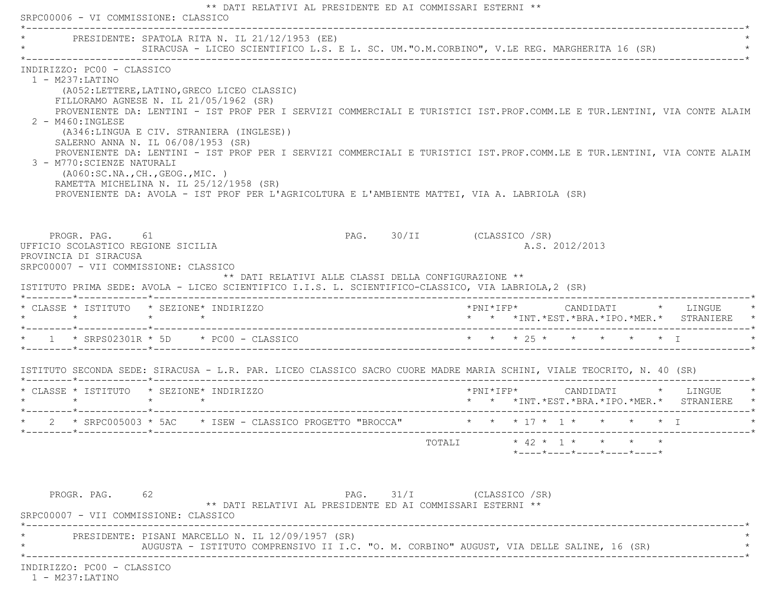|                                                                                                                                                                                                                               |                                                                                                                                                                                                                                                                                                                                                                                                                                                                                                                                                                                                                | SRPC00006 - VI COMMISSIONE: CLASSICO                 |                           |        |  |  |                                                    |  |                                                                                            |
|-------------------------------------------------------------------------------------------------------------------------------------------------------------------------------------------------------------------------------|----------------------------------------------------------------------------------------------------------------------------------------------------------------------------------------------------------------------------------------------------------------------------------------------------------------------------------------------------------------------------------------------------------------------------------------------------------------------------------------------------------------------------------------------------------------------------------------------------------------|------------------------------------------------------|---------------------------|--------|--|--|----------------------------------------------------|--|--------------------------------------------------------------------------------------------|
|                                                                                                                                                                                                                               | PRESIDENTE: SPATOLA RITA N. IL 21/12/1953 (EE)                                                                                                                                                                                                                                                                                                                                                                                                                                                                                                                                                                 |                                                      |                           |        |  |  |                                                    |  |                                                                                            |
| INDIRIZZO: PC00 - CLASSICO<br>$1 - M237$ :LATINO<br>2 - M460: INGLESE<br>3 - M770: SCIENZE NATURALI                                                                                                                           | (A052:LETTERE, LATINO, GRECO LICEO CLASSIC)<br>FILLORAMO AGNESE N. IL 21/05/1962 (SR)<br>PROVENIENTE DA: LENTINI - IST PROF PER I SERVIZI COMMERCIALI E TURISTICI IST.PROF.COMM.LE E TUR.LENTINI, VIA CONTE ALAIM<br>(A346:LINGUA E CIV. STRANIERA (INGLESE))<br>SALERNO ANNA N. IL 06/08/1953 (SR)<br>PROVENIENTE DA: LENTINI - IST PROF PER I SERVIZI COMMERCIALI E TURISTICI IST.PROF.COMM.LE E TUR.LENTINI, VIA CONTE ALAIM<br>(AO60:SC.NA., CH., GEOG., MIC. )<br>RAMETTA MICHELINA N. IL 25/12/1958 (SR)<br>PROVENIENTE DA: AVOLA - IST PROF PER L'AGRICOLTURA E L'AMBIENTE MATTEI, VIA A. LABRIOLA (SR) |                                                      |                           |        |  |  |                                                    |  |                                                                                            |
| PROGR. PAG. 61<br>UFFICIO SCOLASTICO REGIONE SICILIA<br>PROVINCIA DI SIRACUSA<br>SRPC00007 - VII COMMISSIONE: CLASSICO<br>ISTITUTO PRIMA SEDE: AVOLA - LICEO SCIENTIFICO I.I.S. L. SCIENTIFICO-CLASSICO, VIA LABRIOLA, 2 (SR) |                                                                                                                                                                                                                                                                                                                                                                                                                                                                                                                                                                                                                | ** DATI RELATIVI ALLE CLASSI DELLA CONFIGURAZIONE ** | PAG. 30/II (CLASSICO /SR) |        |  |  | A.S. 2012/2013                                     |  |                                                                                            |
|                                                                                                                                                                                                                               |                                                                                                                                                                                                                                                                                                                                                                                                                                                                                                                                                                                                                |                                                      |                           |        |  |  |                                                    |  |                                                                                            |
| * CLASSE * ISTITUTO * SEZIONE* INDIRIZZO                                                                                                                                                                                      |                                                                                                                                                                                                                                                                                                                                                                                                                                                                                                                                                                                                                |                                                      |                           |        |  |  |                                                    |  | * * *INT.*EST.*BRA.*IPO.*MER.* STRANIERE *                                                 |
| * 1 * SRPS02301R * 5D * PC00 - CLASSICO * * * * 25 * * * * * * * * * * I<br>ISTITUTO SECONDA SEDE: SIRACUSA - L.R. PAR. LICEO CLASSICO SACRO CUORE MADRE MARIA SCHINI, VIALE TEOCRITO, N. 40 (SR)                             |                                                                                                                                                                                                                                                                                                                                                                                                                                                                                                                                                                                                                |                                                      |                           |        |  |  |                                                    |  |                                                                                            |
|                                                                                                                                                                                                                               |                                                                                                                                                                                                                                                                                                                                                                                                                                                                                                                                                                                                                |                                                      |                           |        |  |  |                                                    |  |                                                                                            |
|                                                                                                                                                                                                                               |                                                                                                                                                                                                                                                                                                                                                                                                                                                                                                                                                                                                                |                                                      |                           |        |  |  |                                                    |  | *PNI*IFP*    CANDIDATI    *   LINGUE   *<br>*  *  *INT.*EST.*BRA.*IPO.*MER.*  STRANIERE  * |
| * CLASSE * ISTITUTO * SEZIONE* INDIRIZZO<br>* 2 * SRPC005003 * 5AC * ISEW - CLASSICO PROGETTO "BROCCA" * * * 17 * 1 * * * * * T                                                                                               |                                                                                                                                                                                                                                                                                                                                                                                                                                                                                                                                                                                                                |                                                      |                           | TOTALI |  |  | $* 42 * 1 * * * * *$<br>*----*----*----*----*----* |  |                                                                                            |

1 - M237:LATINO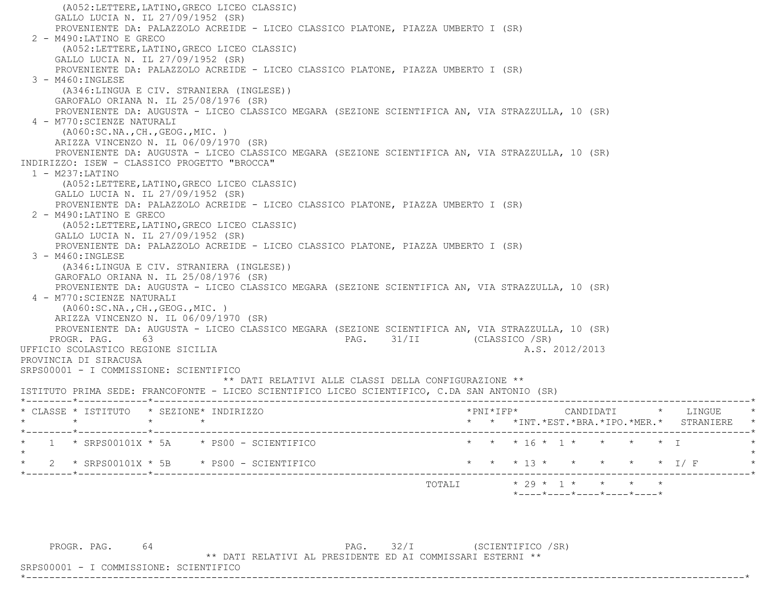(A052:LETTERE,LATINO,GRECO LICEO CLASSIC) GALLO LUCIA N. IL 27/09/1952 (SR) PROVENIENTE DA: PALAZZOLO ACREIDE - LICEO CLASSICO PLATONE, PIAZZA UMBERTO I (SR) 2 - M490:LATINO E GRECO (A052:LETTERE,LATINO,GRECO LICEO CLASSIC) GALLO LUCIA N. IL 27/09/1952 (SR) PROVENIENTE DA: PALAZZOLO ACREIDE - LICEO CLASSICO PLATONE, PIAZZA UMBERTO I (SR) 3 - M460:INGLESE (A346:LINGUA E CIV. STRANIERA (INGLESE)) GAROFALO ORIANA N. IL 25/08/1976 (SR) PROVENIENTE DA: AUGUSTA - LICEO CLASSICO MEGARA (SEZIONE SCIENTIFICA AN, VIA STRAZZULLA, 10 (SR) 4 - M770:SCIENZE NATURALI (A060:SC.NA.,CH.,GEOG.,MIC. ) ARIZZA VINCENZO N. IL 06/09/1970 (SR) PROVENIENTE DA: AUGUSTA - LICEO CLASSICO MEGARA (SEZIONE SCIENTIFICA AN, VIA STRAZZULLA, 10 (SR) INDIRIZZO: ISEW - CLASSICO PROGETTO "BROCCA" 1 - M237:LATINO (A052:LETTERE,LATINO,GRECO LICEO CLASSIC) GALLO LUCIA N. IL 27/09/1952 (SR) PROVENIENTE DA: PALAZZOLO ACREIDE - LICEO CLASSICO PLATONE, PIAZZA UMBERTO I (SR) 2 - M490:LATINO E GRECO (A052:LETTERE,LATINO,GRECO LICEO CLASSIC) GALLO LUCIA N. IL 27/09/1952 (SR) PROVENIENTE DA: PALAZZOLO ACREIDE - LICEO CLASSICO PLATONE, PIAZZA UMBERTO I (SR) 3 - M460:INGLESE (A346:LINGUA E CIV. STRANIERA (INGLESE)) GAROFALO ORIANA N. IL 25/08/1976 (SR) PROVENIENTE DA: AUGUSTA - LICEO CLASSICO MEGARA (SEZIONE SCIENTIFICA AN, VIA STRAZZULLA, 10 (SR) 4 - M770:SCIENZE NATURALI (A060:SC.NA.,CH.,GEOG.,MIC. ) ARIZZA VINCENZO N. IL 06/09/1970 (SR) PROVENIENTE DA: AUGUSTA - LICEO CLASSICO MEGARA (SEZIONE SCIENTIFICA AN, VIA STRAZZULLA, 10 (SR) PROGR. PAG. 63 63 PAG. 31/II (CLASSICO /SR) UFFICIO SCOLASTICO REGIONE SICILIA A.S. 2012/2013 PROVINCIA DI SIRACUSA SRPS00001 - I COMMISSIONE: SCIENTIFICO \*\* DATI RELATIVI ALLE CLASSI DELLA CONFIGURAZIONE \*\* ISTITUTO PRIMA SEDE: FRANCOFONTE - LICEO SCIENTIFICO LICEO SCIENTIFICO, C.DA SAN ANTONIO (SR) \*--------\*------------\*-------------------------------------------------------------------------------------------------------\* \* CLASSE \* ISTITUTO \* SEZIONE\* INDIRIZZO \*PNI\*IFP\* CANDIDATI \* LINGUE \* \* \* \* \* \* \* \*INT.\*EST.\*BRA.\*IPO.\*MER.\* STRANIERE \* \*--------\*------------\*-------------------------------------------------------------------------------------------------------\* \* 1 \* SRPS00101X \* 5A \* PS00 - SCIENTIFICO \* \* \* 16 \* 1 \* \* \* \* I \* $\star$  \* 2 \* SRPS00101X \* 5B \* PS00 - SCIENTIFICO \* \* \* 13 \* \* \* \* \* I/ F \* \*--------\*------------\*-------------------------------------------------------------------------------------------------------\*TOTALI  $* 29 * 1 * * * * * * * *$ \*----\*----\*----\*----\*----\*

PROGR. PAG. 64 64 PAG. 32/I (SCIENTIFICO / SR)

\*\* DATI RELATIVI AL PRESIDENTE ED AI COMMISSARI ESTERNI \*\*

\*----------------------------------------------------------------------------------------------------------------------------\*

SRPS00001 - I COMMISSIONE: SCIENTIFICO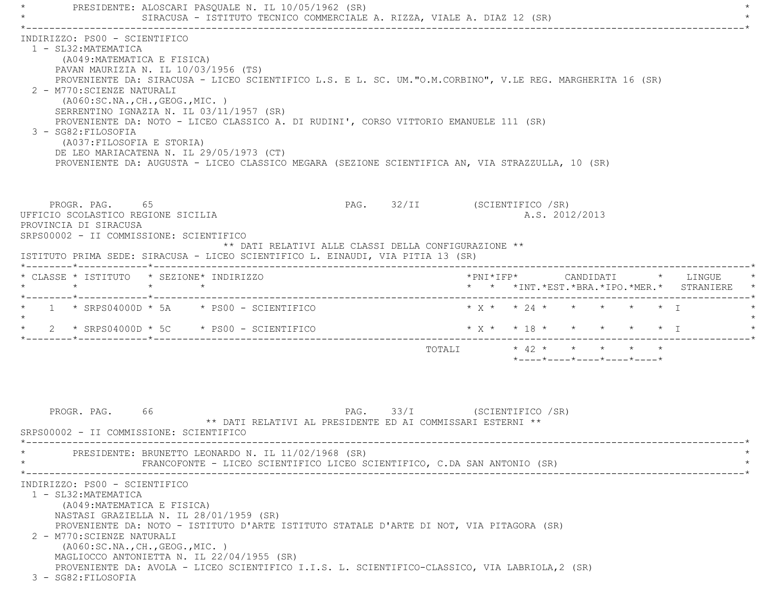PRESIDENTE: ALOSCARI PASOUALE N. IL 10/05/1962 (SR) SIRACUSA - ISTITUTO TECNICO COMMERCIALE A. RIZZA, VIALE A. DIAZ 12 (SR) \*----------------------------------------------------------------------------------------------------------------------------\* INDIRIZZO: PS00 - SCIENTIFICO 1 - SL32:MATEMATICA (A049:MATEMATICA E FISICA) PAVAN MAURIZIA N. IL 10/03/1956 (TS) PROVENIENTE DA: SIRACUSA - LICEO SCIENTIFICO L.S. E L. SC. UM."O.M.CORBINO", V.LE REG. MARGHERITA 16 (SR) 2 - M770:SCIENZE NATURALI (A060:SC.NA.,CH.,GEOG.,MIC. ) SERRENTINO IGNAZIA N. IL 03/11/1957 (SR) PROVENIENTE DA: NOTO - LICEO CLASSICO A. DI RUDINI', CORSO VITTORIO EMANUELE 111 (SR) 3 - SG82:FILOSOFIA (A037:FILOSOFIA E STORIA) DE LEO MARIACATENA N. IL 29/05/1973 (CT) PROVENIENTE DA: AUGUSTA - LICEO CLASSICO MEGARA (SEZIONE SCIENTIFICA AN, VIA STRAZZULLA, 10 (SR) PROGR. PAG. 65 65 PAG. 32/II (SCIENTIFICO /SR) UFFICIO SCOLASTICO REGIONE SICILIA A.S. 2012/2013 PROVINCIA DI SIRACUSA SRPS00002 - II COMMISSIONE: SCIENTIFICO \*\* DATI RELATIVI ALLE CLASSI DELLA CONFIGURAZIONE \*\* ISTITUTO PRIMA SEDE: SIRACUSA - LICEO SCIENTIFICO L. EINAUDI, VIA PITIA 13 (SR) \*--------\*------------\*-------------------------------------------------------------------------------------------------------\* \* CLASSE \* ISTITUTO \* SEZIONE\* INDIRIZZO \*PNI\*IFP\* CANDIDATI \* LINGUE \* \* \* \* \* \* \* \*INT.\*EST.\*BRA.\*IPO.\*MER.\* STRANIERE \* \*--------\*------------\*-------------------------------------------------------------------------------------------------------\*1 \* SRPS04000D \* 5A \* PS00 - SCIENTIFICO \* \* \* \* \* \* \* \* \* \* \* \* \* I  $\star$ \* 2 \* SRPS04000D \* 5C \* PS00 - SCIENTIFICO \* \* \* \* \* \* \* \* \* \* \* I \* \* \* \* T \*--------\*------------\*-------------------------------------------------------------------------------------------------------\* TOTALI \* 42 \* \* \* \* \* \*----\*----\*----\*----\*----\*PROGR. PAG. 66 66 PAG. 33/I (SCIENTIFICO /SR) \*\* DATI RELATIVI AL PRESIDENTE ED AI COMMISSARI ESTERNI \*\* SRPS00002 - II COMMISSIONE: SCIENTIFICO \*----------------------------------------------------------------------------------------------------------------------------\*PRESIDENTE: BRUNETTO LEONARDO N. IL 11/02/1968 (SR) FRANCOFONTE - LICEO SCIENTIFICO LICEO SCIENTIFICO, C.DA SAN ANTONIO (SR) \*----------------------------------------------------------------------------------------------------------------------------\* INDIRIZZO: PS00 - SCIENTIFICO 1 - SL32:MATEMATICA (A049:MATEMATICA E FISICA) NASTASI GRAZIELLA N. IL 28/01/1959 (SR) PROVENIENTE DA: NOTO - ISTITUTO D'ARTE ISTITUTO STATALE D'ARTE DI NOT, VIA PITAGORA (SR) 2 - M770:SCIENZE NATURALI (A060:SC.NA.,CH.,GEOG.,MIC. ) MAGLIOCCO ANTONIETTA N. IL 22/04/1955 (SR)

PROVENIENTE DA: AVOLA - LICEO SCIENTIFICO I.I.S. L. SCIENTIFICO-CLASSICO, VIA LABRIOLA,2 (SR)

3 - SG82:FILOSOFIA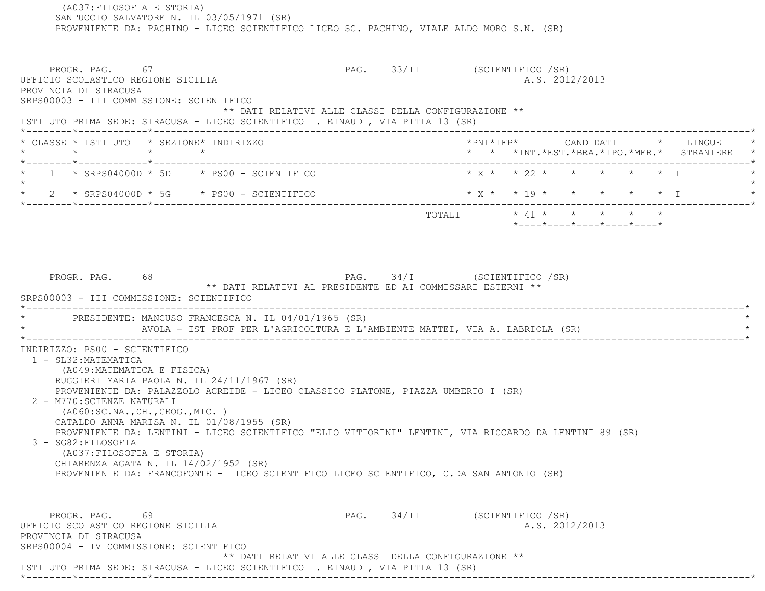(A037:FILOSOFIA E STORIA) SANTUCCIO SALVATORE N. IL 03/05/1971 (SR) PROVENIENTE DA: PACHINO - LICEO SCIENTIFICO LICEO SC. PACHINO, VIALE ALDO MORO S.N. (SR) PROGR. PAG. 67 PAG. 33/II (SCIENTIFICO /SR) UFFICIO SCOLASTICO REGIONE SICILIA A.S. 2012/2013 PROVINCIA DI SIRACUSA SRPS00003 - III COMMISSIONE: SCIENTIFICO \*\* DATI RELATIVI ALLE CLASSI DELLA CONFIGURAZIONE \*\* ISTITUTO PRIMA SEDE: SIRACUSA - LICEO SCIENTIFICO L. EINAUDI, VIA PITIA 13 (SR) \*--------\*------------\*-------------------------------------------------------------------------------------------------------\* \* CLASSE \* ISTITUTO \* SEZIONE\* INDIRIZZO \*PNI\*IFP\* CANDIDATI \* LINGUE \* \* \* \* \* \* \* \*INT.\*EST.\*BRA.\*IPO.\*MER.\* STRANIERE \* \*--------\*------------\*-------------------------------------------------------------------------------------------------------\*1 \* SRPS04000D \* 5D \* PS00 - SCIENTIFICO \* \* \* \* \* \* \* \* \* \* \* \* \* \* T  $\star$  \* 2 \* SRPS04000D \* 5G \* PS00 - SCIENTIFICO \* X \* \* 19 \* \* \* \* \* I \* \*--------\*------------\*-------------------------------------------------------------------------------------------------------\* $\texttt{TOTAL} \qquad \qquad \star \quad 41 \; \star \qquad \star \qquad \star \qquad \star \qquad \star \qquad \star$  \*----\*----\*----\*----\*----\*PROGR. PAG. 68 68 PAG. 34/I (SCIENTIFICO / SR) \*\* DATI RELATIVI AL PRESIDENTE ED AI COMMISSARI ESTERNI \*\* SRPS00003 - III COMMISSIONE: SCIENTIFICO \*----------------------------------------------------------------------------------------------------------------------------\*PRESIDENTE: MANCUSO FRANCESCA N. IL 04/01/1965 (SR) AVOLA - IST PROF PER L'AGRICOLTURA E L'AMBIENTE MATTEI, VIA A. LABRIOLA (SR) \*----------------------------------------------------------------------------------------------------------------------------\* INDIRIZZO: PS00 - SCIENTIFICO 1 - SL32:MATEMATICA (A049:MATEMATICA E FISICA) RUGGIERI MARIA PAOLA N. IL 24/11/1967 (SR) PROVENIENTE DA: PALAZZOLO ACREIDE - LICEO CLASSICO PLATONE, PIAZZA UMBERTO I (SR) 2 - M770:SCIENZE NATURALI (A060:SC.NA.,CH.,GEOG.,MIC. ) CATALDO ANNA MARISA N. IL 01/08/1955 (SR) PROVENIENTE DA: LENTINI - LICEO SCIENTIFICO "ELIO VITTORINI" LENTINI, VIA RICCARDO DA LENTINI 89 (SR) 3 - SG82:FILOSOFIA (A037:FILOSOFIA E STORIA) CHIARENZA AGATA N. IL 14/02/1952 (SR) PROVENIENTE DA: FRANCOFONTE - LICEO SCIENTIFICO LICEO SCIENTIFICO, C.DA SAN ANTONIO (SR) PROGR. PAG. 69 69 PAG. 34/II (SCIENTIFICO /SR) UFFICIO SCOLASTICO REGIONE SICILIA A.S. 2012/2013 PROVINCIA DI SIRACUSA SRPS00004 - IV COMMISSIONE: SCIENTIFICO\*\* DATI RELATIVI ALLE CLASSI DELLA CONFIGURAZIONE \*\*

\*--------\*------------\*-------------------------------------------------------------------------------------------------------\*

ISTITUTO PRIMA SEDE: SIRACUSA - LICEO SCIENTIFICO L. EINAUDI, VIA PITIA 13 (SR)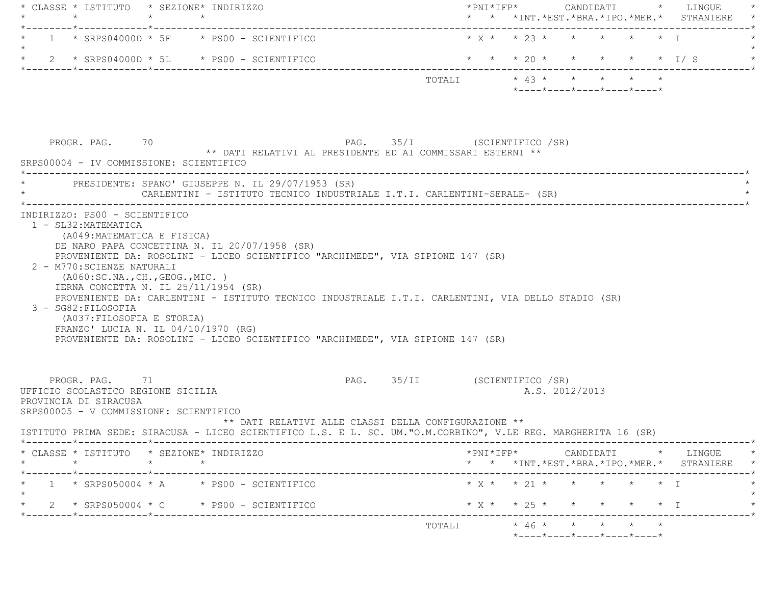| * CLASSE * ISTITUTO * SEZIONE* INDIRIZZO      |                                                                                                                                                                                                                                                                                                                                                                                                                                                                                                                                                                                                                                                                                                                                                | * * *INT.*EST.*BRA.*IPO.*MER.* STRANIERE                                                                                                                                                                                                                                                                                                                                                                                                                                                                                                                                                                                                                                                    |
|-----------------------------------------------|------------------------------------------------------------------------------------------------------------------------------------------------------------------------------------------------------------------------------------------------------------------------------------------------------------------------------------------------------------------------------------------------------------------------------------------------------------------------------------------------------------------------------------------------------------------------------------------------------------------------------------------------------------------------------------------------------------------------------------------------|---------------------------------------------------------------------------------------------------------------------------------------------------------------------------------------------------------------------------------------------------------------------------------------------------------------------------------------------------------------------------------------------------------------------------------------------------------------------------------------------------------------------------------------------------------------------------------------------------------------------------------------------------------------------------------------------|
|                                               |                                                                                                                                                                                                                                                                                                                                                                                                                                                                                                                                                                                                                                                                                                                                                |                                                                                                                                                                                                                                                                                                                                                                                                                                                                                                                                                                                                                                                                                             |
|                                               |                                                                                                                                                                                                                                                                                                                                                                                                                                                                                                                                                                                                                                                                                                                                                | * * * 20 * * * * * * I/ S                                                                                                                                                                                                                                                                                                                                                                                                                                                                                                                                                                                                                                                                   |
|                                               |                                                                                                                                                                                                                                                                                                                                                                                                                                                                                                                                                                                                                                                                                                                                                | $*$ ---- $*$ ---- $*$ ---- $*$ ---- $*$ ---- $*$                                                                                                                                                                                                                                                                                                                                                                                                                                                                                                                                                                                                                                            |
|                                               |                                                                                                                                                                                                                                                                                                                                                                                                                                                                                                                                                                                                                                                                                                                                                |                                                                                                                                                                                                                                                                                                                                                                                                                                                                                                                                                                                                                                                                                             |
|                                               |                                                                                                                                                                                                                                                                                                                                                                                                                                                                                                                                                                                                                                                                                                                                                |                                                                                                                                                                                                                                                                                                                                                                                                                                                                                                                                                                                                                                                                                             |
|                                               |                                                                                                                                                                                                                                                                                                                                                                                                                                                                                                                                                                                                                                                                                                                                                |                                                                                                                                                                                                                                                                                                                                                                                                                                                                                                                                                                                                                                                                                             |
|                                               |                                                                                                                                                                                                                                                                                                                                                                                                                                                                                                                                                                                                                                                                                                                                                | A.S. 2012/2013                                                                                                                                                                                                                                                                                                                                                                                                                                                                                                                                                                                                                                                                              |
|                                               |                                                                                                                                                                                                                                                                                                                                                                                                                                                                                                                                                                                                                                                                                                                                                | ----------------------------*<br>$*$ PNI $*$ IFP $*$ CANDIDATI $*$ LINGUE $*$                                                                                                                                                                                                                                                                                                                                                                                                                                                                                                                                                                                                               |
|                                               |                                                                                                                                                                                                                                                                                                                                                                                                                                                                                                                                                                                                                                                                                                                                                | * * *INT.*EST.*BRA.*IPO.*MER.* STRANIERE *                                                                                                                                                                                                                                                                                                                                                                                                                                                                                                                                                                                                                                                  |
|                                               |                                                                                                                                                                                                                                                                                                                                                                                                                                                                                                                                                                                                                                                                                                                                                | $* x * * 21 * * * * * * * T$<br>$\star$                                                                                                                                                                                                                                                                                                                                                                                                                                                                                                                                                                                                                                                     |
|                                               |                                                                                                                                                                                                                                                                                                                                                                                                                                                                                                                                                                                                                                                                                                                                                | * X * * 25 * * * * * * I                                                                                                                                                                                                                                                                                                                                                                                                                                                                                                                                                                                                                                                                    |
|                                               | TOTALI * 46 * * * * *                                                                                                                                                                                                                                                                                                                                                                                                                                                                                                                                                                                                                                                                                                                          | ----------*                                                                                                                                                                                                                                                                                                                                                                                                                                                                                                                                                                                                                                                                                 |
| 1 - SL32: MATEMATICA<br>PROVINCIA DI SIRACUSA | $1 * SRS04000D * 5F * PS00 - SCIENTIFICO$<br>2 * SRPS04000D * 5L * PS00 - SCIENTIFICO<br>PROGR. PAG. 70<br>SRPS00004 - IV COMMISSIONE: SCIENTIFICO<br>PRESIDENTE: SPANO' GIUSEPPE N. IL 29/07/1953 (SR)<br>INDIRIZZO: PS00 - SCIENTIFICO<br>(A049:MATEMATICA E FISICA)<br>DE NARO PAPA CONCETTINA N. IL 20/07/1958 (SR)<br>2 - M770: SCIENZE NATURALI<br>( A060:SC.NA., CH., GEOG., MIC. )<br>IERNA CONCETTA N. IL 25/11/1954 (SR)<br>(A037: FILOSOFIA E STORIA)<br>FRANZO' LUCIA N. IL $04/10/1970$ (RG)<br>PROGR. PAG. 71<br>UFFICIO SCOLASTICO REGIONE SICILIA<br>SRPS00005 - V COMMISSIONE: SCIENTIFICO<br>* CLASSE * ISTITUTO * SEZIONE* INDIRIZZO<br>$1 * SRS050004 * A * PS00 - SCIENTIFICO$<br>2 * SRPS050004 * C * PS00 - SCIENTIFICO | -----------------------------<br>PAG. 35/I (SCIENTIFICO /SR)<br>** DATI RELATIVI AL PRESIDENTE ED AI COMMISSARI ESTERNI **<br>CARLENTINI - ISTITUTO TECNICO INDUSTRIALE I.T.I. CARLENTINI-SERALE- (SR)<br>PROVENIENTE DA: ROSOLINI - LICEO SCIENTIFICO "ARCHIMEDE", VIA SIPIONE 147 (SR)<br>PROVENIENTE DA: CARLENTINI - ISTITUTO TECNICO INDUSTRIALE I.T.I. CARLENTINI, VIA DELLO STADIO (SR)<br>PROVENIENTE DA: ROSOLINI - LICEO SCIENTIFICO "ARCHIMEDE", VIA SIPIONE 147 (SR)<br>PAG. 35/II (SCIENTIFICO / SR)<br>** DATI RELATIVI ALLE CLASSI DELLA CONFIGURAZIONE **<br>ISTITUTO PRIMA SEDE: SIRACUSA - LICEO SCIENTIFICO L.S. E L. SC. UM."O.M.CORBINO", V.LE REG. MARGHERITA 16 (SR) |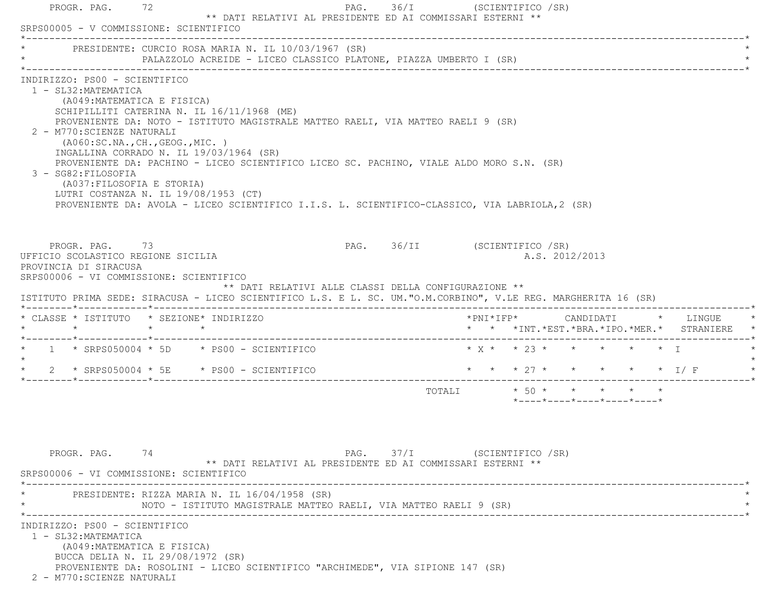| SRPS00005 - V COMMISSIONE: SCIENTIFICO                                                                                                                                                                                                                                                                                                                                                                                                                                                                                                                                                                                         |  | ** DATI RELATIVI AL PRESIDENTE ED AI COMMISSARI ESTERNI **        |                               | PAG. 36/I (SCIENTIFICO /SR) |  |  |                |                                                  |  |                                          |  |
|--------------------------------------------------------------------------------------------------------------------------------------------------------------------------------------------------------------------------------------------------------------------------------------------------------------------------------------------------------------------------------------------------------------------------------------------------------------------------------------------------------------------------------------------------------------------------------------------------------------------------------|--|-------------------------------------------------------------------|-------------------------------|-----------------------------|--|--|----------------|--------------------------------------------------|--|------------------------------------------|--|
| * PRESIDENTE: CURCIO ROSA MARIA N. IL 10/03/1967 (SR)                                                                                                                                                                                                                                                                                                                                                                                                                                                                                                                                                                          |  | PALAZZOLO ACREIDE - LICEO CLASSICO PLATONE, PIAZZA UMBERTO I (SR) |                               |                             |  |  |                |                                                  |  |                                          |  |
| INDIRIZZO: PS00 - SCIENTIFICO<br>1 - SL32: MATEMATICA<br>(A049: MATEMATICA E FISICA)<br>SCHIPILLITI CATERINA N. IL 16/11/1968 (ME)<br>PROVENIENTE DA: NOTO - ISTITUTO MAGISTRALE MATTEO RAELI, VIA MATTEO RAELI 9 (SR)<br>2 - M770: SCIENZE NATURALI<br>(AO60:SC.NA., CH., GEOG., MIC. )<br>INGALLINA CORRADO N. IL 19/03/1964 (SR)<br>PROVENIENTE DA: PACHINO - LICEO SCIENTIFICO LICEO SC. PACHINO, VIALE ALDO MORO S.N. (SR)<br>3 - SG82: FILOSOFIA<br>(A037: FILOSOFIA E STORIA)<br>LUTRI COSTANZA N. IL 19/08/1953 (CT)<br>PROVENIENTE DA: AVOLA - LICEO SCIENTIFICO I.I.S. L. SCIENTIFICO-CLASSICO, VIA LABRIOLA, 2 (SR) |  |                                                                   |                               |                             |  |  |                |                                                  |  |                                          |  |
| PROGR. PAG. 73<br>UFFICIO SCOLASTICO REGIONE SICILIA<br>PROVINCIA DI SIRACUSA<br>SRPS00006 - VI COMMISSIONE: SCIENTIFICO<br>ISTITUTO PRIMA SEDE: SIRACUSA - LICEO SCIENTIFICO L.S. E L. SC. UM."O.M.CORBINO", V.LE REG. MARGHERITA 16 (SR)<br>* CLASSE * ISTITUTO * SEZIONE* INDIRIZZO                                                                                                                                                                                                                                                                                                                                         |  | ** DATI RELATIVI ALLE CLASSI DELLA CONFIGURAZIONE **              | PAG. 36/II (SCIENTIFICO / SR) |                             |  |  | A.S. 2012/2013 |                                                  |  |                                          |  |
|                                                                                                                                                                                                                                                                                                                                                                                                                                                                                                                                                                                                                                |  |                                                                   |                               |                             |  |  |                |                                                  |  | * * *INT.*EST.*BRA.*IPO.*MER.* STRANIERE |  |
| $\star$ 1 $\star$ SRPS050004 $\star$ 5D $\star$ PS00 - SCIENTIFICO                                                                                                                                                                                                                                                                                                                                                                                                                                                                                                                                                             |  |                                                                   |                               |                             |  |  |                | * $X * * 23 * * * * * * * T$                     |  |                                          |  |
| 2 * SRPS050004 * 5E * PS00 - SCIENTIFICO<br>$\star$                                                                                                                                                                                                                                                                                                                                                                                                                                                                                                                                                                            |  |                                                                   |                               |                             |  |  |                |                                                  |  | * * * 27 * * * * * * I/F                 |  |
|                                                                                                                                                                                                                                                                                                                                                                                                                                                                                                                                                                                                                                |  |                                                                   |                               | TOTALI * 50 * * * * * *     |  |  |                | $*$ ---- $*$ ---- $*$ ---- $*$ ---- $*$ ---- $*$ |  |                                          |  |
|                                                                                                                                                                                                                                                                                                                                                                                                                                                                                                                                                                                                                                |  |                                                                   |                               |                             |  |  |                |                                                  |  |                                          |  |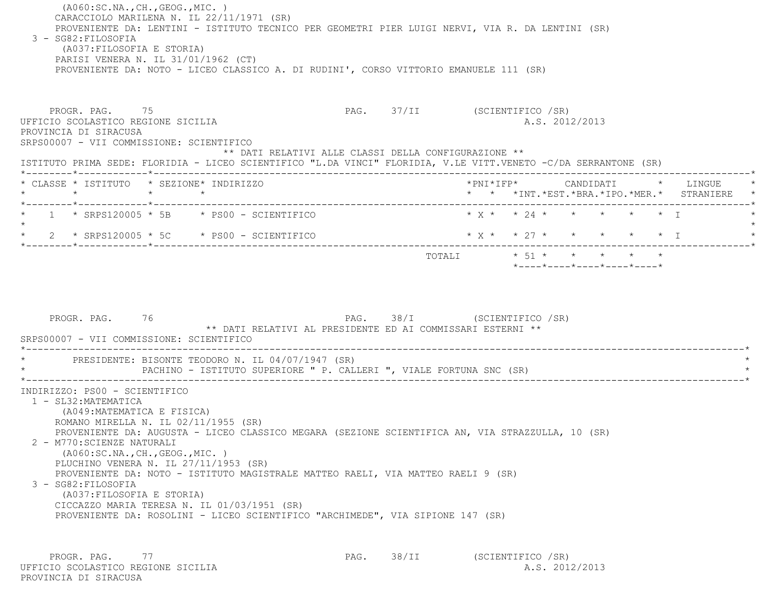(A060:SC.NA.,CH.,GEOG.,MIC. ) CARACCIOLO MARILENA N. IL 22/11/1971 (SR) PROVENIENTE DA: LENTINI - ISTITUTO TECNICO PER GEOMETRI PIER LUIGI NERVI, VIA R. DA LENTINI (SR) 3 - SG82:FILOSOFIA (A037:FILOSOFIA E STORIA) PARISI VENERA N. IL 31/01/1962 (CT) PROVENIENTE DA: NOTO - LICEO CLASSICO A. DI RUDINI', CORSO VITTORIO EMANUELE 111 (SR)

PROGR. PAG. 75 75 PAG. 37/II (SCIENTIFICO / SR) UFFICIO SCOLASTICO REGIONE SICILIA A.S. 2012/2013 PROVINCIA DI SIRACUSA SRPS00007 - VII COMMISSIONE: SCIENTIFICO \*\* DATI RELATIVI ALLE CLASSI DELLA CONFIGURAZIONE \*\* ISTITUTO PRIMA SEDE: FLORIDIA - LICEO SCIENTIFICO "L.DA VINCI" FLORIDIA, V.LE VITT.VENETO -C/DA SERRANTONE (SR) \*--------\*------------\*-------------------------------------------------------------------------------------------------------\* \* CLASSE \* ISTITUTO \* SEZIONE\* INDIRIZZO \*PNI\*IFP\* CANDIDATI \* LINGUE \* \* \* \* \* \* \* \*INT.\*EST.\*BRA.\*IPO.\*MER.\* STRANIERE \* \*--------\*------------\*-------------------------------------------------------------------------------------------------------\*1 \* SRPS120005 \* 5B \* PS00 - SCIENTIFICO \* \* \* \* \* \* \* \* \* \* \* \* \* I  $\star$ \* 2 \* SRPS120005 \* 5C \* PS00 - SCIENTIFICO \* \* \* \* \* \* \* \* \* \* \* \* \* I \*--------\*------------\*-------------------------------------------------------------------------------------------------------\*TOTALI  $\star$  51  $\star$   $\star$   $\star$   $\star$   $\star$ 

PROGR. PAG. 76 76 PAG. 38/I (SCIENTIFICO /SR) \*\* DATI RELATIVI AL PRESIDENTE ED AI COMMISSARI ESTERNI \*\* SRPS00007 - VII COMMISSIONE: SCIENTIFICO \*----------------------------------------------------------------------------------------------------------------------------\* \* PRESIDENTE: BISONTE TEODORO N. IL 04/07/1947 (SR) \* PACHINO - ISTITUTO SUPERIORE " P. CALLERI ", VIALE FORTUNA SNC (SR) \*----------------------------------------------------------------------------------------------------------------------------\* INDIRIZZO: PS00 - SCIENTIFICO 1 - SL32:MATEMATICA (A049:MATEMATICA E FISICA) ROMANO MIRELLA N. IL 02/11/1955 (SR) PROVENIENTE DA: AUGUSTA - LICEO CLASSICO MEGARA (SEZIONE SCIENTIFICA AN, VIA STRAZZULLA, 10 (SR) 2 - M770:SCIENZE NATURALI (A060:SC.NA.,CH.,GEOG.,MIC. ) PLUCHINO VENERA N. IL 27/11/1953 (SR) PROVENIENTE DA: NOTO - ISTITUTO MAGISTRALE MATTEO RAELI, VIA MATTEO RAELI 9 (SR) 3 - SG82:FILOSOFIA (A037:FILOSOFIA E STORIA) CICCAZZO MARIA TERESA N. IL 01/03/1951 (SR) PROVENIENTE DA: ROSOLINI - LICEO SCIENTIFICO "ARCHIMEDE", VIA SIPIONE 147 (SR)

PROGR. PAG. 77 PAG. 38/II (SCIENTIFICO /SR) UFFICIO SCOLASTICO REGIONE SICILIA A.S. 2012/2013 PROVINCIA DI SIRACUSA

\*----\*----\*----\*----\*----\*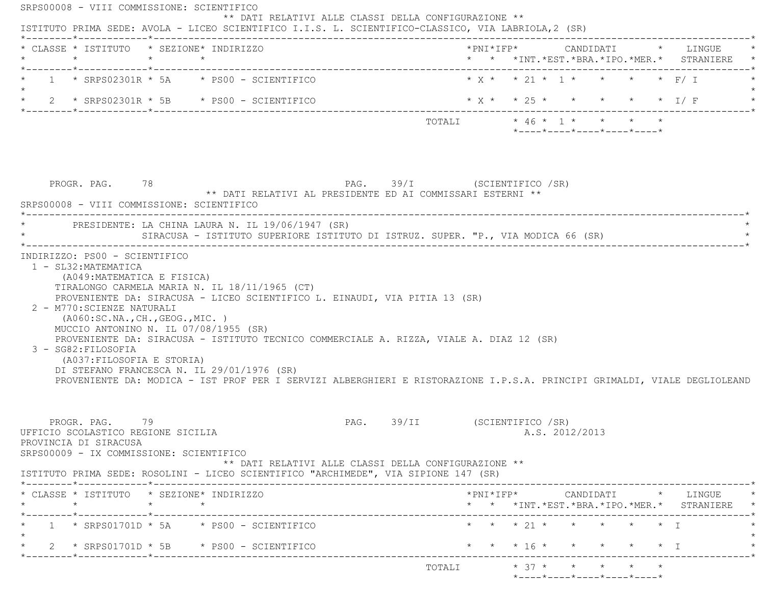| * $X * * 21 * 1 * * * * * * F / I$<br>$1 * SRPS02301R * 5A * PS00 - SCIENTIFICO$<br>* x * * 25 * * * * * * 1/ F<br>TOTALI * 46 * 1 * * * * *<br>*----*----*----*----*----*<br>PAG. 39/I (SCIENTIFICO /SR)<br>PROGR. PAG. 78<br>** DATI RELATIVI AL PRESIDENTE ED AI COMMISSARI ESTERNI **<br>SRPS00008 - VIII COMMISSIONE: SCIENTIFICO<br>* PRESIDENTE: LA CHINA LAURA N. IL 19/06/1947 (SR)<br>SIRACUSA - ISTITUTO SUPERIORE ISTITUTO DI ISTRUZ. SUPER. "P., VIA MODICA 66 (SR)<br>INDIRIZZO: PS00 - SCIENTIFICO<br>1 - SL32: MATEMATICA<br>(A049: MATEMATICA E FISICA)<br>TIRALONGO CARMELA MARIA N. IL 18/11/1965 (CT)<br>PROVENIENTE DA: SIRACUSA - LICEO SCIENTIFICO L. EINAUDI, VIA PITIA 13 (SR)<br>2 - M770: SCIENZE NATURALI<br>(AO60:SC.NA., CH., GEOG., MIC. )<br>MUCCIO ANTONINO N. IL 07/08/1955 (SR)<br>PROVENIENTE DA: SIRACUSA - ISTITUTO TECNICO COMMERCIALE A. RIZZA, VIALE A. DIAZ 12 (SR)<br>3 - SG82: FILOSOFIA<br>(A037:FILOSOFIA E STORIA)<br>DI STEFANO FRANCESCA N. IL 29/01/1976 (SR)<br>PROVENIENTE DA: MODICA - IST PROF PER I SERVIZI ALBERGHIERI E RISTORAZIONE I.P.S.A. PRINCIPI GRIMALDI, VIALE DEGLIOLEAND<br>PROGR. PAG. 79<br>PAG. 39/II (SCIENTIFICO / SR)<br>A.S. 2012/2013<br>UFFICIO SCOLASTICO REGIONE SICILIA<br>PROVINCIA DI SIRACUSA<br>SRPS00009 - IX COMMISSIONE: SCIENTIFICO<br>** DATI RELATIVI ALLE CLASSI DELLA CONFIGURAZIONE **<br>ISTITUTO PRIMA SEDE: ROSOLINI - LICEO SCIENTIFICO "ARCHIMEDE", VIA SIPIONE 147 (SR)<br>* CLASSE * ISTITUTO * SEZIONE* INDIRIZZO<br>$\text{\tt *PNI*IFP*} \qquad \qquad \text{CANDIDATI} \qquad \text{\tt *} \qquad \text{LINGUE} \qquad \text{\tt *}$<br>$\star$<br>$\star$ $\star$<br>* * *INT.*EST.*BRA.*IPO.*MER.* STRANIERE *<br>* * * 21 * * * * * * I<br>$1$ * SRPS01701D * 5A $\quad$ * PS00 - SCIENTIFICO<br>* * * 16 * * * * * * I<br>* $2$ * SRPS01701D * 5B * PS00 - SCIENTIFICO | * CLASSE * ISTITUTO * SEZIONE* INDIRIZZO |  |  |  |  |  | *PNI*IFP* CANDIDATI * LINGUE |
|-----------------------------------------------------------------------------------------------------------------------------------------------------------------------------------------------------------------------------------------------------------------------------------------------------------------------------------------------------------------------------------------------------------------------------------------------------------------------------------------------------------------------------------------------------------------------------------------------------------------------------------------------------------------------------------------------------------------------------------------------------------------------------------------------------------------------------------------------------------------------------------------------------------------------------------------------------------------------------------------------------------------------------------------------------------------------------------------------------------------------------------------------------------------------------------------------------------------------------------------------------------------------------------------------------------------------------------------------------------------------------------------------------------------------------------------------------------------------------------------------------------------------------------------------------------------------------------------------------------------------------------------------------------------------------------------------------------------------------------------------------------------------------------------------------------------------------------------------------------------------------------|------------------------------------------|--|--|--|--|--|------------------------------|
|                                                                                                                                                                                                                                                                                                                                                                                                                                                                                                                                                                                                                                                                                                                                                                                                                                                                                                                                                                                                                                                                                                                                                                                                                                                                                                                                                                                                                                                                                                                                                                                                                                                                                                                                                                                                                                                                                   |                                          |  |  |  |  |  |                              |
|                                                                                                                                                                                                                                                                                                                                                                                                                                                                                                                                                                                                                                                                                                                                                                                                                                                                                                                                                                                                                                                                                                                                                                                                                                                                                                                                                                                                                                                                                                                                                                                                                                                                                                                                                                                                                                                                                   |                                          |  |  |  |  |  |                              |
|                                                                                                                                                                                                                                                                                                                                                                                                                                                                                                                                                                                                                                                                                                                                                                                                                                                                                                                                                                                                                                                                                                                                                                                                                                                                                                                                                                                                                                                                                                                                                                                                                                                                                                                                                                                                                                                                                   |                                          |  |  |  |  |  |                              |
|                                                                                                                                                                                                                                                                                                                                                                                                                                                                                                                                                                                                                                                                                                                                                                                                                                                                                                                                                                                                                                                                                                                                                                                                                                                                                                                                                                                                                                                                                                                                                                                                                                                                                                                                                                                                                                                                                   |                                          |  |  |  |  |  |                              |
|                                                                                                                                                                                                                                                                                                                                                                                                                                                                                                                                                                                                                                                                                                                                                                                                                                                                                                                                                                                                                                                                                                                                                                                                                                                                                                                                                                                                                                                                                                                                                                                                                                                                                                                                                                                                                                                                                   |                                          |  |  |  |  |  |                              |
|                                                                                                                                                                                                                                                                                                                                                                                                                                                                                                                                                                                                                                                                                                                                                                                                                                                                                                                                                                                                                                                                                                                                                                                                                                                                                                                                                                                                                                                                                                                                                                                                                                                                                                                                                                                                                                                                                   |                                          |  |  |  |  |  |                              |
|                                                                                                                                                                                                                                                                                                                                                                                                                                                                                                                                                                                                                                                                                                                                                                                                                                                                                                                                                                                                                                                                                                                                                                                                                                                                                                                                                                                                                                                                                                                                                                                                                                                                                                                                                                                                                                                                                   |                                          |  |  |  |  |  |                              |
|                                                                                                                                                                                                                                                                                                                                                                                                                                                                                                                                                                                                                                                                                                                                                                                                                                                                                                                                                                                                                                                                                                                                                                                                                                                                                                                                                                                                                                                                                                                                                                                                                                                                                                                                                                                                                                                                                   |                                          |  |  |  |  |  |                              |
|                                                                                                                                                                                                                                                                                                                                                                                                                                                                                                                                                                                                                                                                                                                                                                                                                                                                                                                                                                                                                                                                                                                                                                                                                                                                                                                                                                                                                                                                                                                                                                                                                                                                                                                                                                                                                                                                                   |                                          |  |  |  |  |  |                              |
|                                                                                                                                                                                                                                                                                                                                                                                                                                                                                                                                                                                                                                                                                                                                                                                                                                                                                                                                                                                                                                                                                                                                                                                                                                                                                                                                                                                                                                                                                                                                                                                                                                                                                                                                                                                                                                                                                   |                                          |  |  |  |  |  |                              |
|                                                                                                                                                                                                                                                                                                                                                                                                                                                                                                                                                                                                                                                                                                                                                                                                                                                                                                                                                                                                                                                                                                                                                                                                                                                                                                                                                                                                                                                                                                                                                                                                                                                                                                                                                                                                                                                                                   |                                          |  |  |  |  |  |                              |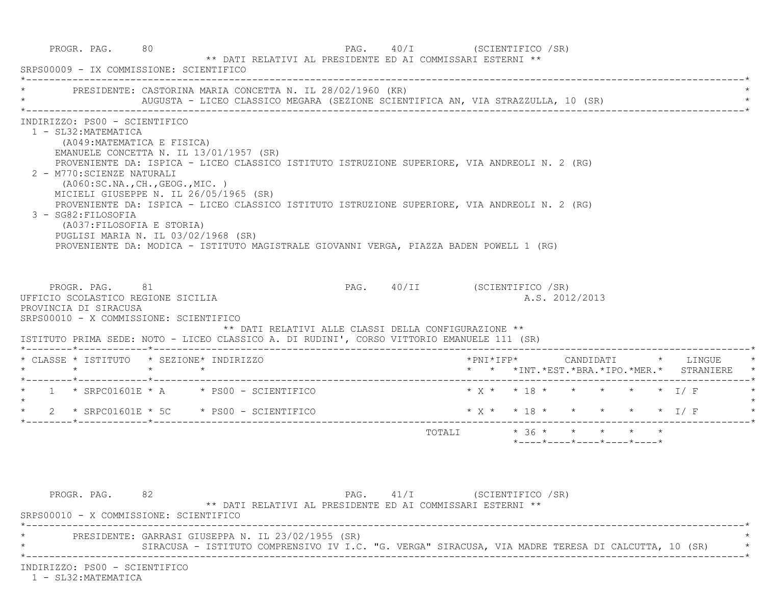|                                                                                                                                                                                                                                                                                                                                         |                                                                                                                                                                                                                                                                                           |                               | ** DATI RELATIVI AL PRESIDENTE ED AI COMMISSARI ESTERNI ** | PAG. 40/I (SCIENTIFICO / SR) |                                |  |                                               |
|-----------------------------------------------------------------------------------------------------------------------------------------------------------------------------------------------------------------------------------------------------------------------------------------------------------------------------------------|-------------------------------------------------------------------------------------------------------------------------------------------------------------------------------------------------------------------------------------------------------------------------------------------|-------------------------------|------------------------------------------------------------|------------------------------|--------------------------------|--|-----------------------------------------------|
|                                                                                                                                                                                                                                                                                                                                         | PRESIDENTE: CASTORINA MARIA CONCETTA N. IL 28/02/1960 (KR)<br>AUGUSTA - LICEO CLASSICO MEGARA (SEZIONE SCIENTIFICA AN, VIA STRAZZULLA, 10 (SR)                                                                                                                                            |                               |                                                            |                              |                                |  |                                               |
| INDIRIZZO: PS00 - SCIENTIFICO<br>1 - SL32: MATEMATICA<br>(A049: MATEMATICA E FISICA)<br>EMANUELE CONCETTA N. IL 13/01/1957 (SR)<br>2 - M770: SCIENZE NATURALI<br>(AO60:SC.NA., CH., GEOG., MIC. )<br>MICIELI GIUSEPPE N. IL 26/05/1965 (SR)<br>3 - SG82: FILOSOFIA<br>(A037: FILOSOFIA E STORIA)<br>PUGLISI MARIA N. IL 03/02/1968 (SR) | PROVENIENTE DA: ISPICA - LICEO CLASSICO ISTITUTO ISTRUZIONE SUPERIORE, VIA ANDREOLI N. 2 (RG)<br>PROVENIENTE DA: ISPICA - LICEO CLASSICO ISTITUTO ISTRUZIONE SUPERIORE, VIA ANDREOLI N. 2 (RG)<br>PROVENIENTE DA: MODICA - ISTITUTO MAGISTRALE GIOVANNI VERGA, PIAZZA BADEN POWELL 1 (RG) |                               |                                                            |                              |                                |  |                                               |
| PROGR. PAG. 81<br>UFFICIO SCOLASTICO REGIONE SICILIA<br>PROVINCIA DI SIRACUSA<br>SRPS00010 - X COMMISSIONE: SCIENTIFICO                                                                                                                                                                                                                 | PAG. 40/II (SCIENTIFICO /SR)<br>** DATI RELATIVI ALLE CLASSI DELLA CONFIGURAZIONE **<br>ISTITUTO PRIMA SEDE: NOTO - LICEO CLASSICO A. DI RUDINI', CORSO VITTORIO EMANUELE 111 (SR)                                                                                                        |                               |                                                            | A.S. 2012/2013               |                                |  |                                               |
| * CLASSE * ISTITUTO * SEZIONE* INDIRIZZO                                                                                                                                                                                                                                                                                                |                                                                                                                                                                                                                                                                                           |                               |                                                            |                              |                                |  | * * *INT. *EST. *BRA. *IPO. *MER. * STRANIERE |
| * $1$ * SRPC01601E * A * PS00 - SCIENTIFICO                                                                                                                                                                                                                                                                                             |                                                                                                                                                                                                                                                                                           |                               |                                                            |                              | * $X * * 18 * * * * * * * 1/F$ |  |                                               |
|                                                                                                                                                                                                                                                                                                                                         | $\star$ 2 $\star$ SRPC01601E $\star$ 5C $\star$ PS00 - SCIENTIFICO                                                                                                                                                                                                                        | * X * * 18 * * * * * * * I/ F |                                                            |                              |                                |  |                                               |
|                                                                                                                                                                                                                                                                                                                                         |                                                                                                                                                                                                                                                                                           |                               |                                                            |                              |                                |  |                                               |

INDIRIZZO: PS00 - SCIENTIFICO

1 - SL32:MATEMATICA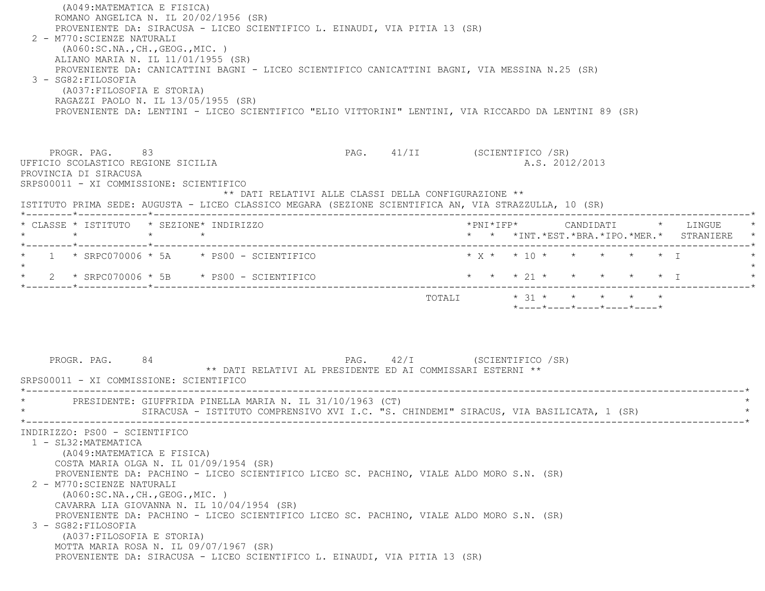(A049:MATEMATICA E FISICA) ROMANO ANGELICA N. IL 20/02/1956 (SR) PROVENIENTE DA: SIRACUSA - LICEO SCIENTIFICO L. EINAUDI, VIA PITIA 13 (SR) 2 - M770:SCIENZE NATURALI (A060:SC.NA.,CH.,GEOG.,MIC. ) ALIANO MARIA N. IL 11/01/1955 (SR) PROVENIENTE DA: CANICATTINI BAGNI - LICEO SCIENTIFICO CANICATTINI BAGNI, VIA MESSINA N.25 (SR) 3 - SG82:FILOSOFIA (A037:FILOSOFIA E STORIA) RAGAZZI PAOLO N. IL 13/05/1955 (SR) PROVENIENTE DA: LENTINI - LICEO SCIENTIFICO "ELIO VITTORINI" LENTINI, VIA RICCARDO DA LENTINI 89 (SR) PROGR. PAG. 83 88 881 881 882 884 885 886. 41/II (SCIENTIFICO / SR) UFFICIO SCOLASTICO REGIONE SICILIA A.S. 2012/2013 PROVINCIA DI SIRACUSA SRPS00011 - XI COMMISSIONE: SCIENTIFICO \*\* DATI RELATIVI ALLE CLASSI DELLA CONFIGURAZIONE \*\* ISTITUTO PRIMA SEDE: AUGUSTA - LICEO CLASSICO MEGARA (SEZIONE SCIENTIFICA AN, VIA STRAZZULLA, 10 (SR) \*--------\*------------\*-------------------------------------------------------------------------------------------------------\* \* CLASSE \* ISTITUTO \* SEZIONE\* INDIRIZZO \*PNI\*IFP\* CANDIDATI \* LINGUE \* \* \* \* \* \* \* \*INT.\*EST.\*BRA.\*IPO.\*MER.\* STRANIERE \* \*--------\*------------\*-------------------------------------------------------------------------------------------------------\*\* 1 \* SRPC070006 \* 5A \* PS00 - SCIENTIFICO \* \* \* \* \* \* \* \* \* \* \* \* I \* \* \* \* \* I  $\star$  \* 2 \* SRPC070006 \* 5B \* PS00 - SCIENTIFICO \* \* \* 21 \* \* \* \* \* I \* \*--------\*------------\*-------------------------------------------------------------------------------------------------------\*TOTALI  $* 31 * * * * * * * * *$  \*----\*----\*----\*----\*----\*PROGR. PAG. 84 84 PAG. 42/I (SCIENTIFICO /SR) \*\* DATI RELATIVI AL PRESIDENTE ED AI COMMISSARI ESTERNI \*\* SRPS00011 - XI COMMISSIONE: SCIENTIFICO \*----------------------------------------------------------------------------------------------------------------------------\*PRESIDENTE: GIUFFRIDA PINELLA MARIA N. IL 31/10/1963 (CT) SIRACUSA - ISTITUTO COMPRENSIVO XVI I.C. "S. CHINDEMI" SIRACUS, VIA BASILICATA, 1 (SR) \*----------------------------------------------------------------------------------------------------------------------------\* INDIRIZZO: PS00 - SCIENTIFICO 1 - SL32:MATEMATICA (A049:MATEMATICA E FISICA) COSTA MARIA OLGA N. IL 01/09/1954 (SR) PROVENIENTE DA: PACHINO - LICEO SCIENTIFICO LICEO SC. PACHINO, VIALE ALDO MORO S.N. (SR) 2 - M770:SCIENZE NATURALI (A060:SC.NA.,CH.,GEOG.,MIC. ) CAVARRA LIA GIOVANNA N. IL 10/04/1954 (SR) PROVENIENTE DA: PACHINO - LICEO SCIENTIFICO LICEO SC. PACHINO, VIALE ALDO MORO S.N. (SR) 3 - SG82:FILOSOFIA (A037:FILOSOFIA E STORIA) MOTTA MARIA ROSA N. IL 09/07/1967 (SR) PROVENIENTE DA: SIRACUSA - LICEO SCIENTIFICO L. EINAUDI, VIA PITIA 13 (SR)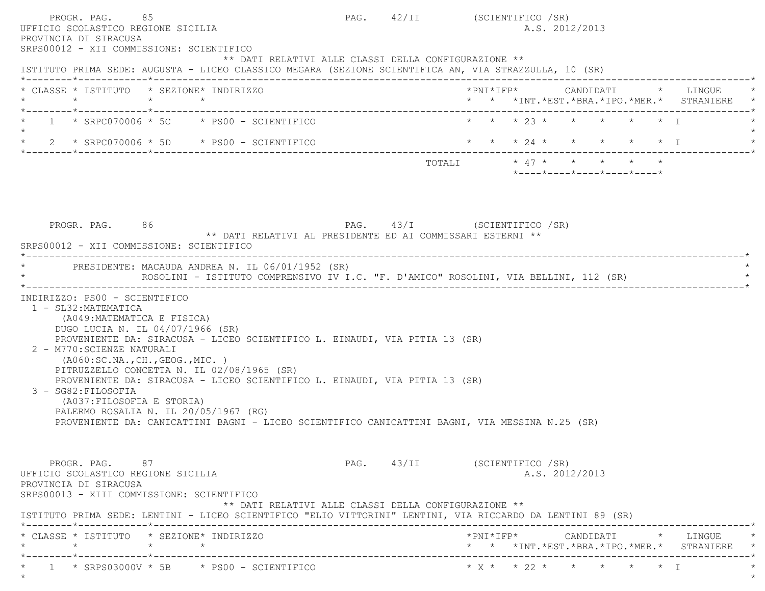| PROGR. PAG.<br>UFFICIO SCOLASTICO REGIONE SICILIA<br>PROVINCIA DI SIRACUSA<br>SRPS00012 - XII COMMISSIONE: SCIENTIFICO                 | 85                                                                                                                                                                                                                                                                                                                                                                                                                         | PAG. 42/II (SCIENTIFICO / SR) |  | A.S. 2012/2013 |                                                                             |                                               |
|----------------------------------------------------------------------------------------------------------------------------------------|----------------------------------------------------------------------------------------------------------------------------------------------------------------------------------------------------------------------------------------------------------------------------------------------------------------------------------------------------------------------------------------------------------------------------|-------------------------------|--|----------------|-----------------------------------------------------------------------------|-----------------------------------------------|
|                                                                                                                                        | ** DATI RELATIVI ALLE CLASSI DELLA CONFIGURAZIONE **<br>ISTITUTO PRIMA SEDE: AUGUSTA - LICEO CLASSICO MEGARA (SEZIONE SCIENTIFICA AN, VIA STRAZZULLA, 10 (SR)                                                                                                                                                                                                                                                              |                               |  |                |                                                                             |                                               |
| $\star$<br>*--------*------------*------------                                                                                         | * CLASSE * ISTITUTO * SEZIONE* INDIRIZZO<br>$\star$ $\star$                                                                                                                                                                                                                                                                                                                                                                |                               |  |                |                                                                             | * * *INT. *EST. *BRA. *IPO. *MER. * STRANIERE |
|                                                                                                                                        | $1 *$ SRPC070006 $*$ 5C $*$ PS00 - SCIENTIFICO                                                                                                                                                                                                                                                                                                                                                                             |                               |  |                | * * * 23 * * * * * * T                                                      |                                               |
|                                                                                                                                        | $2 *$ SRPC070006 $*$ 5D $*$ PS00 - SCIENTIFICO                                                                                                                                                                                                                                                                                                                                                                             |                               |  |                | * * * 24 * * * * * * T                                                      |                                               |
|                                                                                                                                        |                                                                                                                                                                                                                                                                                                                                                                                                                            |                               |  |                | TOTALI * 47 * * * * * *<br>$*$ ---- $*$ ---- $*$ ---- $*$ ---- $*$ ---- $*$ |                                               |
| PROGR. PAG. 86                                                                                                                         | ** DATI RELATIVI AL PRESIDENTE ED AI COMMISSARI ESTERNI **<br>SRPS00012 - XII COMMISSIONE: SCIENTIFICO                                                                                                                                                                                                                                                                                                                     | PAG. 43/I (SCIENTIFICO /SR)   |  |                |                                                                             |                                               |
|                                                                                                                                        | PRESIDENTE: MACAUDA ANDREA N. IL 06/01/1952 (SR)<br>ROSOLINI - ISTITUTO COMPRENSIVO IV I.C. "F. D'AMICO" ROSOLINI, VIA BELLINI, 112 (SR)                                                                                                                                                                                                                                                                                   |                               |  |                |                                                                             |                                               |
| 1 - SL32: MATEMATICA<br>(A049: MATEMATICA E FISICA)<br>2 - M770: SCIENZE NATURALI<br>3 - SG82: FILOSOFIA<br>(A037: FILOSOFIA E STORIA) | DUGO LUCIA N. IL 04/07/1966 (SR)<br>PROVENIENTE DA: SIRACUSA - LICEO SCIENTIFICO L. EINAUDI, VIA PITIA 13 (SR)<br>( A060:SC.NA., CH., GEOG., MIC. )<br>PITRUZZELLO CONCETTA N. IL 02/08/1965 (SR)<br>PROVENIENTE DA: SIRACUSA - LICEO SCIENTIFICO L. EINAUDI, VIA PITIA 13 (SR)<br>PALERMO ROSALIA N. IL 20/05/1967 (RG)<br>PROVENIENTE DA: CANICATTINI BAGNI - LICEO SCIENTIFICO CANICATTINI BAGNI, VIA MESSINA N.25 (SR) |                               |  |                |                                                                             |                                               |
| PROGR. PAG. 87<br>UFFICIO SCOLASTICO REGIONE SICILIA<br>PROVINCIA DI SIRACUSA                                                          | SRPS00013 - XIII COMMISSIONE: SCIENTIFICO<br>** DATI RELATIVI ALLE CLASSI DELLA CONFIGURAZIONE **<br>ISTITUTO PRIMA SEDE: LENTINI - LICEO SCIENTIFICO "ELIO VITTORINI" LENTINI, VIA RICCARDO DA LENTINI 89 (SR)                                                                                                                                                                                                            | PAG. 43/II (SCIENTIFICO / SR) |  | A.S. 2012/2013 |                                                                             |                                               |
| $\star$                                                                                                                                | * CLASSE * ISTITUTO * SEZIONE* INDIRIZZO<br>$\star$<br>$\star$                                                                                                                                                                                                                                                                                                                                                             |                               |  |                |                                                                             | * * *INT. *EST. *BRA. *IPO. *MER. * STRANIERE |
| ________*____________*_______________                                                                                                  | $1 *$ SRPS03000V $*$ 5B $*$ PS00 - SCIENTIFICO                                                                                                                                                                                                                                                                                                                                                                             |                               |  |                | $* x * x * 22 * * * * * * * T$                                              |                                               |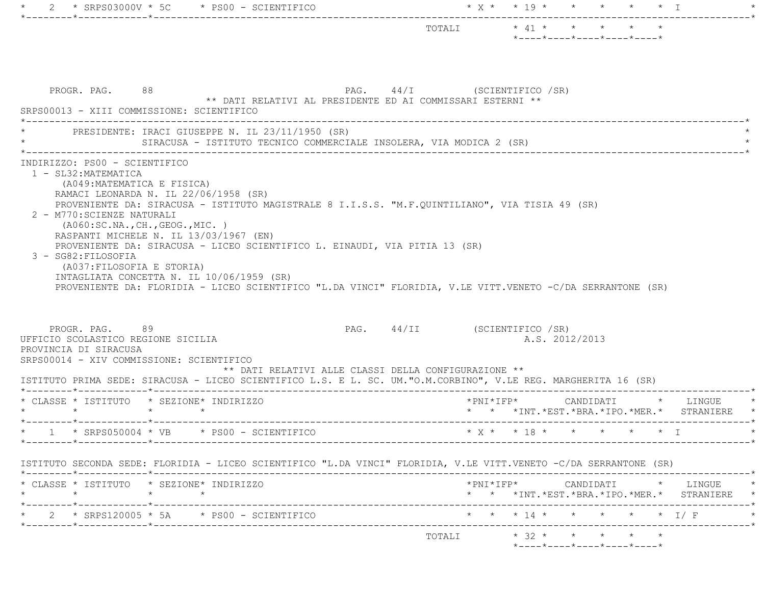| 2 * SRPS03000V * 5C<br>* PS00 - SCIENTIFICO                                                                                                                                                                                      | $\star$ X $\star$ $\star$ 19 $\star$ |                                        |                            |  |                                                                                                                                                                                 |
|----------------------------------------------------------------------------------------------------------------------------------------------------------------------------------------------------------------------------------|--------------------------------------|----------------------------------------|----------------------------|--|---------------------------------------------------------------------------------------------------------------------------------------------------------------------------------|
|                                                                                                                                                                                                                                  |                                      |                                        | *----*----*----*----*----* |  |                                                                                                                                                                                 |
| PAG. 44/I (SCIENTIFICO /SR)<br>PROGR. PAG. 88<br>** DATI RELATIVI AL PRESIDENTE ED AI COMMISSARI ESTERNI **<br>SRPS00013 - XIII COMMISSIONE: SCIENTIFICO                                                                         |                                      |                                        |                            |  |                                                                                                                                                                                 |
| PRESIDENTE: IRACI GIUSEPPE N. IL 23/11/1950 (SR)<br>SIRACUSA - ISTITUTO TECNICO COMMERCIALE INSOLERA, VIA MODICA 2 (SR)                                                                                                          |                                      |                                        |                            |  |                                                                                                                                                                                 |
| 2 - M770: SCIENZE NATURALI<br>( A060:SC.NA., CH., GEOG., MIC. )<br>RASPANTI MICHELE N. IL 13/03/1967 (EN)<br>PROVENIENTE DA: SIRACUSA - LICEO SCIENTIFICO L. EINAUDI, VIA PITIA 13 (SR)<br>3 - SG82: FILOSOFIA                   |                                      |                                        |                            |  |                                                                                                                                                                                 |
| (A037: FILOSOFIA E STORIA)<br>INTAGLIATA CONCETTA N. IL 10/06/1959 (SR)<br>PROVENIENTE DA: FLORIDIA - LICEO SCIENTIFICO "L.DA VINCI" FLORIDIA, V.LE VITT.VENETO -C/DA SERRANTONE (SR)<br>PROGR. PAG. 89                          | PAG. 44/II (SCIENTIFICO / SR)        |                                        |                            |  |                                                                                                                                                                                 |
| UFFICIO SCOLASTICO REGIONE SICILIA<br>PROVINCIA DI SIRACUSA<br>SRPS00014 - XIV COMMISSIONE: SCIENTIFICO<br>** DATI RELATIVI ALLE CLASSI DELLA CONFIGURAZIONE **                                                                  |                                      |                                        | A.S. 2012/2013             |  |                                                                                                                                                                                 |
|                                                                                                                                                                                                                                  |                                      |                                        |                            |  |                                                                                                                                                                                 |
| $\star$ $\star$<br>$\star$                                                                                                                                                                                                       |                                      |                                        |                            |  | * * *INT. *EST. *BRA. *IPO. *MER. * STRANIERE                                                                                                                                   |
| ISTITUTO PRIMA SEDE: SIRACUSA - LICEO SCIENTIFICO L.S. E L. SC. UM."O.M.CORBINO", V.LE REG. MARGHERITA 16 (SR)<br>* CLASSE * ISTITUTO * SEZIONE* INDIRIZZO<br>$\star$ 1 $\star$ SRPS050004 $\star$ VB $\star$ PS00 - SCIENTIFICO |                                      | $*$ X $*$ + 18 $*$ + $*$ + $*$ + $*$ I |                            |  |                                                                                                                                                                                 |
|                                                                                                                                                                                                                                  |                                      |                                        |                            |  |                                                                                                                                                                                 |
|                                                                                                                                                                                                                                  |                                      |                                        |                            |  |                                                                                                                                                                                 |
|                                                                                                                                                                                                                                  |                                      |                                        |                            |  |                                                                                                                                                                                 |
| ISTITUTO SECONDA SEDE: FLORIDIA - LICEO SCIENTIFICO "L.DA VINCI" FLORIDIA, V.LE VITT.VENETO -C/DA SERRANTONE (SR)<br>* CLASSE * ISTITUTO * SEZIONE* INDIRIZZO<br>2 * SRPS120005 * 5A * PS00 - SCIENTIFICO                        |                                      |                                        |                            |  | $*PNI*IFP* \qquad \qquad \text{CANDIDATI} \qquad \qquad * \qquad \text{LINGUE} \qquad \qquad *$<br>* * *INT. *EST. *BRA. *IPO. *MER. * STRANIERE *<br>* * * 14 * * * * * * I/ F |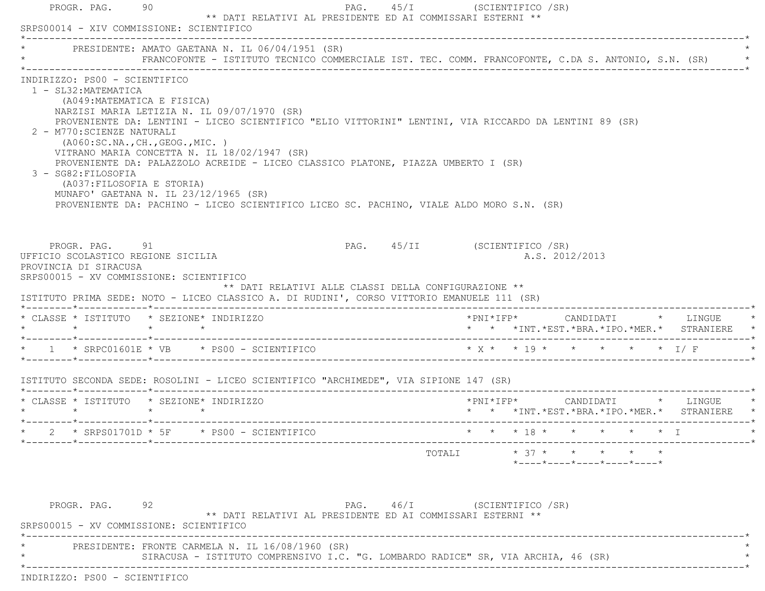|                                                        | PROGR. PAG. 90                                                            | PAG. 45/I (SCIENTIFICO / SR)<br>** DATI RELATIVI AL PRESIDENTE ED AI COMMISSARI ESTERNI **<br>SRPS00014 - XIV COMMISSIONE: SCIENTIFICO                                                                                                                                                                                                                                                                                                                                                                                                                                                                                                                                                                                      |                                                                                                               |
|--------------------------------------------------------|---------------------------------------------------------------------------|-----------------------------------------------------------------------------------------------------------------------------------------------------------------------------------------------------------------------------------------------------------------------------------------------------------------------------------------------------------------------------------------------------------------------------------------------------------------------------------------------------------------------------------------------------------------------------------------------------------------------------------------------------------------------------------------------------------------------------|---------------------------------------------------------------------------------------------------------------|
|                                                        |                                                                           | PRESIDENTE: AMATO GAETANA N. IL 06/04/1951 (SR)<br>FRANCOFONTE - ISTITUTO TECNICO COMMERCIALE IST. TEC. COMM. FRANCOFONTE, C.DA S. ANTONIO, S.N. (SR)                                                                                                                                                                                                                                                                                                                                                                                                                                                                                                                                                                       |                                                                                                               |
| INDIRIZZO: PS00 - SCIENTIFICO<br>PROVINCIA DI SIRACUSA | 1 - SL32: MATEMATICA<br>2 - M770: SCIENZE NATURALI<br>3 - SG82: FILOSOFIA | (A049: MATEMATICA E FISICA)<br>NARZISI MARIA LETIZIA N. IL 09/07/1970 (SR)<br>PROVENIENTE DA: LENTINI - LICEO SCIENTIFICO "ELIO VITTORINI" LENTINI, VIA RICCARDO DA LENTINI 89 (SR)<br>( A060:SC.NA., CH., GEOG., MIC. )<br>VITRANO MARIA CONCETTA N. IL 18/02/1947 (SR)<br>PROVENIENTE DA: PALAZZOLO ACREIDE - LICEO CLASSICO PLATONE, PIAZZA UMBERTO I (SR)<br>(A037:FILOSOFIA E STORIA)<br>MUNAFO' GAETANA N. IL 23/12/1965 (SR)<br>PROVENIENTE DA: PACHINO - LICEO SCIENTIFICO LICEO SC. PACHINO, VIALE ALDO MORO S.N. (SR)<br>PROGR. PAG. 91<br>PAG. 45/II (SCIENTIFICO / SR)<br>UFFICIO SCOLASTICO REGIONE SICILIA<br>SRPS00015 - XV COMMISSIONE: SCIENTIFICO<br>** DATI RELATIVI ALLE CLASSI DELLA CONFIGURAZIONE ** | A.S. 2012/2013                                                                                                |
|                                                        |                                                                           | ISTITUTO PRIMA SEDE: NOTO - LICEO CLASSICO A. DI RUDINI', CORSO VITTORIO EMANUELE 111 (SR)<br>* CLASSE * ISTITUTO * SEZIONE* INDIRIZZO<br>$\star$ $\star$ $\star$                                                                                                                                                                                                                                                                                                                                                                                                                                                                                                                                                           | * * *INT. *EST. *BRA. *IPO. *MER. * STRANIERE *                                                               |
|                                                        |                                                                           | * 1 * SRPC01601E * VB * PS00 - SCIENTIFICO * * * * * * * * * * * * * 1/ F                                                                                                                                                                                                                                                                                                                                                                                                                                                                                                                                                                                                                                                   |                                                                                                               |
|                                                        |                                                                           | ISTITUTO SECONDA SEDE: ROSOLINI - LICEO SCIENTIFICO "ARCHIMEDE", VIA SIPIONE 147 (SR)                                                                                                                                                                                                                                                                                                                                                                                                                                                                                                                                                                                                                                       |                                                                                                               |
|                                                        |                                                                           | * CLASSE * ISTITUTO * SEZIONE* INDIRIZZO                                                                                                                                                                                                                                                                                                                                                                                                                                                                                                                                                                                                                                                                                    | * * *INT.*EST.*BRA.*IPO.*MER.* STRANIERE                                                                      |
|                                                        |                                                                           | * $2$ * SRPS01701D * 5F * PS00 - SCIENTIFICO                                                                                                                                                                                                                                                                                                                                                                                                                                                                                                                                                                                                                                                                                | $\star$ $\star$ $\star$ $\frac{18}{18}$ $\star$ $\star$ $\star$ $\star$ $\star$ $\frac{1}{18}$                |
|                                                        |                                                                           | TOTALI                                                                                                                                                                                                                                                                                                                                                                                                                                                                                                                                                                                                                                                                                                                      | $\star$ 37 $\star$ $\star$ $\star$ $\star$<br>$*$ - - - - $*$ - - - - $*$ - - - - $*$ - - - - $*$ - - - - $*$ |
|                                                        | PROGR. PAG.                                                               | PAG. 46/I (SCIENTIFICO / SR)<br>-92<br>** DATI RELATIVI AL PRESIDENTE ED AI COMMISSARI ESTERNI **                                                                                                                                                                                                                                                                                                                                                                                                                                                                                                                                                                                                                           |                                                                                                               |

PRESIDENTE: FRONTE CARMELA N. IL 16/08/1960 (SR)

SIRACUSA - ISTITUTO COMPRENSIVO I.C. "G. LOMBARDO RADICE" SR, VIA ARCHIA, 46 (SR)

\*----------------------------------------------------------------------------------------------------------------------------\*

INDIRIZZO: PS00 - SCIENTIFICO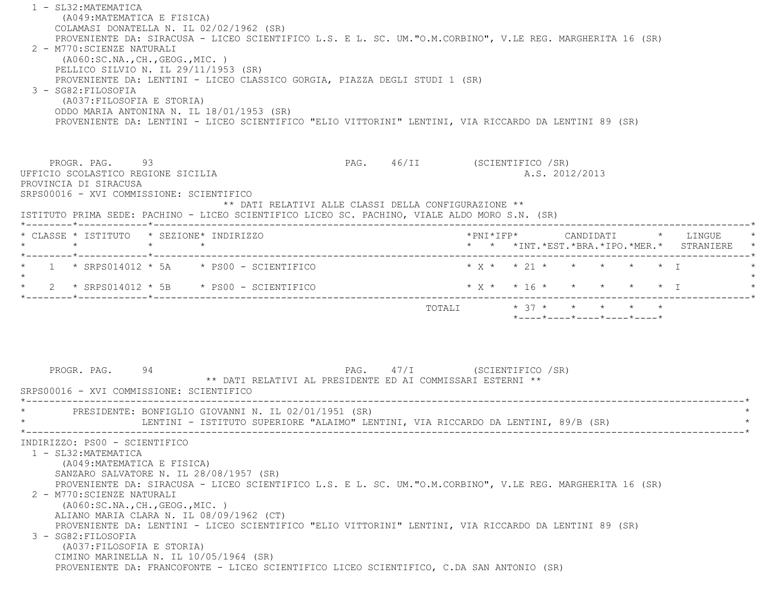| 1 - SL32: MATEMATICA<br>(A049: MATEMATICA E FISICA)<br>COLAMASI DONATELLA N. IL 02/02/1962 (SR)<br>PROVENIENTE DA: SIRACUSA - LICEO SCIENTIFICO L.S. E L. SC. UM."O.M.CORBINO", V.LE REG. MARGHERITA 16 (SR)<br>2 - M770: SCIENZE NATURALI<br>( A060:SC.NA., CH., GEOG., MIC. )<br>PELLICO SILVIO N. IL 29/11/1953 (SR)<br>PROVENIENTE DA: LENTINI - LICEO CLASSICO GORGIA, PIAZZA DEGLI STUDI 1 (SR)<br>3 - SG82: FILOSOFIA<br>(A037: FILOSOFIA E STORIA)<br>ODDO MARIA ANTONINA N. IL 18/01/1953 (SR)<br>PROVENIENTE DA: LENTINI - LICEO SCIENTIFICO "ELIO VITTORINI" LENTINI, VIA RICCARDO DA LENTINI 89 (SR)                                                |                                                                                            |
|-----------------------------------------------------------------------------------------------------------------------------------------------------------------------------------------------------------------------------------------------------------------------------------------------------------------------------------------------------------------------------------------------------------------------------------------------------------------------------------------------------------------------------------------------------------------------------------------------------------------------------------------------------------------|--------------------------------------------------------------------------------------------|
| PROGR. PAG. 93<br>UFFICIO SCOLASTICO REGIONE SICILIA<br>PROVINCIA DI SIRACUSA<br>SRPS00016 - XVI COMMISSIONE: SCIENTIFICO<br>** DATI RELATIVI ALLE CLASSI DELLA CONFIGURAZIONE **<br>ISTITUTO PRIMA SEDE: PACHINO - LICEO SCIENTIFICO LICEO SC. PACHINO, VIALE ALDO MORO S.N. (SR)                                                                                                                                                                                                                                                                                                                                                                              | PAG. 46/II (SCIENTIFICO /SR)<br>A.S. 2012/2013                                             |
| * CLASSE * ISTITUTO * SEZIONE* INDIRIZZO<br>$\star$<br>$\star$<br>$\star$                                                                                                                                                                                                                                                                                                                                                                                                                                                                                                                                                                                       | *PNI*IFP*      CANDIDATI    *   LINGUE<br>* * *INT.*EST.*BRA.*IPO.*MER.* STRANIERE         |
| $1 * SRS014012 * 5A * PS00 - SCIENTIFICO$                                                                                                                                                                                                                                                                                                                                                                                                                                                                                                                                                                                                                       | * $X$ * * 21 * * * * * * I                                                                 |
| * $2$ * SRPS014012 * 5B * PS00 - SCIENTIFICO                                                                                                                                                                                                                                                                                                                                                                                                                                                                                                                                                                                                                    |                                                                                            |
| PAG. 47/I (SCIENTIFICO / SR)<br>PROGR. PAG.<br>94<br>** DATI RELATIVI AL PRESIDENTE ED AI COMMISSARI ESTERNI **<br>SRPS00016 - XVI COMMISSIONE: SCIENTIFICO                                                                                                                                                                                                                                                                                                                                                                                                                                                                                                     | TOTALI * 37 * * * * * *<br>$*$ - - - - $*$ - - - - $*$ - - - - $*$ - - - - $*$ - - - - $*$ |
| PRESIDENTE: BONFIGLIO GIOVANNI N. IL 02/01/1951 (SR)<br>LENTINI - ISTITUTO SUPERIORE "ALAIMO" LENTINI, VIA RICCARDO DA LENTINI, 89/B (SR)                                                                                                                                                                                                                                                                                                                                                                                                                                                                                                                       |                                                                                            |
| INDIRIZZO: PS00 - SCIENTIFICO<br>1 - SL32: MATEMATICA<br>(A049: MATEMATICA E FISICA)<br>SANZARO SALVATORE N. IL 28/08/1957 (SR)<br>PROVENIENTE DA: SIRACUSA - LICEO SCIENTIFICO L.S. E L. SC. UM."O.M.CORBINO", V.LE REG. MARGHERITA 16 (SR)<br>2 - M770: SCIENZE NATURALI<br>( A060:SC.NA., CH., GEOG., MIC. )<br>ALIANO MARIA CLARA N. IL 08/09/1962 (CT)<br>PROVENIENTE DA: LENTINI - LICEO SCIENTIFICO "ELIO VITTORINI" LENTINI, VIA RICCARDO DA LENTINI 89 (SR)<br>3 - SG82: FILOSOFIA<br>(A037: FILOSOFIA E STORIA)<br>CIMINO MARINELLA N. IL 10/05/1964 (SR)<br>PROVENIENTE DA: FRANCOFONTE - LICEO SCIENTIFICO LICEO SCIENTIFICO, C.DA SAN ANTONIO (SR) |                                                                                            |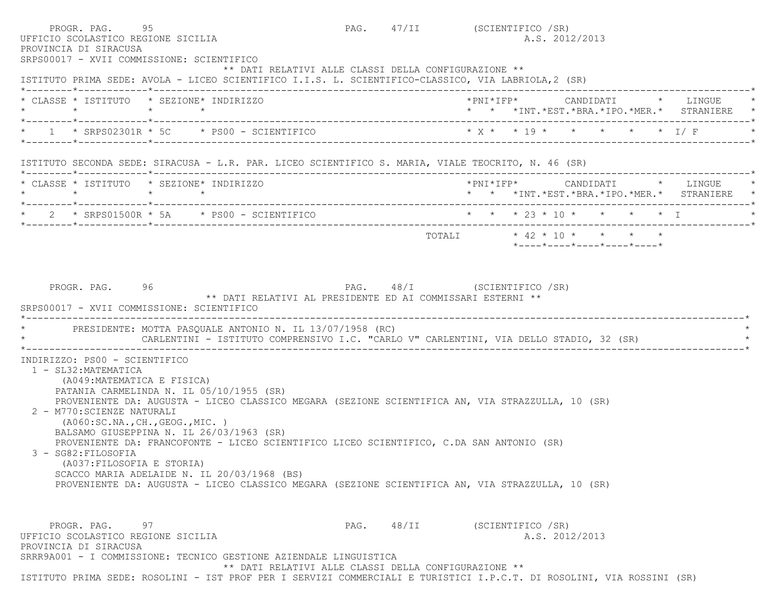PROGR. PAG. 95 95 PAG. 47/II (SCIENTIFICO / SR) UFFICIO SCOLASTICO REGIONE SICILIA AND ALS. 2012/2013 PROVINCIA DI SIRACUSA SRPS00017 - XVII COMMISSIONE: SCIENTIFICO \*\* DATI RELATIVI ALLE CLASSI DELLA CONFIGURAZIONE \*\* ISTITUTO PRIMA SEDE: AVOLA - LICEO SCIENTIFICO I.I.S. L. SCIENTIFICO-CLASSICO, VIA LABRIOLA,2 (SR) \*--------\*------------\*-------------------------------------------------------------------------------------------------------\* \* CLASSE \* ISTITUTO \* SEZIONE\* INDIRIZZO \*PNI\*IFP\* CANDIDATI \* LINGUE \* \* \* \* \* \* \* \*INT.\*EST.\*BRA.\*IPO.\*MER.\* STRANIERE \* \*--------\*------------\*-------------------------------------------------------------------------------------------------------\*1 \* SRPS02301R \* 5C \* PS00 - SCIENTIFICO \* \* \* \* \* \* \* \* \* \* \* \* 19 \* \* \* \* \* I/ F \*--------\*------------\*-------------------------------------------------------------------------------------------------------\* ISTITUTO SECONDA SEDE: SIRACUSA - L.R. PAR. LICEO SCIENTIFICO S. MARIA, VIALE TEOCRITO, N. 46 (SR) \*--------\*------------\*-------------------------------------------------------------------------------------------------------\* \* CLASSE \* ISTITUTO \* SEZIONE\* INDIRIZZO \*PNI\*IFP\* CANDIDATI \* LINGUE \* \* \* \* \* \* \* \*INT.\*EST.\*BRA.\*IPO.\*MER.\* STRANIERE \* \*--------\*------------\*-------------------------------------------------------------------------------------------------------\*2 \* SRPS01500R \* 5A \* PS00 - SCIENTIFICO \* \* \* \* 23 \* 10 \* \* \* \* \* \* I \*--------\*------------\*-------------------------------------------------------------------------------------------------------\* TOTALI \* 42 \* 10 \* \* \* \* \*----\*----\*----\*----\*----\*PROGR. PAG. 96 96 PAG. 48/I (SCIENTIFICO / SR) \*\* DATI RELATIVI AL PRESIDENTE ED AI COMMISSARI ESTERNI \*\* SRPS00017 - XVII COMMISSIONE: SCIENTIFICO \*----------------------------------------------------------------------------------------------------------------------------\*PRESIDENTE: MOTTA PASQUALE ANTONIO N. IL 13/07/1958 (RC) CARLENTINI - ISTITUTO COMPRENSIVO I.C. "CARLO V" CARLENTINI, VIA DELLO STADIO, 32 (SR) \*----------------------------------------------------------------------------------------------------------------------------\* INDIRIZZO: PS00 - SCIENTIFICO 1 - SL32:MATEMATICA (A049:MATEMATICA E FISICA) PATANIA CARMELINDA N. IL 05/10/1955 (SR) PROVENIENTE DA: AUGUSTA - LICEO CLASSICO MEGARA (SEZIONE SCIENTIFICA AN, VIA STRAZZULLA, 10 (SR) 2 - M770:SCIENZE NATURALI (A060:SC.NA.,CH.,GEOG.,MIC. ) BALSAMO GIUSEPPINA N. IL 26/03/1963 (SR) PROVENIENTE DA: FRANCOFONTE - LICEO SCIENTIFICO LICEO SCIENTIFICO, C.DA SAN ANTONIO (SR) 3 - SG82:FILOSOFIA (A037:FILOSOFIA E STORIA) SCACCO MARIA ADELAIDE N. IL 20/03/1968 (BS) PROVENIENTE DA: AUGUSTA - LICEO CLASSICO MEGARA (SEZIONE SCIENTIFICA AN, VIA STRAZZULLA, 10 (SR) PROGR. PAG. 97 97 PAG. 48/II (SCIENTIFICO / SR) UFFICIO SCOLASTICO REGIONE SICILIA A.S. 2012/2013 PROVINCIA DI SIRACUSA SRRR9A001 - I COMMISSIONE: TECNICO GESTIONE AZIENDALE LINGUISTICA \*\* DATI RELATIVI ALLE CLASSI DELLA CONFIGURAZIONE \*\*ISTITUTO PRIMA SEDE: ROSOLINI - IST PROF PER I SERVIZI COMMERCIALI E TURISTICI I.P.C.T. DI ROSOLINI, VIA ROSSINI (SR)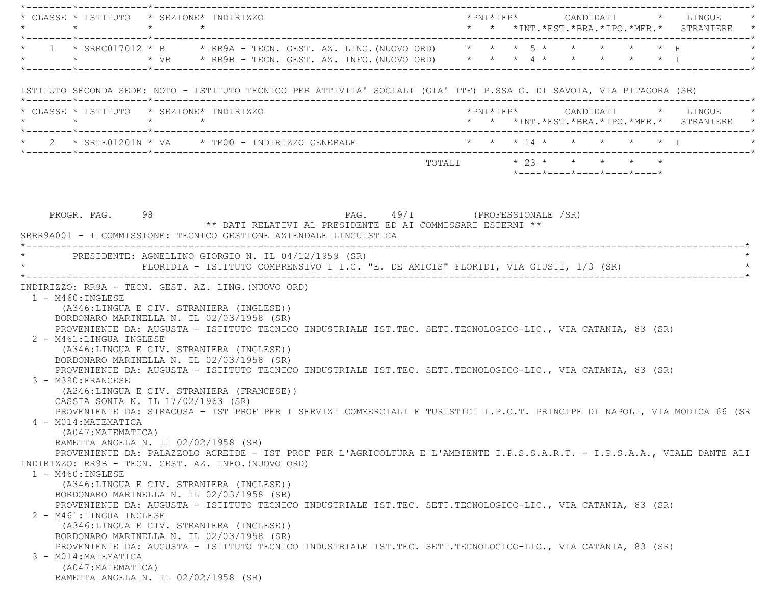| $\star$                                                                                                          | * CLASSE * ISTITUTO * SEZIONE* INDIRIZZO<br>$\star$ $\star$                                                                                                                                                                                                                                                                                                                                                                                                                                                                                                                                    | * * *INT.*EST.*BRA.*IPO.*MER.* STRANIERE *                                                                                                                                                                                                           |
|------------------------------------------------------------------------------------------------------------------|------------------------------------------------------------------------------------------------------------------------------------------------------------------------------------------------------------------------------------------------------------------------------------------------------------------------------------------------------------------------------------------------------------------------------------------------------------------------------------------------------------------------------------------------------------------------------------------------|------------------------------------------------------------------------------------------------------------------------------------------------------------------------------------------------------------------------------------------------------|
|                                                                                                                  | * 1 * SRRC017012 * B * RR9A - TECN. GEST. AZ. LING. (NUOVO ORD) * * * 5 * * * * * * * F                                                                                                                                                                                                                                                                                                                                                                                                                                                                                                        |                                                                                                                                                                                                                                                      |
|                                                                                                                  |                                                                                                                                                                                                                                                                                                                                                                                                                                                                                                                                                                                                |                                                                                                                                                                                                                                                      |
|                                                                                                                  | ISTITUTO SECONDA SEDE: NOTO - ISTITUTO TECNICO PER ATTIVITA' SOCIALI (GIA' ITF) P.SSA G. DI SAVOIA, VIA PITAGORA (SR)                                                                                                                                                                                                                                                                                                                                                                                                                                                                          |                                                                                                                                                                                                                                                      |
|                                                                                                                  | * CLASSE * ISTITUTO * SEZIONE* INDIRIZZO                                                                                                                                                                                                                                                                                                                                                                                                                                                                                                                                                       | *PNI*IFP* CANDIDATI * LINGUE *                                                                                                                                                                                                                       |
|                                                                                                                  | * 2 * SRTE01201N * VA * TE00 - INDIRIZZO GENERALE * * * * 14 * * * * * * * * T                                                                                                                                                                                                                                                                                                                                                                                                                                                                                                                 |                                                                                                                                                                                                                                                      |
|                                                                                                                  |                                                                                                                                                                                                                                                                                                                                                                                                                                                                                                                                                                                                | *----*----*----*----*----*                                                                                                                                                                                                                           |
| PROGR. PAG. 98                                                                                                   | PAG. 49/I (PROFESSIONALE /SR)<br>** DATI RELATIVI AL PRESIDENTE ED AI COMMISSARI ESTERNI **<br>SRRR9A001 - I COMMISSIONE: TECNICO GESTIONE AZIENDALE LINGUISTICA<br>* PRESIDENTE: AGNELLINO GIORGIO N. IL 04/12/1959 (SR)                                                                                                                                                                                                                                                                                                                                                                      |                                                                                                                                                                                                                                                      |
|                                                                                                                  | FLORIDIA - ISTITUTO COMPRENSIVO I I.C. "E. DE AMICIS" FLORIDI, VIA GIUSTI, 1/3 (SR)                                                                                                                                                                                                                                                                                                                                                                                                                                                                                                            |                                                                                                                                                                                                                                                      |
| 1 - M460: INGLESE<br>2 - M461:LINGUA INGLESE<br>3 - M390: FRANCESE<br>4 - M014: MATEMATICA<br>(A047: MATEMATICA) | INDIRIZZO: RR9A - TECN. GEST. AZ. LING. (NUOVO ORD)<br>(A346:LINGUA E CIV. STRANIERA (INGLESE))<br>BORDONARO MARINELLA N. IL 02/03/1958 (SR)<br>PROVENIENTE DA: AUGUSTA - ISTITUTO TECNICO INDUSTRIALE IST.TEC. SETT.TECNOLOGICO-LIC., VIA CATANIA, 83 (SR)<br>(A346:LINGUA E CIV. STRANIERA (INGLESE))<br>BORDONARO MARINELLA N. IL 02/03/1958 (SR)<br>PROVENIENTE DA: AUGUSTA - ISTITUTO TECNICO INDUSTRIALE IST.TEC. SETT.TECNOLOGICO-LIC., VIA CATANIA, 83 (SR)<br>(A246:LINGUA E CIV. STRANIERA (FRANCESE))<br>CASSIA SONIA N. IL 17/02/1963 (SR)<br>RAMETTA ANGELA N. IL 02/02/1958 (SR) | PROVENIENTE DA: SIRACUSA - IST PROF PER I SERVIZI COMMERCIALI E TURISTICI I.P.C.T. PRINCIPE DI NAPOLI, VIA MODICA 66 (SR<br>PROVENIENTE DA: PALAZZOLO ACREIDE - IST PROF PER L'AGRICOLTURA E L'AMBIENTE I.P.S.S.A.R.T. - I.P.S.A.A., VIALE DANTE ALI |
| $1 - M460 : INGLESE$                                                                                             | INDIRIZZO: RR9B - TECN. GEST. AZ. INFO. (NUOVO ORD)<br>(A346:LINGUA E CIV. STRANIERA (INGLESE))<br>BORDONARO MARINELLA N. IL 02/03/1958 (SR)                                                                                                                                                                                                                                                                                                                                                                                                                                                   |                                                                                                                                                                                                                                                      |
| 2 - M461:LINGUA INGLESE                                                                                          | PROVENIENTE DA: AUGUSTA - ISTITUTO TECNICO INDUSTRIALE IST.TEC. SETT.TECNOLOGICO-LIC., VIA CATANIA, 83 (SR)<br>(A346:LINGUA E CIV. STRANIERA (INGLESE))<br>BORDONARO MARINELLA N. IL 02/03/1958 (SR)                                                                                                                                                                                                                                                                                                                                                                                           |                                                                                                                                                                                                                                                      |
| 3 - M014: MATEMATICA<br>(A047: MATEMATICA)                                                                       | PROVENIENTE DA: AUGUSTA - ISTITUTO TECNICO INDUSTRIALE IST.TEC. SETT.TECNOLOGICO-LIC., VIA CATANIA, 83 (SR)<br>RAMETTA ANGELA N. IL 02/02/1958 (SR)                                                                                                                                                                                                                                                                                                                                                                                                                                            |                                                                                                                                                                                                                                                      |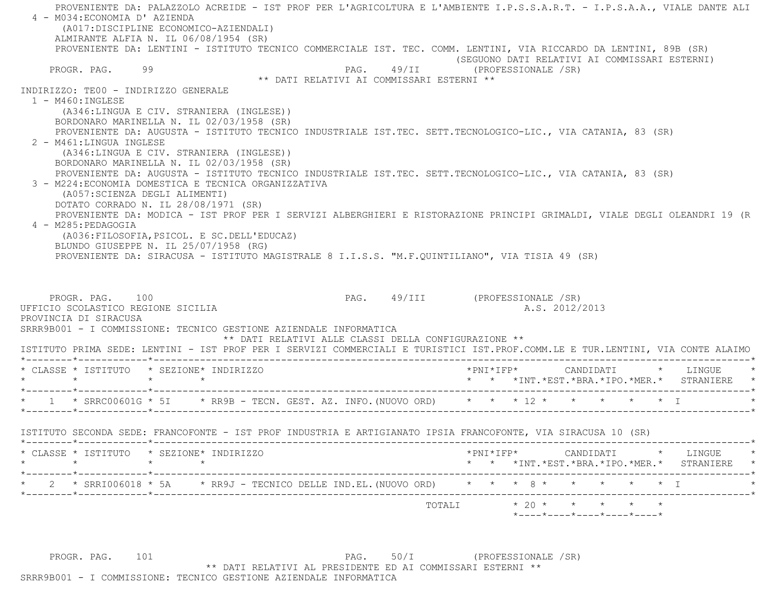PROVENIENTE DA: PALAZZOLO ACREIDE - IST PROF PER L'AGRICOLTURA E L'AMBIENTE I.P.S.S.A.R.T. - I.P.S.A.A., VIALE DANTE ALI 4 - M034:ECONOMIA D' AZIENDA (A017:DISCIPLINE ECONOMICO-AZIENDALI) ALMIRANTE ALFIA N. IL 06/08/1954 (SR) PROVENIENTE DA: LENTINI - ISTITUTO TECNICO COMMERCIALE IST. TEC. COMM. LENTINI, VIA RICCARDO DA LENTINI, 89B (SR) (SEGUONO DATI RELATIVI AI COMMISSARI ESTERNI) PROGR. PAG. 99 9 20 20 20 20 20 20 20 49/II (PROFESSIONALE /SR) \*\* DATI RELATIVI AI COMMISSARI ESTERNI \*\* INDIRIZZO: TE00 - INDIRIZZO GENERALE $1 - M460 \cdot INGIERSE$  (A346:LINGUA E CIV. STRANIERA (INGLESE)) BORDONARO MARINELLA N. IL 02/03/1958 (SR) PROVENIENTE DA: AUGUSTA - ISTITUTO TECNICO INDUSTRIALE IST.TEC. SETT.TECNOLOGICO-LIC., VIA CATANIA, 83 (SR) 2 - M461:LINGUA INGLESE (A346:LINGUA E CIV. STRANIERA (INGLESE)) BORDONARO MARINELLA N. IL 02/03/1958 (SR) PROVENIENTE DA: AUGUSTA - ISTITUTO TECNICO INDUSTRIALE IST.TEC. SETT.TECNOLOGICO-LIC., VIA CATANIA, 83 (SR) 3 - M224:ECONOMIA DOMESTICA E TECNICA ORGANIZZATIVA (A057:SCIENZA DEGLI ALIMENTI) DOTATO CORRADO N. IL 28/08/1971 (SR) PROVENIENTE DA: MODICA - IST PROF PER I SERVIZI ALBERGHIERI E RISTORAZIONE PRINCIPI GRIMALDI, VIALE DEGLI OLEANDRI 19 (R 4 - M285:PEDAGOGIA (A036:FILOSOFIA,PSICOL. E SC.DELL'EDUCAZ) BLUNDO GIUSEPPE N. IL 25/07/1958 (RG) PROVENIENTE DA: SIRACUSA - ISTITUTO MAGISTRALE 8 I.I.S.S. "M.F.QUINTILIANO", VIA TISIA 49 (SR) PROGR. PAG. 100 **PAG.** 29/III (PROFESSIONALE /SR) UFFICIO SCOLASTICO REGIONE SICILIA A.S. 2012/2013 PROVINCIA DI SIRACUSA SRRR9B001 - I COMMISSIONE: TECNICO GESTIONE AZIENDALE INFORMATICA \*\* DATI RELATIVI ALLE CLASSI DELLA CONFIGURAZIONE \*\* ISTITUTO PRIMA SEDE: LENTINI - IST PROF PER I SERVIZI COMMERCIALI E TURISTICI IST.PROF.COMM.LE E TUR.LENTINI, VIA CONTE ALAIMO \*--------\*------------\*-------------------------------------------------------------------------------------------------------\* \* CLASSE \* ISTITUTO \* SEZIONE\* INDIRIZZO \*PNI\*IFP\* CANDIDATI \* LINGUE \* \* \* \* \* \* \* \*INT.\*EST.\*BRA.\*IPO.\*MER.\* STRANIERE \* \*--------\*------------\*-------------------------------------------------------------------------------------------------------\*\* 1 \* SRRC00601G \* 5I \* RR9B - TECN. GEST. AZ. INFO. (NUOVO ORD) \* \* \* 12 \* \* \* \* \* \* \* I \*--------\*------------\*-------------------------------------------------------------------------------------------------------\* ISTITUTO SECONDA SEDE: FRANCOFONTE - IST PROF INDUSTRIA E ARTIGIANATO IPSIA FRANCOFONTE, VIA SIRACUSA 10 (SR) \*--------\*------------\*-------------------------------------------------------------------------------------------------------\* \* CLASSE \* ISTITUTO \* SEZIONE\* INDIRIZZO \*PNI\*IFP\* CANDIDATI \* LINGUE \* \* \* \* \* \* \* \*INT.\*EST.\*BRA.\*IPO.\*MER.\* STRANIERE \* \*--------\*------------\*-------------------------------------------------------------------------------------------------------\* \* 2 \* SRRI006018 \* 5A \* RR9J - TECNICO DELLE IND.EL.(NUOVO ORD) \* \* \* 8 \* \* \* \* \* I \* \*--------\*------------\*-------------------------------------------------------------------------------------------------------\*TOTALI  $* 20 * * * * * * * * *$ \*----\*----\*----\*----\*----\*

PROGR. PAG. 101 PAG. 50/I (PROFESSIONALE /SR) \*\* DATI RELATIVI AL PRESIDENTE ED AI COMMISSARI ESTERNI \*\*SRRR9B001 - I COMMISSIONE: TECNICO GESTIONE AZIENDALE INFORMATICA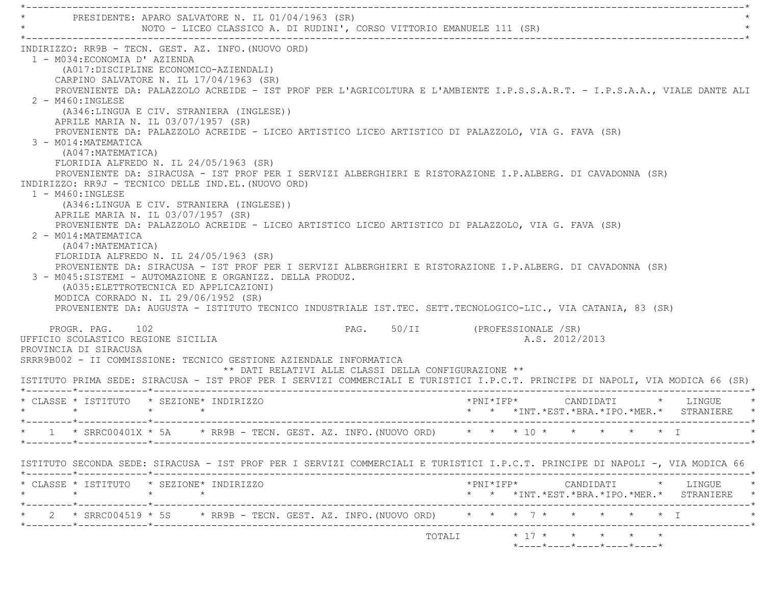\*----------------------------------------------------------------------------------------------------------------------------\*PRESIDENTE: APARO SALVATORE N. IL 01/04/1963 (SR) NOTO - LICEO CLASSICO A. DI RUDINI', CORSO VITTORIO EMANUELE 111 (SR) \*----------------------------------------------------------------------------------------------------------------------------\* INDIRIZZO: RR9B - TECN. GEST. AZ. INFO.(NUOVO ORD) 1 - M034:ECONOMIA D' AZIENDA (A017:DISCIPLINE ECONOMICO-AZIENDALI) CARPINO SALVATORE N. IL 17/04/1963 (SR) PROVENIENTE DA: PALAZZOLO ACREIDE - IST PROF PER L'AGRICOLTURA E L'AMBIENTE I.P.S.S.A.R.T. - I.P.S.A.A., VIALE DANTE ALI 2 - M460:INGLESE (A346:LINGUA E CIV. STRANIERA (INGLESE)) APRILE MARIA N. IL 03/07/1957 (SR) PROVENIENTE DA: PALAZZOLO ACREIDE - LICEO ARTISTICO LICEO ARTISTICO DI PALAZZOLO, VIA G. FAVA (SR) 3 - M014:MATEMATICA (A047:MATEMATICA) FLORIDIA ALFREDO N. IL 24/05/1963 (SR) PROVENIENTE DA: SIRACUSA - IST PROF PER I SERVIZI ALBERGHIERI E RISTORAZIONE I.P.ALBERG. DI CAVADONNA (SR) INDIRIZZO: RR9J - TECNICO DELLE IND.EL.(NUOVO ORD) 1 - M460:INGLESE (A346:LINGUA E CIV. STRANIERA (INGLESE)) APRILE MARIA N. IL 03/07/1957 (SR) PROVENIENTE DA: PALAZZOLO ACREIDE - LICEO ARTISTICO LICEO ARTISTICO DI PALAZZOLO, VIA G. FAVA (SR) 2 - M014:MATEMATICA (A047:MATEMATICA) FLORIDIA ALFREDO N. IL 24/05/1963 (SR) PROVENIENTE DA: SIRACUSA - IST PROF PER I SERVIZI ALBERGHIERI E RISTORAZIONE I.P.ALBERG. DI CAVADONNA (SR) 3 - M045:SISTEMI - AUTOMAZIONE E ORGANIZZ. DELLA PRODUZ. (A035:ELETTROTECNICA ED APPLICAZIONI) MODICA CORRADO N. IL 29/06/1952 (SR) PROVENIENTE DA: AUGUSTA - ISTITUTO TECNICO INDUSTRIALE IST.TEC. SETT.TECNOLOGICO-LIC., VIA CATANIA, 83 (SR) PROGR. PAG. 102 **PAG.** 50/II (PROFESSIONALE /SR) UFFICIO SCOLASTICO REGIONE SICILIA A.S. 2012/2013 PROVINCIA DI SIRACUSA SRRR9B002 - II COMMISSIONE: TECNICO GESTIONE AZIENDALE INFORMATICA \*\* DATI RELATIVI ALLE CLASSI DELLA CONFIGURAZIONE \*\* ISTITUTO PRIMA SEDE: SIRACUSA - IST PROF PER I SERVIZI COMMERCIALI E TURISTICI I.P.C.T. PRINCIPE DI NAPOLI, VIA MODICA 66 (SR) \*--------\*------------\*-------------------------------------------------------------------------------------------------------\* \* CLASSE \* ISTITUTO \* SEZIONE\* INDIRIZZO \*PNI\*IFP\* CANDIDATI \* LINGUE \* \* \* \* \* \* \* \*INT.\*EST.\*BRA.\*IPO.\*MER.\* STRANIERE \* \*--------\*------------\*-------------------------------------------------------------------------------------------------------\*\* 1 \* SRRC00401X \* 5A \* RR9B - TECN. GEST. AZ. INFO. (NUOVO ORD) \* \* \* \* 10 \* \* \* \* \* \* \* I \* \* \*--------\*------------\*-------------------------------------------------------------------------------------------------------\* ISTITUTO SECONDA SEDE: SIRACUSA - IST PROF PER I SERVIZI COMMERCIALI E TURISTICI I.P.C.T. PRINCIPE DI NAPOLI -, VIA MODICA 66 \*--------\*------------\*-------------------------------------------------------------------------------------------------------\* \* CLASSE \* ISTITUTO \* SEZIONE\* INDIRIZZO \*PNI\*IFP\* CANDIDATI \* LINGUE \* \* \* \* \* \* \* \*INT.\*EST.\*BRA.\*IPO.\*MER.\* STRANIERE \* \*--------\*------------\*-------------------------------------------------------------------------------------------------------\* \* 2 \* SRRC004519 \* 5S \* RR9B - TECN. GEST. AZ. INFO.(NUOVO ORD) \* \* \* 7 \* \* \* \* \* I \* \*--------\*------------\*-------------------------------------------------------------------------------------------------------\* $\text{TOTAT}$ .  $\text{+}$  17 \* \* \* \* \* \*----\*----\*----\*----\*----\*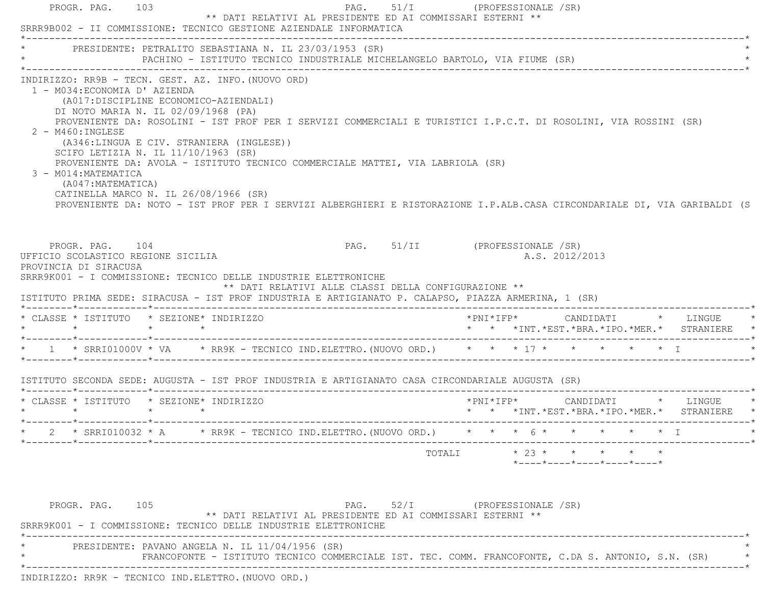| ** DATI RELATIVI AL PRESIDENTE ED AI COMMISSARI ESTERNI **<br>SRRR9B002 - II COMMISSIONE: TECNICO GESTIONE AZIENDALE INFORMATICA                                                                                                                                                                                                                                                                                                                                                                                                                                                                                                                                                                          |                                                                               |
|-----------------------------------------------------------------------------------------------------------------------------------------------------------------------------------------------------------------------------------------------------------------------------------------------------------------------------------------------------------------------------------------------------------------------------------------------------------------------------------------------------------------------------------------------------------------------------------------------------------------------------------------------------------------------------------------------------------|-------------------------------------------------------------------------------|
| PRESIDENTE: PETRALITO SEBASTIANA N. IL 23/03/1953 (SR)<br>PACHINO - ISTITUTO TECNICO INDUSTRIALE MICHELANGELO BARTOLO, VIA FIUME (SR)                                                                                                                                                                                                                                                                                                                                                                                                                                                                                                                                                                     |                                                                               |
| INDIRIZZO: RR9B - TECN. GEST. AZ. INFO. (NUOVO ORD)<br>1 - M034: ECONOMIA D' AZIENDA<br>(A017:DISCIPLINE ECONOMICO-AZIENDALI)<br>DI NOTO MARIA N. IL 02/09/1968 (PA)<br>PROVENIENTE DA: ROSOLINI - IST PROF PER I SERVIZI COMMERCIALI E TURISTICI I.P.C.T. DI ROSOLINI, VIA ROSSINI (SR)<br>$2 - M460$ : INGLESE<br>(A346:LINGUA E CIV. STRANIERA (INGLESE))<br>SCIFO LETIZIA N. IL $11/10/1963$ (SR)<br>PROVENIENTE DA: AVOLA - ISTITUTO TECNICO COMMERCIALE MATTEI, VIA LABRIOLA (SR)<br>3 - M014: MATEMATICA<br>(A047:MATEMATICA)<br>CATINELLA MARCO N. IL 26/08/1966 (SR)<br>PROVENIENTE DA: NOTO - IST PROF PER I SERVIZI ALBERGHIERI E RISTORAZIONE I.P.ALB.CASA CIRCONDARIALE DI, VIA GARIBALDI (S |                                                                               |
| PROGR. PAG. 104<br>UFFICIO SCOLASTICO REGIONE SICILIA<br>PROVINCIA DI SIRACUSA<br>SRRR9K001 - I COMMISSIONE: TECNICO DELLE INDUSTRIE ELETTRONICHE<br>** DATI RELATIVI ALLE CLASSI DELLA CONFIGURAZIONE **<br>ISTITUTO PRIMA SEDE: SIRACUSA - IST PROF INDUSTRIA E ARTIGIANATO P. CALAPSO, PIAZZA ARMERINA, 1 (SR)                                                                                                                                                                                                                                                                                                                                                                                         | PAG. 51/II (PROFESSIONALE /SR)<br>A.S. 2012/2013                              |
| * CLASSE * ISTITUTO * SEZIONE* INDIRIZZO                                                                                                                                                                                                                                                                                                                                                                                                                                                                                                                                                                                                                                                                  |                                                                               |
| * 1 * SRRI01000V * VA * RR9K - TECNICO IND.ELETTRO.(NUOVO ORD.) * * * * 17 * * * * * * * T                                                                                                                                                                                                                                                                                                                                                                                                                                                                                                                                                                                                                | * * *INT.*EST.*BRA.*IPO.*MER.* STRANIERE                                      |
| ISTITUTO SECONDA SEDE: AUGUSTA - IST PROF INDUSTRIA E ARTIGIANATO CASA CIRCONDARIALE AUGUSTA (SR)                                                                                                                                                                                                                                                                                                                                                                                                                                                                                                                                                                                                         |                                                                               |
| * CLASSE * ISTITUTO * SEZIONE* INDIRIZZO<br>$\star$ $\star$<br>$\star$ $\star$                                                                                                                                                                                                                                                                                                                                                                                                                                                                                                                                                                                                                            | *PNI*IFP* CANDIDATI * LINGUE<br>* * *INT. *EST. *BRA. *IPO. *MER. * STRANIERE |
| * 2 * SRRI010032 * A * RR9K - TECNICO IND.ELETTRO.(NUOVO ORD.) * * * 6 * * * * * * * I                                                                                                                                                                                                                                                                                                                                                                                                                                                                                                                                                                                                                    |                                                                               |

PROGR. PAG. 105 PAG. PAG. 52/I (PROFESSIONALE /SR) \*\* DATI RELATIVI AL PRESIDENTE ED AI COMMISSARI ESTERNI \*\* SRRR9K001 - I COMMISSIONE: TECNICO DELLE INDUSTRIE ELETTRONICHE \*----------------------------------------------------------------------------------------------------------------------------\*PRESIDENTE: PAVANO ANGELA N. IL 11/04/1956 (SR) \* FRANCOFONTE - ISTITUTO TECNICO COMMERCIALE IST. TEC. COMM. FRANCOFONTE, C.DA S. ANTONIO, S.N. (SR) \* \*----------------------------------------------------------------------------------------------------------------------------\*INDIRIZZO: RR9K - TECNICO IND.ELETTRO.(NUOVO ORD.)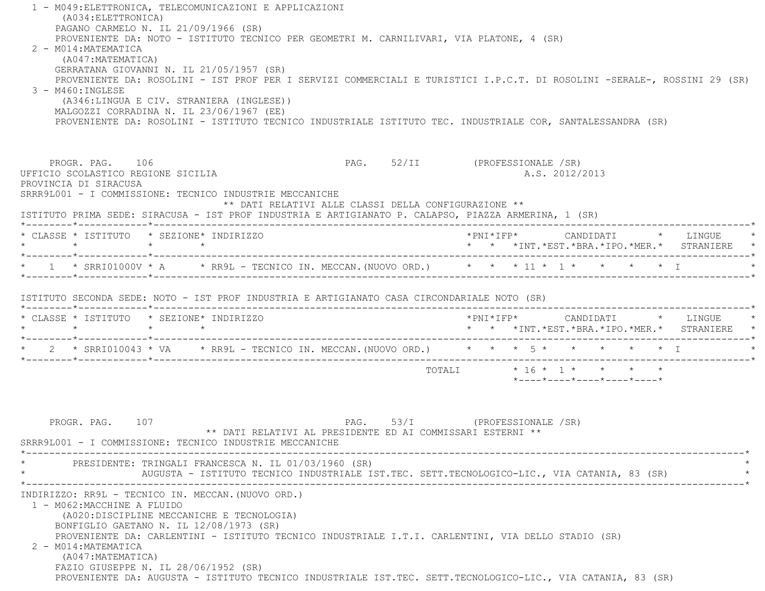| (A034: ELETTRONICA)                                                            | 1 - M049: ELETTRONICA, TELECOMUNICAZIONI E APPLICAZIONI<br>PAGANO CARMELO N. IL 21/09/1966 (SR)                                                                                                                                                                                                                                                                                                          |                                                                                                                          |
|--------------------------------------------------------------------------------|----------------------------------------------------------------------------------------------------------------------------------------------------------------------------------------------------------------------------------------------------------------------------------------------------------------------------------------------------------------------------------------------------------|--------------------------------------------------------------------------------------------------------------------------|
| 2 - M014: MATEMATICA<br>(A047: MATEMATICA)                                     | PROVENIENTE DA: NOTO - ISTITUTO TECNICO PER GEOMETRI M. CARNILIVARI, VIA PLATONE, 4 (SR)<br>GERRATANA GIOVANNI N. IL 21/05/1957 (SR)                                                                                                                                                                                                                                                                     | PROVENIENTE DA: ROSOLINI - IST PROF PER I SERVIZI COMMERCIALI E TURISTICI I.P.C.T. DI ROSOLINI -SERALE-, ROSSINI 29 (SR) |
| $3 - M460$ : INGLESE                                                           | (A346:LINGUA E CIV. STRANIERA (INGLESE))<br>MALGOZZI CORRADINA N. IL 23/06/1967 (EE)<br>PROVENIENTE DA: ROSOLINI - ISTITUTO TECNICO INDUSTRIALE ISTITUTO TEC. INDUSTRIALE COR, SANTALESSANDRA (SR)                                                                                                                                                                                                       |                                                                                                                          |
| PROGR. PAG. 106<br>UFFICIO SCOLASTICO REGIONE SICILIA<br>PROVINCIA DI SIRACUSA | SRRR9L001 - I COMMISSIONE: TECNICO INDUSTRIE MECCANICHE<br>** DATI RELATIVI ALLE CLASSI DELLA CONFIGURAZIONE **                                                                                                                                                                                                                                                                                          | PAG. 52/II (PROFESSIONALE /SR)<br>A.S. 2012/2013                                                                         |
|                                                                                | ISTITUTO PRIMA SEDE: SIRACUSA - IST PROF INDUSTRIA E ARTIGIANATO P. CALAPSO, PIAZZA ARMERINA, 1 (SR)                                                                                                                                                                                                                                                                                                     |                                                                                                                          |
| * CLASSE * ISTITUTO * SEZIONE* INDIRIZZO                                       |                                                                                                                                                                                                                                                                                                                                                                                                          | * * *INT.*EST.*BRA.*IPO.*MER.* STRANIERE *                                                                               |
|                                                                                | * 1 * SRRI01000V * A * RR9L - TECNICO IN. MECCAN. (NUOVO ORD.) * * * 11 * 1 * * * * * * I                                                                                                                                                                                                                                                                                                                |                                                                                                                          |
|                                                                                | ISTITUTO SECONDA SEDE: NOTO - IST PROF INDUSTRIA E ARTIGIANATO CASA CIRCONDARIALE NOTO (SR)                                                                                                                                                                                                                                                                                                              |                                                                                                                          |
| * CLASSE * ISTITUTO * SEZIONE* INDIRIZZO<br>$\star$ $\star$ $\star$ $\star$    |                                                                                                                                                                                                                                                                                                                                                                                                          | * * *INT.*EST.*BRA.*IPO.*MER.* STRANIERE *                                                                               |
|                                                                                | * 2 * SRRI010043 * VA * RR9L - TECNICO IN. MECCAN. (NUOVO ORD.) * * * 5 * * * * * * * I                                                                                                                                                                                                                                                                                                                  |                                                                                                                          |
|                                                                                |                                                                                                                                                                                                                                                                                                                                                                                                          | *----*----*----*----*----*                                                                                               |
| 107<br>PROGR. PAG.                                                             | ** DATI RELATIVI AL PRESIDENTE ED AI COMMISSARI ESTERNI **<br>SRRR9L001 - I COMMISSIONE: TECNICO INDUSTRIE MECCANICHE                                                                                                                                                                                                                                                                                    | PAG. 53/I (PROFESSIONALE /SR)                                                                                            |
|                                                                                | PRESIDENTE: TRINGALI FRANCESCA N. IL 01/03/1960 (SR)<br>AUGUSTA - ISTITUTO TECNICO INDUSTRIALE IST.TEC. SETT.TECNOLOGICO-LIC., VIA CATANIA, 83 (SR)                                                                                                                                                                                                                                                      |                                                                                                                          |
| 1 - M062: MACCHINE A FLUIDO<br>2 - M014: MATEMATICA<br>(A047: MATEMATICA)      | INDIRIZZO: RR9L - TECNICO IN. MECCAN. (NUOVO ORD.)<br>(A020: DISCIPLINE MECCANICHE E TECNOLOGIA)<br>BONFIGLIO GAETANO N. IL 12/08/1973 (SR)<br>PROVENIENTE DA: CARLENTINI - ISTITUTO TECNICO INDUSTRIALE I.T.I. CARLENTINI, VIA DELLO STADIO (SR)<br>FAZIO GIUSEPPE N. IL 28/06/1952 (SR)<br>PROVENIENTE DA: AUGUSTA - ISTITUTO TECNICO INDUSTRIALE IST.TEC. SETT.TECNOLOGICO-LIC., VIA CATANIA, 83 (SR) |                                                                                                                          |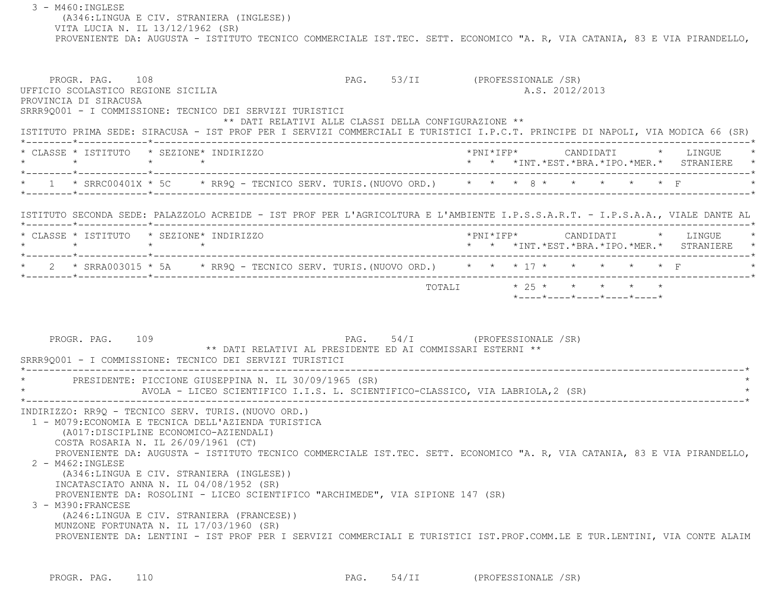3 - M460:INGLESE (A346:LINGUA E CIV. STRANIERA (INGLESE)) VITA LUCIA N. IL 13/12/1962 (SR) PROVENIENTE DA: AUGUSTA - ISTITUTO TECNICO COMMERCIALE IST.TEC. SETT. ECONOMICO "A. R, VIA CATANIA, 83 E VIA PIRANDELLO,

PROGR. PAG. 108 PAG. 53/II (PROFESSIONALE /SR) UFFICIO SCOLASTICO REGIONE SICILIA A.S. 2012/2013 PROVINCIA DI SIRACUSA SRRR9Q001 - I COMMISSIONE: TECNICO DEI SERVIZI TURISTICI \*\* DATI RELATIVI ALLE CLASSI DELLA CONFIGURAZIONE \*\* ISTITUTO PRIMA SEDE: SIRACUSA - IST PROF PER I SERVIZI COMMERCIALI E TURISTICI I.P.C.T. PRINCIPE DI NAPOLI, VIA MODICA 66 (SR) \*--------\*------------\*-------------------------------------------------------------------------------------------------------\* \* CLASSE \* ISTITUTO \* SEZIONE\* INDIRIZZO \*PNI\*IFP\* CANDIDATI \* LINGUE \* \* \* \* \* \* \* \*INT.\*EST.\*BRA.\*IPO.\*MER.\* STRANIERE \* \*--------\*------------\*-------------------------------------------------------------------------------------------------------\* \* 1 \* SRRC00401X \* 5C \* RR9Q - TECNICO SERV. TURIS.(NUOVO ORD.) \* \* \* 8 \* \* \* \* \* F \* \*--------\*------------\*-------------------------------------------------------------------------------------------------------\* ISTITUTO SECONDA SEDE: PALAZZOLO ACREIDE - IST PROF PER L'AGRICOLTURA E L'AMBIENTE I.P.S.S.A.R.T. - I.P.S.A.A., VIALE DANTE AL \*--------\*------------\*-------------------------------------------------------------------------------------------------------\* \* CLASSE \* ISTITUTO \* SEZIONE\* INDIRIZZO \*PNI\*IFP\* CANDIDATI \* LINGUE \* \* \* \* \* \* \* \*INT.\*EST.\*BRA.\*IPO.\*MER.\* STRANIERE \* \*--------\*------------\*-------------------------------------------------------------------------------------------------------\*2 \* SRRA003015 \* 5A \* RR9Q - TECNICO SERV. TURIS. (NUOVO ORD.) \* \* \* 17 \* \* \* \* \* \* \* F \*--------\*------------\*-------------------------------------------------------------------------------------------------------\* $\text{TOTAI}$ .  $\begin{array}{ccccccc}\n\star & 25 & \star & \star & \star & \star & \star & \star & \star & \star & \end{array}$  \*----\*----\*----\*----\*----\* PROGR. PAG. 109 PAG. 54/I (PROFESSIONALE /SR) \*\* DATI RELATIVI AL PRESIDENTE ED AI COMMISSARI ESTERNI \*\* SRRR9Q001 - I COMMISSIONE: TECNICO DEI SERVIZI TURISTICI \*----------------------------------------------------------------------------------------------------------------------------\* \* PRESIDENTE: PICCIONE GIUSEPPINA N. IL 30/09/1965 (SR) \* AVOLA - LICEO SCIENTIFICO I.I.S. L. SCIENTIFICO-CLASSICO, VIA LABRIOLA,2 (SR) \*----------------------------------------------------------------------------------------------------------------------------\* INDIRIZZO: RR9Q - TECNICO SERV. TURIS.(NUOVO ORD.) 1 - M079:ECONOMIA E TECNICA DELL'AZIENDA TURISTICA (A017:DISCIPLINE ECONOMICO-AZIENDALI) COSTA ROSARIA N. IL 26/09/1961 (CT) PROVENIENTE DA: AUGUSTA - ISTITUTO TECNICO COMMERCIALE IST.TEC. SETT. ECONOMICO "A. R, VIA CATANIA, 83 E VIA PIRANDELLO, 2 - M462:INGLESE (A346:LINGUA E CIV. STRANIERA (INGLESE)) INCATASCIATO ANNA N. IL 04/08/1952 (SR) PROVENIENTE DA: ROSOLINI - LICEO SCIENTIFICO "ARCHIMEDE", VIA SIPIONE 147 (SR) 3 - M390:FRANCESE (A246:LINGUA E CIV. STRANIERA (FRANCESE)) MUNZONE FORTUNATA N. IL 17/03/1960 (SR) PROVENIENTE DA: LENTINI - IST PROF PER I SERVIZI COMMERCIALI E TURISTICI IST.PROF.COMM.LE E TUR.LENTINI, VIA CONTE ALAIM

PROGR. PAG. 110 **PROGR. PAG. 2010** PAG. 54/II (PROFESSIONALE /SR)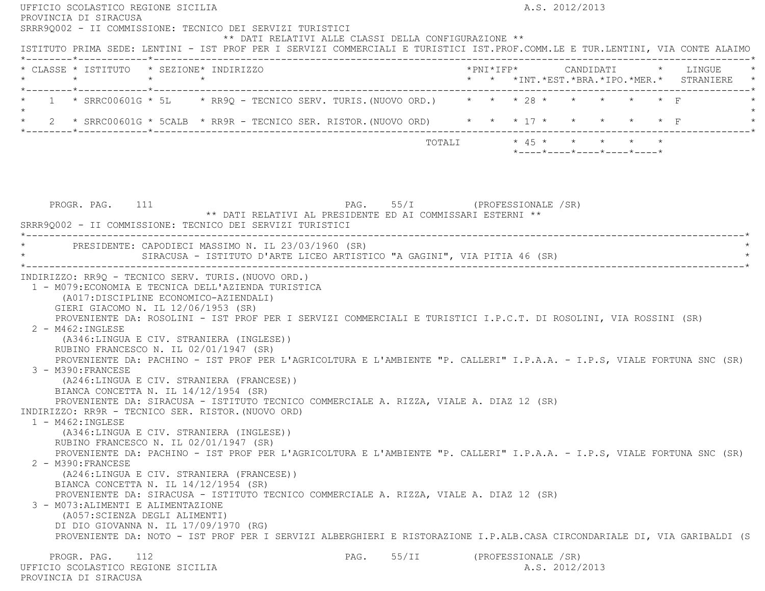| UFFICIO SCOLASTICO REGIONE SICILIA<br>PROVINCIA DI SIRACUSA                           |                                                                                                                                                                                                                                                                                                                                                                                                                                                                                                                                                                                                                                                                                                                                                                                                                                                                                                                                                                                                                                                           |                                                            |                               |  |                     | A.S. 2012/2013 |                            |  |                                          |
|---------------------------------------------------------------------------------------|-----------------------------------------------------------------------------------------------------------------------------------------------------------------------------------------------------------------------------------------------------------------------------------------------------------------------------------------------------------------------------------------------------------------------------------------------------------------------------------------------------------------------------------------------------------------------------------------------------------------------------------------------------------------------------------------------------------------------------------------------------------------------------------------------------------------------------------------------------------------------------------------------------------------------------------------------------------------------------------------------------------------------------------------------------------|------------------------------------------------------------|-------------------------------|--|---------------------|----------------|----------------------------|--|------------------------------------------|
|                                                                                       | SRRR90002 - II COMMISSIONE: TECNICO DEI SERVIZI TURISTICI                                                                                                                                                                                                                                                                                                                                                                                                                                                                                                                                                                                                                                                                                                                                                                                                                                                                                                                                                                                                 |                                                            |                               |  |                     |                |                            |  |                                          |
|                                                                                       | ISTITUTO PRIMA SEDE: LENTINI - IST PROF PER I SERVIZI COMMERCIALI E TURISTICI IST.PROF.COMM.LE E TUR.LENTINI, VIA CONTE ALAIMO                                                                                                                                                                                                                                                                                                                                                                                                                                                                                                                                                                                                                                                                                                                                                                                                                                                                                                                            | ** DATI RELATIVI ALLE CLASSI DELLA CONFIGURAZIONE **       |                               |  |                     |                |                            |  |                                          |
|                                                                                       |                                                                                                                                                                                                                                                                                                                                                                                                                                                                                                                                                                                                                                                                                                                                                                                                                                                                                                                                                                                                                                                           |                                                            |                               |  |                     |                |                            |  |                                          |
|                                                                                       | * CLASSE * ISTITUTO * SEZIONE* INDIRIZZO                                                                                                                                                                                                                                                                                                                                                                                                                                                                                                                                                                                                                                                                                                                                                                                                                                                                                                                                                                                                                  |                                                            |                               |  |                     |                |                            |  |                                          |
|                                                                                       |                                                                                                                                                                                                                                                                                                                                                                                                                                                                                                                                                                                                                                                                                                                                                                                                                                                                                                                                                                                                                                                           |                                                            |                               |  |                     |                |                            |  | * * *INT.*EST.*BRA.*IPO.*MER.* STRANIERE |
|                                                                                       | 1 * SRRC00601G * 5L * RR9Q - TECNICO SERV. TURIS. (NUOVO ORD.) * * * 28 * * * * * * * F                                                                                                                                                                                                                                                                                                                                                                                                                                                                                                                                                                                                                                                                                                                                                                                                                                                                                                                                                                   |                                                            |                               |  |                     |                |                            |  |                                          |
|                                                                                       |                                                                                                                                                                                                                                                                                                                                                                                                                                                                                                                                                                                                                                                                                                                                                                                                                                                                                                                                                                                                                                                           |                                                            |                               |  |                     |                |                            |  |                                          |
|                                                                                       | * 2 * SRRC00601G * 5CALB * RR9R - TECNICO SER. RISTOR. (NUOVO ORD) * * * 17 * * * * * * * * F                                                                                                                                                                                                                                                                                                                                                                                                                                                                                                                                                                                                                                                                                                                                                                                                                                                                                                                                                             |                                                            |                               |  |                     |                |                            |  |                                          |
|                                                                                       |                                                                                                                                                                                                                                                                                                                                                                                                                                                                                                                                                                                                                                                                                                                                                                                                                                                                                                                                                                                                                                                           |                                                            | TOTALI * 45 * * * * * *       |  |                     |                |                            |  |                                          |
|                                                                                       |                                                                                                                                                                                                                                                                                                                                                                                                                                                                                                                                                                                                                                                                                                                                                                                                                                                                                                                                                                                                                                                           |                                                            |                               |  |                     |                | *----*----*----*----*----* |  |                                          |
|                                                                                       |                                                                                                                                                                                                                                                                                                                                                                                                                                                                                                                                                                                                                                                                                                                                                                                                                                                                                                                                                                                                                                                           |                                                            |                               |  |                     |                |                            |  |                                          |
|                                                                                       |                                                                                                                                                                                                                                                                                                                                                                                                                                                                                                                                                                                                                                                                                                                                                                                                                                                                                                                                                                                                                                                           |                                                            |                               |  |                     |                |                            |  |                                          |
|                                                                                       |                                                                                                                                                                                                                                                                                                                                                                                                                                                                                                                                                                                                                                                                                                                                                                                                                                                                                                                                                                                                                                                           |                                                            |                               |  |                     |                |                            |  |                                          |
| PROGR. PAG. 111                                                                       |                                                                                                                                                                                                                                                                                                                                                                                                                                                                                                                                                                                                                                                                                                                                                                                                                                                                                                                                                                                                                                                           |                                                            | PAG. 55/I (PROFESSIONALE /SR) |  |                     |                |                            |  |                                          |
|                                                                                       |                                                                                                                                                                                                                                                                                                                                                                                                                                                                                                                                                                                                                                                                                                                                                                                                                                                                                                                                                                                                                                                           | ** DATI RELATIVI AL PRESIDENTE ED AI COMMISSARI ESTERNI ** |                               |  |                     |                |                            |  |                                          |
|                                                                                       | SRRR90002 - II COMMISSIONE: TECNICO DEI SERVIZI TURISTICI                                                                                                                                                                                                                                                                                                                                                                                                                                                                                                                                                                                                                                                                                                                                                                                                                                                                                                                                                                                                 |                                                            |                               |  |                     |                |                            |  |                                          |
|                                                                                       | * PRESIDENTE: CAPODIECI MASSIMO N. IL 23/03/1960 (SR)                                                                                                                                                                                                                                                                                                                                                                                                                                                                                                                                                                                                                                                                                                                                                                                                                                                                                                                                                                                                     |                                                            |                               |  |                     |                |                            |  |                                          |
|                                                                                       | SIRACUSA - ISTITUTO D'ARTE LICEO ARTISTICO "A GAGINI", VIA PITIA 46 (SR)                                                                                                                                                                                                                                                                                                                                                                                                                                                                                                                                                                                                                                                                                                                                                                                                                                                                                                                                                                                  |                                                            |                               |  |                     |                |                            |  |                                          |
|                                                                                       |                                                                                                                                                                                                                                                                                                                                                                                                                                                                                                                                                                                                                                                                                                                                                                                                                                                                                                                                                                                                                                                           |                                                            |                               |  |                     |                |                            |  |                                          |
| 2 - M462: INGLESE<br>3 - M390: FRANCESE<br>$1 - M462$ : INGLESE<br>2 - M390: FRANCESE | GIERI GIACOMO N. IL 12/06/1953 (SR)<br>PROVENIENTE DA: ROSOLINI - IST PROF PER I SERVIZI COMMERCIALI E TURISTICI I.P.C.T. DI ROSOLINI, VIA ROSSINI (SR)<br>(A346:LINGUA E CIV. STRANIERA (INGLESE))<br>RUBINO FRANCESCO N. IL 02/01/1947 (SR)<br>PROVENIENTE DA: PACHINO - IST PROF PER L'AGRICOLTURA E L'AMBIENTE "P. CALLERI" I.P.A.A. - I.P.S, VIALE FORTUNA SNC (SR)<br>(A246:LINGUA E CIV. STRANIERA (FRANCESE))<br>BIANCA CONCETTA N. IL $14/12/1954$ (SR)<br>PROVENIENTE DA: SIRACUSA - ISTITUTO TECNICO COMMERCIALE A. RIZZA, VIALE A. DIAZ 12 (SR)<br>INDIRIZZO: RR9R - TECNICO SER. RISTOR. (NUOVO ORD)<br>(A346:LINGUA E CIV. STRANIERA (INGLESE))<br>RUBINO FRANCESCO N. IL 02/01/1947 (SR)<br>PROVENIENTE DA: PACHINO - IST PROF PER L'AGRICOLTURA E L'AMBIENTE "P. CALLERI" I.P.A.A. - I.P.S, VIALE FORTUNA SNC (SR)<br>(A246:LINGUA E CIV. STRANIERA (FRANCESE))<br>BIANCA CONCETTA N. IL 14/12/1954 (SR)<br>PROVENIENTE DA: SIRACUSA - ISTITUTO TECNICO COMMERCIALE A. RIZZA, VIALE A. DIAZ 12 (SR)<br>3 - M073: ALIMENTI E ALIMENTAZIONE |                                                            |                               |  |                     |                |                            |  |                                          |
|                                                                                       | (A057:SCIENZA DEGLI ALIMENTI)<br>DI DIO GIOVANNA N. IL 17/09/1970 (RG)<br>PROVENIENTE DA: NOTO - IST PROF PER I SERVIZI ALBERGHIERI E RISTORAZIONE I.P.ALB.CASA CIRCONDARIALE DI, VIA GARIBALDI (S                                                                                                                                                                                                                                                                                                                                                                                                                                                                                                                                                                                                                                                                                                                                                                                                                                                        |                                                            |                               |  |                     |                |                            |  |                                          |
| PROGR. PAG.<br>112<br>UFFICIO SCOLASTICO REGIONE SICILIA<br>PROVINCIA DI SIRACUSA     |                                                                                                                                                                                                                                                                                                                                                                                                                                                                                                                                                                                                                                                                                                                                                                                                                                                                                                                                                                                                                                                           | PAG.                                                       | 55/II                         |  | (PROFESSIONALE /SR) | A.S. 2012/2013 |                            |  |                                          |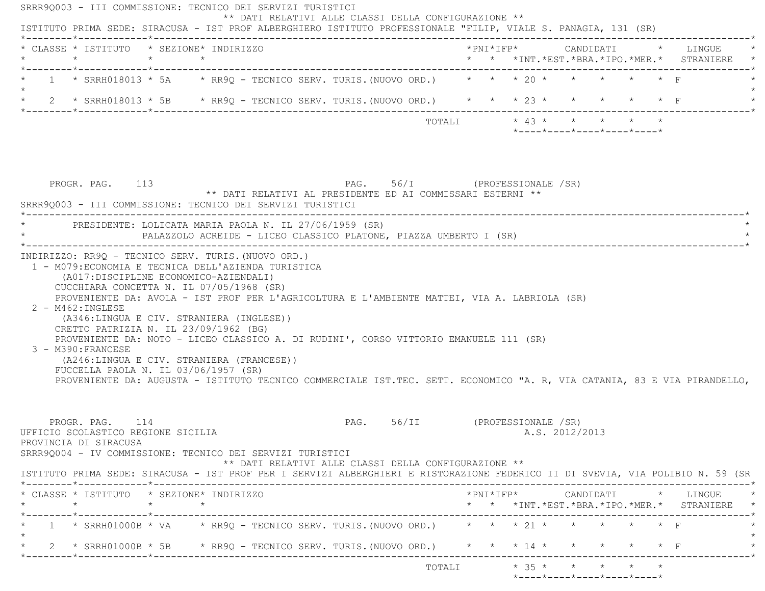|         | * CLASSE * ISTITUTO * SEZIONE* INDIRIZZO                                                                                                         |  |                                                            |                                                                                                                                                                                                                   |  |  |                                                                 |  |                                            |
|---------|--------------------------------------------------------------------------------------------------------------------------------------------------|--|------------------------------------------------------------|-------------------------------------------------------------------------------------------------------------------------------------------------------------------------------------------------------------------|--|--|-----------------------------------------------------------------|--|--------------------------------------------|
|         |                                                                                                                                                  |  |                                                            | 1 * SRRH018013 * 5A * RR9Q - TECNICO SERV. TURIS. (NUOVO ORD.) * * * 20 * * * * * * * F                                                                                                                           |  |  |                                                                 |  |                                            |
|         |                                                                                                                                                  |  |                                                            | * 2 * SRRH018013 * 5B * RR9Q - TECNICO SERV. TURIS. (NUOVO ORD.) * * * * 23 * * * * * * * F                                                                                                                       |  |  |                                                                 |  |                                            |
|         |                                                                                                                                                  |  |                                                            | TOTALI * 43 * * * * * *                                                                                                                                                                                           |  |  | $*$ - - - - $*$ - - - - $*$ - - - - $*$ - - - - $*$ - - - - $*$ |  |                                            |
|         |                                                                                                                                                  |  |                                                            |                                                                                                                                                                                                                   |  |  |                                                                 |  |                                            |
|         | PROGR. PAG. 113                                                                                                                                  |  | SRRR9Q003 - III COMMISSIONE: TECNICO DEI SERVIZI TURISTICI | PAG. 56/I (PROFESSIONALE /SR)<br>** DATI RELATIVI AL PRESIDENTE ED AI COMMISSARI ESTERNI **                                                                                                                       |  |  |                                                                 |  |                                            |
|         |                                                                                                                                                  |  | * PRESIDENTE: LOLICATA MARIA PAOLA N. IL 27/06/1959 (SR)   | PALAZZOLO ACREIDE - LICEO CLASSICO PLATONE, PIAZZA UMBERTO I (SR)                                                                                                                                                 |  |  |                                                                 |  |                                            |
|         | CUCCHIARA CONCETTA N. IL 07/05/1968 (SR)<br>2 - M462: INGLESE<br>(A346:LINGUA E CIV. STRANIERA (INGLESE))                                        |  | (A017: DISCIPLINE ECONOMICO-AZIENDALI)                     | PROVENIENTE DA: AVOLA - IST PROF PER L'AGRICOLTURA E L'AMBIENTE MATTEI, VIA A. LABRIOLA (SR)                                                                                                                      |  |  |                                                                 |  |                                            |
|         | CRETTO PATRIZIA N. IL 23/09/1962 (BG)<br>3 - M390: FRANCESE<br>(A246:LINGUA E CIV. STRANIERA (FRANCESE))<br>FUCCELLA PAOLA N. IL 03/06/1957 (SR) |  |                                                            | PROVENIENTE DA: NOTO - LICEO CLASSICO A. DI RUDINI', CORSO VITTORIO EMANUELE 111 (SR)<br>PROVENIENTE DA: AUGUSTA - ISTITUTO TECNICO COMMERCIALE IST.TEC. SETT. ECONOMICO "A. R, VIA CATANIA, 83 E VIA PIRANDELLO, |  |  |                                                                 |  |                                            |
|         | PROGR. PAG. 114<br>UFFICIO SCOLASTICO REGIONE SICILIA<br>PROVINCIA DI SIRACUSA                                                                   |  | SRRR90004 - IV COMMISSIONE: TECNICO DEI SERVIZI TURISTICI  | PAG. 56/II (PROFESSIONALE /SR)                                                                                                                                                                                    |  |  | A.S. 2012/2013                                                  |  |                                            |
|         |                                                                                                                                                  |  |                                                            | ** DATI RELATIVI ALLE CLASSI DELLA CONFIGURAZIONE **<br>ISTITUTO PRIMA SEDE: SIRACUSA - IST PROF PER I SERVIZI ALBERGHIERI E RISTORAZIONE FEDERICO II DI SVEVIA, VIA POLIBIO N. 59 (SR                            |  |  |                                                                 |  |                                            |
| $\star$ | * CLASSE * ISTITUTO * SEZIONE* INDIRIZZO                                                                                                         |  |                                                            |                                                                                                                                                                                                                   |  |  |                                                                 |  | * * *INT.*EST.*BRA.*IPO.*MER.* STRANIERE * |
|         |                                                                                                                                                  |  |                                                            | 1 * SRRH01000B * VA * RR9Q - TECNICO SERV. TURIS. (NUOVO ORD.) * * * 21 * * * * * * * F                                                                                                                           |  |  |                                                                 |  |                                            |
|         |                                                                                                                                                  |  |                                                            | * 2 * SRRH01000B * 5B * RR9Q - TECNICO SERV. TURIS. (NUOVO ORD.) * * * 14 * * * * * * * F                                                                                                                         |  |  | --------------------------                                      |  | . _ _ _ _ _ _ _ _ _ _ _ _ _ _ _ *          |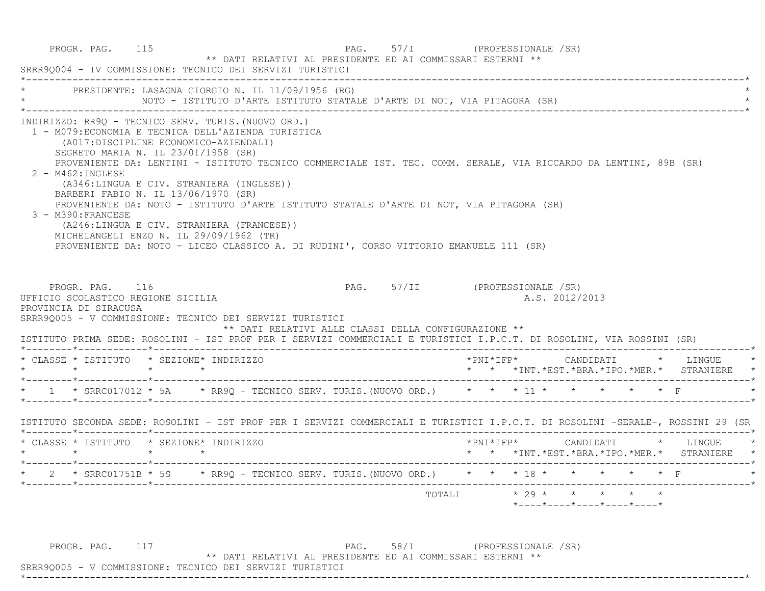PROGR. PAG. 115 PAG. 57/I (PROFESSIONALE /SR) \*\* DATI RELATIVI AL PRESIDENTE ED AI COMMISSARI ESTERNI \*\* SRRR9Q004 - IV COMMISSIONE: TECNICO DEI SERVIZI TURISTICI \*----------------------------------------------------------------------------------------------------------------------------\*PRESIDENTE: LASAGNA GIORGIO N. IL 11/09/1956 (RG) NOTO - ISTITUTO D'ARTE ISTITUTO STATALE D'ARTE DI NOT, VIA PITAGORA (SR) \*----------------------------------------------------------------------------------------------------------------------------\* INDIRIZZO: RR9Q - TECNICO SERV. TURIS.(NUOVO ORD.) 1 - M079:ECONOMIA E TECNICA DELL'AZIENDA TURISTICA (A017:DISCIPLINE ECONOMICO-AZIENDALI) SEGRETO MARIA N. IL 23/01/1958 (SR) PROVENIENTE DA: LENTINI - ISTITUTO TECNICO COMMERCIALE IST. TEC. COMM. SERALE, VIA RICCARDO DA LENTINI, 89B (SR) 2 - M462:INGLESE (A346:LINGUA E CIV. STRANIERA (INGLESE)) BARBERI FABIO N. IL 13/06/1970 (SR) PROVENIENTE DA: NOTO - ISTITUTO D'ARTE ISTITUTO STATALE D'ARTE DI NOT, VIA PITAGORA (SR) 3 - M390:FRANCESE (A246:LINGUA E CIV. STRANIERA (FRANCESE)) MICHELANGELI ENZO N. IL 29/09/1962 (TR) PROVENIENTE DA: NOTO - LICEO CLASSICO A. DI RUDINI', CORSO VITTORIO EMANUELE 111 (SR) PROGR. PAG. 116 CHASTERS IN PAG. 57/II (PROFESSIONALE /SR) UFFICIO SCOLASTICO REGIONE SICILIA A.S. 2012/2013 PROVINCIA DI SIRACUSA SRRR9Q005 - V COMMISSIONE: TECNICO DEI SERVIZI TURISTICI \*\* DATI RELATIVI ALLE CLASSI DELLA CONFIGURAZIONE \*\* ISTITUTO PRIMA SEDE: ROSOLINI - IST PROF PER I SERVIZI COMMERCIALI E TURISTICI I.P.C.T. DI ROSOLINI, VIA ROSSINI (SR) \*--------\*------------\*-------------------------------------------------------------------------------------------------------\* \* CLASSE \* ISTITUTO \* SEZIONE\* INDIRIZZO \*PNI\*IFP\* CANDIDATI \* LINGUE \* \* \* \* \* \* \* \*INT.\*EST.\*BRA.\*IPO.\*MER.\* STRANIERE \* \*--------\*------------\*-------------------------------------------------------------------------------------------------------\*\* 1 \* SRRC017012 \* 5A \* RR90 - TECNICO SERV. TURIS. (NUOVO ORD.) \* \* \* 11 \* \* \* \* \* \* \* F \*--------\*------------\*-------------------------------------------------------------------------------------------------------\* ISTITUTO SECONDA SEDE: ROSOLINI - IST PROF PER I SERVIZI COMMERCIALI E TURISTICI I.P.C.T. DI ROSOLINI -SERALE-, ROSSINI 29 (SR \*--------\*------------\*-------------------------------------------------------------------------------------------------------\* \* CLASSE \* ISTITUTO \* SEZIONE\* INDIRIZZO \*PNI\*IFP\* CANDIDATI \* LINGUE \* \* \* \* \* \* \* \*INT.\*EST.\*BRA.\*IPO.\*MER.\* STRANIERE \* \*--------\*------------\*-------------------------------------------------------------------------------------------------------\*\* 2 \* SRRC01751B \* 5S \* RR9Q - TECNICO SERV. TURIS. (NUOVO ORD.) \* \* \* 18 \* \* \* \* \* \* \* F \*--------\*------------\*-------------------------------------------------------------------------------------------------------\* $\texttt{TOTALI} \qquad \qquad \star \quad 29 \; \star \qquad \star \qquad \star \qquad \star \qquad \star \qquad \star$ \*----\*----\*----\*----\*----\*

PROGR. PAG. 117 PAG. 58/I (PROFESSIONALE /SR)

\*----------------------------------------------------------------------------------------------------------------------------\*

\*\* DATI RELATIVI AL PRESIDENTE ED AI COMMISSARI ESTERNI \*\*

SRRR9Q005 - V COMMISSIONE: TECNICO DEI SERVIZI TURISTICI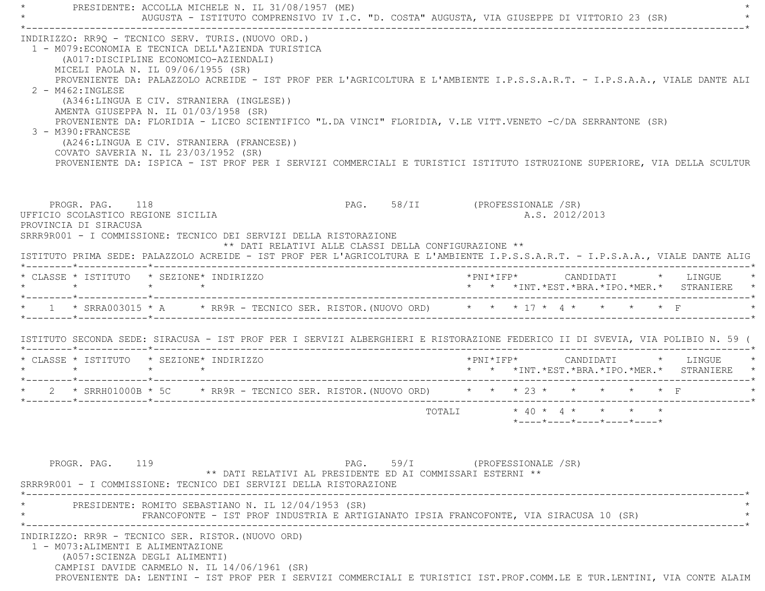PRESIDENTE: ACCOLLA MICHELE N. IL 31/08/1957 (ME) \* AUGUSTA - ISTITUTO COMPRENSIVO IV I.C. "D. COSTA" AUGUSTA, VIA GIUSEPPE DI VITTORIO 23 (SR) \* \*----------------------------------------------------------------------------------------------------------------------------\* INDIRIZZO: RR9Q - TECNICO SERV. TURIS.(NUOVO ORD.) 1 - M079:ECONOMIA E TECNICA DELL'AZIENDA TURISTICA (A017:DISCIPLINE ECONOMICO-AZIENDALI) MICELI PAOLA N. IL 09/06/1955 (SR) PROVENIENTE DA: PALAZZOLO ACREIDE - IST PROF PER L'AGRICOLTURA E L'AMBIENTE I.P.S.S.A.R.T. - I.P.S.A.A., VIALE DANTE ALI 2 - M462:INGLESE (A346:LINGUA E CIV. STRANIERA (INGLESE)) AMENTA GIUSEPPA N. IL 01/03/1958 (SR) PROVENIENTE DA: FLORIDIA - LICEO SCIENTIFICO "L.DA VINCI" FLORIDIA, V.LE VITT.VENETO -C/DA SERRANTONE (SR) 3 - M390:FRANCESE (A246:LINGUA E CIV. STRANIERA (FRANCESE)) COVATO SAVERIA N. IL 23/03/1952 (SR) PROVENIENTE DA: ISPICA - IST PROF PER I SERVIZI COMMERCIALI E TURISTICI ISTITUTO ISTRUZIONE SUPERIORE, VIA DELLA SCULTUR PROGR. PAG. 118 PAG. S8/II (PROFESSIONALE /SR) UFFICIO SCOLASTICO REGIONE SICILIA A.S. 2012/2013 PROVINCIA DI SIRACUSA SRRR9R001 - I COMMISSIONE: TECNICO DEI SERVIZI DELLA RISTORAZIONE \*\* DATI RELATIVI ALLE CLASSI DELLA CONFIGURAZIONE \*\* ISTITUTO PRIMA SEDE: PALAZZOLO ACREIDE - IST PROF PER L'AGRICOLTURA E L'AMBIENTE I.P.S.S.A.R.T. - I.P.S.A.A., VIALE DANTE ALIG \*--------\*------------\*-------------------------------------------------------------------------------------------------------\* \* CLASSE \* ISTITUTO \* SEZIONE\* INDIRIZZO \*PNI\*IFP\* CANDIDATI \* LINGUE \* \* \* \* \* \* \* \*INT.\*EST.\*BRA.\*IPO.\*MER.\* STRANIERE \* \*--------\*------------\*-------------------------------------------------------------------------------------------------------\*\* 1 \* SRRA003015 \* A \* RR9R - TECNICO SER. RISTOR. (NUOVO ORD) \* \* \* 17 \* 4 \* \* \* \* \* \* F \*--------\*------------\*-------------------------------------------------------------------------------------------------------\* ISTITUTO SECONDA SEDE: SIRACUSA - IST PROF PER I SERVIZI ALBERGHIERI E RISTORAZIONE FEDERICO II DI SVEVIA, VIA POLIBIO N. 59 ( \*--------\*------------\*-------------------------------------------------------------------------------------------------------\* \* CLASSE \* ISTITUTO \* SEZIONE\* INDIRIZZO \*PNI\*IFP\* CANDIDATI \* LINGUE \* \* \* \* \* \* \* \*INT.\*EST.\*BRA.\*IPO.\*MER.\* STRANIERE \* \*--------\*------------\*-------------------------------------------------------------------------------------------------------\*\* 2 \* SRRH01000B \* 5C \* RR9R - TECNICO SER. RISTOR. (NUOVO ORD) \* \* \* \* 23 \* \* \* \* \* \* \* F \*--------\*------------\*-------------------------------------------------------------------------------------------------------\* TOTALI \* 40 \* 4 \* \* \* \* \*----\*----\*----\*----\*----\*PROGR. PAG. 119 PAG. 59/I (PROFESSIONALE /SR) \*\* DATI RELATIVI AL PRESIDENTE ED AI COMMISSARI ESTERNI \*\* SRRR9R001 - I COMMISSIONE: TECNICO DEI SERVIZI DELLA RISTORAZIONE \*----------------------------------------------------------------------------------------------------------------------------\*PRESIDENTE: ROMITO SEBASTIANO N. IL 12/04/1953 (SR) \* FRANCOFONTE - IST PROF INDUSTRIA E ARTIGIANATO IPSIA FRANCOFONTE, VIA SIRACUSA 10 (SR) \* \*----------------------------------------------------------------------------------------------------------------------------\* INDIRIZZO: RR9R - TECNICO SER. RISTOR.(NUOVO ORD) 1 - M073:ALIMENTI E ALIMENTAZIONE (A057:SCIENZA DEGLI ALIMENTI) CAMPISI DAVIDE CARMELO N. IL 14/06/1961 (SR) PROVENIENTE DA: LENTINI - IST PROF PER I SERVIZI COMMERCIALI E TURISTICI IST.PROF.COMM.LE E TUR.LENTINI, VIA CONTE ALAIM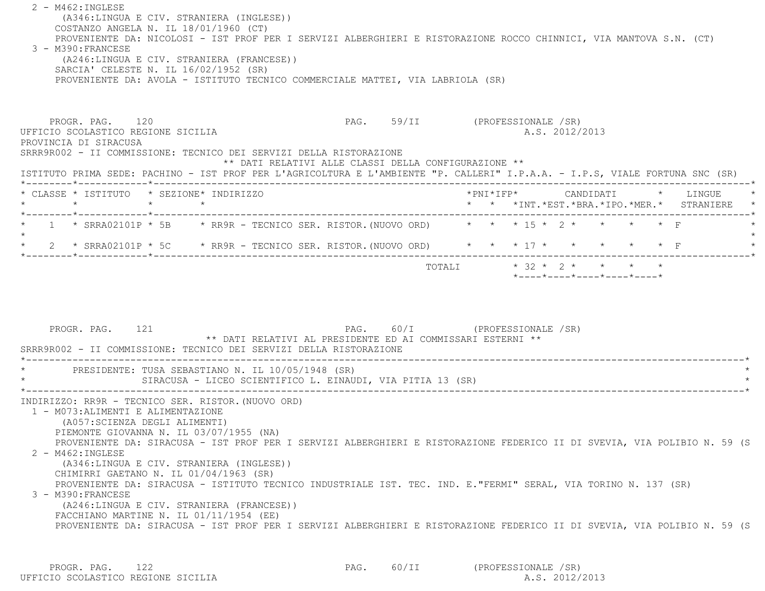2 - M462:INGLESE (A346:LINGUA E CIV. STRANIERA (INGLESE)) COSTANZO ANGELA N. IL 18/01/1960 (CT) PROVENIENTE DA: NICOLOSI - IST PROF PER I SERVIZI ALBERGHIERI E RISTORAZIONE ROCCO CHINNICI, VIA MANTOVA S.N. (CT) 3 - M390:FRANCESE (A246:LINGUA E CIV. STRANIERA (FRANCESE)) SARCIA' CELESTE N. IL 16/02/1952 (SR) PROVENIENTE DA: AVOLA - ISTITUTO TECNICO COMMERCIALE MATTEI, VIA LABRIOLA (SR) PROGR. PAG. 120 **PAG.** 59/II (PROFESSIONALE /SR) UFFICIO SCOLASTICO REGIONE SICILIA A.S. 2012/2013 PROVINCIA DI SIRACUSA SRRR9R002 - II COMMISSIONE: TECNICO DEI SERVIZI DELLA RISTORAZIONE \*\* DATI RELATIVI ALLE CLASSI DELLA CONFIGURAZIONE \*\* ISTITUTO PRIMA SEDE: PACHINO - IST PROF PER L'AGRICOLTURA E L'AMBIENTE "P. CALLERI" I.P.A.A. - I.P.S, VIALE FORTUNA SNC (SR) \*--------\*------------\*-------------------------------------------------------------------------------------------------------\* \* CLASSE \* ISTITUTO \* SEZIONE\* INDIRIZZO \*PNI\*IFP\* CANDIDATI \* LINGUE \* \* \* \* \* \* \* \*INT.\*EST.\*BRA.\*IPO.\*MER.\* STRANIERE \* \*--------\*------------\*-------------------------------------------------------------------------------------------------------\*\* 1 \* SRRA02101P \* 5B \* RR9R - TECNICO SER. RISTOR. (NUOVO ORD) \* \* \* 15 \* 2 \* \* \* \* \* F  $\star$  \* 2 \* SRRA02101P \* 5C \* RR9R - TECNICO SER. RISTOR.(NUOVO ORD) \* \* \* 17 \* \* \* \* \* F \* \*--------\*------------\*-------------------------------------------------------------------------------------------------------\* TOTALI \* 32 \* 2 \* \* \* \* \*----\*----\*----\*----\*----\*PROGR. PAG. 121 **PAG.** 60/I (PROFESSIONALE /SR) \*\* DATI RELATIVI AL PRESIDENTE ED AI COMMISSARI ESTERNI \*\* SRRR9R002 - II COMMISSIONE: TECNICO DEI SERVIZI DELLA RISTORAZIONE \*----------------------------------------------------------------------------------------------------------------------------\*PRESIDENTE: TUSA SEBASTIANO N. IL 10/05/1948 (SR) SIRACUSA - LICEO SCIENTIFICO L. EINAUDI, VIA PITIA 13 (SR) \*----------------------------------------------------------------------------------------------------------------------------\* INDIRIZZO: RR9R - TECNICO SER. RISTOR.(NUOVO ORD) 1 - M073:ALIMENTI E ALIMENTAZIONE (A057:SCIENZA DEGLI ALIMENTI) PIEMONTE GIOVANNA N. IL 03/07/1955 (NA) PROVENIENTE DA: SIRACUSA - IST PROF PER I SERVIZI ALBERGHIERI E RISTORAZIONE FEDERICO II DI SVEVIA, VIA POLIBIO N. 59 (S 2 - M462:INGLESE (A346:LINGUA E CIV. STRANIERA (INGLESE)) CHIMIRRI GAETANO N. IL 01/04/1963 (SR)

PROVENIENTE DA: SIRACUSA - ISTITUTO TECNICO INDUSTRIALE IST. TEC. IND. E."FERMI" SERAL, VIA TORINO N. 137 (SR)

3 - M390:FRANCESE

 (A246:LINGUA E CIV. STRANIERA (FRANCESE)) FACCHIANO MARTINE N. IL 01/11/1954 (EE) PROVENIENTE DA: SIRACUSA - IST PROF PER I SERVIZI ALBERGHIERI E RISTORAZIONE FEDERICO II DI SVEVIA, VIA POLIBIO N. 59 (S

PROGR. PAG. 122 PAG. 60/II (PROFESSIONALE /SR) UFFICIO SCOLASTICO REGIONE SICILIA A.S. 2012/2013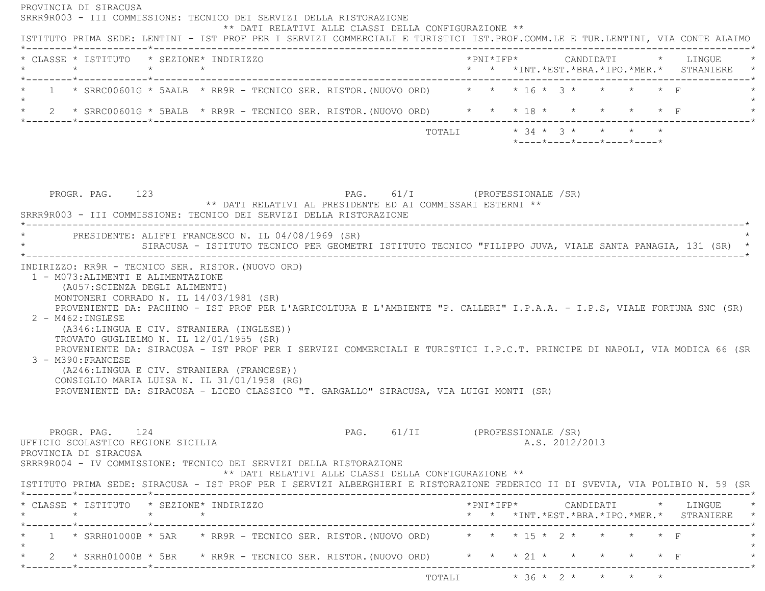PROVINCIA DI SIRACUSA SRRR9R003 - III COMMISSIONE: TECNICO DEI SERVIZI DELLA RISTORAZIONE \*\* DATI RELATIVI ALLE CLASSI DELLA CONFIGURAZIONE \*\* ISTITUTO PRIMA SEDE: LENTINI - IST PROF PER I SERVIZI COMMERCIALI E TURISTICI IST.PROF.COMM.LE E TUR.LENTINI, VIA CONTE ALAIMO \*--------\*------------\*-------------------------------------------------------------------------------------------------------\* \* CLASSE \* ISTITUTO \* SEZIONE\* INDIRIZZO \*PNI\*IFP\* CANDIDATI \* LINGUE \* \* \* \* \* \* \* \*INT.\*EST.\*BRA.\*IPO.\*MER.\* STRANIERE \* \*--------\*------------\*-------------------------------------------------------------------------------------------------------\*1 \* SRRC00601G \* 5AALB \* RR9R - TECNICO SER. RISTOR. (NUOVO ORD) \* \* \* 16 \* 3 \* \* \* \* \* \* F  $\star$  \* 2 \* SRRC00601G \* 5BALB \* RR9R - TECNICO SER. RISTOR.(NUOVO ORD) \* \* \* 18 \* \* \* \* \* F \* \*--------\*------------\*-------------------------------------------------------------------------------------------------------\* TOTALI \* 34 \* 3 \* \* \* \* \*----\*----\*----\*----\*----\*PROGR. PAG. 123 PAG. 61/I (PROFESSIONALE /SR) \*\* DATI RELATIVI AL PRESIDENTE ED AI COMMISSARI ESTERNI \*\* SRRR9R003 - III COMMISSIONE: TECNICO DEI SERVIZI DELLA RISTORAZIONE \*----------------------------------------------------------------------------------------------------------------------------\*PRESIDENTE: ALIFFI FRANCESCO N. IL 04/08/1969 (SR) \* SIRACUSA - ISTITUTO TECNICO PER GEOMETRI ISTITUTO TECNICO "FILIPPO JUVA, VIALE SANTA PANAGIA, 131 (SR) \* \*----------------------------------------------------------------------------------------------------------------------------\* INDIRIZZO: RR9R - TECNICO SER. RISTOR.(NUOVO ORD) 1 - M073:ALIMENTI E ALIMENTAZIONE (A057:SCIENZA DEGLI ALIMENTI) MONTONERI CORRADO N. IL 14/03/1981 (SR) PROVENIENTE DA: PACHINO - IST PROF PER L'AGRICOLTURA E L'AMBIENTE "P. CALLERI" I.P.A.A. - I.P.S, VIALE FORTUNA SNC (SR) 2 - M462:INGLESE (A346:LINGUA E CIV. STRANIERA (INGLESE)) TROVATO GUGLIELMO N. IL 12/01/1955 (SR) PROVENIENTE DA: SIRACUSA - IST PROF PER I SERVIZI COMMERCIALI E TURISTICI I.P.C.T. PRINCIPE DI NAPOLI, VIA MODICA 66 (SR 3 - M390:FRANCESE (A246:LINGUA E CIV. STRANIERA (FRANCESE)) CONSIGLIO MARIA LUISA N. IL 31/01/1958 (RG) PROVENIENTE DA: SIRACUSA - LICEO CLASSICO "T. GARGALLO" SIRACUSA, VIA LUIGI MONTI (SR) PROGR. PAG. 124 PAG. 61/II (PROFESSIONALE /SR) UFFICIO SCOLASTICO REGIONE SICILIA A.S. 2012/2013 PROVINCIA DI SIRACUSA SRRR9R004 - IV COMMISSIONE: TECNICO DEI SERVIZI DELLA RISTORAZIONE \*\* DATI RELATIVI ALLE CLASSI DELLA CONFIGURAZIONE \*\* ISTITUTO PRIMA SEDE: SIRACUSA - IST PROF PER I SERVIZI ALBERGHIERI E RISTORAZIONE FEDERICO II DI SVEVIA, VIA POLIBIO N. 59 (SR \*--------\*------------\*-------------------------------------------------------------------------------------------------------\* \* CLASSE \* ISTITUTO \* SEZIONE\* INDIRIZZO \*PNI\*IFP\* CANDIDATI \* LINGUE \* \* \* \* \* \* \* \*INT.\*EST.\*BRA.\*IPO.\*MER.\* STRANIERE \* \*--------\*------------\*-------------------------------------------------------------------------------------------------------\*1 \* SRRH01000B \* 5AR \* RR9R - TECNICO SER. RISTOR. (NUOVO ORD) \* \* \* 15 \* 2 \* \* \*  $\star$  \* 2 \* SRRH01000B \* 5BR \* RR9R - TECNICO SER. RISTOR.(NUOVO ORD) \* \* \* 21 \* \* \* \* \* F \* \*--------\*------------\*-------------------------------------------------------------------------------------------------------\*TOTALI  $* 36 * 2 * * * * * *$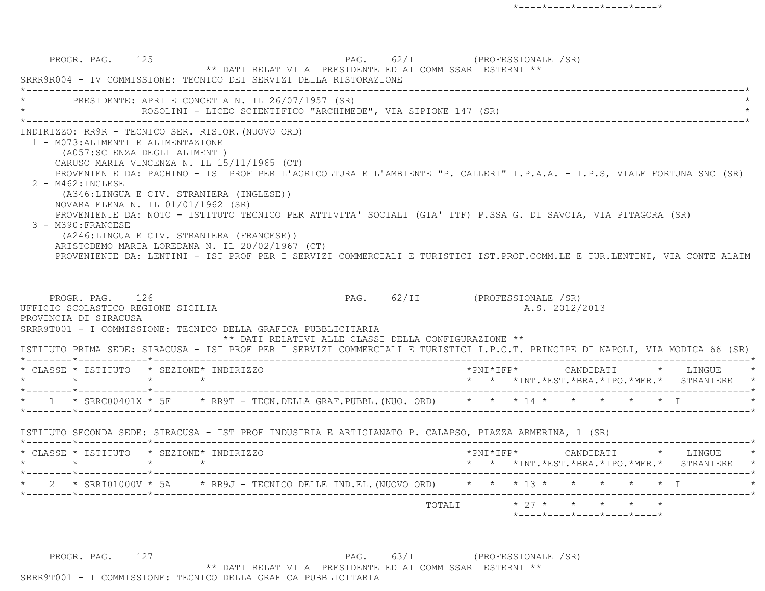PROGR. PAG. 125 PAG. 62/I (PROFESSIONALE /SR) \*\* DATI RELATIVI AL PRESIDENTE ED AI COMMISSARI ESTERNI \*\* SRRR9R004 - IV COMMISSIONE: TECNICO DEI SERVIZI DELLA RISTORAZIONE \*----------------------------------------------------------------------------------------------------------------------------\*PRESIDENTE: APRILE CONCETTA N. IL 26/07/1957 (SR) ROSOLINI - LICEO SCIENTIFICO "ARCHIMEDE", VIA SIPIONE 147 (SR) \*----------------------------------------------------------------------------------------------------------------------------\* INDIRIZZO: RR9R - TECNICO SER. RISTOR.(NUOVO ORD) 1 - M073:ALIMENTI E ALIMENTAZIONE (A057:SCIENZA DEGLI ALIMENTI) CARUSO MARIA VINCENZA N. IL 15/11/1965 (CT) PROVENIENTE DA: PACHINO - IST PROF PER L'AGRICOLTURA E L'AMBIENTE "P. CALLERI" I.P.A.A. - I.P.S, VIALE FORTUNA SNC (SR) 2 - M462:INGLESE (A346:LINGUA E CIV. STRANIERA (INGLESE)) NOVARA ELENA N. IL 01/01/1962 (SR) PROVENIENTE DA: NOTO - ISTITUTO TECNICO PER ATTIVITA' SOCIALI (GIA' ITF) P.SSA G. DI SAVOIA, VIA PITAGORA (SR) 3 - M390:FRANCESE (A246:LINGUA E CIV. STRANIERA (FRANCESE)) ARISTODEMO MARIA LOREDANA N. IL 20/02/1967 (CT) PROVENIENTE DA: LENTINI - IST PROF PER I SERVIZI COMMERCIALI E TURISTICI IST.PROF.COMM.LE E TUR.LENTINI, VIA CONTE ALAIM PROGR. PAG. 126 PAG. PAG. 62/II (PROFESSIONALE /SR) UFFICIO SCOLASTICO REGIONE SICILIA A.S. 2012/2013 PROVINCIA DI SIRACUSA SRRR9T001 - I COMMISSIONE: TECNICO DELLA GRAFICA PUBBLICITARIA \*\* DATI RELATIVI ALLE CLASSI DELLA CONFIGURAZIONE \*\* ISTITUTO PRIMA SEDE: SIRACUSA - IST PROF PER I SERVIZI COMMERCIALI E TURISTICI I.P.C.T. PRINCIPE DI NAPOLI, VIA MODICA 66 (SR) \*--------\*------------\*-------------------------------------------------------------------------------------------------------\* \* CLASSE \* ISTITUTO \* SEZIONE\* INDIRIZZO \*PNI\*IFP\* CANDIDATI \* LINGUE \* \* \* \* \* \* \* \*INT.\*EST.\*BRA.\*IPO.\*MER.\* STRANIERE \* \*--------\*------------\*-------------------------------------------------------------------------------------------------------\* $1 \times$  SRRC00401X  $*$  5F  $*$  RR9T - TECN.DELLA GRAF.PUBBL.(NUO. ORD)  $* \times 14 \times 14$  \*--------\*------------\*-------------------------------------------------------------------------------------------------------\* ISTITUTO SECONDA SEDE: SIRACUSA - IST PROF INDUSTRIA E ARTIGIANATO P. CALAPSO, PIAZZA ARMERINA, 1 (SR) \*--------\*------------\*-------------------------------------------------------------------------------------------------------\* \* CLASSE \* ISTITUTO \* SEZIONE\* INDIRIZZO \*PNI\*IFP\* CANDIDATI \* LINGUE \* \* \* \* \* \* \* \*INT.\*EST.\*BRA.\*IPO.\*MER.\* STRANIERE \* \*--------\*------------\*-------------------------------------------------------------------------------------------------------\*\* 2 \* SRRI01000V \* 5A \* RR9J - TECNICO DELLE IND.EL. (NUOVO ORD) \* \* \*  $13 \times 34 \times 44 \times 54$  \*--------\*------------\*-------------------------------------------------------------------------------------------------------\*TOTALI  $* 27 * * * * * * * * * *$ \*----\*----\*----\*----\*----\*

PROGR. PAG. 127 PAG. 63/I (PROFESSIONALE /SR) \*\* DATI RELATIVI AL PRESIDENTE ED AI COMMISSARI ESTERNI \*\*SRRR9T001 - I COMMISSIONE: TECNICO DELLA GRAFICA PUBBLICITARIA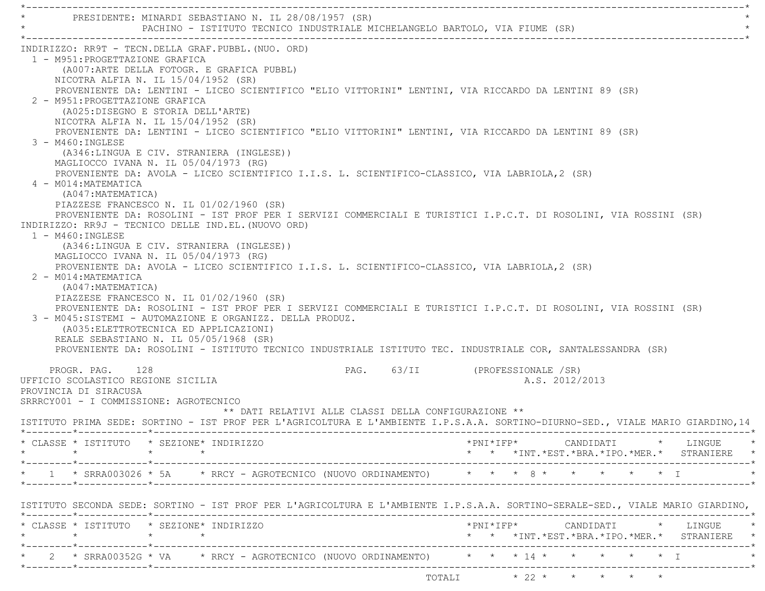|                                                             | PACHINO - ISTITUTO TECNICO INDUSTRIALE MICHELANGELO BARTOLO, VIA FIUME (SR)                                                             |                                                                                                                                 |  |
|-------------------------------------------------------------|-----------------------------------------------------------------------------------------------------------------------------------------|---------------------------------------------------------------------------------------------------------------------------------|--|
|                                                             | INDIRIZZO: RR9T - TECN.DELLA GRAF.PUBBL. (NUO. ORD)                                                                                     |                                                                                                                                 |  |
| 1 - M951: PROGETTAZIONE GRAFICA                             |                                                                                                                                         |                                                                                                                                 |  |
|                                                             | (A007:ARTE DELLA FOTOGR. E GRAFICA PUBBL)                                                                                               |                                                                                                                                 |  |
|                                                             | NICOTRA ALFIA N. IL 15/04/1952 (SR)                                                                                                     |                                                                                                                                 |  |
|                                                             | PROVENIENTE DA: LENTINI - LICEO SCIENTIFICO "ELIO VITTORINI" LENTINI, VIA RICCARDO DA LENTINI 89 (SR)                                   |                                                                                                                                 |  |
| 2 - M951: PROGETTAZIONE GRAFICA                             |                                                                                                                                         |                                                                                                                                 |  |
|                                                             | (A025:DISEGNO E STORIA DELL'ARTE)                                                                                                       |                                                                                                                                 |  |
|                                                             | NICOTRA ALFIA N. IL 15/04/1952 (SR)                                                                                                     |                                                                                                                                 |  |
|                                                             | PROVENIENTE DA: LENTINI - LICEO SCIENTIFICO "ELIO VITTORINI" LENTINI, VIA RICCARDO DA LENTINI 89 (SR)                                   |                                                                                                                                 |  |
| $3 - M460$ : INGLESE                                        |                                                                                                                                         |                                                                                                                                 |  |
|                                                             | (A346:LINGUA E CIV. STRANIERA (INGLESE))                                                                                                |                                                                                                                                 |  |
|                                                             | MAGLIOCCO IVANA N. IL 05/04/1973 (RG)<br>PROVENIENTE DA: AVOLA - LICEO SCIENTIFICO I.I.S. L. SCIENTIFICO-CLASSICO, VIA LABRIOLA, 2 (SR) |                                                                                                                                 |  |
| 4 - M014: MATEMATICA                                        |                                                                                                                                         |                                                                                                                                 |  |
| (A047: MATEMATICA)                                          |                                                                                                                                         |                                                                                                                                 |  |
|                                                             | PIAZZESE FRANCESCO N. IL 01/02/1960 (SR)                                                                                                |                                                                                                                                 |  |
|                                                             |                                                                                                                                         | PROVENIENTE DA: ROSOLINI - IST PROF PER I SERVIZI COMMERCIALI E TURISTICI I.P.C.T. DI ROSOLINI, VIA ROSSINI (SR)                |  |
|                                                             | INDIRIZZO: RR9J - TECNICO DELLE IND.EL. (NUOVO ORD)                                                                                     |                                                                                                                                 |  |
| $1 - M460$ : INGLESE                                        |                                                                                                                                         |                                                                                                                                 |  |
|                                                             | (A346:LINGUA E CIV. STRANIERA (INGLESE))                                                                                                |                                                                                                                                 |  |
|                                                             | MAGLIOCCO IVANA N. IL 05/04/1973 (RG)                                                                                                   |                                                                                                                                 |  |
|                                                             | PROVENIENTE DA: AVOLA - LICEO SCIENTIFICO I.I.S. L. SCIENTIFICO-CLASSICO, VIA LABRIOLA, 2 (SR)                                          |                                                                                                                                 |  |
| 2 - M014: MATEMATICA                                        |                                                                                                                                         |                                                                                                                                 |  |
| (A047: MATEMATICA)                                          |                                                                                                                                         |                                                                                                                                 |  |
|                                                             | PIAZZESE FRANCESCO N. IL 01/02/1960 (SR)                                                                                                |                                                                                                                                 |  |
|                                                             |                                                                                                                                         |                                                                                                                                 |  |
|                                                             |                                                                                                                                         | PROVENIENTE DA: ROSOLINI - IST PROF PER I SERVIZI COMMERCIALI E TURISTICI I.P.C.T. DI ROSOLINI, VIA ROSSINI (SR)                |  |
|                                                             | 3 - M045:SISTEMI - AUTOMAZIONE E ORGANIZZ. DELLA PRODUZ.                                                                                |                                                                                                                                 |  |
|                                                             | (A035: ELETTROTECNICA ED APPLICAZIONI)                                                                                                  |                                                                                                                                 |  |
|                                                             | REALE SEBASTIANO N. IL 05/05/1968 (SR)                                                                                                  |                                                                                                                                 |  |
|                                                             |                                                                                                                                         | PROVENIENTE DA: ROSOLINI - ISTITUTO TECNICO INDUSTRIALE ISTITUTO TEC. INDUSTRIALE COR, SANTALESSANDRA (SR)                      |  |
|                                                             |                                                                                                                                         |                                                                                                                                 |  |
| 128<br>PROGR. PAG.                                          |                                                                                                                                         | PAG. 63/II (PROFESSIONALE /SR)                                                                                                  |  |
| UFFICIO SCOLASTICO REGIONE SICILIA                          |                                                                                                                                         | A.S. 2012/2013                                                                                                                  |  |
| PROVINCIA DI SIRACUSA                                       |                                                                                                                                         |                                                                                                                                 |  |
| SRRRCY001 - I COMMISSIONE: AGROTECNICO                      | ** DATI RELATIVI ALLE CLASSI DELLA CONFIGURAZIONE **                                                                                    |                                                                                                                                 |  |
|                                                             |                                                                                                                                         | ISTITUTO PRIMA SEDE: SORTINO - IST PROF PER L'AGRICOLTURA E L'AMBIENTE I.P.S.A.A. SORTINO-DIURNO-SED., VIALE MARIO GIARDINO, 14 |  |
|                                                             |                                                                                                                                         |                                                                                                                                 |  |
| * CLASSE * ISTITUTO * SEZIONE* INDIRIZZO                    |                                                                                                                                         |                                                                                                                                 |  |
|                                                             |                                                                                                                                         | * * *INT. *EST. *BRA. *IPO. *MER. * STRANIERE *                                                                                 |  |
|                                                             |                                                                                                                                         |                                                                                                                                 |  |
|                                                             |                                                                                                                                         | * 1 * SRRA003026 * 5A * RRCY - AGROTECNICO (NUOVO ORDINAMENTO) * * * 8 * * * * * * * I                                          |  |
|                                                             |                                                                                                                                         |                                                                                                                                 |  |
|                                                             |                                                                                                                                         | ISTITUTO SECONDA SEDE: SORTINO - IST PROF PER L'AGRICOLTURA E L'AMBIENTE I.P.S.A.A. SORTINO-SERALE-SED., VIALE MARIO GIARDINO,  |  |
|                                                             |                                                                                                                                         |                                                                                                                                 |  |
| * CLASSE * ISTITUTO * SEZIONE* INDIRIZZO<br>$\star$ $\star$ | $\star$<br>$\star$                                                                                                                      |                                                                                                                                 |  |
|                                                             |                                                                                                                                         | * * *INT. *EST. *BRA. *IPO. *MER. * STRANIERE *                                                                                 |  |
|                                                             |                                                                                                                                         | * 2 * SRRA00352G * VA * RRCY - AGROTECNICO (NUOVO ORDINAMENTO) * * * 14 * * * * * * * I                                         |  |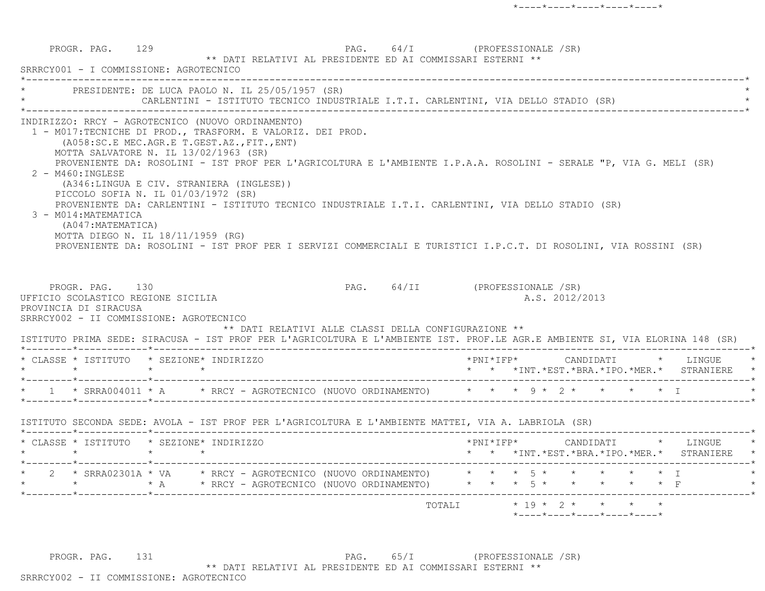PROGR. PAG. 129 PAG. 64/I (PROFESSIONALE /SR) \*\* DATI RELATIVI AL PRESIDENTE ED AI COMMISSARI ESTERNI \*\* SRRRCY001 - I COMMISSIONE: AGROTECNICO \*----------------------------------------------------------------------------------------------------------------------------\*PRESIDENTE: DE LUCA PAOLO N. IL 25/05/1957 (SR) CARLENTINI - ISTITUTO TECNICO INDUSTRIALE I.T.I. CARLENTINI, VIA DELLO STADIO (SR) \*----------------------------------------------------------------------------------------------------------------------------\* INDIRIZZO: RRCY - AGROTECNICO (NUOVO ORDINAMENTO) 1 - M017:TECNICHE DI PROD., TRASFORM. E VALORIZ. DEI PROD. (A058:SC.E MEC.AGR.E T.GEST.AZ.,FIT.,ENT) MOTTA SALVATORE N. IL 13/02/1963 (SR) PROVENIENTE DA: ROSOLINI - IST PROF PER L'AGRICOLTURA E L'AMBIENTE I.P.A.A. ROSOLINI - SERALE "P, VIA G. MELI (SR) 2 - M460:INGLESE (A346:LINGUA E CIV. STRANIERA (INGLESE)) PICCOLO SOFIA N. IL 01/03/1972 (SR) PROVENIENTE DA: CARLENTINI - ISTITUTO TECNICO INDUSTRIALE I.T.I. CARLENTINI, VIA DELLO STADIO (SR) 3 - M014:MATEMATICA (A047:MATEMATICA) MOTTA DIEGO N. IL 18/11/1959 (RG) PROVENIENTE DA: ROSOLINI - IST PROF PER I SERVIZI COMMERCIALI E TURISTICI I.P.C.T. DI ROSOLINI, VIA ROSSINI (SR) PROGR. PAG. 130 PAG. PAG. 64/II (PROFESSIONALE /SR) UFFICIO SCOLASTICO REGIONE SICILIA A.S. 2012/2013 PROVINCIA DI SIRACUSA SRRRCY002 - II COMMISSIONE: AGROTECNICO \*\* DATI RELATIVI ALLE CLASSI DELLA CONFIGURAZIONE \*\* ISTITUTO PRIMA SEDE: SIRACUSA - IST PROF PER L'AGRICOLTURA E L'AMBIENTE IST. PROF.LE AGR.E AMBIENTE SI, VIA ELORINA 148 (SR) \*--------\*------------\*-------------------------------------------------------------------------------------------------------\* \* CLASSE \* ISTITUTO \* SEZIONE\* INDIRIZZO \*PNI\*IFP\* CANDIDATI \* LINGUE \* \* \* \* \* \* \* \*INT.\*EST.\*BRA.\*IPO.\*MER.\* STRANIERE \* \*--------\*------------\*-------------------------------------------------------------------------------------------------------\* $1$  \* SRRA004011 \* A  $\quad$  \* RRCY - AGROTECNICO (NUOVO ORDINAMENTO)  $\quad$  \* \* \* 9 \* 2 \* \* \* \* \* \* T \*--------\*------------\*-------------------------------------------------------------------------------------------------------\* ISTITUTO SECONDA SEDE: AVOLA - IST PROF PER L'AGRICOLTURA E L'AMBIENTE MATTEI, VIA A. LABRIOLA (SR) \*--------\*------------\*-------------------------------------------------------------------------------------------------------\* \* CLASSE \* ISTITUTO \* SEZIONE\* INDIRIZZO \*PNI\*IFP\* CANDIDATI \* LINGUE \* \* \* \* \* \* \* \*INT.\*EST.\*BRA.\*IPO.\*MER.\* STRANIERE \* \*--------\*------------\*-------------------------------------------------------------------------------------------------------\* \* 2 \* SRRA02301A \* VA \* RRCY - AGROTECNICO (NUOVO ORDINAMENTO) \* \* \* 5 \* \* \* \* \* I \* \* \* \* A \* RRCY - AGROTECNICO (NUOVO ORDINAMENTO) \* \* \* 5 \* \* \* \* \* F \* \*--------\*------------\*-------------------------------------------------------------------------------------------------------\* $\texttt{TOTAL} \qquad \qquad \star \quad 19 \; \star \quad 2 \; \star \qquad \star \qquad \star \qquad \star \qquad \star$  $*$ ---- $*$ ---- $*$ ---- $*$ ---- $*$ 

PROGR. PAG. 131 **PAG.** 65/I (PROFESSIONALE /SR) \*\* DATI RELATIVI AL PRESIDENTE ED AI COMMISSARI ESTERNI \*\*SRRRCY002 - II COMMISSIONE: AGROTECNICO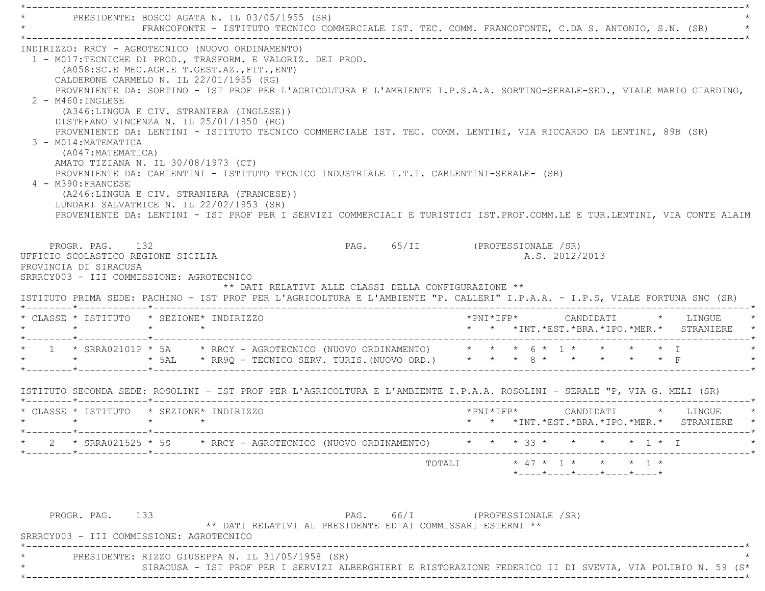| * PRESIDENTE: BOSCO AGATA N. IL 03/05/1955 (SR)                                                                                                                                                                                                                                                                                                           | FRANCOFONTE - ISTITUTO TECNICO COMMERCIALE IST. TEC. COMM. FRANCOFONTE, C.DA S. ANTONIO, S.N. (SR) |  |  |                                                      |                                |           |  |                |  |                                                                                           |  |                                                                                   |
|-----------------------------------------------------------------------------------------------------------------------------------------------------------------------------------------------------------------------------------------------------------------------------------------------------------------------------------------------------------|----------------------------------------------------------------------------------------------------|--|--|------------------------------------------------------|--------------------------------|-----------|--|----------------|--|-------------------------------------------------------------------------------------------|--|-----------------------------------------------------------------------------------|
| INDIRIZZO: RRCY - AGROTECNICO (NUOVO ORDINAMENTO)<br>1 - M017:TECNICHE DI PROD., TRASFORM. E VALORIZ. DEI PROD.<br>(A058:SC.E MEC.AGR.E T.GEST.AZ., FIT., ENT)<br>CALDERONE CARMELO N. IL 22/01/1955 (RG)<br>PROVENIENTE DA: SORTINO - IST PROF PER L'AGRICOLTURA E L'AMBIENTE I.P.S.A.A. SORTINO-SERALE-SED., VIALE MARIO GIARDINO,<br>2 - M460: INGLESE |                                                                                                    |  |  |                                                      |                                |           |  |                |  |                                                                                           |  |                                                                                   |
| (A346:LINGUA E CIV. STRANIERA (INGLESE))<br>DISTEFANO VINCENZA N. IL 25/01/1950 (RG)<br>PROVENIENTE DA: LENTINI - ISTITUTO TECNICO COMMERCIALE IST. TEC. COMM. LENTINI, VIA RICCARDO DA LENTINI, 89B (SR)                                                                                                                                                 |                                                                                                    |  |  |                                                      |                                |           |  |                |  |                                                                                           |  |                                                                                   |
| 3 - M014: MATEMATICA<br>(A047: MATEMATICA)<br>AMATO TIZIANA N. IL 30/08/1973 (CT)                                                                                                                                                                                                                                                                         |                                                                                                    |  |  |                                                      |                                |           |  |                |  |                                                                                           |  |                                                                                   |
| PROVENIENTE DA: CARLENTINI - ISTITUTO TECNICO INDUSTRIALE I.T.I. CARLENTINI-SERALE- (SR)<br>4 - M390: FRANCESE<br>(A246:LINGUA E CIV. STRANIERA (FRANCESE))<br>LUNDARI SALVATRICE N. IL 22/02/1953 (SR)<br>PROVENIENTE DA: LENTINI - IST PROF PER I SERVIZI COMMERCIALI E TURISTICI IST.PROF.COMM.LE E TUR.LENTINI, VIA CONTE ALAIM                       |                                                                                                    |  |  |                                                      |                                |           |  |                |  |                                                                                           |  |                                                                                   |
|                                                                                                                                                                                                                                                                                                                                                           |                                                                                                    |  |  |                                                      | PAG. 65/II (PROFESSIONALE /SR) |           |  |                |  |                                                                                           |  |                                                                                   |
| PROGR. PAG. 132<br>UFFICIO SCOLASTICO REGIONE SICILIA<br>PROVINCIA DI SIRACUSA<br>SRRRCY003 - III COMMISSIONE: AGROTECNICO                                                                                                                                                                                                                                |                                                                                                    |  |  | ** DATI RELATIVI ALLE CLASSI DELLA CONFIGURAZIONE ** |                                |           |  | A.S. 2012/2013 |  |                                                                                           |  |                                                                                   |
| ISTITUTO PRIMA SEDE: PACHINO - IST PROF PER L'AGRICOLTURA E L'AMBIENTE "P. CALLERI" I.P.A.A. - I.P.S, VIALE FORTUNA SNC (SR)<br>* CLASSE * ISTITUTO * SEZIONE* INDIRIZZO                                                                                                                                                                                  |                                                                                                    |  |  |                                                      |                                |           |  |                |  |                                                                                           |  | *PNI*IFP*     CANDIDATI    *   LINGUE<br>* * *INT.*EST.*BRA.*IPO.*MER.* STRANIERE |
| * 1 * SRRA02101P * 5A * RRCY - AGROTECNICO (NUOVO ORDINAMENTO) * * * * 6 * 1 * * * * * * I<br>* * * * * 5AL * RR9Q - TECNICO SERV. TURIS.(NUOVO ORD.) * * * * 8 * * * * * * F                                                                                                                                                                             |                                                                                                    |  |  |                                                      |                                |           |  |                |  |                                                                                           |  |                                                                                   |
| ISTITUTO SECONDA SEDE: ROSOLINI - IST PROF PER L'AGRICOLTURA E L'AMBIENTE I.P.A.A. ROSOLINI - SERALE "P, VIA G. MELI (SR)                                                                                                                                                                                                                                 |                                                                                                    |  |  |                                                      |                                |           |  |                |  |                                                                                           |  |                                                                                   |
| * CLASSE * ISTITUTO * SEZIONE* INDIRIZZO                                                                                                                                                                                                                                                                                                                  |                                                                                                    |  |  |                                                      |                                | *PNI*IFP* |  |                |  |                                                                                           |  | CANDIDATI * LINGUE<br>* * *INT. *EST. *BRA. *IPO. *MER. * STRANIERE               |
| * SRRA021525 * 5S                                                                                                                                                                                                                                                                                                                                         |                                                                                                    |  |  | * RRCY - AGROTECNICO (NUOVO ORDINAMENTO)             |                                |           |  |                |  | * * * 33 * * * * * 1 * I                                                                  |  |                                                                                   |
|                                                                                                                                                                                                                                                                                                                                                           |                                                                                                    |  |  |                                                      | TOTALI                         |           |  |                |  | $* 47 * 1 * * * * 1 *$<br>$*$ - - - - $*$ - - - - $*$ - - - - $*$ - - - - $*$ - - - - $*$ |  |                                                                                   |

 \* SIRACUSA - IST PROF PER I SERVIZI ALBERGHIERI E RISTORAZIONE FEDERICO II DI SVEVIA, VIA POLIBIO N. 59 (S\* \*----------------------------------------------------------------------------------------------------------------------------\*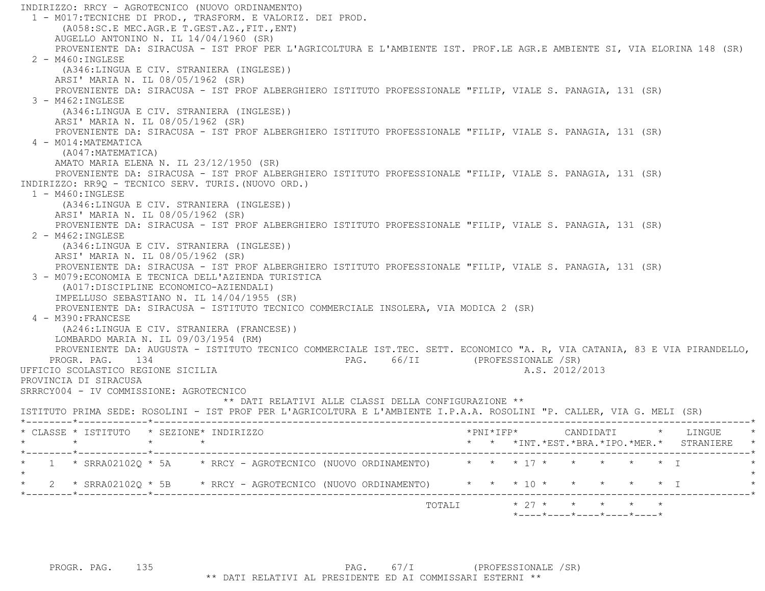INDIRIZZO: RRCY - AGROTECNICO (NUOVO ORDINAMENTO) 1 - M017:TECNICHE DI PROD., TRASFORM. E VALORIZ. DEI PROD. (A058:SC.E MEC.AGR.E T.GEST.AZ.,FIT.,ENT) AUGELLO ANTONINO N. IL 14/04/1960 (SR) PROVENIENTE DA: SIRACUSA - IST PROF PER L'AGRICOLTURA E L'AMBIENTE IST. PROF.LE AGR.E AMBIENTE SI, VIA ELORINA 148 (SR) 2 - M460:INGLESE (A346:LINGUA E CIV. STRANIERA (INGLESE)) ARSI' MARIA N. IL 08/05/1962 (SR) PROVENIENTE DA: SIRACUSA - IST PROF ALBERGHIERO ISTITUTO PROFESSIONALE "FILIP, VIALE S. PANAGIA, 131 (SR)  $3 - M462 \cdot INGIERSE$  (A346:LINGUA E CIV. STRANIERA (INGLESE)) ARSI' MARIA N. IL 08/05/1962 (SR) PROVENIENTE DA: SIRACUSA - IST PROF ALBERGHIERO ISTITUTO PROFESSIONALE "FILIP, VIALE S. PANAGIA, 131 (SR) 4 - M014:MATEMATICA (A047:MATEMATICA) AMATO MARIA ELENA N. IL 23/12/1950 (SR) PROVENIENTE DA: SIRACUSA - IST PROF ALBERGHIERO ISTITUTO PROFESSIONALE "FILIP, VIALE S. PANAGIA, 131 (SR) INDIRIZZO: RR9Q - TECNICO SERV. TURIS.(NUOVO ORD.) 1 - M460:INGLESE (A346:LINGUA E CIV. STRANIERA (INGLESE)) ARSI' MARIA N. IL 08/05/1962 (SR) PROVENIENTE DA: SIRACUSA - IST PROF ALBERGHIERO ISTITUTO PROFESSIONALE "FILIP, VIALE S. PANAGIA, 131 (SR) 2 - M462:INGLESE (A346:LINGUA E CIV. STRANIERA (INGLESE)) ARSI' MARIA N. IL 08/05/1962 (SR) PROVENIENTE DA: SIRACUSA - IST PROF ALBERGHIERO ISTITUTO PROFESSIONALE "FILIP, VIALE S. PANAGIA, 131 (SR) 3 - M079:ECONOMIA E TECNICA DELL'AZIENDA TURISTICA (A017:DISCIPLINE ECONOMICO-AZIENDALI) IMPELLUSO SEBASTIANO N. IL 14/04/1955 (SR) PROVENIENTE DA: SIRACUSA - ISTITUTO TECNICO COMMERCIALE INSOLERA, VIA MODICA 2 (SR) 4 - M390:FRANCESE (A246:LINGUA E CIV. STRANIERA (FRANCESE)) LOMBARDO MARIA N. IL 09/03/1954 (RM) PROVENIENTE DA: AUGUSTA - ISTITUTO TECNICO COMMERCIALE IST.TEC. SETT. ECONOMICO "A. R, VIA CATANIA, 83 E VIA PIRANDELLO, PROGR. PAG. 134 PAG. 66/II (PROFESSIONALE /SR) UFFICIO SCOLASTICO REGIONE SICILIA A.S. 2012/2013 PROVINCIA DI SIRACUSA SRRRCY004 - IV COMMISSIONE: AGROTECNICO \*\* DATI RELATIVI ALLE CLASSI DELLA CONFIGURAZIONE \*\* ISTITUTO PRIMA SEDE: ROSOLINI - IST PROF PER L'AGRICOLTURA E L'AMBIENTE I.P.A.A. ROSOLINI "P. CALLER, VIA G. MELI (SR) \*--------\*------------\*-------------------------------------------------------------------------------------------------------\* \* CLASSE \* ISTITUTO \* SEZIONE\* INDIRIZZO \*PNI\*IFP\* CANDIDATI \* LINGUE \* \* \* \* \* \* \* \*INT.\*EST.\*BRA.\*IPO.\*MER.\* STRANIERE \* \*--------\*------------\*-------------------------------------------------------------------------------------------------------\*\* 1 \* SRRA02102Q \* 5A \* RRCY - AGROTECNICO (NUOVO ORDINAMENTO) \* \* \* \* 17 \* \* \* \* \* \* \* I  $\star$  $*$  2  $*$  SRRA021020  $*$  5B  $*$  RRCY - AGROTECNICO (NUOVO ORDINAMENTO)  $*$   $*$   $*$  10  $*$   $*$   $*$   $*$   $*$   $*$  I \*--------\*------------\*-------------------------------------------------------------------------------------------------------\*TOTALI  $* 27 * * * * * * * * *$ \*----\*----\*----\*----\*----\*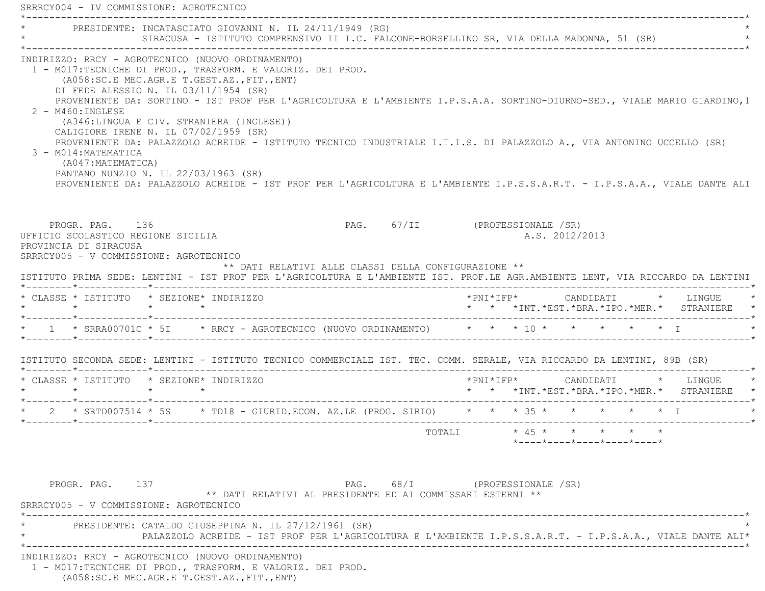SRRRCY004 - IV COMMISSIONE: AGROTECNICO \*----------------------------------------------------------------------------------------------------------------------------\*PRESIDENTE: INCATASCIATO GIOVANNI N. IL 24/11/1949 (RG) SIRACUSA - ISTITUTO COMPRENSIVO II I.C. FALCONE-BORSELLINO SR, VIA DELLA MADONNA, 51 (SR) \*----------------------------------------------------------------------------------------------------------------------------\* INDIRIZZO: RRCY - AGROTECNICO (NUOVO ORDINAMENTO) 1 - M017:TECNICHE DI PROD., TRASFORM. E VALORIZ. DEI PROD. (A058:SC.E MEC.AGR.E T.GEST.AZ.,FIT.,ENT) DI FEDE ALESSIO N. IL 03/11/1954 (SR) PROVENIENTE DA: SORTINO - IST PROF PER L'AGRICOLTURA E L'AMBIENTE I.P.S.A.A. SORTINO-DIURNO-SED., VIALE MARIO GIARDINO,1 2 - M460:INGLESE (A346:LINGUA E CIV. STRANIERA (INGLESE)) CALIGIORE IRENE N. IL 07/02/1959 (SR) PROVENIENTE DA: PALAZZOLO ACREIDE - ISTITUTO TECNICO INDUSTRIALE I.T.I.S. DI PALAZZOLO A., VIA ANTONINO UCCELLO (SR) 3 - M014:MATEMATICA (A047:MATEMATICA) PANTANO NUNZIO N. IL 22/03/1963 (SR) PROVENIENTE DA: PALAZZOLO ACREIDE - IST PROF PER L'AGRICOLTURA E L'AMBIENTE I.P.S.S.A.R.T. - I.P.S.A.A., VIALE DANTE ALI PROGR. PAG. 136 PAG. PAG. 67/II (PROFESSIONALE /SR) UFFICIO SCOLASTICO REGIONE SICILIA A.S. 2012/2013 PROVINCIA DI SIRACUSA SRRRCY005 - V COMMISSIONE: AGROTECNICO \*\* DATI RELATIVI ALLE CLASSI DELLA CONFIGURAZIONE \*\* ISTITUTO PRIMA SEDE: LENTINI - IST PROF PER L'AGRICOLTURA E L'AMBIENTE IST. PROF.LE AGR.AMBIENTE LENT, VIA RICCARDO DA LENTINI \*--------\*------------\*-------------------------------------------------------------------------------------------------------\* \* CLASSE \* ISTITUTO \* SEZIONE\* INDIRIZZO \*PNI\*IFP\* CANDIDATI \* LINGUE \* \* \* \* \* \* \* \*INT.\*EST.\*BRA.\*IPO.\*MER.\* STRANIERE \* \*--------\*------------\*-------------------------------------------------------------------------------------------------------\* \* 1 \* SRRA00701C \* 5I \* RRCY - AGROTECNICO (NUOVO ORDINAMENTO) \* \* \* 10 \* \* \* \* \* I \* \*--------\*------------\*-------------------------------------------------------------------------------------------------------\* ISTITUTO SECONDA SEDE: LENTINI - ISTITUTO TECNICO COMMERCIALE IST. TEC. COMM. SERALE, VIA RICCARDO DA LENTINI, 89B (SR) \*--------\*------------\*-------------------------------------------------------------------------------------------------------\* \* CLASSE \* ISTITUTO \* SEZIONE\* INDIRIZZO \*PNI\*IFP\* CANDIDATI \* LINGUE \* \* \* \* \* \* \* \*INT.\*EST.\*BRA.\*IPO.\*MER.\* STRANIERE \* \*--------\*------------\*-------------------------------------------------------------------------------------------------------\*2 \* SRTD007514 \* 5S \* TD18 - GIURID.ECON. AZ.LE (PROG. SIRIO) \* \* \* \* 35 \* \* \* \* \* \* \* I \*--------\*------------\*-------------------------------------------------------------------------------------------------------\* TOTALI \* 45 \* \* \* \* \* \*----\*----\*----\*----\*----\*PROGR. PAG. 137 CPROFESSIONALE (SR) \*\* DATI RELATIVI AL PRESIDENTE ED AI COMMISSARI ESTERNI \*\* SRRRCY005 - V COMMISSIONE: AGROTECNICO \*----------------------------------------------------------------------------------------------------------------------------\*PRESIDENTE: CATALDO GIUSEPPINA N. IL 27/12/1961 (SR) \* PALAZZOLO ACREIDE - IST PROF PER L'AGRICOLTURA E L'AMBIENTE I.P.S.S.A.R.T. - I.P.S.A.A., VIALE DANTE ALI\* \*----------------------------------------------------------------------------------------------------------------------------\* INDIRIZZO: RRCY - AGROTECNICO (NUOVO ORDINAMENTO) 1 - M017:TECNICHE DI PROD., TRASFORM. E VALORIZ. DEI PROD.

(A058:SC.E MEC.AGR.E T.GEST.AZ.,FIT.,ENT)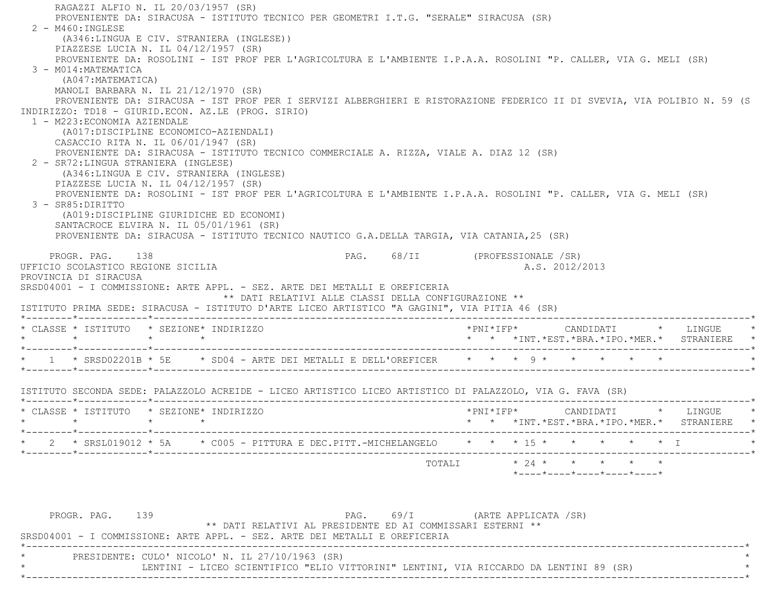RAGAZZI ALFIO N. IL 20/03/1957 (SR) PROVENIENTE DA: SIRACUSA - ISTITUTO TECNICO PER GEOMETRI I.T.G. "SERALE" SIRACUSA (SR)  $2 - M460 : INGLESE$  (A346:LINGUA E CIV. STRANIERA (INGLESE)) PIAZZESE LUCIA N. IL 04/12/1957 (SR) PROVENIENTE DA: ROSOLINI - IST PROF PER L'AGRICOLTURA E L'AMBIENTE I.P.A.A. ROSOLINI "P. CALLER, VIA G. MELI (SR) 3 - M014:MATEMATICA (A047:MATEMATICA) MANOLI BARBARA N. IL 21/12/1970 (SR) PROVENIENTE DA: SIRACUSA - IST PROF PER I SERVIZI ALBERGHIERI E RISTORAZIONE FEDERICO II DI SVEVIA, VIA POLIBIO N. 59 (S INDIRIZZO: TD18 - GIURID.ECON. AZ.LE (PROG. SIRIO) 1 - M223:ECONOMIA AZIENDALE (A017:DISCIPLINE ECONOMICO-AZIENDALI) CASACCIO RITA N. IL 06/01/1947 (SR) PROVENIENTE DA: SIRACUSA - ISTITUTO TECNICO COMMERCIALE A. RIZZA, VIALE A. DIAZ 12 (SR) 2 - SR72:LINGUA STRANIERA (INGLESE) (A346:LINGUA E CIV. STRANIERA (INGLESE) PIAZZESE LUCIA N. IL 04/12/1957 (SR) PROVENIENTE DA: ROSOLINI - IST PROF PER L'AGRICOLTURA E L'AMBIENTE I.P.A.A. ROSOLINI "P. CALLER, VIA G. MELI (SR) 3 - SR85:DIRITTO (A019:DISCIPLINE GIURIDICHE ED ECONOMI) SANTACROCE ELVIRA N. IL 05/01/1961 (SR) PROVENIENTE DA: SIRACUSA - ISTITUTO TECNICO NAUTICO G.A.DELLA TARGIA, VIA CATANIA,25 (SR) PROGR. PAG. 138 PAG. 68/II (PROFESSIONALE /SR) UFFICIO SCOLASTICO REGIONE SICILIA A.S. 2012/2013 PROVINCIA DI SIRACUSA SRSD04001 - I COMMISSIONE: ARTE APPL. - SEZ. ARTE DEI METALLI E OREFICERIA \*\* DATI RELATIVI ALLE CLASSI DELLA CONFIGURAZIONE \*\* ISTITUTO PRIMA SEDE: SIRACUSA - ISTITUTO D'ARTE LICEO ARTISTICO "A GAGINI", VIA PITIA 46 (SR) \*--------\*------------\*-------------------------------------------------------------------------------------------------------\* \* CLASSE \* ISTITUTO \* SEZIONE\* INDIRIZZO \*PNI\*IFP\* CANDIDATI \* LINGUE \* \* \* \* \* \* \* \*INT.\*EST.\*BRA.\*IPO.\*MER.\* STRANIERE \* \*--------\*------------\*-------------------------------------------------------------------------------------------------------\*\* 1 \* SRSD02201B \* 5E \* SD04 - ARTE DEI METALLI E DELL'OREFICER \* \* \* 9 \* \* \* \* \* \* \* \*--------\*------------\*-------------------------------------------------------------------------------------------------------\* ISTITUTO SECONDA SEDE: PALAZZOLO ACREIDE - LICEO ARTISTICO LICEO ARTISTICO DI PALAZZOLO, VIA G. FAVA (SR) \*--------\*------------\*-------------------------------------------------------------------------------------------------------\* \* CLASSE \* ISTITUTO \* SEZIONE\* INDIRIZZO \*PNI\*IFP\* CANDIDATI \* LINGUE \* \* \* \* \* \* \* \*INT.\*EST.\*BRA.\*IPO.\*MER.\* STRANIERE \* \*--------\*------------\*-------------------------------------------------------------------------------------------------------\* \* 2 \* SRSL019012 \* 5A \* C005 - PITTURA E DEC.PITT.-MICHELANGELO \* \* \* 15 \* \* \* \* \* I \* \*--------\*------------\*-------------------------------------------------------------------------------------------------------\* $\texttt{TOTAL} \qquad \qquad \star \quad 24 \; \star \qquad \star \qquad \star \qquad \star \qquad \star \qquad \star$  \*----\*----\*----\*----\*----\*PROGR. PAG. 139 **PROGR. PAG.** 69/I (ARTE APPLICATA /SR) \*\* DATI RELATIVI AL PRESIDENTE ED AI COMMISSARI ESTERNI \*\* SRSD04001 - I COMMISSIONE: ARTE APPL. - SEZ. ARTE DEI METALLI E OREFICERIA\*----------------------------------------------------------------------------------------------------------------------------\*

PRESIDENTE: CULO' NICOLO' N. IL 27/10/1963 (SR)

LENTINI - LICEO SCIENTIFICO "ELIO VITTORINI" LENTINI, VIA RICCARDO DA LENTINI 89 (SR) \*----------------------------------------------------------------------------------------------------------------------------\*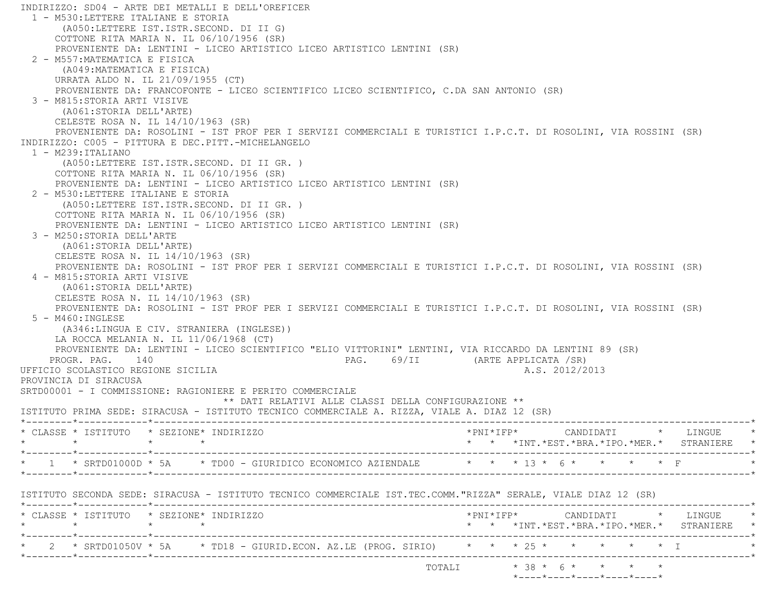INDIRIZZO: SD04 - ARTE DEI METALLI E DELL'OREFICER 1 - M530:LETTERE ITALIANE E STORIA (A050:LETTERE IST.ISTR.SECOND. DI II G) COTTONE RITA MARIA N. IL 06/10/1956 (SR) PROVENIENTE DA: LENTINI - LICEO ARTISTICO LICEO ARTISTICO LENTINI (SR) 2 - M557:MATEMATICA E FISICA (A049:MATEMATICA E FISICA) URRATA ALDO N. IL 21/09/1955 (CT) PROVENIENTE DA: FRANCOFONTE - LICEO SCIENTIFICO LICEO SCIENTIFICO, C.DA SAN ANTONIO (SR) 3 - M815:STORIA ARTI VISIVE (A061:STORIA DELL'ARTE) CELESTE ROSA N. IL 14/10/1963 (SR) PROVENIENTE DA: ROSOLINI - IST PROF PER I SERVIZI COMMERCIALI E TURISTICI I.P.C.T. DI ROSOLINI, VIA ROSSINI (SR) INDIRIZZO: C005 - PITTURA E DEC.PITT.-MICHELANGELO 1 - M239:ITALIANO (A050:LETTERE IST.ISTR.SECOND. DI II GR. ) COTTONE RITA MARIA N. IL 06/10/1956 (SR) PROVENIENTE DA: LENTINI - LICEO ARTISTICO LICEO ARTISTICO LENTINI (SR) 2 - M530:LETTERE ITALIANE E STORIA (A050:LETTERE IST.ISTR.SECOND. DI II GR. ) COTTONE RITA MARIA N. IL 06/10/1956 (SR) PROVENIENTE DA: LENTINI - LICEO ARTISTICO LICEO ARTISTICO LENTINI (SR) 3 - M250:STORIA DELL'ARTE (A061:STORIA DELL'ARTE) CELESTE ROSA N. IL 14/10/1963 (SR) PROVENIENTE DA: ROSOLINI - IST PROF PER I SERVIZI COMMERCIALI E TURISTICI I.P.C.T. DI ROSOLINI, VIA ROSSINI (SR) 4 - M815:STORIA ARTI VISIVE (A061:STORIA DELL'ARTE) CELESTE ROSA N. IL 14/10/1963 (SR) PROVENIENTE DA: ROSOLINI - IST PROF PER I SERVIZI COMMERCIALI E TURISTICI I.P.C.T. DI ROSOLINI, VIA ROSSINI (SR) 5 - M460:INGLESE (A346:LINGUA E CIV. STRANIERA (INGLESE)) LA ROCCA MELANIA N. IL 11/06/1968 (CT) PROVENIENTE DA: LENTINI - LICEO SCIENTIFICO "ELIO VITTORINI" LENTINI, VIA RICCARDO DA LENTINI 89 (SR) PROGR. PAG. 140 PAG. 69/II (ARTE APPLICATA /SR) UFFICIO SCOLASTICO REGIONE SICILIA A.S. 2012/2013 PROVINCIA DI SIRACUSA SRTD00001 - I COMMISSIONE: RAGIONIERE E PERITO COMMERCIALE \*\* DATI RELATIVI ALLE CLASSI DELLA CONFIGURAZIONE \*\* ISTITUTO PRIMA SEDE: SIRACUSA - ISTITUTO TECNICO COMMERCIALE A. RIZZA, VIALE A. DIAZ 12 (SR) \*--------\*------------\*-------------------------------------------------------------------------------------------------------\* \* CLASSE \* ISTITUTO \* SEZIONE\* INDIRIZZO \*PNI\*IFP\* CANDIDATI \* LINGUE \* \* \* \* \* \* \* \*INT.\*EST.\*BRA.\*IPO.\*MER.\* STRANIERE \* \*--------\*------------\*-------------------------------------------------------------------------------------------------------\*\* 1 \* SRTD01000D \* 5A \* TD00 - GIURIDICO ECONOMICO AZIENDALE \* \* \* 13 \* 6 \* \* \* \* \* \* F \*--------\*------------\*-------------------------------------------------------------------------------------------------------\* ISTITUTO SECONDA SEDE: SIRACUSA - ISTITUTO TECNICO COMMERCIALE IST.TEC.COMM."RIZZA" SERALE, VIALE DIAZ 12 (SR) \*--------\*------------\*-------------------------------------------------------------------------------------------------------\* \* CLASSE \* ISTITUTO \* SEZIONE\* INDIRIZZO \*PNI\*IFP\* CANDIDATI \* LINGUE \* \* \* \* \* \* \* \*INT.\*EST.\*BRA.\*IPO.\*MER.\* STRANIERE \* \*--------\*------------\*-------------------------------------------------------------------------------------------------------\* \* 2 \* SRTD01050V \* 5A \* TD18 - GIURID.ECON. AZ.LE (PROG. SIRIO) \* \* \* 25 \* \* \* \* \* I \* \*--------\*------------\*-------------------------------------------------------------------------------------------------------\* TOTALI \* 38 \* 6 \* \* \* \*\*----\*----\*----\*----\*----\*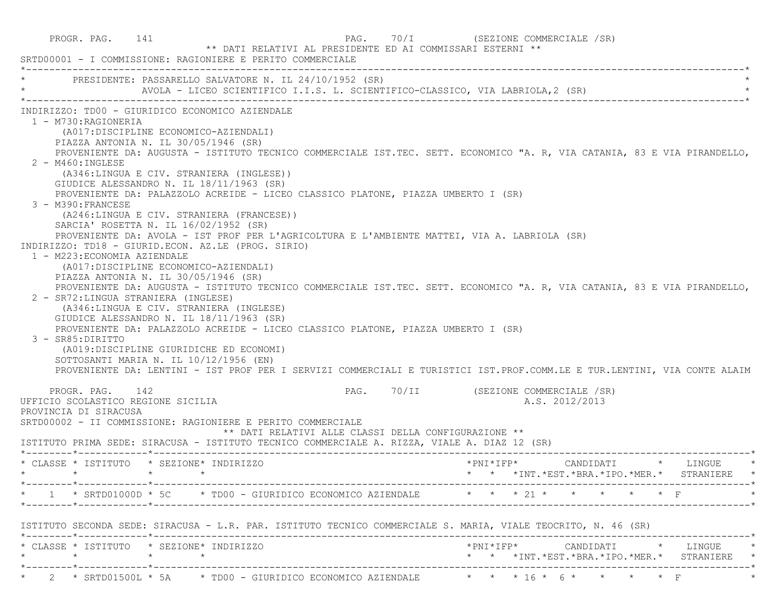| PROGR. PAG. 141<br>PAG.<br>** DATI RELATIVI AL PRESIDENTE ED AI COMMISSARI ESTERNI **<br>SRTD00001 - I COMMISSIONE: RAGIONIERE E PERITO COMMERCIALE                                                                                                                                                                                                                                                                                                                                                                                                                                                                                                                                                                                                                                                                                                                                                                                                                                                                                                                             | 70/I<br>(SEZIONE COMMERCIALE /SR)                                                                                                                                                                                                                                                                                                                                                |
|---------------------------------------------------------------------------------------------------------------------------------------------------------------------------------------------------------------------------------------------------------------------------------------------------------------------------------------------------------------------------------------------------------------------------------------------------------------------------------------------------------------------------------------------------------------------------------------------------------------------------------------------------------------------------------------------------------------------------------------------------------------------------------------------------------------------------------------------------------------------------------------------------------------------------------------------------------------------------------------------------------------------------------------------------------------------------------|----------------------------------------------------------------------------------------------------------------------------------------------------------------------------------------------------------------------------------------------------------------------------------------------------------------------------------------------------------------------------------|
| PRESIDENTE: PASSARELLO SALVATORE N. IL 24/10/1952 (SR)<br>AVOLA - LICEO SCIENTIFICO I.I.S. L. SCIENTIFICO-CLASSICO, VIA LABRIOLA, 2 (SR)                                                                                                                                                                                                                                                                                                                                                                                                                                                                                                                                                                                                                                                                                                                                                                                                                                                                                                                                        |                                                                                                                                                                                                                                                                                                                                                                                  |
| INDIRIZZO: TD00 - GIURIDICO ECONOMICO AZIENDALE<br>1 - M730:RAGIONERIA<br>(A017:DISCIPLINE ECONOMICO-AZIENDALI)<br>PIAZZA ANTONIA N. IL 30/05/1946 (SR)<br>$2 - M460$ : INGLESE<br>(A346:LINGUA E CIV. STRANIERA (INGLESE))<br>GIUDICE ALESSANDRO N. IL 18/11/1963 (SR)<br>PROVENIENTE DA: PALAZZOLO ACREIDE - LICEO CLASSICO PLATONE, PIAZZA UMBERTO I (SR)<br>3 - M390: FRANCESE<br>(A246:LINGUA E CIV. STRANIERA (FRANCESE))<br>SARCIA' ROSETTA N. IL 16/02/1952 (SR)<br>PROVENIENTE DA: AVOLA - IST PROF PER L'AGRICOLTURA E L'AMBIENTE MATTEI, VIA A. LABRIOLA (SR)<br>INDIRIZZO: TD18 - GIURID.ECON. AZ.LE (PROG. SIRIO)<br>1 - M223: ECONOMIA AZIENDALE<br>(A017:DISCIPLINE ECONOMICO-AZIENDALI)<br>PIAZZA ANTONIA N. IL 30/05/1946 (SR)<br>2 - SR72: LINGUA STRANIERA (INGLESE)<br>(A346:LINGUA E CIV. STRANIERA (INGLESE)<br>GIUDICE ALESSANDRO N. IL 18/11/1963 (SR)<br>PROVENIENTE DA: PALAZZOLO ACREIDE - LICEO CLASSICO PLATONE, PIAZZA UMBERTO I (SR)<br>3 - SR85: DIRITTO<br>(A019:DISCIPLINE GIURIDICHE ED ECONOMI)<br>SOTTOSANTI MARIA N. IL $10/12/1956$ (EN) | PROVENIENTE DA: AUGUSTA - ISTITUTO TECNICO COMMERCIALE IST.TEC. SETT. ECONOMICO "A. R, VIA CATANIA, 83 E VIA PIRANDELLO,<br>PROVENIENTE DA: AUGUSTA - ISTITUTO TECNICO COMMERCIALE IST.TEC. SETT. ECONOMICO "A. R, VIA CATANIA, 83 E VIA PIRANDELLO,<br>PROVENIENTE DA: LENTINI - IST PROF PER I SERVIZI COMMERCIALI E TURISTICI IST.PROF.COMM.LE E TUR.LENTINI, VIA CONTE ALAIM |
| PROGR. PAG. 142<br>UFFICIO SCOLASTICO REGIONE SICILIA<br>PROVINCIA DI SIRACUSA<br>SRTD00002 - II COMMISSIONE: RAGIONIERE E PERITO COMMERCIALE<br>** DATI RELATIVI ALLE CLASSI DELLA CONFIGURAZIONE **<br>ISTITUTO PRIMA SEDE: SIRACUSA - ISTITUTO TECNICO COMMERCIALE A. RIZZA, VIALE A. DIAZ 12 (SR)                                                                                                                                                                                                                                                                                                                                                                                                                                                                                                                                                                                                                                                                                                                                                                           | PAG. 70/II (SEZIONE COMMERCIALE /SR)<br>A.S. 2012/2013                                                                                                                                                                                                                                                                                                                           |
| * CLASSE * ISTITUTO * SEZIONE* INDIRIZZO                                                                                                                                                                                                                                                                                                                                                                                                                                                                                                                                                                                                                                                                                                                                                                                                                                                                                                                                                                                                                                        | *PNI*IFP*     CANDIDATI    *   LINGUE<br>* * *INT. *EST. *BRA. *IPO. *MER. * STRANIERE *                                                                                                                                                                                                                                                                                         |
| * 1 * SRTD01000D * 5C * TD00 - GIURIDICO ECONOMICO AZIENDALE * * * 21 * * * * * * * F                                                                                                                                                                                                                                                                                                                                                                                                                                                                                                                                                                                                                                                                                                                                                                                                                                                                                                                                                                                           | --------------                                                                                                                                                                                                                                                                                                                                                                   |
| ISTITUTO SECONDA SEDE: SIRACUSA - L.R. PAR. ISTITUTO TECNICO COMMERCIALE S. MARIA, VIALE TEOCRITO, N. 46 (SR)                                                                                                                                                                                                                                                                                                                                                                                                                                                                                                                                                                                                                                                                                                                                                                                                                                                                                                                                                                   |                                                                                                                                                                                                                                                                                                                                                                                  |
| * CLASSE * ISTITUTO * SEZIONE* INDIRIZZO<br>$\star$<br>$\star$ $\star$                                                                                                                                                                                                                                                                                                                                                                                                                                                                                                                                                                                                                                                                                                                                                                                                                                                                                                                                                                                                          | $*PNI*IFP* \qquad \qquad \text{CANDIDATT} \qquad \qquad * \qquad \text{LINGUE} \qquad \qquad *$<br>* * *INT.*EST.*BRA.*IPO.*MER.* STRANIERE *                                                                                                                                                                                                                                    |
| * 2 * SRTD01500L * 5A * TD00 - GIURIDICO ECONOMICO AZIENDALE * * * 16 * 6 * * * * * F                                                                                                                                                                                                                                                                                                                                                                                                                                                                                                                                                                                                                                                                                                                                                                                                                                                                                                                                                                                           | ——————— <b>—</b> *                                                                                                                                                                                                                                                                                                                                                               |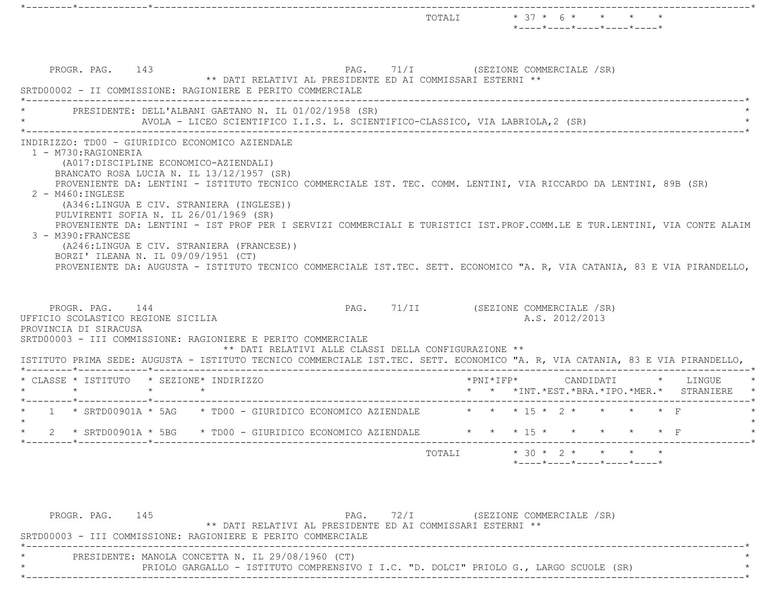|                                                                                                                                                                                                                                                                                                                                                                                                                                                                                                                                                                                                                                                                                                                 | TOTALI * 37 * 6 * * * *<br>$*$ ---- $*$ ---- $*$ ---- $*$ ---- $*$                              |
|-----------------------------------------------------------------------------------------------------------------------------------------------------------------------------------------------------------------------------------------------------------------------------------------------------------------------------------------------------------------------------------------------------------------------------------------------------------------------------------------------------------------------------------------------------------------------------------------------------------------------------------------------------------------------------------------------------------------|-------------------------------------------------------------------------------------------------|
| PAG. 71/I (SEZIONE COMMERCIALE /SR)<br>PROGR. PAG. 143<br>** DATI RELATIVI AL PRESIDENTE ED AI COMMISSARI ESTERNI **<br>SRTD00002 - II COMMISSIONE: RAGIONIERE E PERITO COMMERCIALE                                                                                                                                                                                                                                                                                                                                                                                                                                                                                                                             |                                                                                                 |
| PRESIDENTE: DELL'ALBANI GAETANO N. IL 01/02/1958 (SR)<br>AVOLA - LICEO SCIENTIFICO I.I.S. L. SCIENTIFICO-CLASSICO, VIA LABRIOLA,2 (SR)                                                                                                                                                                                                                                                                                                                                                                                                                                                                                                                                                                          |                                                                                                 |
| 1 - M730:RAGIONERIA<br>(A017: DISCIPLINE ECONOMICO-AZIENDALI)<br>BRANCATO ROSA LUCIA N. IL 13/12/1957 (SR)<br>PROVENIENTE DA: LENTINI - ISTITUTO TECNICO COMMERCIALE IST. TEC. COMM. LENTINI, VIA RICCARDO DA LENTINI, 89B (SR)<br>$2 - M460$ : INGLESE<br>(A346:LINGUA E CIV. STRANIERA (INGLESE))<br>PULVIRENTI SOFIA N. IL 26/01/1969 (SR)<br>PROVENIENTE DA: LENTINI - IST PROF PER I SERVIZI COMMERCIALI E TURISTICI IST.PROF.COMM.LE E TUR.LENTINI, VIA CONTE ALAIM<br>3 - M390: FRANCESE<br>(A246:LINGUA E CIV. STRANIERA (FRANCESE))<br>BORZI' ILEANA N. IL 09/09/1951 (CT)<br>PROVENIENTE DA: AUGUSTA - ISTITUTO TECNICO COMMERCIALE IST.TEC. SETT. ECONOMICO "A. R, VIA CATANIA, 83 E VIA PIRANDELLO, |                                                                                                 |
| PROGR. PAG. 144<br>UFFICIO SCOLASTICO REGIONE SICILIA<br>PROVINCIA DI SIRACUSA<br>SRTD00003 - III COMMISSIONE: RAGIONIERE E PERITO COMMERCIALE<br>** DATI RELATIVI ALLE CLASSI DELLA CONFIGURAZIONE **<br>ISTITUTO PRIMA SEDE: AUGUSTA - ISTITUTO TECNICO COMMERCIALE IST.TEC. SETT. ECONOMICO "A. R, VIA CATANIA, 83 E VIA PIRANDELLO,                                                                                                                                                                                                                                                                                                                                                                         | PAG. 71/II (SEZIONE COMMERCIALE /SR)<br>A.S. 2012/2013                                          |
| * CLASSE * ISTITUTO * SEZIONE* INDIRIZZO<br>$\star$<br>$\star$                                                                                                                                                                                                                                                                                                                                                                                                                                                                                                                                                                                                                                                  | * * *INT. *EST. *BRA. *IPO. *MER. * STRANIERE                                                   |
| 2 * SRTD00901A * 5BG * TD00 - GIURIDICO ECONOMICO AZIENDALE * * * * 15 * *<br>$\star$                                                                                                                                                                                                                                                                                                                                                                                                                                                                                                                                                                                                                           | * * * 15 * 2 * * * * * F<br>$\star$ $\star$ $\Gamma$                                            |
|                                                                                                                                                                                                                                                                                                                                                                                                                                                                                                                                                                                                                                                                                                                 | * 30 * 2 * * * * *<br>TOTALI<br>$*$ - - - - $*$ - - - - $*$ - - - - $*$ - - - - $*$ - - - - $*$ |

| PROGR. PAG. | 145 |                                                   |                                                                                       | PAG. 72/I |  | (SEZIONE COMMERCIALE /SR) |  |  |
|-------------|-----|---------------------------------------------------|---------------------------------------------------------------------------------------|-----------|--|---------------------------|--|--|
|             |     |                                                   | ** DATI RELATIVI AL PRESIDENTE ED AI COMMISSARI ESTERNI **                            |           |  |                           |  |  |
|             |     |                                                   | SRTD00003 - III COMMISSIONE: RAGIONIERE E PERITO COMMERCIALE                          |           |  |                           |  |  |
|             |     |                                                   |                                                                                       |           |  |                           |  |  |
|             |     | PRESIDENTE: MANOLA CONCETTA N. IL 29/08/1960 (CT) |                                                                                       |           |  |                           |  |  |
|             |     |                                                   | PRIOLO GARGALLO - ISTITUTO COMPRENSIVO I I.C. "D. DOLCI" PRIOLO G., LARGO SCUOLE (SR) |           |  |                           |  |  |
|             |     |                                                   |                                                                                       |           |  |                           |  |  |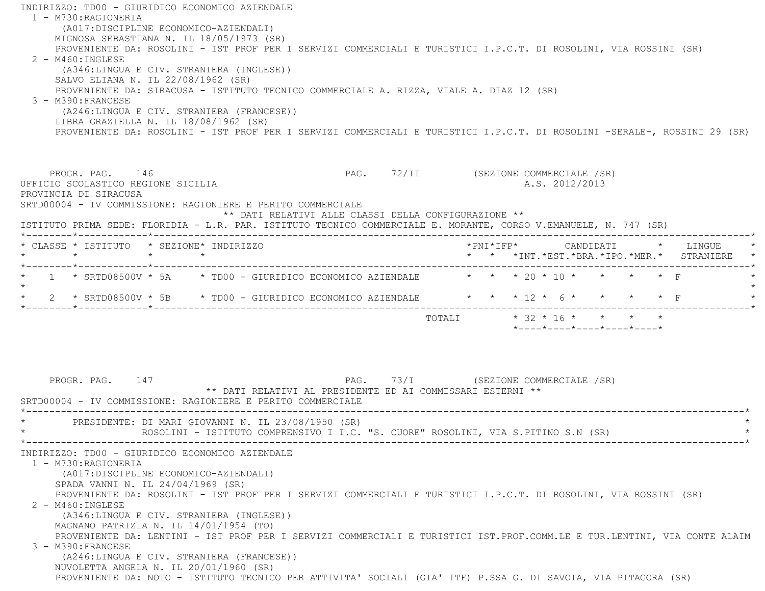INDIRIZZO: TD00 - GIURIDICO ECONOMICO AZIENDALE 1 - M730:RAGIONERIA (A017:DISCIPLINE ECONOMICO-AZIENDALI) MIGNOSA SEBASTIANA N. IL 18/05/1973 (SR) PROVENIENTE DA: ROSOLINI - IST PROF PER I SERVIZI COMMERCIALI E TURISTICI I.P.C.T. DI ROSOLINI, VIA ROSSINI (SR) 2 - M460:INGLESE (A346:LINGUA E CIV. STRANIERA (INGLESE)) SALVO ELIANA N. IL 22/08/1962 (SR) PROVENIENTE DA: SIRACUSA - ISTITUTO TECNICO COMMERCIALE A. RIZZA, VIALE A. DIAZ 12 (SR) 3 - M390:FRANCESE (A246:LINGUA E CIV. STRANIERA (FRANCESE)) LIBRA GRAZIELLA N. IL 18/08/1962 (SR) PROVENIENTE DA: ROSOLINI - IST PROF PER I SERVIZI COMMERCIALI E TURISTICI I.P.C.T. DI ROSOLINI -SERALE-, ROSSINI 29 (SR) PROGR. PAG. 146 PROGR. PAG. 22/II (SEZIONE COMMERCIALE /SR) UFFICIO SCOLASTICO REGIONE SICILIA A.S. 2012/2013 PROVINCIA DI SIRACUSA SRTD00004 - IV COMMISSIONE: RAGIONIERE E PERITO COMMERCIALE \*\* DATI RELATIVI ALLE CLASSI DELLA CONFIGURAZIONE \*\* ISTITUTO PRIMA SEDE: FLORIDIA - L.R. PAR. ISTITUTO TECNICO COMMERCIALE E. MORANTE, CORSO V.EMANUELE, N. 747 (SR) \*--------\*------------\*-------------------------------------------------------------------------------------------------------\* \* CLASSE \* ISTITUTO \* SEZIONE\* INDIRIZZO \*PNI\*IFP\* CANDIDATI \* LINGUE \* \* \* \* \* \* \* \*INT.\*EST.\*BRA.\*IPO.\*MER.\* STRANIERE \* \*--------\*------------\*-------------------------------------------------------------------------------------------------------\*1 \* SRTD08500V \* 5A \* TD00 - GIURIDICO ECONOMICO AZIENDALE \* \* \* 20 \* 10 \* \* \* \* \* F  $\star$ \* 2 \* SRTD08500V \* 5B \* TD00 - GIURIDICO ECONOMICO AZIENDALE \* \* \* 12 \* 6 \* \* \* \* \* F \*--------\*------------\*-------------------------------------------------------------------------------------------------------\* TOTALI \* 32 \* 16 \* \* \* \* \*----\*----\*----\*----\*----\*PROGR. PAG. 147 **PAG.** 23/I (SEZIONE COMMERCIALE /SR) \*\* DATI RELATIVI AL PRESIDENTE ED AI COMMISSARI ESTERNI \*\* SRTD00004 - IV COMMISSIONE: RAGIONIERE E PERITO COMMERCIALE \*----------------------------------------------------------------------------------------------------------------------------\*PRESIDENTE: DI MARI GIOVANNI N. IL 23/08/1950 (SR) \* ROSOLINI - ISTITUTO COMPRENSIVO I I.C. "S. CUORE" ROSOLINI, VIA S.PITINO S.N (SR) \* \*----------------------------------------------------------------------------------------------------------------------------\* INDIRIZZO: TD00 - GIURIDICO ECONOMICO AZIENDALE 1 - M730:RAGIONERIA (A017:DISCIPLINE ECONOMICO-AZIENDALI) SPADA VANNI N. IL 24/04/1969 (SR) PROVENIENTE DA: ROSOLINI - IST PROF PER I SERVIZI COMMERCIALI E TURISTICI I.P.C.T. DI ROSOLINI, VIA ROSSINI (SR) 2 - M460:INGLESE (A346:LINGUA E CIV. STRANIERA (INGLESE)) MAGNANO PATRIZIA N. IL 14/01/1954 (TO) PROVENIENTE DA: LENTINI - IST PROF PER I SERVIZI COMMERCIALI E TURISTICI IST.PROF.COMM.LE E TUR.LENTINI, VIA CONTE ALAIM 3 - M390:FRANCESE (A246:LINGUA E CIV. STRANIERA (FRANCESE)) NUVOLETTA ANGELA N. IL 20/01/1960 (SR) PROVENIENTE DA: NOTO - ISTITUTO TECNICO PER ATTIVITA' SOCIALI (GIA' ITF) P.SSA G. DI SAVOIA, VIA PITAGORA (SR)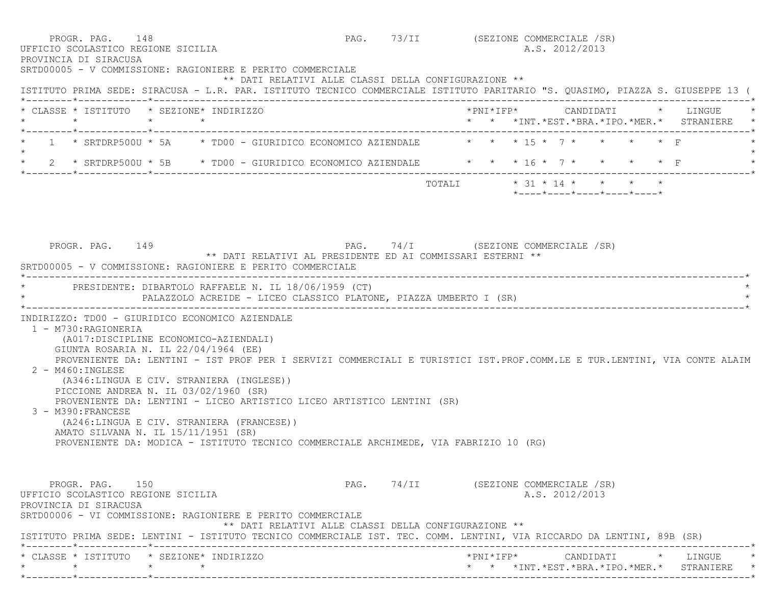PROGR. PAG. 148 COMMERCIALE (SR) UFFICIO SCOLASTICO REGIONE SICILIA A.S. 2012/2013 PROVINCIA DI SIRACUSA SRTD00005 - V COMMISSIONE: RAGIONIERE E PERITO COMMERCIALE \*\* DATI RELATIVI ALLE CLASSI DELLA CONFIGURAZIONE \*\* ISTITUTO PRIMA SEDE: SIRACUSA - L.R. PAR. ISTITUTO TECNICO COMMERCIALE ISTITUTO PARITARIO "S. QUASIMO, PIAZZA S. GIUSEPPE 13 ( \*--------\*------------\*-------------------------------------------------------------------------------------------------------\* \* CLASSE \* ISTITUTO \* SEZIONE\* INDIRIZZO \*PNI\*IFP\* CANDIDATI \* LINGUE \* \* \* \* \* \* \* \*INT.\*EST.\*BRA.\*IPO.\*MER.\* STRANIERE \* \*--------\*------------\*-------------------------------------------------------------------------------------------------------\*1 \* SRTDRP500U \* 5A \* TD00 - GIURIDICO ECONOMICO AZIENDALE \* \* \* 15 \* 7 \* \*  $\star$ \* 2 \* SRTDRP500U \* 5B \* TD00 - GIURIDICO ECONOMICO AZIENDALE \* \* \* 16 \* 7 \* \* \* \* \* F \*--------\*------------\*-------------------------------------------------------------------------------------------------------\* $\texttt{TOTAL} \qquad \qquad \star \quad 31 \; \star \; 14 \; \star \qquad \star \qquad \star \qquad \star \qquad \star$  $*$ ---- $*$ ---- $*$ ---- $*$ ---- $*$ ---- $*$  PROGR. PAG. 149 PAG. 74/I (SEZIONE COMMERCIALE /SR) \*\* DATI RELATIVI AL PRESIDENTE ED AI COMMISSARI ESTERNI \*\* SRTD00005 - V COMMISSIONE: RAGIONIERE E PERITO COMMERCIALE \*----------------------------------------------------------------------------------------------------------------------------\*PRESIDENTE: DIBARTOLO RAFFAELE N. IL 18/06/1959 (CT) PALAZZOLO ACREIDE - LICEO CLASSICO PLATONE, PIAZZA UMBERTO I (SR) \*----------------------------------------------------------------------------------------------------------------------------\* INDIRIZZO: TD00 - GIURIDICO ECONOMICO AZIENDALE 1 - M730:RAGIONERIA (A017:DISCIPLINE ECONOMICO-AZIENDALI) GIUNTA ROSARIA N. IL 22/04/1964 (EE) PROVENIENTE DA: LENTINI - IST PROF PER I SERVIZI COMMERCIALI E TURISTICI IST.PROF.COMM.LE E TUR.LENTINI, VIA CONTE ALAIM 2 - M460:INGLESE (A346:LINGUA E CIV. STRANIERA (INGLESE)) PICCIONE ANDREA N. IL 03/02/1960 (SR) PROVENIENTE DA: LENTINI - LICEO ARTISTICO LICEO ARTISTICO LENTINI (SR) 3 - M390:FRANCESE (A246:LINGUA E CIV. STRANIERA (FRANCESE)) AMATO SILVANA N. IL 15/11/1951 (SR) PROVENIENTE DA: MODICA - ISTITUTO TECNICO COMMERCIALE ARCHIMEDE, VIA FABRIZIO 10 (RG) PROGR. PAG. 150 PAG. PAG. 74/II (SEZIONE COMMERCIALE /SR) UFFICIO SCOLASTICO REGIONE SICILIA A.S. 2012/2013 PROVINCIA DI SIRACUSA SRTD00006 - VI COMMISSIONE: RAGIONIERE E PERITO COMMERCIALE \*\* DATI RELATIVI ALLE CLASSI DELLA CONFIGURAZIONE \*\* ISTITUTO PRIMA SEDE: LENTINI - ISTITUTO TECNICO COMMERCIALE IST. TEC. COMM. LENTINI, VIA RICCARDO DA LENTINI, 89B (SR) \*--------\*------------\*-------------------------------------------------------------------------------------------------------\* \* CLASSE \* ISTITUTO \* SEZIONE\* INDIRIZZO \*PNI\*IFP\* CANDIDATI \* LINGUE \*\* \* \* \* \* \* \*INT.\*EST.\*BRA.\*IPO.\*MER.\* STRANIERE \*

\*--------\*------------\*-------------------------------------------------------------------------------------------------------\*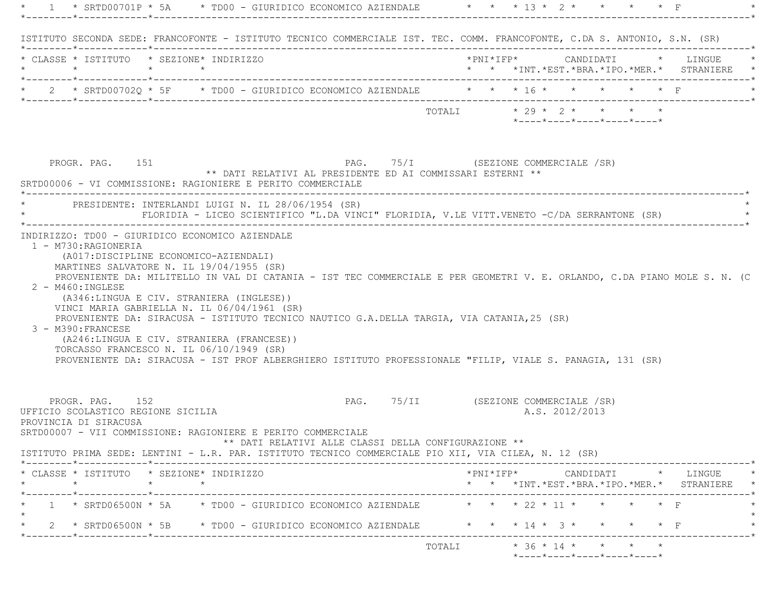| ISTITUTO SECONDA SEDE: FRANCOFONTE - ISTITUTO TECNICO COMMERCIALE IST. TEC. COMM. FRANCOFONTE, C.DA S. ANTONIO, S.N. (SR)                                                                                                                                                                                                                                                                                         |                                                                                                                                                    |
|-------------------------------------------------------------------------------------------------------------------------------------------------------------------------------------------------------------------------------------------------------------------------------------------------------------------------------------------------------------------------------------------------------------------|----------------------------------------------------------------------------------------------------------------------------------------------------|
| * CLASSE * ISTITUTO * SEZIONE* INDIRIZZO<br>$\star$ $\star$<br>$\star$                                                                                                                                                                                                                                                                                                                                            | *PNI*IFP* CANDIDATI * LINGUE<br>* * *INT.*EST.*BRA.*IPO.*MER.* STRANIERE *                                                                         |
| 2 * SRTD00702Q * 5F * TD00 - GIURIDICO ECONOMICO AZIENDALE * * * 16 * * * * * * * F                                                                                                                                                                                                                                                                                                                               |                                                                                                                                                    |
|                                                                                                                                                                                                                                                                                                                                                                                                                   | TOTALI * 29 * 2 * * * * *<br>$*$ ---- $*$ ---- $*$ ---- $*$ ---- $*$ ---- $*$                                                                      |
| PROGR. PAG. 151<br>** DATI RELATIVI AL PRESIDENTE ED AI COMMISSARI ESTERNI **<br>SRTD00006 - VI COMMISSIONE: RAGIONIERE E PERITO COMMERCIALE                                                                                                                                                                                                                                                                      | PAG. 75/I (SEZIONE COMMERCIALE /SR)                                                                                                                |
| PRESIDENTE: INTERLANDI LUIGI N. IL 28/06/1954 (SR)<br>FLORIDIA - LICEO SCIENTIFICO "L.DA VINCI" FLORIDIA, V.LE VITT.VENETO -C/DA SERRANTONE (SR)                                                                                                                                                                                                                                                                  |                                                                                                                                                    |
| $2 - M460$ : INGLESE                                                                                                                                                                                                                                                                                                                                                                                              |                                                                                                                                                    |
| (A346:LINGUA E CIV. STRANIERA (INGLESE))<br>VINCI MARIA GABRIELLA N. IL 06/04/1961 (SR)<br>PROVENIENTE DA: SIRACUSA - ISTITUTO TECNICO NAUTICO G.A.DELLA TARGIA, VIA CATANIA, 25 (SR)<br>3 - M390: FRANCESE<br>(A246:LINGUA E CIV. STRANIERA (FRANCESE))<br>TORCASSO FRANCESCO N. IL 06/10/1949 (SR)<br>PROVENIENTE DA: SIRACUSA - IST PROF ALBERGHIERO ISTITUTO PROFESSIONALE "FILIP, VIALE S. PANAGIA, 131 (SR) | PROVENIENTE DA: MILITELLO IN VAL DI CATANIA - IST TEC COMMERCIALE E PER GEOMETRI V. E. ORLANDO, C.DA PIANO MOLE S. N. (C                           |
| PROGR. PAG. 152<br>UFFICIO SCOLASTICO REGIONE SICILIA<br>PROVINCIA DI SIRACUSA<br>SRTD00007 - VII COMMISSIONE: RAGIONIERE E PERITO COMMERCIALE<br>** DATI RELATIVI ALLE CLASSI DELLA CONFIGURAZIONE **                                                                                                                                                                                                            | PAG. 75/II (SEZIONE COMMERCIALE /SR)<br>A.S. 2012/2013                                                                                             |
| ISTITUTO PRIMA SEDE: LENTINI - L.R. PAR. ISTITUTO TECNICO COMMERCIALE PIO XII, VIA CILEA, N. 12 (SR)                                                                                                                                                                                                                                                                                                              |                                                                                                                                                    |
|                                                                                                                                                                                                                                                                                                                                                                                                                   |                                                                                                                                                    |
| * CLASSE * ISTITUTO * SEZIONE* INDIRIZZO<br>1 * SRTD06500N * 5A * TD00 - GIURIDICO ECONOMICO AZIENDALE * * * 22 * 11 * * * * * F                                                                                                                                                                                                                                                                                  | $*PNI*IFP* \qquad \qquad \text{CANDIDATI} \qquad \qquad * \qquad \text{LINGUE} \qquad \qquad *$<br>* * *INT. *EST. *BRA. *IPO. *MER. * STRANIERE * |
| 2 * SRTD06500N * 5B * TD00 - GIURIDICO ECONOMICO AZIENDALE * * * 14 * 3 * * * * * F                                                                                                                                                                                                                                                                                                                               |                                                                                                                                                    |
| *--------*------------*--------------                                                                                                                                                                                                                                                                                                                                                                             | TOTALI * 36 * 14 * * * * *<br>*----*----*----*----*----*                                                                                           |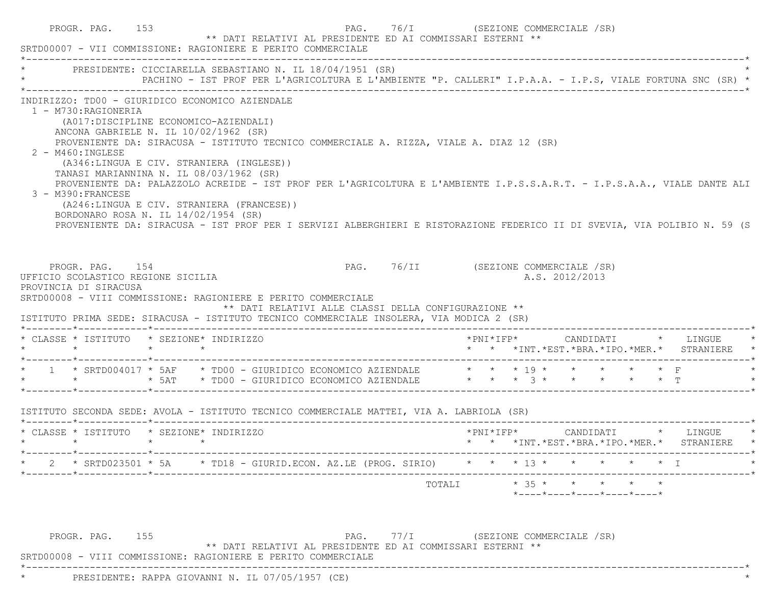| INDIRIZZO: TD00 - GIURIDICO ECONOMICO AZIENDALE<br>1 - M730:RAGIONERIA<br>(A017:DISCIPLINE ECONOMICO-AZIENDALI)<br>ANCONA GABRIELE N. IL 10/02/1962 (SR)<br>PROVENIENTE DA: SIRACUSA - ISTITUTO TECNICO COMMERCIALE A. RIZZA, VIALE A. DIAZ 12 (SR)<br>$2 - M460$ : INGLESE<br>(A346:LINGUA E CIV. STRANIERA (INGLESE))<br>TANASI MARIANNINA N. IL 08/03/1962 (SR)<br>PROVENIENTE DA: PALAZZOLO ACREIDE - IST PROF PER L'AGRICOLTURA E L'AMBIENTE I.P.S.S.A.R.T. - I.P.S.A.A., VIALE DANTE ALI<br>3 - M390: FRANCESE<br>(A246:LINGUA E CIV. STRANIERA (FRANCESE))<br>BORDONARO ROSA N. IL 14/02/1954 (SR)<br>PROVENIENTE DA: SIRACUSA - IST PROF PER I SERVIZI ALBERGHIERI E RISTORAZIONE FEDERICO II DI SVEVIA, VIA POLIBIO N. 59 (S |  |  |                |                                 |                                               |
|---------------------------------------------------------------------------------------------------------------------------------------------------------------------------------------------------------------------------------------------------------------------------------------------------------------------------------------------------------------------------------------------------------------------------------------------------------------------------------------------------------------------------------------------------------------------------------------------------------------------------------------------------------------------------------------------------------------------------------------|--|--|----------------|---------------------------------|-----------------------------------------------|
| PAG. 76/II (SEZIONE COMMERCIALE /SR)<br>PROGR. PAG. 154<br>UFFICIO SCOLASTICO REGIONE SICILIA<br>PROVINCIA DI SIRACUSA<br>SRTD00008 - VIII COMMISSIONE: RAGIONIERE E PERITO COMMERCIALE<br>** DATI RELATIVI ALLE CLASSI DELLA CONFIGURAZIONE **<br>ISTITUTO PRIMA SEDE: SIRACUSA - ISTITUTO TECNICO COMMERCIALE INSOLERA, VIA MODICA 2 (SR)                                                                                                                                                                                                                                                                                                                                                                                           |  |  | A.S. 2012/2013 |                                 |                                               |
| * CLASSE * ISTITUTO * SEZIONE* INDIRIZZO<br>$\star$ $\star$<br>$\star$ $\star$                                                                                                                                                                                                                                                                                                                                                                                                                                                                                                                                                                                                                                                        |  |  |                |                                 | * * *INT.*EST.*BRA.*IPO.*MER.* STRANIERE      |
| * 1 * SRTD004017 * 5AF * TD00 - GIURIDICO ECONOMICO AZIENDALE * * * * 19 * * * * * * F                                                                                                                                                                                                                                                                                                                                                                                                                                                                                                                                                                                                                                                |  |  |                |                                 |                                               |
| ISTITUTO SECONDA SEDE: AVOLA - ISTITUTO TECNICO COMMERCIALE MATTEI, VIA A. LABRIOLA (SR)                                                                                                                                                                                                                                                                                                                                                                                                                                                                                                                                                                                                                                              |  |  |                |                                 |                                               |
| * CLASSE * ISTITUTO * SEZIONE* INDIRIZZO                                                                                                                                                                                                                                                                                                                                                                                                                                                                                                                                                                                                                                                                                              |  |  |                |                                 | * * *INT. *EST. *BRA. *IPO. *MER. * STRANIERE |
| * TD18 - GIURID.ECON. AZ.LE (PROG. SIRIO) * * * 13 * *<br>* SRTD023501 * 5A                                                                                                                                                                                                                                                                                                                                                                                                                                                                                                                                                                                                                                                           |  |  |                | $\star$ $\star$ $\star$ $\perp$ |                                               |

PROGR. PAG. 155 PAG. 77/I (SEZIONE COMMERCIALE /SR)

\*----------------------------------------------------------------------------------------------------------------------------\*

\*\* DATI RELATIVI AL PRESIDENTE ED AI COMMISSARI ESTERNI \*\*

SRTD00008 - VIII COMMISSIONE: RAGIONIERE E PERITO COMMERCIALE

\* PRESIDENTE: RAPPA GIOVANNI N. IL 07/05/1957 (CE) \*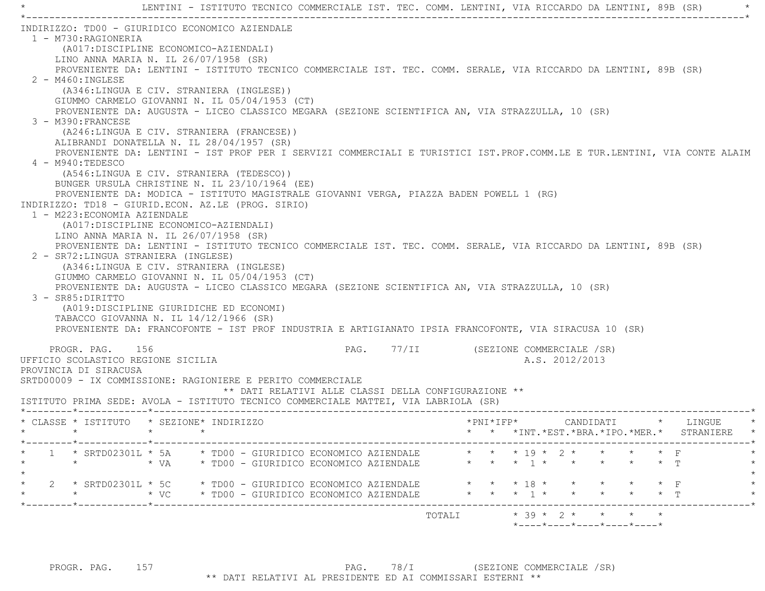LENTINI - ISTITUTO TECNICO COMMERCIALE IST. TEC. COMM. LENTINI, VIA RICCARDO DA LENTINI, 89B (SR) \*----------------------------------------------------------------------------------------------------------------------------\* INDIRIZZO: TD00 - GIURIDICO ECONOMICO AZIENDALE 1 - M730:RAGIONERIA (A017:DISCIPLINE ECONOMICO-AZIENDALI) LINO ANNA MARIA N. IL 26/07/1958 (SR) PROVENIENTE DA: LENTINI - ISTITUTO TECNICO COMMERCIALE IST. TEC. COMM. SERALE, VIA RICCARDO DA LENTINI, 89B (SR) 2 - M460:INGLESE (A346:LINGUA E CIV. STRANIERA (INGLESE)) GIUMMO CARMELO GIOVANNI N. IL 05/04/1953 (CT) PROVENIENTE DA: AUGUSTA - LICEO CLASSICO MEGARA (SEZIONE SCIENTIFICA AN, VIA STRAZZULLA, 10 (SR) 3 - M390:FRANCESE (A246:LINGUA E CIV. STRANIERA (FRANCESE)) ALIBRANDI DONATELLA N. IL 28/04/1957 (SR) PROVENIENTE DA: LENTINI - IST PROF PER I SERVIZI COMMERCIALI E TURISTICI IST.PROF.COMM.LE E TUR.LENTINI, VIA CONTE ALAIM 4 - M940:TEDESCO (A546:LINGUA E CIV. STRANIERA (TEDESCO)) BUNGER URSULA CHRISTINE N. IL 23/10/1964 (EE) PROVENIENTE DA: MODICA - ISTITUTO MAGISTRALE GIOVANNI VERGA, PIAZZA BADEN POWELL 1 (RG) INDIRIZZO: TD18 - GIURID.ECON. AZ.LE (PROG. SIRIO) 1 - M223:ECONOMIA AZIENDALE (A017:DISCIPLINE ECONOMICO-AZIENDALI) LINO ANNA MARIA N. IL 26/07/1958 (SR) PROVENIENTE DA: LENTINI - ISTITUTO TECNICO COMMERCIALE IST. TEC. COMM. SERALE, VIA RICCARDO DA LENTINI, 89B (SR) 2 - SR72:LINGUA STRANIERA (INGLESE) (A346:LINGUA E CIV. STRANIERA (INGLESE) GIUMMO CARMELO GIOVANNI N. IL 05/04/1953 (CT) PROVENIENTE DA: AUGUSTA - LICEO CLASSICO MEGARA (SEZIONE SCIENTIFICA AN, VIA STRAZZULLA, 10 (SR) 3 - SR85:DIRITTO (A019:DISCIPLINE GIURIDICHE ED ECONOMI) TABACCO GIOVANNA N. IL 14/12/1966 (SR) PROVENIENTE DA: FRANCOFONTE - IST PROF INDUSTRIA E ARTIGIANATO IPSIA FRANCOFONTE, VIA SIRACUSA 10 (SR) PROGR. PAG. 156 PAG. 77/II (SEZIONE COMMERCIALE /SR) UFFICIO SCOLASTICO REGIONE SICILIA A.S. 2012/2013 PROVINCIA DI SIRACUSA SRTD00009 - IX COMMISSIONE: RAGIONIERE E PERITO COMMERCIALE \*\* DATI RELATIVI ALLE CLASSI DELLA CONFIGURAZIONE \*\* ISTITUTO PRIMA SEDE: AVOLA - ISTITUTO TECNICO COMMERCIALE MATTEI, VIA LABRIOLA (SR) \*--------\*------------\*-------------------------------------------------------------------------------------------------------\* \* CLASSE \* ISTITUTO \* SEZIONE\* INDIRIZZO \*PNI\*IFP\* CANDIDATI \* LINGUE \* \* \* \* \* \* \* \*INT.\*EST.\*BRA.\*IPO.\*MER.\* STRANIERE \* \*--------\*------------\*-------------------------------------------------------------------------------------------------------\*1 \* SRTD02301L \* 5A \* TD00 - GIURIDICO ECONOMICO AZIENDALE \* \* \* 19 \* 2 \* \* \* \* \* F \* \* \* VA \* TD00 - GIURIDICO ECONOMICO AZIENDALE \* \* \* 1 \* \* \* \* \* T \* $\star$ \* 2 \* SRTD02301L \* 5C \* TD00 - GIURIDICO ECONOMICO AZIENDALE \* \* \* \* 18 \* \* \* \* \* \* \* F \* \* \* VC \* TD00 - GIURIDICO ECONOMICO AZIENDALE \* \* \* 1 \* \* \* \* \* T \* \*--------\*------------\*-------------------------------------------------------------------------------------------------------\*TOTALI  $* 39 * 2 * * * * * * * *$ \*----\*----\*----\*----\*----\*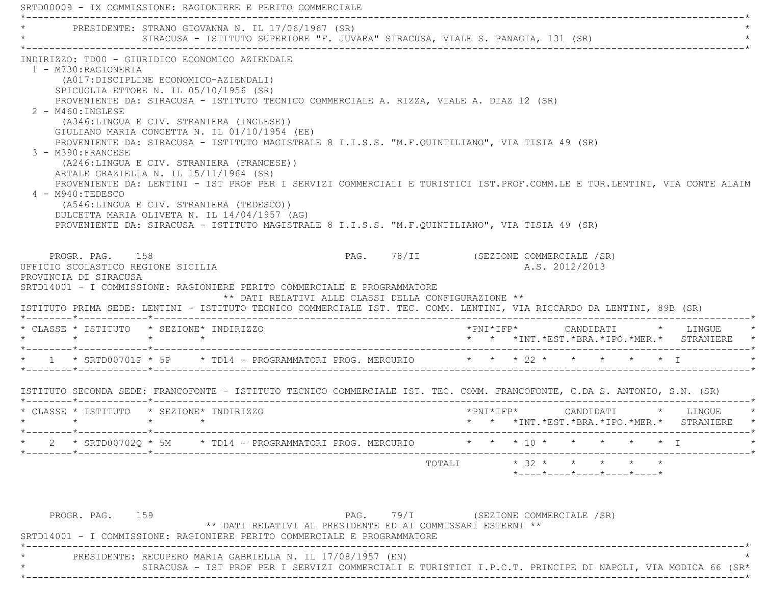|                                                                                                                                                                                                                                                                                                                                                                                                                                                                                                                                                                                                                                                                                                                                                                                                                                        |  | PRESIDENTE: STRANO GIOVANNA N. IL 17/06/1967 (SR)<br>SIRACUSA - ISTITUTO SUPERIORE "F. JUVARA" SIRACUSA, VIALE S. PANAGIA, 131 (SR) |                                      |        |           |                                    |                |                                                                 |  |                                                              |
|----------------------------------------------------------------------------------------------------------------------------------------------------------------------------------------------------------------------------------------------------------------------------------------------------------------------------------------------------------------------------------------------------------------------------------------------------------------------------------------------------------------------------------------------------------------------------------------------------------------------------------------------------------------------------------------------------------------------------------------------------------------------------------------------------------------------------------------|--|-------------------------------------------------------------------------------------------------------------------------------------|--------------------------------------|--------|-----------|------------------------------------|----------------|-----------------------------------------------------------------|--|--------------------------------------------------------------|
| INDIRIZZO: TD00 - GIURIDICO ECONOMICO AZIENDALE<br>1 - M730:RAGIONERIA<br>(A017:DISCIPLINE ECONOMICO-AZIENDALI)<br>SPICUGLIA ETTORE N. IL 05/10/1956 (SR)<br>PROVENIENTE DA: SIRACUSA - ISTITUTO TECNICO COMMERCIALE A. RIZZA, VIALE A. DIAZ 12 (SR)<br>$2 - M460: INGLESE$<br>(A346:LINGUA E CIV. STRANIERA (INGLESE))<br>GIULIANO MARIA CONCETTA N. IL 01/10/1954 (EE)<br>PROVENIENTE DA: SIRACUSA - ISTITUTO MAGISTRALE 8 I.I.S.S. "M.F.QUINTILIANO", VIA TISIA 49 (SR)<br>3 - M390: FRANCESE<br>(A246:LINGUA E CIV. STRANIERA (FRANCESE))<br>ARTALE GRAZIELLA N. IL 15/11/1964 (SR)<br>PROVENIENTE DA: LENTINI - IST PROF PER I SERVIZI COMMERCIALI E TURISTICI IST.PROF.COMM.LE E TUR.LENTINI, VIA CONTE ALAIM<br>$4 - M940: TEDESCO$<br>(A546:LINGUA E CIV. STRANIERA (TEDESCO))<br>DULCETTA MARIA OLIVETA N. IL 14/04/1957 (AG) |  |                                                                                                                                     |                                      |        |           |                                    |                |                                                                 |  |                                                              |
| PROVENIENTE DA: SIRACUSA - ISTITUTO MAGISTRALE 8 I.I.S.S. "M.F.QUINTILIANO", VIA TISIA 49 (SR)<br>PROGR. PAG. 158<br>UFFICIO SCOLASTICO REGIONE SICILIA<br>PROVINCIA DI SIRACUSA                                                                                                                                                                                                                                                                                                                                                                                                                                                                                                                                                                                                                                                       |  |                                                                                                                                     | PAG. 78/II (SEZIONE COMMERCIALE /SR) |        |           |                                    | A.S. 2012/2013 |                                                                 |  |                                                              |
| ISTITUTO PRIMA SEDE: LENTINI - ISTITUTO TECNICO COMMERCIALE IST. TEC. COMM. LENTINI, VIA RICCARDO DA LENTINI, 89B (SR)                                                                                                                                                                                                                                                                                                                                                                                                                                                                                                                                                                                                                                                                                                                 |  | SRTD14001 - I COMMISSIONE: RAGIONIERE PERITO COMMERCIALE E PROGRAMMATORE<br>** DATI RELATIVI ALLE CLASSI DELLA CONFIGURAZIONE **    |                                      |        |           |                                    |                |                                                                 |  |                                                              |
| * CLASSE * ISTITUTO * SEZIONE* INDIRIZZO                                                                                                                                                                                                                                                                                                                                                                                                                                                                                                                                                                                                                                                                                                                                                                                               |  |                                                                                                                                     |                                      |        |           |                                    |                |                                                                 |  | *PNI*IFP* CANDIDATI * LINGUE                                 |
| * 1 * SRTD00701P * 5P * TD14 - PROGRAMMATORI PROG. MERCURIO * * * * 22 * * * * * * * I                                                                                                                                                                                                                                                                                                                                                                                                                                                                                                                                                                                                                                                                                                                                                 |  |                                                                                                                                     |                                      |        |           |                                    |                |                                                                 |  |                                                              |
| ISTITUTO SECONDA SEDE: FRANCOFONTE - ISTITUTO TECNICO COMMERCIALE IST. TEC. COMM. FRANCOFONTE, C.DA S. ANTONIO, S.N. (SR)                                                                                                                                                                                                                                                                                                                                                                                                                                                                                                                                                                                                                                                                                                              |  |                                                                                                                                     |                                      |        |           |                                    |                |                                                                 |  |                                                              |
| * CLASSE * ISTITUTO * SEZIONE* INDIRIZZO                                                                                                                                                                                                                                                                                                                                                                                                                                                                                                                                                                                                                                                                                                                                                                                               |  |                                                                                                                                     |                                      |        | *PNI*IFP* |                                    |                | CANDIDATI                                                       |  |                                                              |
| * SRTD00702Q * 5M * TD14 - PROGRAMMATORI PROG. MERCURIO                                                                                                                                                                                                                                                                                                                                                                                                                                                                                                                                                                                                                                                                                                                                                                                |  |                                                                                                                                     |                                      |        |           | $\star$ $\star$ $\star$ 10 $\star$ |                | $\star$ $\star$ $\star$ T                                       |  | $\star$ LINGUE<br>* * *INT.*EST.*BRA.*IPO.*MER.* STRANIERE * |
|                                                                                                                                                                                                                                                                                                                                                                                                                                                                                                                                                                                                                                                                                                                                                                                                                                        |  |                                                                                                                                     |                                      | TOTALI |           |                                    |                | $* 32 * * * * * * *$<br>$*$ ---- $*$ ---- $*$ ---- $*$ ---- $*$ |  |                                                              |

\*----------------------------------------------------------------------------------------------------------------------------\*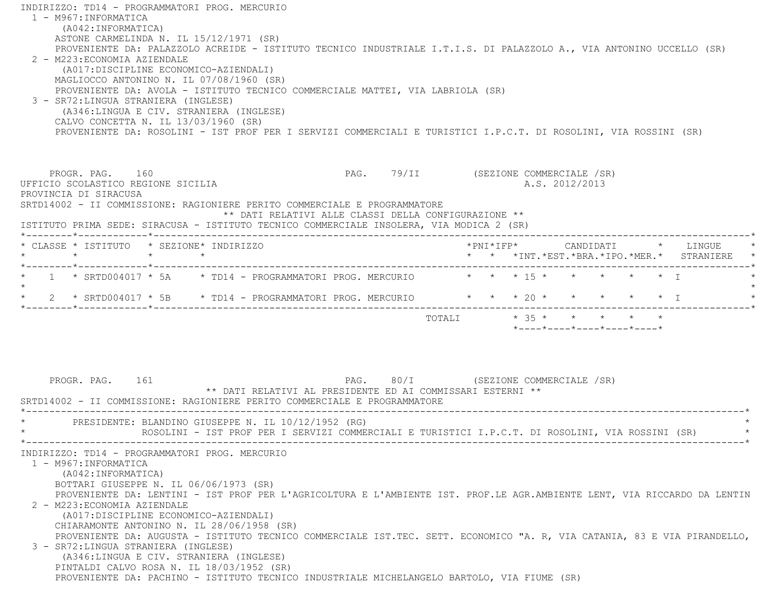INDIRIZZO: TD14 - PROGRAMMATORI PROG. MERCURIO 1 - M967:INFORMATICA (A042:INFORMATICA) ASTONE CARMELINDA N. IL 15/12/1971 (SR) PROVENIENTE DA: PALAZZOLO ACREIDE - ISTITUTO TECNICO INDUSTRIALE I.T.I.S. DI PALAZZOLO A., VIA ANTONINO UCCELLO (SR) 2 - M223:ECONOMIA AZIENDALE (A017:DISCIPLINE ECONOMICO-AZIENDALI) MAGLIOCCO ANTONINO N. IL 07/08/1960 (SR) PROVENIENTE DA: AVOLA - ISTITUTO TECNICO COMMERCIALE MATTEI, VIA LABRIOLA (SR) 3 - SR72:LINGUA STRANIERA (INGLESE) (A346:LINGUA E CIV. STRANIERA (INGLESE) CALVO CONCETTA N. IL 13/03/1960 (SR) PROVENIENTE DA: ROSOLINI - IST PROF PER I SERVIZI COMMERCIALI E TURISTICI I.P.C.T. DI ROSOLINI, VIA ROSSINI (SR) PROGR. PAG. 160 **PAG.** PAG. 79/II (SEZIONE COMMERCIALE /SR) UFFICIO SCOLASTICO REGIONE SICILIA A.S. 2012/2013 PROVINCIA DI SIRACUSA SRTD14002 - II COMMISSIONE: RAGIONIERE PERITO COMMERCIALE E PROGRAMMATORE \*\* DATI RELATIVI ALLE CLASSI DELLA CONFIGURAZIONE \*\* ISTITUTO PRIMA SEDE: SIRACUSA - ISTITUTO TECNICO COMMERCIALE INSOLERA, VIA MODICA 2 (SR) \*--------\*------------\*-------------------------------------------------------------------------------------------------------\* \* CLASSE \* ISTITUTO \* SEZIONE\* INDIRIZZO \*PNI\*IFP\* CANDIDATI \* LINGUE \* \* \* \* \* \* \* \*INT.\*EST.\*BRA.\*IPO.\*MER.\* STRANIERE \* \*--------\*------------\*-------------------------------------------------------------------------------------------------------\*1 \* SRTD004017 \* 5A \* TD14 - PROGRAMMATORI PROG. MERCURIO \* \* \* \* 15 \* \* \* \* \* \* \* \*  $\star$  \* 2 \* SRTD004017 \* 5B \* TD14 - PROGRAMMATORI PROG. MERCURIO \* \* \* 20 \* \* \* \* \* I \* \*--------\*------------\*-------------------------------------------------------------------------------------------------------\*TOTALI  $* 35 * * * * * * * * *$  \*----\*----\*----\*----\*----\*PROGR. PAG. 161 **PROGR. PAG. 2011** PAG. 80/I (SEZIONE COMMERCIALE /SR) \*\* DATI RELATIVI AL PRESIDENTE ED AI COMMISSARI ESTERNI \*\* SRTD14002 - II COMMISSIONE: RAGIONIERE PERITO COMMERCIALE E PROGRAMMATORE \*----------------------------------------------------------------------------------------------------------------------------\*PRESIDENTE: BLANDINO GIUSEPPE N. IL 10/12/1952 (RG) \* ROSOLINI - IST PROF PER I SERVIZI COMMERCIALI E TURISTICI I.P.C.T. DI ROSOLINI, VIA ROSSINI (SR) \* \*----------------------------------------------------------------------------------------------------------------------------\* INDIRIZZO: TD14 - PROGRAMMATORI PROG. MERCURIO 1 - M967:INFORMATICA (A042:INFORMATICA) BOTTARI GIUSEPPE N. IL 06/06/1973 (SR) PROVENIENTE DA: LENTINI - IST PROF PER L'AGRICOLTURA E L'AMBIENTE IST. PROF.LE AGR.AMBIENTE LENT, VIA RICCARDO DA LENTIN 2 - M223:ECONOMIA AZIENDALE (A017:DISCIPLINE ECONOMICO-AZIENDALI) CHIARAMONTE ANTONINO N. IL 28/06/1958 (SR) PROVENIENTE DA: AUGUSTA - ISTITUTO TECNICO COMMERCIALE IST.TEC. SETT. ECONOMICO "A. R, VIA CATANIA, 83 E VIA PIRANDELLO, 3 - SR72:LINGUA STRANIERA (INGLESE) (A346:LINGUA E CIV. STRANIERA (INGLESE) PINTALDI CALVO ROSA N. IL 18/03/1952 (SR) PROVENIENTE DA: PACHINO - ISTITUTO TECNICO INDUSTRIALE MICHELANGELO BARTOLO, VIA FIUME (SR)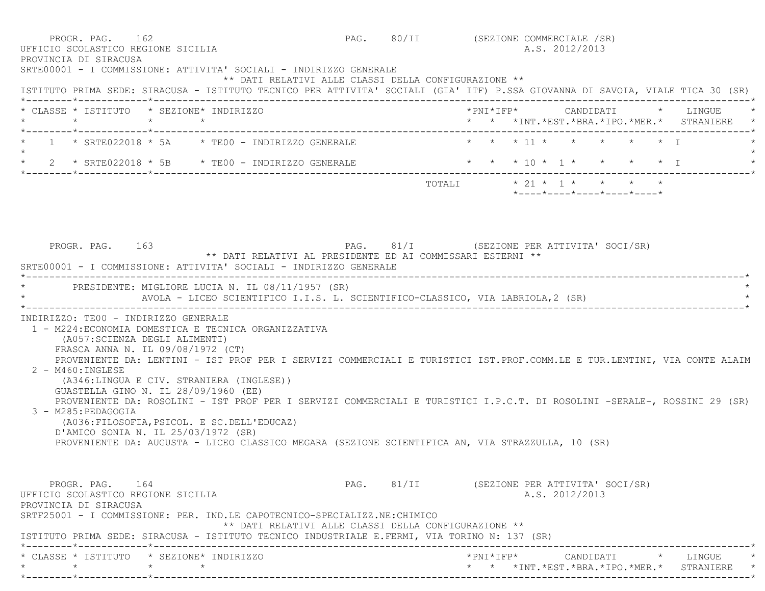| * CLASSE * ISTITUTO * SEZIONE* INDIRIZZO<br>* 1 * SRTE022018 * 5A * TE00 - INDIRIZZO GENERALE * * * * 11 * * * * * * * * *<br>$\star$<br>PAG. 81/I (SEZIONE PER ATTIVITA' SOCI/SR)<br>PROGR. PAG. 163<br>** DATI RELATIVI AL PRESIDENTE ED AI COMMISSARI ESTERNI **<br>SRTE00001 - I COMMISSIONE: ATTIVITA' SOCIALI - INDIRIZZO GENERALE<br>* PRESIDENTE: MIGLIORE LUCIA N. IL 08/11/1957 (SR)<br>AVOLA - LICEO SCIENTIFICO I.I.S. L. SCIENTIFICO-CLASSICO, VIA LABRIOLA, 2 (SR)<br>INDIRIZZO: TEOO - INDIRIZZO GENERALE<br>1 - M224: ECONOMIA DOMESTICA E TECNICA ORGANIZZATIVA<br>(A057:SCIENZA DEGLI ALIMENTI)<br>FRASCA ANNA N. IL 09/08/1972 (CT)<br>PROVENIENTE DA: LENTINI - IST PROF PER I SERVIZI COMMERCIALI E TURISTICI IST.PROF.COMM.LE E TUR.LENTINI, VIA CONTE ALAIM<br>2 - M460: INGLESE<br>(A346:LINGUA E CIV. STRANIERA (INGLESE))<br>GUASTELLA GINO N. IL 28/09/1960 (EE)<br>PROVENIENTE DA: ROSOLINI - IST PROF PER I SERVIZI COMMERCIALI E TURISTICI I.P.C.T. DI ROSOLINI -SERALE-, ROSSINI 29 (SR)<br>3 - M285: PEDAGOGIA<br>(A036: FILOSOFIA, PSICOL. E SC. DELL'EDUCAZ)<br>D'AMICO SONIA N. IL 25/03/1972 (SR)<br>PROVENIENTE DA: AUGUSTA - LICEO CLASSICO MEGARA (SEZIONE SCIENTIFICA AN, VIA STRAZZULLA, 10 (SR)<br>PAG. 81/II (SEZIONE PER ATTIVITA' SOCI/SR)<br>PROGR. PAG. 164<br>UFFICIO SCOLASTICO REGIONE SICILIA<br>PROVINCIA DI SIRACUSA | PAG. 80/II (SEZIONE COMMERCIALE /SR)<br>A.S. 2012/2013<br>** DATI RELATIVI ALLE CLASSI DELLA CONFIGURAZIONE **<br>ISTITUTO PRIMA SEDE: SIRACUSA - ISTITUTO TECNICO PER ATTIVITA' SOCIALI (GIA' ITF) P.SSA GIOVANNA DI SAVOIA, VIALE TICA 30 (SR) |
|---------------------------------------------------------------------------------------------------------------------------------------------------------------------------------------------------------------------------------------------------------------------------------------------------------------------------------------------------------------------------------------------------------------------------------------------------------------------------------------------------------------------------------------------------------------------------------------------------------------------------------------------------------------------------------------------------------------------------------------------------------------------------------------------------------------------------------------------------------------------------------------------------------------------------------------------------------------------------------------------------------------------------------------------------------------------------------------------------------------------------------------------------------------------------------------------------------------------------------------------------------------------------------------------------------------------------------------------------------------------------|--------------------------------------------------------------------------------------------------------------------------------------------------------------------------------------------------------------------------------------------------|
|                                                                                                                                                                                                                                                                                                                                                                                                                                                                                                                                                                                                                                                                                                                                                                                                                                                                                                                                                                                                                                                                                                                                                                                                                                                                                                                                                                           | * * *INT. *EST. *BRA. *IPO. *MER. * STRANIERE *                                                                                                                                                                                                  |
|                                                                                                                                                                                                                                                                                                                                                                                                                                                                                                                                                                                                                                                                                                                                                                                                                                                                                                                                                                                                                                                                                                                                                                                                                                                                                                                                                                           |                                                                                                                                                                                                                                                  |
|                                                                                                                                                                                                                                                                                                                                                                                                                                                                                                                                                                                                                                                                                                                                                                                                                                                                                                                                                                                                                                                                                                                                                                                                                                                                                                                                                                           |                                                                                                                                                                                                                                                  |
|                                                                                                                                                                                                                                                                                                                                                                                                                                                                                                                                                                                                                                                                                                                                                                                                                                                                                                                                                                                                                                                                                                                                                                                                                                                                                                                                                                           | *----*----*----*----*----*                                                                                                                                                                                                                       |
|                                                                                                                                                                                                                                                                                                                                                                                                                                                                                                                                                                                                                                                                                                                                                                                                                                                                                                                                                                                                                                                                                                                                                                                                                                                                                                                                                                           |                                                                                                                                                                                                                                                  |
|                                                                                                                                                                                                                                                                                                                                                                                                                                                                                                                                                                                                                                                                                                                                                                                                                                                                                                                                                                                                                                                                                                                                                                                                                                                                                                                                                                           |                                                                                                                                                                                                                                                  |
|                                                                                                                                                                                                                                                                                                                                                                                                                                                                                                                                                                                                                                                                                                                                                                                                                                                                                                                                                                                                                                                                                                                                                                                                                                                                                                                                                                           |                                                                                                                                                                                                                                                  |
| SRTF25001 - I COMMISSIONE: PER. IND.LE CAPOTECNICO-SPECIALIZZ.NE: CHIMICO<br>** DATI RELATIVI ALLE CLASSI DELLA CONFIGURAZIONE **                                                                                                                                                                                                                                                                                                                                                                                                                                                                                                                                                                                                                                                                                                                                                                                                                                                                                                                                                                                                                                                                                                                                                                                                                                         | A.S. 2012/2013                                                                                                                                                                                                                                   |
| ISTITUTO PRIMA SEDE: SIRACUSA - ISTITUTO TECNICO INDUSTRIALE E.FERMI, VIA TORINO N: 137 (SR)<br>* CLASSE * ISTITUTO * SEZIONE* INDIRIZZO<br>$*$ PNI $*$ I F P $*$                                                                                                                                                                                                                                                                                                                                                                                                                                                                                                                                                                                                                                                                                                                                                                                                                                                                                                                                                                                                                                                                                                                                                                                                         |                                                                                                                                                                                                                                                  |

\*--------\*------------\*-------------------------------------------------------------------------------------------------------\*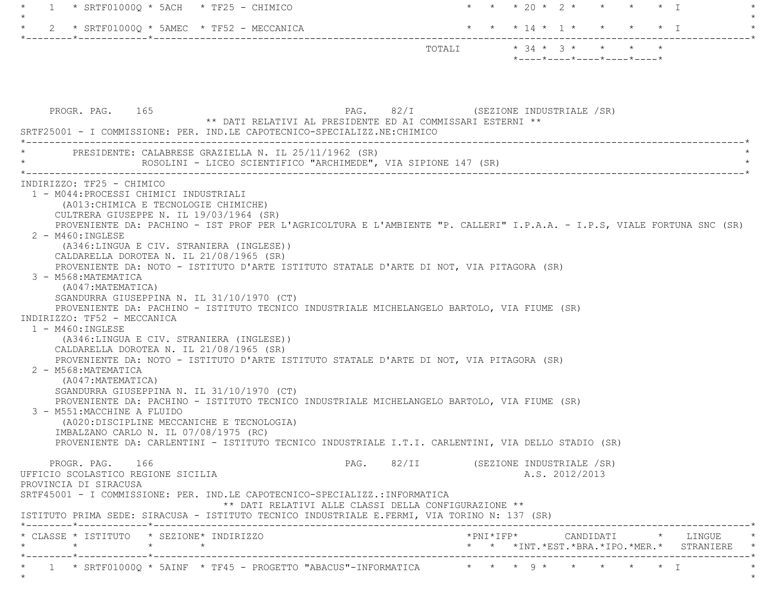|                                                                                                                                                                                                                                                                                                                                                                                                                                                                                                                                                                                                                                                                                                                                                                                                                                                                                                                                                                                                                                                                                                                                                                                                                                                                                                                            | * * 20 * 2 * * * * * T                                                                                     |
|----------------------------------------------------------------------------------------------------------------------------------------------------------------------------------------------------------------------------------------------------------------------------------------------------------------------------------------------------------------------------------------------------------------------------------------------------------------------------------------------------------------------------------------------------------------------------------------------------------------------------------------------------------------------------------------------------------------------------------------------------------------------------------------------------------------------------------------------------------------------------------------------------------------------------------------------------------------------------------------------------------------------------------------------------------------------------------------------------------------------------------------------------------------------------------------------------------------------------------------------------------------------------------------------------------------------------|------------------------------------------------------------------------------------------------------------|
| 2 * SRTF01000Q * 5AMEC * TF52 - MECCANICA                                                                                                                                                                                                                                                                                                                                                                                                                                                                                                                                                                                                                                                                                                                                                                                                                                                                                                                                                                                                                                                                                                                                                                                                                                                                                  | $\star$ $\star$ $\star$ $\frac{14}{4}$ $\star$ $\frac{1}{4}$ $\star$ $\star$ $\star$ $\star$ $\frac{1}{1}$ |
|                                                                                                                                                                                                                                                                                                                                                                                                                                                                                                                                                                                                                                                                                                                                                                                                                                                                                                                                                                                                                                                                                                                                                                                                                                                                                                                            | TOTALI * 34 * 3 * * * *<br>$*$ - - - - $*$ - - - - $*$ - - - - $*$ - - - - $*$ - - - - $*$                 |
| PROGR. PAG. 165<br>** DATI RELATIVI AL PRESIDENTE ED AI COMMISSARI ESTERNI **<br>SRTF25001 - I COMMISSIONE: PER. IND.LE CAPOTECNICO-SPECIALIZZ.NE:CHIMICO                                                                                                                                                                                                                                                                                                                                                                                                                                                                                                                                                                                                                                                                                                                                                                                                                                                                                                                                                                                                                                                                                                                                                                  | PAG. 82/I (SEZIONE INDUSTRIALE /SR)                                                                        |
| PRESIDENTE: CALABRESE GRAZIELLA N. IL 25/11/1962 (SR)<br>ROSOLINI - LICEO SCIENTIFICO "ARCHIMEDE", VIA SIPIONE 147 (SR)                                                                                                                                                                                                                                                                                                                                                                                                                                                                                                                                                                                                                                                                                                                                                                                                                                                                                                                                                                                                                                                                                                                                                                                                    |                                                                                                            |
| 1 - M044: PROCESSI CHIMICI INDUSTRIALI<br>(A013: CHIMICA E TECNOLOGIE CHIMICHE)<br>CULTRERA GIUSEPPE N. IL 19/03/1964 (SR)<br>PROVENIENTE DA: PACHINO - IST PROF PER L'AGRICOLTURA E L'AMBIENTE "P. CALLERI" I.P.A.A. - I.P.S, VIALE FORTUNA SNC (SR)<br>2 - M460: INGLESE<br>(A346:LINGUA E CIV. STRANIERA (INGLESE))<br>CALDARELLA DOROTEA N. IL 21/08/1965 (SR)<br>PROVENIENTE DA: NOTO - ISTITUTO D'ARTE ISTITUTO STATALE D'ARTE DI NOT, VIA PITAGORA (SR)<br>3 - M568: MATEMATICA<br>(A047: MATEMATICA)<br>SGANDURRA GIUSEPPINA N. IL 31/10/1970 (CT)<br>PROVENIENTE DA: PACHINO - ISTITUTO TECNICO INDUSTRIALE MICHELANGELO BARTOLO, VIA FIUME (SR)<br>INDIRIZZO: TF52 - MECCANICA<br>$1 - M460$ : INGLESE<br>(A346:LINGUA E CIV. STRANIERA (INGLESE))<br>CALDARELLA DOROTEA N. IL 21/08/1965 (SR)<br>PROVENIENTE DA: NOTO - ISTITUTO D'ARTE ISTITUTO STATALE D'ARTE DI NOT, VIA PITAGORA (SR)<br>2 - M568: MATEMATICA<br>(A047:MATEMATICA)<br>SGANDURRA GIUSEPPINA N. IL 31/10/1970 (CT)<br>PROVENIENTE DA: PACHINO - ISTITUTO TECNICO INDUSTRIALE MICHELANGELO BARTOLO, VIA FIUME (SR)<br>3 - M551: MACCHINE A FLUIDO<br>(A020: DISCIPLINE MECCANICHE E TECNOLOGIA)<br>IMBALZANO CARLO N. IL 07/08/1975 (RC)<br>PROVENIENTE DA: CARLENTINI - ISTITUTO TECNICO INDUSTRIALE I.T.I. CARLENTINI, VIA DELLO STADIO (SR) |                                                                                                            |
| PROGR. PAG. 166<br>UFFICIO SCOLASTICO REGIONE SICILIA<br>PROVINCIA DI SIRACUSA<br>SRTF45001 - I COMMISSIONE: PER. IND.LE CAPOTECNICO-SPECIALIZZ.: INFORMATICA<br>** DATI RELATIVI ALLE CLASSI DELLA CONFIGURAZIONE **<br>ISTITUTO PRIMA SEDE: SIRACUSA - ISTITUTO TECNICO INDUSTRIALE E.FERMI, VIA TORINO N: 137 (SR)                                                                                                                                                                                                                                                                                                                                                                                                                                                                                                                                                                                                                                                                                                                                                                                                                                                                                                                                                                                                      | PAG. 82/II (SEZIONE INDUSTRIALE /SR)<br>A.S. 2012/2013                                                     |
| * CLASSE * ISTITUTO * SEZIONE* INDIRIZZO                                                                                                                                                                                                                                                                                                                                                                                                                                                                                                                                                                                                                                                                                                                                                                                                                                                                                                                                                                                                                                                                                                                                                                                                                                                                                   | *PNI*IFP* CANDIDATI * LINGUE                                                                               |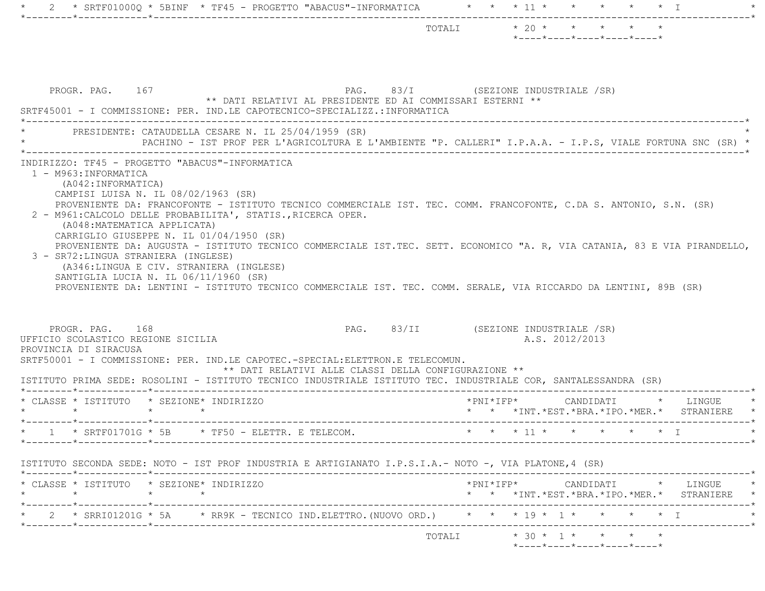|                                                                                                                                                                                                                                                                                                                                                                                                                                                                                                                                                                                                                                            |                                                                 | TOTALI * 20 * * * * * * |                | *----*----*----*----*----* |  |                                                                                                                                                    |
|--------------------------------------------------------------------------------------------------------------------------------------------------------------------------------------------------------------------------------------------------------------------------------------------------------------------------------------------------------------------------------------------------------------------------------------------------------------------------------------------------------------------------------------------------------------------------------------------------------------------------------------------|-----------------------------------------------------------------|-------------------------|----------------|----------------------------|--|----------------------------------------------------------------------------------------------------------------------------------------------------|
| PROGR. PAG. 167<br>** DATI RELATIVI AL PRESIDENTE ED AI COMMISSARI ESTERNI **<br>SRTF45001 - I COMMISSIONE: PER. IND.LE CAPOTECNICO-SPECIALIZZ.:INFORMATICA                                                                                                                                                                                                                                                                                                                                                                                                                                                                                | PAG. 83/I (SEZIONE INDUSTRIALE /SR)                             |                         |                |                            |  |                                                                                                                                                    |
| * PRESIDENTE: CATAUDELLA CESARE N. IL 25/04/1959 (SR)<br>PACHINO - IST PROF PER L'AGRICOLTURA E L'AMBIENTE "P. CALLERI" I.P.A.A. - I.P.S, VIALE FORTUNA SNC (SR) *                                                                                                                                                                                                                                                                                                                                                                                                                                                                         |                                                                 |                         |                |                            |  |                                                                                                                                                    |
| PROVENIENTE DA: FRANCOFONTE - ISTITUTO TECNICO COMMERCIALE IST. TEC. COMM. FRANCOFONTE, C.DA S. ANTONIO, S.N. (SR)<br>2 - M961: CALCOLO DELLE PROBABILITA', STATIS., RICERCA OPER.<br>(A048: MATEMATICA APPLICATA)<br>CARRIGLIO GIUSEPPE N. IL 01/04/1950 (SR)<br>PROVENIENTE DA: AUGUSTA - ISTITUTO TECNICO COMMERCIALE IST.TEC. SETT. ECONOMICO "A. R, VIA CATANIA, 83 E VIA PIRANDELLO,<br>3 - SR72: LINGUA STRANIERA (INGLESE)<br>(A346:LINGUA E CIV. STRANIERA (INGLESE)<br>SANTIGLIA LUCIA N. IL 06/11/1960 (SR)<br>PROVENIENTE DA: LENTINI - ISTITUTO TECNICO COMMERCIALE IST. TEC. COMM. SERALE, VIA RICCARDO DA LENTINI, 89B (SR) |                                                                 |                         |                |                            |  |                                                                                                                                                    |
| PROGR. PAG. 168<br>** DATI RELATIVI ALLE CLASSI DELLA CONFIGURAZIONE **                                                                                                                                                                                                                                                                                                                                                                                                                                                                                                                                                                    | PAG. 83/II (SEZIONE INDUSTRIALE /SR)                            |                         | A.S. 2012/2013 |                            |  |                                                                                                                                                    |
|                                                                                                                                                                                                                                                                                                                                                                                                                                                                                                                                                                                                                                            |                                                                 |                         |                |                            |  |                                                                                                                                                    |
| $\star$<br>$\star$                                                                                                                                                                                                                                                                                                                                                                                                                                                                                                                                                                                                                         | $*$ PNI $*$ IFP $*$<br>* * *INT.*EST.*BRA.*IPO.*MER.* STRANIERE |                         |                |                            |  | CANDIDATI * LINGUE                                                                                                                                 |
|                                                                                                                                                                                                                                                                                                                                                                                                                                                                                                                                                                                                                                            |                                                                 |                         |                |                            |  |                                                                                                                                                    |
|                                                                                                                                                                                                                                                                                                                                                                                                                                                                                                                                                                                                                                            |                                                                 |                         |                |                            |  |                                                                                                                                                    |
| UFFICIO SCOLASTICO REGIONE SICILIA<br>PROVINCIA DI SIRACUSA<br>SRTF50001 - I COMMISSIONE: PER. IND.LE CAPOTEC.-SPECIAL:ELETTRON.E TELECOMUN.<br>ISTITUTO PRIMA SEDE: ROSOLINI - ISTITUTO TECNICO INDUSTRIALE ISTITUTO TEC. INDUSTRIALE COR, SANTALESSANDRA (SR)<br>* CLASSE * ISTITUTO * SEZIONE* INDIRIZZO<br>$\star$ $\star$<br>* 1 * SRTF01701G * 5B * TF50 - ELETTR. E TELECOM. * * * * 11 * * * * * * * * I<br>ISTITUTO SECONDA SEDE: NOTO - IST PROF INDUSTRIA E ARTIGIANATO I.P.S.I.A.- NOTO -, VIA PLATONE, 4 (SR)<br>* CLASSE * ISTITUTO * SEZIONE* INDIRIZZO<br>$\star$ $\star$<br>$\star$                                       |                                                                 |                         |                |                            |  | $*PNI*IFP* \qquad \qquad \text{CANDIDATI} \qquad \qquad * \qquad \text{LINGUE} \qquad \qquad *$<br>* * *INT. *EST. *BRA. *IPO. *MER. * STRANIERE * |
| 2 * SRRI01201G * 5A * RR9K - TECNICO IND.ELETTRO. (NUOVO ORD.) * * * 19 * 1 * * * * * * I                                                                                                                                                                                                                                                                                                                                                                                                                                                                                                                                                  |                                                                 |                         |                |                            |  |                                                                                                                                                    |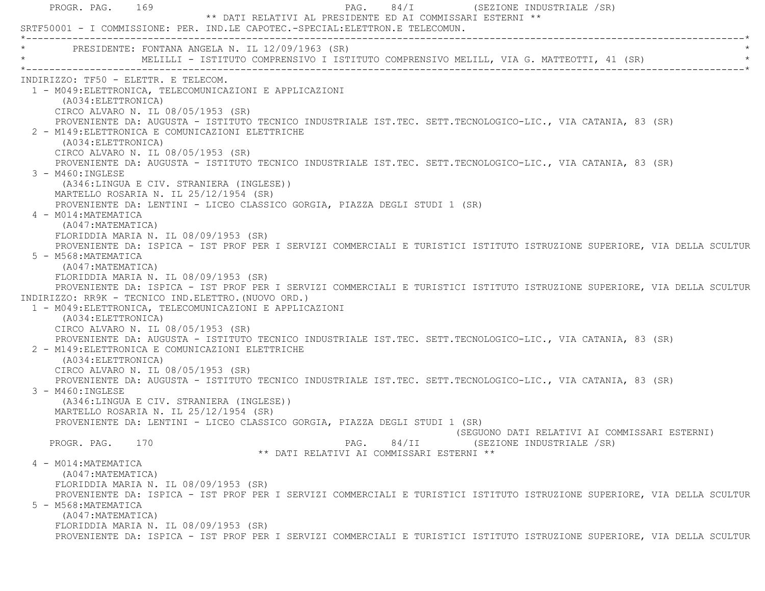PROGR. PAG. 169 PAG. 84/I (SEZIONE INDUSTRIALE /SR) \*\* DATI RELATIVI AL PRESIDENTE ED AI COMMISSARI ESTERNI \*\* SRTF50001 - I COMMISSIONE: PER. IND.LE CAPOTEC.-SPECIAL:ELETTRON.E TELECOMUN. \*----------------------------------------------------------------------------------------------------------------------------\*PRESIDENTE: FONTANA ANGELA N. IL 12/09/1963 (SR) MELILLI - ISTITUTO COMPRENSIVO I ISTITUTO COMPRENSIVO MELILL, VIA G. MATTEOTTI, 41 (SR) \*----------------------------------------------------------------------------------------------------------------------------\* INDIRIZZO: TF50 - ELETTR. E TELECOM. 1 - M049:ELETTRONICA, TELECOMUNICAZIONI E APPLICAZIONI (A034:ELETTRONICA) CIRCO ALVARO N. IL 08/05/1953 (SR) PROVENIENTE DA: AUGUSTA - ISTITUTO TECNICO INDUSTRIALE IST.TEC. SETT.TECNOLOGICO-LIC., VIA CATANIA, 83 (SR) 2 - M149:ELETTRONICA E COMUNICAZIONI ELETTRICHE (A034:ELETTRONICA) CIRCO ALVARO N. IL 08/05/1953 (SR) PROVENIENTE DA: AUGUSTA - ISTITUTO TECNICO INDUSTRIALE IST.TEC. SETT.TECNOLOGICO-LIC., VIA CATANIA, 83 (SR) 3 - M460:INGLESE (A346:LINGUA E CIV. STRANIERA (INGLESE)) MARTELLO ROSARIA N. IL 25/12/1954 (SR) PROVENIENTE DA: LENTINI - LICEO CLASSICO GORGIA, PIAZZA DEGLI STUDI 1 (SR) 4 - M014:MATEMATICA (A047:MATEMATICA) FLORIDDIA MARIA N. IL 08/09/1953 (SR) PROVENIENTE DA: ISPICA - IST PROF PER I SERVIZI COMMERCIALI E TURISTICI ISTITUTO ISTRUZIONE SUPERIORE, VIA DELLA SCULTUR 5 - M568:MATEMATICA (A047:MATEMATICA) FLORIDDIA MARIA N. IL 08/09/1953 (SR) PROVENIENTE DA: ISPICA - IST PROF PER I SERVIZI COMMERCIALI E TURISTICI ISTITUTO ISTRUZIONE SUPERIORE, VIA DELLA SCULTUR INDIRIZZO: RR9K - TECNICO IND.ELETTRO.(NUOVO ORD.) 1 - M049:ELETTRONICA, TELECOMUNICAZIONI E APPLICAZIONI (A034:ELETTRONICA) CIRCO ALVARO N. IL 08/05/1953 (SR) PROVENIENTE DA: AUGUSTA - ISTITUTO TECNICO INDUSTRIALE IST.TEC. SETT.TECNOLOGICO-LIC., VIA CATANIA, 83 (SR) 2 - M149:ELETTRONICA E COMUNICAZIONI ELETTRICHE (A034:ELETTRONICA) CIRCO ALVARO N. IL 08/05/1953 (SR) PROVENIENTE DA: AUGUSTA - ISTITUTO TECNICO INDUSTRIALE IST.TEC. SETT.TECNOLOGICO-LIC., VIA CATANIA, 83 (SR) 3 - M460:INGLESE (A346:LINGUA E CIV. STRANIERA (INGLESE)) MARTELLO ROSARIA N. IL 25/12/1954 (SR) PROVENIENTE DA: LENTINI - LICEO CLASSICO GORGIA, PIAZZA DEGLI STUDI 1 (SR) (SEGUONO DATI RELATIVI AI COMMISSARI ESTERNI) PROGR. PAG. 170 **PROGR. PAG. 24/II** (SEZIONE INDUSTRIALE /SR) \*\* DATI RELATIVI AI COMMISSARI ESTERNI \*\* 4 - M014:MATEMATICA (A047:MATEMATICA) FLORIDDIA MARIA N. IL 08/09/1953 (SR) PROVENIENTE DA: ISPICA - IST PROF PER I SERVIZI COMMERCIALI E TURISTICI ISTITUTO ISTRUZIONE SUPERIORE, VIA DELLA SCULTUR 5 - M568:MATEMATICA (A047:MATEMATICA) FLORIDDIA MARIA N. IL 08/09/1953 (SR) PROVENIENTE DA: ISPICA - IST PROF PER I SERVIZI COMMERCIALI E TURISTICI ISTITUTO ISTRUZIONE SUPERIORE, VIA DELLA SCULTUR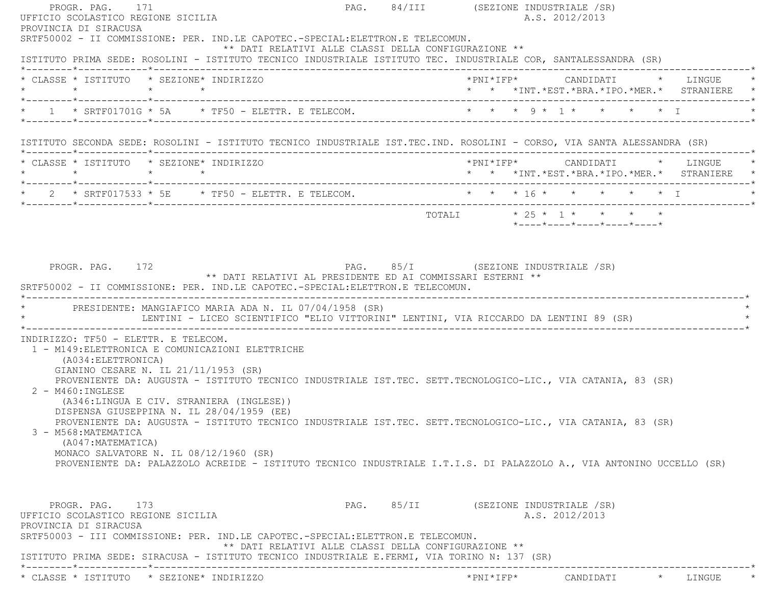| PROGR. PAG. 171<br>UFFICIO SCOLASTICO REGIONE SICILIA       |                                                                                                                                                                                                                                                           |  | PAG. 84/III (SEZIONE INDUSTRIALE /SR)<br>A.S. 2012/2013                                                                 |
|-------------------------------------------------------------|-----------------------------------------------------------------------------------------------------------------------------------------------------------------------------------------------------------------------------------------------------------|--|-------------------------------------------------------------------------------------------------------------------------|
| PROVINCIA DI SIRACUSA                                       | SRTF50002 - II COMMISSIONE: PER. IND.LE CAPOTEC.-SPECIAL:ELETTRON.E TELECOMUN.<br>** DATI RELATIVI ALLE CLASSI DELLA CONFIGURAZIONE **<br>ISTITUTO PRIMA SEDE: ROSOLINI - ISTITUTO TECNICO INDUSTRIALE ISTITUTO TEC. INDUSTRIALE COR, SANTALESSANDRA (SR) |  |                                                                                                                         |
|                                                             | * CLASSE * ISTITUTO * SEZIONE* INDIRIZZO                                                                                                                                                                                                                  |  | *PNI*IFP* CANDIDATI * LINGUE<br>* * *INT. *EST. *BRA. *IPO. *MER. * STRANIERE *                                         |
|                                                             | $1 * SRTF01701G * 5A * TF50 - ELETTR. E TELECOM.$                                                                                                                                                                                                         |  | * * * 9 * 1 * * * * T                                                                                                   |
|                                                             |                                                                                                                                                                                                                                                           |  | ISTITUTO SECONDA SEDE: ROSOLINI - ISTITUTO TECNICO INDUSTRIALE IST.TEC.IND. ROSOLINI - CORSO, VIA SANTA ALESSANDRA (SR) |
| $\star$                                                     | * CLASSE * ISTITUTO * SEZIONE* INDIRIZZO<br>$\star$ $\qquad$ $\star$                                                                                                                                                                                      |  | *PNI*IFP* CANDIDATI * LINGUE<br>* * *INT. *EST. *BRA. *IPO. *MER. * STRANIERE *                                         |
|                                                             | $\star$ 2 $\star$ SRTF017533 $\star$ 5E $\star$ TF50 - ELETTR. E TELECOM.                                                                                                                                                                                 |  | * * * 16 * * * * * * T                                                                                                  |
|                                                             |                                                                                                                                                                                                                                                           |  | TOTALI * 25 * 1 * * * * *<br>$*$ - - - - $*$ - - - - $*$ - - - - $*$ - - - - $*$ - - - - $*$                            |
|                                                             | LENTINI - LICEO SCIENTIFICO "ELIO VITTORINI" LENTINI, VIA RICCARDO DA LENTINI 89 (SR)                                                                                                                                                                     |  |                                                                                                                         |
|                                                             | ** DATI RELATIVI AL PRESIDENTE ED AI COMMISSARI ESTERNI **<br>SRTF50002 - II COMMISSIONE: PER. IND.LE CAPOTEC.-SPECIAL: ELETTRON.E TELECOMUN.<br>PRESIDENTE: MANGIAFICO MARIA ADA N. IL 07/04/1958 (SR)                                                   |  |                                                                                                                         |
| INDIRIZZO: TF50 - ELETTR. E TELECOM.<br>(A034: ELETTRONICA) | 1 - M149: ELETTRONICA E COMUNICAZIONI ELETTRICHE                                                                                                                                                                                                          |  |                                                                                                                         |
| $2 - M460$ : INGLESE                                        | GIANINO CESARE N. IL 21/11/1953 (SR)<br>PROVENIENTE DA: AUGUSTA - ISTITUTO TECNICO INDUSTRIALE IST.TEC. SETT.TECNOLOGICO-LIC., VIA CATANIA, 83 (SR)                                                                                                       |  |                                                                                                                         |
| 3 – M568:MATEMATICA                                         | (A346:LINGUA E CIV. STRANIERA (INGLESE))<br>DISPENSA GIUSEPPINA N. IL 28/04/1959 (EE)<br>PROVENIENTE DA: AUGUSTA - ISTITUTO TECNICO INDUSTRIALE IST.TEC. SETT.TECNOLOGICO-LIC., VIA CATANIA, 83 (SR)                                                      |  |                                                                                                                         |
| (A047: MATEMATICA)                                          | MONACO SALVATORE N. IL 08/12/1960 (SR)                                                                                                                                                                                                                    |  | PROVENIENTE DA: PALAZZOLO ACREIDE - ISTITUTO TECNICO INDUSTRIALE I.T.I.S. DI PALAZZOLO A., VIA ANTONINO UCCELLO (SR)    |
| PROGR. PAG. 173<br>UFFICIO SCOLASTICO REGIONE SICILIA       |                                                                                                                                                                                                                                                           |  |                                                                                                                         |
|                                                             |                                                                                                                                                                                                                                                           |  | PAG. 85/II (SEZIONE INDUSTRIALE /SR)<br>A.S. 2012/2013                                                                  |
| PROVINCIA DI SIRACUSA                                       | SRTF50003 - III COMMISSIONE: PER. IND.LE CAPOTEC.-SPECIAL:ELETTRON.E TELECOMUN.<br>** DATI RELATIVI ALLE CLASSI DELLA CONFIGURAZIONE **<br>ISTITUTO PRIMA SEDE: SIRACUSA - ISTITUTO TECNICO INDUSTRIALE E.FERMI, VIA TORINO N: 137 (SR)                   |  |                                                                                                                         |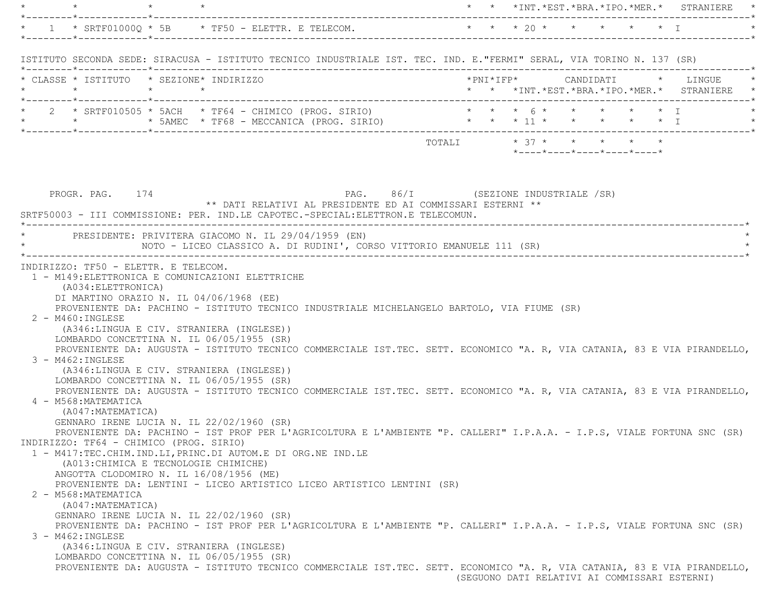\* \* \* \* \* \* \*INT.\*EST.\*BRA.\*IPO.\*MER.\* STRANIERE \* \*--------\*------------\*-------------------------------------------------------------------------------------------------------\*1 \* SRTF010000 \* 5B \* TF50 - ELETTR. E TELECOM.  $\overline{z}$  \* \* \* 20 \* \* \* \* \* \*  $\overline{z}$  \*--------\*------------\*-------------------------------------------------------------------------------------------------------\* ISTITUTO SECONDA SEDE: SIRACUSA - ISTITUTO TECNICO INDUSTRIALE IST. TEC. IND. E."FERMI" SERAL, VIA TORINO N. 137 (SR) \*--------\*------------\*-------------------------------------------------------------------------------------------------------\* \* CLASSE \* ISTITUTO \* SEZIONE\* INDIRIZZO \*PNI\*IFP\* CANDIDATI \* LINGUE \* \* \* \* \* \* \* \*INT.\*EST.\*BRA.\*IPO.\*MER.\* STRANIERE \* \*--------\*------------\*-------------------------------------------------------------------------------------------------------\* \* 2 \* SRTF010505 \* 5ACH \* TF64 - CHIMICO (PROG. SIRIO) \* \* \* 6 \* \* \* \* \* I \* \* \* \* 5AMEC \* TF68 - MECCANICA (PROG. SIRIO) \* \* \* 11 \* \* \* \* \* I \* \*--------\*------------\*-------------------------------------------------------------------------------------------------------\*TOTALI  $* 37 * * * * * * * * * *$  \*----\*----\*----\*----\*----\*PROGR. PAG. 174 CHARGE 174 PAG. 86/I (SEZIONE INDUSTRIALE /SR) \*\* DATI RELATIVI AL PRESIDENTE ED AI COMMISSARI ESTERNI \*\* SRTF50003 - III COMMISSIONE: PER. IND.LE CAPOTEC.-SPECIAL:ELETTRON.E TELECOMUN. \*----------------------------------------------------------------------------------------------------------------------------\*PRESIDENTE: PRIVITERA GIACOMO N. IL 29/04/1959 (EN) NOTO - LICEO CLASSICO A. DI RUDINI', CORSO VITTORIO EMANUELE 111 (SR) \*----------------------------------------------------------------------------------------------------------------------------\* INDIRIZZO: TF50 - ELETTR. E TELECOM. 1 - M149:ELETTRONICA E COMUNICAZIONI ELETTRICHE (A034:ELETTRONICA) DI MARTINO ORAZIO N. IL 04/06/1968 (EE) PROVENIENTE DA: PACHINO - ISTITUTO TECNICO INDUSTRIALE MICHELANGELO BARTOLO, VIA FIUME (SR) 2 - M460:INGLESE (A346:LINGUA E CIV. STRANIERA (INGLESE)) LOMBARDO CONCETTINA N. IL 06/05/1955 (SR) PROVENIENTE DA: AUGUSTA - ISTITUTO TECNICO COMMERCIALE IST.TEC. SETT. ECONOMICO "A. R, VIA CATANIA, 83 E VIA PIRANDELLO, 3 - M462:INGLESE (A346:LINGUA E CIV. STRANIERA (INGLESE)) LOMBARDO CONCETTINA N. IL 06/05/1955 (SR) PROVENIENTE DA: AUGUSTA - ISTITUTO TECNICO COMMERCIALE IST.TEC. SETT. ECONOMICO "A. R, VIA CATANIA, 83 E VIA PIRANDELLO, 4 - M568:MATEMATICA (A047:MATEMATICA) GENNARO IRENE LUCIA N. IL 22/02/1960 (SR) PROVENIENTE DA: PACHINO - IST PROF PER L'AGRICOLTURA E L'AMBIENTE "P. CALLERI" I.P.A.A. - I.P.S, VIALE FORTUNA SNC (SR) INDIRIZZO: TF64 - CHIMICO (PROG. SIRIO) 1 - M417:TEC.CHIM.IND.LI,PRINC.DI AUTOM.E DI ORG.NE IND.LE (A013:CHIMICA E TECNOLOGIE CHIMICHE) ANGOTTA CLODOMIRO N. IL 16/08/1956 (ME) PROVENIENTE DA: LENTINI - LICEO ARTISTICO LICEO ARTISTICO LENTINI (SR) 2 - M568:MATEMATICA (A047:MATEMATICA) GENNARO IRENE LUCIA N. IL 22/02/1960 (SR) PROVENIENTE DA: PACHINO - IST PROF PER L'AGRICOLTURA E L'AMBIENTE "P. CALLERI" I.P.A.A. - I.P.S, VIALE FORTUNA SNC (SR) 3 - M462:INGLESE (A346:LINGUA E CIV. STRANIERA (INGLESE) LOMBARDO CONCETTINA N. IL 06/05/1955 (SR) PROVENIENTE DA: AUGUSTA - ISTITUTO TECNICO COMMERCIALE IST.TEC. SETT. ECONOMICO "A. R, VIA CATANIA, 83 E VIA PIRANDELLO, (SEGUONO DATI RELATIVI AI COMMISSARI ESTERNI)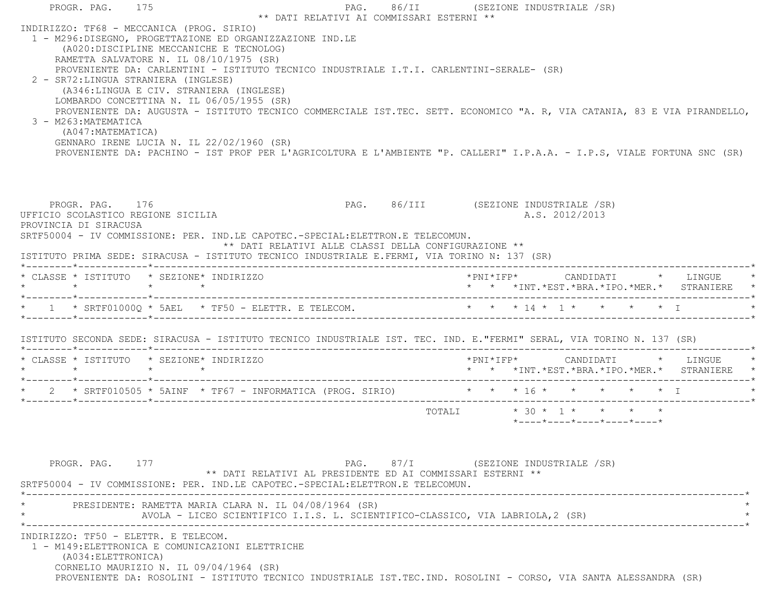PROGR. PAG. 175 PAG. 86/II (SEZIONE INDUSTRIALE /SR) \*\* DATI RELATIVI AI COMMISSARI ESTERNI \*\* INDIRIZZO: TF68 - MECCANICA (PROG. SIRIO) 1 - M296:DISEGNO, PROGETTAZIONE ED ORGANIZZAZIONE IND.LE (A020:DISCIPLINE MECCANICHE E TECNOLOG) RAMETTA SALVATORE N. IL 08/10/1975 (SR) PROVENIENTE DA: CARLENTINI - ISTITUTO TECNICO INDUSTRIALE I.T.I. CARLENTINI-SERALE- (SR) 2 - SR72:LINGUA STRANIERA (INGLESE) (A346:LINGUA E CIV. STRANIERA (INGLESE) LOMBARDO CONCETTINA N. IL 06/05/1955 (SR) PROVENIENTE DA: AUGUSTA - ISTITUTO TECNICO COMMERCIALE IST.TEC. SETT. ECONOMICO "A. R, VIA CATANIA, 83 E VIA PIRANDELLO, 3 - M263:MATEMATICA (A047:MATEMATICA) GENNARO IRENE LUCIA N. IL 22/02/1960 (SR) PROVENIENTE DA: PACHINO - IST PROF PER L'AGRICOLTURA E L'AMBIENTE "P. CALLERI" I.P.A.A. - I.P.S, VIALE FORTUNA SNC (SR) PROGR. PAG. 176 PAG. 86/III (SEZIONE INDUSTRIALE /SR) UFFICIO SCOLASTICO REGIONE SICILIA A.S. 2012/2013 PROVINCIA DI SIRACUSA SRTF50004 - IV COMMISSIONE: PER. IND.LE CAPOTEC.-SPECIAL:ELETTRON.E TELECOMUN. \*\* DATI RELATIVI ALLE CLASSI DELLA CONFIGURAZIONE \*\* ISTITUTO PRIMA SEDE: SIRACUSA - ISTITUTO TECNICO INDUSTRIALE E.FERMI, VIA TORINO N: 137 (SR) \*--------\*------------\*-------------------------------------------------------------------------------------------------------\* \* CLASSE \* ISTITUTO \* SEZIONE\* INDIRIZZO \*PNI\*IFP\* CANDIDATI \* LINGUE \* \* \* \* \* \* \* \*INT.\*EST.\*BRA.\*IPO.\*MER.\* STRANIERE \* \*--------\*------------\*-------------------------------------------------------------------------------------------------------\* \* 1 \* SRTF01000Q \* 5AEL \* TF50 - ELETTR. E TELECOM. \* \* \* 14 \* 1 \* \* \* \* I \* \*--------\*------------\*-------------------------------------------------------------------------------------------------------\* ISTITUTO SECONDA SEDE: SIRACUSA - ISTITUTO TECNICO INDUSTRIALE IST. TEC. IND. E."FERMI" SERAL, VIA TORINO N. 137 (SR) \*--------\*------------\*-------------------------------------------------------------------------------------------------------\* \* CLASSE \* ISTITUTO \* SEZIONE\* INDIRIZZO \*PNI\*IFP\* CANDIDATI \* LINGUE \* \* \* \* \* \* \* \*INT.\*EST.\*BRA.\*IPO.\*MER.\* STRANIERE \* \*--------\*------------\*-------------------------------------------------------------------------------------------------------\*\* 2 \* SRTF010505 \* 5AINF \* TF67 - INFORMATICA (PROG. SIRIO) \* \* \* \* 16 \* \* \* \* \* \* \* \* T \*--------\*------------\*-------------------------------------------------------------------------------------------------------\*TOTALI  $* 30 * 1 * * * * * * *$  \*----\*----\*----\*----\*----\*PROGR. PAG. 177 PAG. 87/I (SEZIONE INDUSTRIALE /SR) \*\* DATI RELATIVI AL PRESIDENTE ED AI COMMISSARI ESTERNI \*\* SRTF50004 - IV COMMISSIONE: PER. IND.LE CAPOTEC.-SPECIAL:ELETTRON.E TELECOMUN. \*----------------------------------------------------------------------------------------------------------------------------\*\* PRESIDENTE: RAMETTA MARIA CLARA N. IL 04/08/1964 (SR) \*

AVOLA - LICEO SCIENTIFICO I.I.S. L. SCIENTIFICO-CLASSICO, VIA LABRIOLA,2 (SR) \*----------------------------------------------------------------------------------------------------------------------------\*

INDIRIZZO: TF50 - ELETTR. E TELECOM.

 1 - M149:ELETTRONICA E COMUNICAZIONI ELETTRICHE (A034:ELETTRONICA) CORNELIO MAURIZIO N. IL 09/04/1964 (SR) PROVENIENTE DA: ROSOLINI - ISTITUTO TECNICO INDUSTRIALE IST.TEC.IND. ROSOLINI - CORSO, VIA SANTA ALESSANDRA (SR)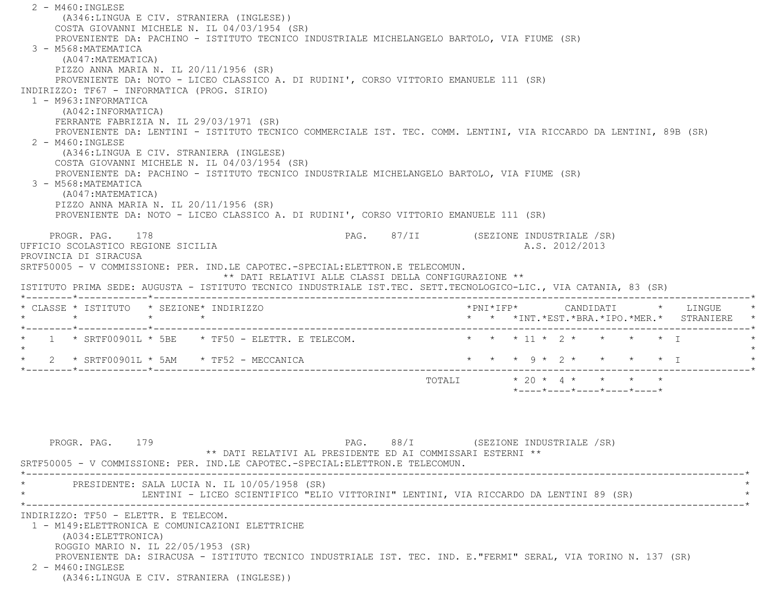2 - M460:INGLESE (A346:LINGUA E CIV. STRANIERA (INGLESE)) COSTA GIOVANNI MICHELE N. IL 04/03/1954 (SR) PROVENIENTE DA: PACHINO - ISTITUTO TECNICO INDUSTRIALE MICHELANGELO BARTOLO, VIA FIUME (SR) 3 - M568:MATEMATICA (A047:MATEMATICA) PIZZO ANNA MARIA N. IL 20/11/1956 (SR) PROVENIENTE DA: NOTO - LICEO CLASSICO A. DI RUDINI', CORSO VITTORIO EMANUELE 111 (SR) INDIRIZZO: TF67 - INFORMATICA (PROG. SIRIO) 1 - M963:INFORMATICA (A042:INFORMATICA) FERRANTE FABRIZIA N. IL 29/03/1971 (SR) PROVENIENTE DA: LENTINI - ISTITUTO TECNICO COMMERCIALE IST. TEC. COMM. LENTINI, VIA RICCARDO DA LENTINI, 89B (SR) 2 - M460:INGLESE (A346:LINGUA E CIV. STRANIERA (INGLESE) COSTA GIOVANNI MICHELE N. IL 04/03/1954 (SR) PROVENIENTE DA: PACHINO - ISTITUTO TECNICO INDUSTRIALE MICHELANGELO BARTOLO, VIA FIUME (SR) 3 - M568:MATEMATICA (A047:MATEMATICA) PIZZO ANNA MARIA N. IL 20/11/1956 (SR) PROVENIENTE DA: NOTO - LICEO CLASSICO A. DI RUDINI', CORSO VITTORIO EMANUELE 111 (SR) PROGR. PAG. 178 CHARGE 178 PAG. 87/II (SEZIONE INDUSTRIALE / SR) UFFICIO SCOLASTICO REGIONE SICILIA A.S. 2012/2013 PROVINCIA DI SIRACUSA SRTF50005 - V COMMISSIONE: PER. IND.LE CAPOTEC.-SPECIAL:ELETTRON.E TELECOMUN. \*\* DATI RELATIVI ALLE CLASSI DELLA CONFIGURAZIONE \*\* ISTITUTO PRIMA SEDE: AUGUSTA - ISTITUTO TECNICO INDUSTRIALE IST.TEC. SETT.TECNOLOGICO-LIC., VIA CATANIA, 83 (SR) \*--------\*------------\*-------------------------------------------------------------------------------------------------------\* \* CLASSE \* ISTITUTO \* SEZIONE\* INDIRIZZO \*PNI\*IFP\* CANDIDATI \* LINGUE \* \* \* \* \* \* \* \*INT.\*EST.\*BRA.\*IPO.\*MER.\* STRANIERE \* \*--------\*------------\*-------------------------------------------------------------------------------------------------------\*1 \* SRTF00901L \* 5BE \* TF50 - ELETTR. E TELECOM. \* \* \* \* \* 11 \* 2 \* \* \* \* \* \* I  $\star$ \* 2 \* SRTF00901L \* 5AM \* TF52 - MECCANICA \* \* \* \* \* \* \* \* \* \* \* \* \* \* \* I \*--------\*------------\*-------------------------------------------------------------------------------------------------------\*TOTALI  $\star$  20  $\star$  4  $\star$   $\star$   $\star$   $\star$  $*$ ---- $*$ ---- $*$ ---- $*$ ---- $*$ ---- $*$ 

PROGR. PAG. 179 CHARGE 179 PAG. 88/I (SEZIONE INDUSTRIALE /SR) \*\* DATI RELATIVI AL PRESIDENTE ED AI COMMISSARI ESTERNI \*\* SRTF50005 - V COMMISSIONE: PER. IND.LE CAPOTEC.-SPECIAL:ELETTRON.E TELECOMUN. \*----------------------------------------------------------------------------------------------------------------------------\*PRESIDENTE: SALA LUCIA N. IL 10/05/1958 (SR) LENTINI - LICEO SCIENTIFICO "ELIO VITTORINI" LENTINI, VIA RICCARDO DA LENTINI 89 (SR) \*----------------------------------------------------------------------------------------------------------------------------\* INDIRIZZO: TF50 - ELETTR. E TELECOM. 1 - M149:ELETTRONICA E COMUNICAZIONI ELETTRICHE (A034:ELETTRONICA) ROGGIO MARIO N. IL 22/05/1953 (SR) PROVENIENTE DA: SIRACUSA - ISTITUTO TECNICO INDUSTRIALE IST. TEC. IND. E."FERMI" SERAL, VIA TORINO N. 137 (SR) 2 - M460:INGLESE(A346:LINGUA E CIV. STRANIERA (INGLESE))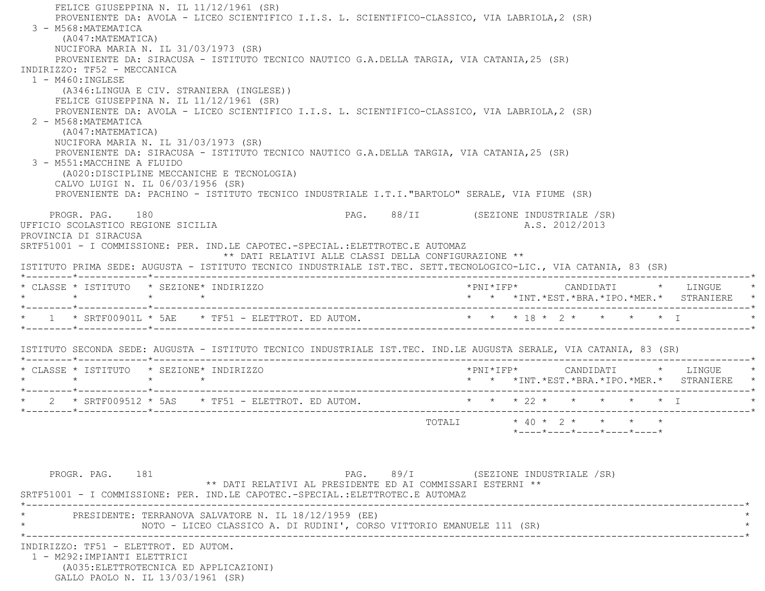FELICE GIUSEPPINA N. IL 11/12/1961 (SR) PROVENIENTE DA: AVOLA - LICEO SCIENTIFICO I.I.S. L. SCIENTIFICO-CLASSICO, VIA LABRIOLA,2 (SR) 3 - M568:MATEMATICA (A047:MATEMATICA) NUCIFORA MARIA N. IL 31/03/1973 (SR) PROVENIENTE DA: SIRACUSA - ISTITUTO TECNICO NAUTICO G.A.DELLA TARGIA, VIA CATANIA,25 (SR) INDIRIZZO: TF52 - MECCANICA 1 - M460:INGLESE (A346:LINGUA E CIV. STRANIERA (INGLESE)) FELICE GIUSEPPINA N. IL 11/12/1961 (SR) PROVENIENTE DA: AVOLA - LICEO SCIENTIFICO I.I.S. L. SCIENTIFICO-CLASSICO, VIA LABRIOLA,2 (SR) 2 - M568:MATEMATICA (A047:MATEMATICA) NUCIFORA MARIA N. IL 31/03/1973 (SR) PROVENIENTE DA: SIRACUSA - ISTITUTO TECNICO NAUTICO G.A.DELLA TARGIA, VIA CATANIA,25 (SR) 3 - M551:MACCHINE A FLUIDO (A020:DISCIPLINE MECCANICHE E TECNOLOGIA) CALVO LUIGI N. IL 06/03/1956 (SR) PROVENIENTE DA: PACHINO - ISTITUTO TECNICO INDUSTRIALE I.T.I."BARTOLO" SERALE, VIA FIUME (SR) PROGR. PAG. 180 PAG. 88/II (SEZIONE INDUSTRIALE /SR) UFFICIO SCOLASTICO REGIONE SICILIA A.S. 2012/2013 PROVINCIA DI SIRACUSA SRTF51001 - I COMMISSIONE: PER. IND.LE CAPOTEC.-SPECIAL.:ELETTROTEC.E AUTOMAZ \*\* DATI RELATIVI ALLE CLASSI DELLA CONFIGURAZIONE \*\* ISTITUTO PRIMA SEDE: AUGUSTA - ISTITUTO TECNICO INDUSTRIALE IST.TEC. SETT.TECNOLOGICO-LIC., VIA CATANIA, 83 (SR) \*--------\*------------\*-------------------------------------------------------------------------------------------------------\* \* CLASSE \* ISTITUTO \* SEZIONE\* INDIRIZZO \*PNI\*IFP\* CANDIDATI \* LINGUE \* \* \* \* \* \* \* \*INT.\*EST.\*BRA.\*IPO.\*MER.\* STRANIERE \* \*--------\*------------\*-------------------------------------------------------------------------------------------------------\* \* 1 \* SRTF00901L \* 5AE \* TF51 - ELETTROT. ED AUTOM. \* \* \* 18 \* 2 \* \* \* \* I \* \*--------\*------------\*-------------------------------------------------------------------------------------------------------\* ISTITUTO SECONDA SEDE: AUGUSTA - ISTITUTO TECNICO INDUSTRIALE IST.TEC. IND.LE AUGUSTA SERALE, VIA CATANIA, 83 (SR) \*--------\*------------\*-------------------------------------------------------------------------------------------------------\* \* CLASSE \* ISTITUTO \* SEZIONE\* INDIRIZZO \*PNI\*IFP\* CANDIDATI \* LINGUE \* \* \* \* \* \* \* \*INT.\*EST.\*BRA.\*IPO.\*MER.\* STRANIERE \* \*--------\*------------\*-------------------------------------------------------------------------------------------------------\*2 \* SRTF009512 \* 5AS \* TF51 - ELETTROT. ED AUTOM. \* \* \* \* \* 22 \* \* \* \* \* \* \* I \*--------\*------------\*-------------------------------------------------------------------------------------------------------\* $\texttt{TOTAL} \qquad \qquad \star \; \; 40 \; \star \; \; 2 \; \star \qquad \star \qquad \star \qquad \star \qquad \star$  \*----\*----\*----\*----\*----\*PROGR. PAG. 181 181 PAG. 89/I (SEZIONE INDUSTRIALE /SR) \*\* DATI RELATIVI AL PRESIDENTE ED AI COMMISSARI ESTERNI \*\* SRTF51001 - I COMMISSIONE: PER. IND.LE CAPOTEC.-SPECIAL.:ELETTROTEC.E AUTOMAZ \*----------------------------------------------------------------------------------------------------------------------------\* \* PRESIDENTE: TERRANOVA SALVATORE N. IL 18/12/1959 (EE) \* NOTO - LICEO CLASSICO A. DI RUDINI', CORSO VITTORIO EMANUELE 111 (SR) \*----------------------------------------------------------------------------------------------------------------------------\* INDIRIZZO: TF51 - ELETTROT. ED AUTOM. 1 - M292:IMPIANTI ELETTRICI (A035:ELETTROTECNICA ED APPLICAZIONI) GALLO PAOLO N. IL 13/03/1961 (SR)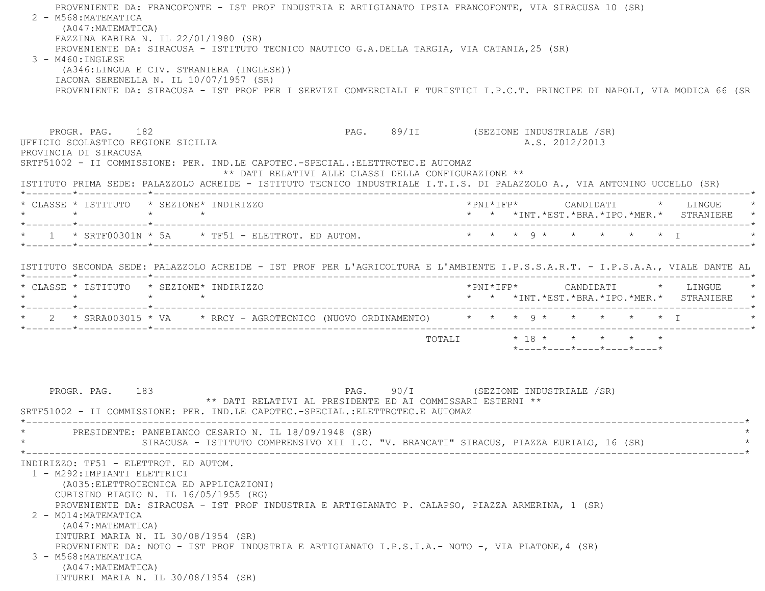PROVENIENTE DA: FRANCOFONTE - IST PROF INDUSTRIA E ARTIGIANATO IPSIA FRANCOFONTE, VIA SIRACUSA 10 (SR)  $2 - M568$ : MATEMATICA (A047:MATEMATICA) FAZZINA KABIRA N. IL 22/01/1980 (SR) PROVENIENTE DA: SIRACUSA - ISTITUTO TECNICO NAUTICO G.A.DELLA TARGIA, VIA CATANIA,25 (SR) 3 - M460:INGLESE (A346:LINGUA E CIV. STRANIERA (INGLESE)) IACONA SERENELLA N. IL 10/07/1957 (SR) PROVENIENTE DA: SIRACUSA - IST PROF PER I SERVIZI COMMERCIALI E TURISTICI I.P.C.T. PRINCIPE DI NAPOLI, VIA MODICA 66 (SR PROGR. PAG. 182 **PAG.** PAG. 89/II (SEZIONE INDUSTRIALE /SR) UFFICIO SCOLASTICO REGIONE SICILIA A.S. 2012/2013 PROVINCIA DI SIRACUSA SRTF51002 - II COMMISSIONE: PER. IND.LE CAPOTEC.-SPECIAL.:ELETTROTEC.E AUTOMAZ \*\* DATI RELATIVI ALLE CLASSI DELLA CONFIGURAZIONE \*\* ISTITUTO PRIMA SEDE: PALAZZOLO ACREIDE - ISTITUTO TECNICO INDUSTRIALE I.T.I.S. DI PALAZZOLO A., VIA ANTONINO UCCELLO (SR) \*--------\*------------\*-------------------------------------------------------------------------------------------------------\* \* CLASSE \* ISTITUTO \* SEZIONE\* INDIRIZZO \*PNI\*IFP\* CANDIDATI \* LINGUE \* \* \* \* \* \* \* \*INT.\*EST.\*BRA.\*IPO.\*MER.\* STRANIERE \* \*--------\*------------\*-------------------------------------------------------------------------------------------------------\* \* 1 \* SRTF00301N \* 5A \* TF51 - ELETTROT. ED AUTOM. \* \* \* 9 \* \* \* \* \* I \* \*--------\*------------\*-------------------------------------------------------------------------------------------------------\* ISTITUTO SECONDA SEDE: PALAZZOLO ACREIDE - IST PROF PER L'AGRICOLTURA E L'AMBIENTE I.P.S.S.A.R.T. - I.P.S.A.A., VIALE DANTE AL \*--------\*------------\*-------------------------------------------------------------------------------------------------------\* \* CLASSE \* ISTITUTO \* SEZIONE\* INDIRIZZO \*PNI\*IFP\* CANDIDATI \* LINGUE \* \* \* \* \* \* \* \*INT.\*EST.\*BRA.\*IPO.\*MER.\* STRANIERE \* \*--------\*------------\*-------------------------------------------------------------------------------------------------------\* \* 2 \* SRRA003015 \* VA \* RRCY - AGROTECNICO (NUOVO ORDINAMENTO) \* \* \* 9 \* \* \* \* \* I \* \*--------\*------------\*-------------------------------------------------------------------------------------------------------\* $\text{TOTAI}$   $\uparrow$   $\uparrow$  18 \* \* \* \* \* \*----\*----\*----\*----\*----\*PROGR. PAG. 183 **PAG.** PAG. 90/I (SEZIONE INDUSTRIALE /SR) \*\* DATI RELATIVI AL PRESIDENTE ED AI COMMISSARI ESTERNI \*\* SRTF51002 - II COMMISSIONE: PER. IND.LE CAPOTEC.-SPECIAL.:ELETTROTEC.E AUTOMAZ \*----------------------------------------------------------------------------------------------------------------------------\*PRESIDENTE: PANEBIANCO CESARIO N. IL 18/09/1948 (SR) SIRACUSA - ISTITUTO COMPRENSIVO XII I.C. "V. BRANCATI" SIRACUS, PIAZZA EURIALO, 16 (SR) \*----------------------------------------------------------------------------------------------------------------------------\* INDIRIZZO: TF51 - ELETTROT. ED AUTOM. 1 - M292:IMPIANTI ELETTRICI (A035:ELETTROTECNICA ED APPLICAZIONI) CUBISINO BIAGIO N. IL 16/05/1955 (RG) PROVENIENTE DA: SIRACUSA - IST PROF INDUSTRIA E ARTIGIANATO P. CALAPSO, PIAZZA ARMERINA, 1 (SR) 2 - M014:MATEMATICA (A047:MATEMATICA) INTURRI MARIA N. IL 30/08/1954 (SR) PROVENIENTE DA: NOTO - IST PROF INDUSTRIA E ARTIGIANATO I.P.S.I.A.- NOTO -, VIA PLATONE,4 (SR) 3 - M568:MATEMATICA (A047:MATEMATICA) INTURRI MARIA N. IL 30/08/1954 (SR)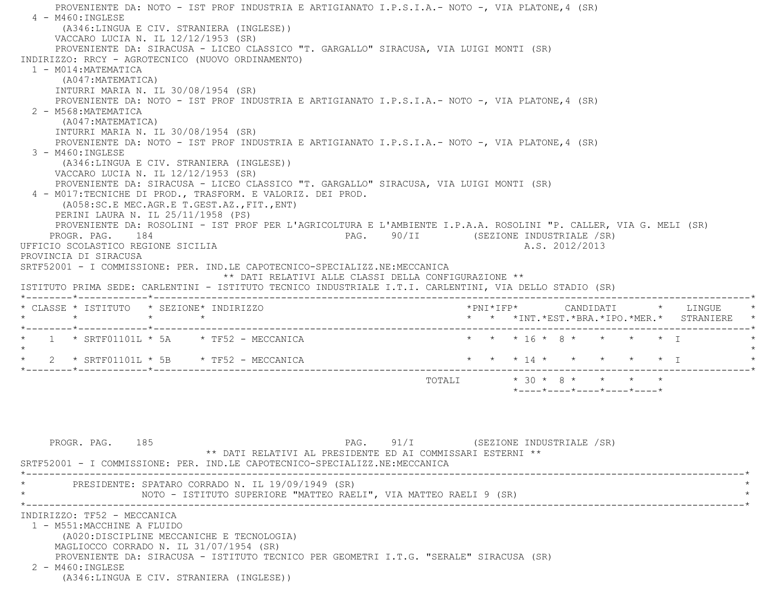PROVENIENTE DA: NOTO - IST PROF INDUSTRIA E ARTIGIANATO I.P.S.I.A.- NOTO -, VIA PLATONE,4 (SR)  $4 - M460$ : INGLESE (A346:LINGUA E CIV. STRANIERA (INGLESE)) VACCARO LUCIA N. IL 12/12/1953 (SR) PROVENIENTE DA: SIRACUSA - LICEO CLASSICO "T. GARGALLO" SIRACUSA, VIA LUIGI MONTI (SR) INDIRIZZO: RRCY - AGROTECNICO (NUOVO ORDINAMENTO) 1 - M014:MATEMATICA (A047:MATEMATICA) INTURRI MARIA N. IL 30/08/1954 (SR) PROVENIENTE DA: NOTO - IST PROF INDUSTRIA E ARTIGIANATO I.P.S.I.A.- NOTO -, VIA PLATONE,4 (SR) 2 - M568:MATEMATICA (A047:MATEMATICA) INTURRI MARIA N. IL 30/08/1954 (SR) PROVENIENTE DA: NOTO - IST PROF INDUSTRIA E ARTIGIANATO I.P.S.I.A.- NOTO -, VIA PLATONE,4 (SR) 3 - M460:INGLESE (A346:LINGUA E CIV. STRANIERA (INGLESE)) VACCARO LUCIA N. IL 12/12/1953 (SR) PROVENIENTE DA: SIRACUSA - LICEO CLASSICO "T. GARGALLO" SIRACUSA, VIA LUIGI MONTI (SR) 4 - M017:TECNICHE DI PROD., TRASFORM. E VALORIZ. DEI PROD. (A058:SC.E MEC.AGR.E T.GEST.AZ.,FIT.,ENT) PERINI LAURA N. IL 25/11/1958 (PS) PROVENIENTE DA: ROSOLINI - IST PROF PER L'AGRICOLTURA E L'AMBIENTE I.P.A.A. ROSOLINI "P. CALLER, VIA G. MELI (SR) PROGR. PAG. 184 PAG. PAG. 90/II (SEZIONE INDUSTRIALE /SR) UFFICIO SCOLASTICO REGIONE SICILIA A.S. 2012/2013 PROVINCIA DI SIRACUSA SRTF52001 - I COMMISSIONE: PER. IND.LE CAPOTECNICO-SPECIALIZZ.NE:MECCANICA \*\* DATI RELATIVI ALLE CLASSI DELLA CONFIGURAZIONE \*\* ISTITUTO PRIMA SEDE: CARLENTINI - ISTITUTO TECNICO INDUSTRIALE I.T.I. CARLENTINI, VIA DELLO STADIO (SR) \*--------\*------------\*-------------------------------------------------------------------------------------------------------\* \* CLASSE \* ISTITUTO \* SEZIONE\* INDIRIZZO \*PNI\*IFP\* CANDIDATI \* LINGUE \* \* \* \* \* \* \* \*INT.\*EST.\*BRA.\*IPO.\*MER.\* STRANIERE \* \*--------\*------------\*-------------------------------------------------------------------------------------------------------\*1 \* SRTF01101L \* 5A \* TF52 - MECCANICA \* \* \* \* \* \* \* \* \* \* \* \* \* \* \* \* I \* \* \* \* \* \* I  $\star$ \* 2 \* SRTF01101L \* 5B \* TF52 - MECCANICA \* \* \* \* \* \* \* \* \* \* \* \* \* \* T \*--------\*------------\*-------------------------------------------------------------------------------------------------------\*TOTALI  $* 30 * 8 * * * * * * *$ \*----\*----\*----\*----\*----\*

PROGR. PAG. 185 PAG. 91/I (SEZIONE INDUSTRIALE /SR) \*\* DATI RELATIVI AL PRESIDENTE ED AI COMMISSARI ESTERNI \*\*SRTF52001 - I COMMISSIONE: PER. IND.LE CAPOTECNICO-SPECIALIZZ.NE:MECCANICA \*----------------------------------------------------------------------------------------------------------------------------\*PRESIDENTE: SPATARO CORRADO N. IL 19/09/1949 (SR) NOTO - ISTITUTO SUPERIORE "MATTEO RAELI", VIA MATTEO RAELI 9 (SR) \*----------------------------------------------------------------------------------------------------------------------------\* INDIRIZZO: TF52 - MECCANICA 1 - M551:MACCHINE A FLUIDO (A020:DISCIPLINE MECCANICHE E TECNOLOGIA) MAGLIOCCO CORRADO N. IL 31/07/1954 (SR) PROVENIENTE DA: SIRACUSA - ISTITUTO TECNICO PER GEOMETRI I.T.G. "SERALE" SIRACUSA (SR) 2 - M460:INGLESE(A346:LINGUA E CIV. STRANIERA (INGLESE))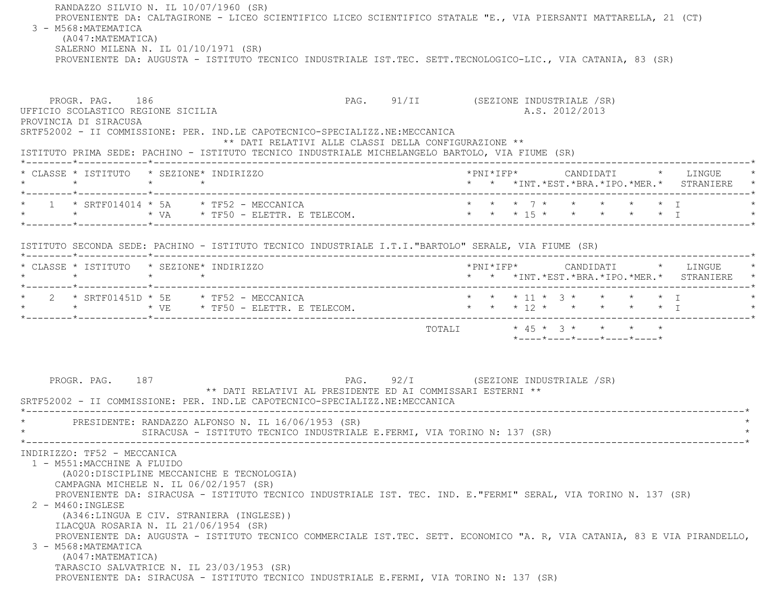RANDAZZO SILVIO N. IL 10/07/1960 (SR) PROVENIENTE DA: CALTAGIRONE - LICEO SCIENTIFICO LICEO SCIENTIFICO STATALE "E., VIA PIERSANTI MATTARELLA, 21 (CT) 3 - M568:MATEMATICA (A047:MATEMATICA) SALERNO MILENA N. IL 01/10/1971 (SR) PROVENIENTE DA: AUGUSTA - ISTITUTO TECNICO INDUSTRIALE IST.TEC. SETT.TECNOLOGICO-LIC., VIA CATANIA, 83 (SR) PROGR. PAG. 186 CHARLO PAG. 91/II (SEZIONE INDUSTRIALE /SR) UFFICIO SCOLASTICO REGIONE SICILIA A.S. 2012/2013 PROVINCIA DI SIRACUSASRTF52002 - II COMMISSIONE: PER. IND.LE CAPOTECNICO-SPECIALIZZ.NE:MECCANICA \*\* DATI RELATIVI ALLE CLASSI DELLA CONFIGURAZIONE \*\* ISTITUTO PRIMA SEDE: PACHINO - ISTITUTO TECNICO INDUSTRIALE MICHELANGELO BARTOLO, VIA FIUME (SR) \*--------\*------------\*-------------------------------------------------------------------------------------------------------\* \* CLASSE \* ISTITUTO \* SEZIONE\* INDIRIZZO \*PNI\*IFP\* CANDIDATI \* LINGUE \* \* \* \* \* \* \* \*INT.\*EST.\*BRA.\*IPO.\*MER.\* STRANIERE \* \*--------\*------------\*-------------------------------------------------------------------------------------------------------\*1 \* SRTF014014 \* 5A \* TF52 - MECCANICA \* \* \* \* \* 7 \* \* \* \* VA \* TF50 - ELETTR. E TELECOM. \* \* \* 15 \* \* \* \* \* I \* \*--------\*------------\*-------------------------------------------------------------------------------------------------------\* ISTITUTO SECONDA SEDE: PACHINO - ISTITUTO TECNICO INDUSTRIALE I.T.I."BARTOLO" SERALE, VIA FIUME (SR) \*--------\*------------\*-------------------------------------------------------------------------------------------------------\* \* CLASSE \* ISTITUTO \* SEZIONE\* INDIRIZZO \*PNI\*IFP\* CANDIDATI \* LINGUE \* \* \* \* \* \* \* \*INT.\*EST.\*BRA.\*IPO.\*MER.\* STRANIERE \* \*--------\*------------\*-------------------------------------------------------------------------------------------------------\*2 \* SRTF01451D \* 5E \* TF52 - MECCANICA \* \* \* \* \* 11 \* 3 \* \* \* \* \* \* I \* \* \* VE \* TF50 - ELETTR. E TELECOM. \* \* \* 12 \* \* \* \* \* I \* \*--------\*------------\*-------------------------------------------------------------------------------------------------------\*TOTALI  $* 45 * 3 * * * * * * * *$  \*----\*----\*----\*----\*----\*PROGR. PAG. 187 PAG. PAG. 92/I (SEZIONE INDUSTRIALE /SR) \*\* DATI RELATIVI AL PRESIDENTE ED AI COMMISSARI ESTERNI \*\* SRTF52002 - II COMMISSIONE: PER. IND.LE CAPOTECNICO-SPECIALIZZ.NE:MECCANICA \*----------------------------------------------------------------------------------------------------------------------------\*PRESIDENTE: RANDAZZO ALFONSO N. IL 16/06/1953 (SR) SIRACUSA - ISTITUTO TECNICO INDUSTRIALE E.FERMI, VIA TORINO N: 137 (SR) \*----------------------------------------------------------------------------------------------------------------------------\* INDIRIZZO: TF52 - MECCANICA 1 - M551:MACCHINE A FLUIDO (A020:DISCIPLINE MECCANICHE E TECNOLOGIA) CAMPAGNA MICHELE N. IL 06/02/1957 (SR) PROVENIENTE DA: SIRACUSA - ISTITUTO TECNICO INDUSTRIALE IST. TEC. IND. E."FERMI" SERAL, VIA TORINO N. 137 (SR) 2 - M460:INGLESE (A346:LINGUA E CIV. STRANIERA (INGLESE)) ILACQUA ROSARIA N. IL 21/06/1954 (SR) PROVENIENTE DA: AUGUSTA - ISTITUTO TECNICO COMMERCIALE IST.TEC. SETT. ECONOMICO "A. R, VIA CATANIA, 83 E VIA PIRANDELLO, 3 - M568:MATEMATICA (A047:MATEMATICA) TARASCIO SALVATRICE N. IL 23/03/1953 (SR) PROVENIENTE DA: SIRACUSA - ISTITUTO TECNICO INDUSTRIALE E.FERMI, VIA TORINO N: 137 (SR)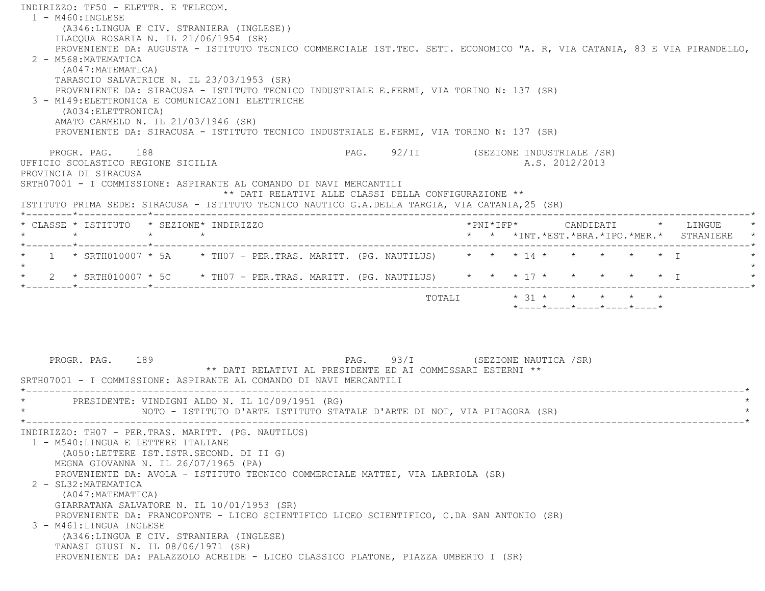INDIRIZZO: TF50 - ELETTR. E TELECOM. $1 - M460 : INGIERSE$  (A346:LINGUA E CIV. STRANIERA (INGLESE)) ILACQUA ROSARIA N. IL 21/06/1954 (SR) PROVENIENTE DA: AUGUSTA - ISTITUTO TECNICO COMMERCIALE IST.TEC. SETT. ECONOMICO "A. R, VIA CATANIA, 83 E VIA PIRANDELLO,  $2 - M568$ : MATEMATICA (A047:MATEMATICA) TARASCIO SALVATRICE N. IL 23/03/1953 (SR) PROVENIENTE DA: SIRACUSA - ISTITUTO TECNICO INDUSTRIALE E.FERMI, VIA TORINO N: 137 (SR) 3 - M149:ELETTRONICA E COMUNICAZIONI ELETTRICHE (A034:ELETTRONICA) AMATO CARMELO N. IL 21/03/1946 (SR) PROVENIENTE DA: SIRACUSA - ISTITUTO TECNICO INDUSTRIALE E.FERMI, VIA TORINO N: 137 (SR) PROGR. PAG. 188 PAG. 92/II (SEZIONE INDUSTRIALE /SR) UFFICIO SCOLASTICO REGIONE SICILIA A.S. 2012/2013 PROVINCIA DI SIRACUSA SRTH07001 - I COMMISSIONE: ASPIRANTE AL COMANDO DI NAVI MERCANTILI \*\* DATI RELATIVI ALLE CLASSI DELLA CONFIGURAZIONE \*\* ISTITUTO PRIMA SEDE: SIRACUSA - ISTITUTO TECNICO NAUTICO G.A.DELLA TARGIA, VIA CATANIA,25 (SR) \*--------\*------------\*-------------------------------------------------------------------------------------------------------\* \* CLASSE \* ISTITUTO \* SEZIONE\* INDIRIZZO \*PNI\*IFP\* CANDIDATI \* LINGUE \* \* \* \* \* \* \* \*INT.\*EST.\*BRA.\*IPO.\*MER.\* STRANIERE \* \*--------\*------------\*-------------------------------------------------------------------------------------------------------\* \* 1 \* SRTH010007 \* 5A \* TH07 - PER.TRAS. MARITT. (PG. NAUTILUS) \* \* \* 14 \* \* \* \* \* I \*  $\star$  \* 2 \* SRTH010007 \* 5C \* TH07 - PER.TRAS. MARITT. (PG. NAUTILUS) \* \* \* 17 \* \* \* \* \* I \* \*--------\*------------\*-------------------------------------------------------------------------------------------------------\*TOTALI  $* 31 * * * * * * * * *$  \*----\*----\*----\*----\*----\* PROGR. PAG. 189 PAG. 93/I (SEZIONE NAUTICA /SR) \*\* DATI RELATIVI AL PRESIDENTE ED AI COMMISSARI ESTERNI \*\* SRTH07001 - I COMMISSIONE: ASPIRANTE AL COMANDO DI NAVI MERCANTILI \*----------------------------------------------------------------------------------------------------------------------------\*PRESIDENTE: VINDIGNI ALDO N. IL 10/09/1951 (RG) NOTO - ISTITUTO D'ARTE ISTITUTO STATALE D'ARTE DI NOT, VIA PITAGORA (SR) \*----------------------------------------------------------------------------------------------------------------------------\* INDIRIZZO: TH07 - PER.TRAS. MARITT. (PG. NAUTILUS) 1 - M540:LINGUA E LETTERE ITALIANE (A050:LETTERE IST.ISTR.SECOND. DI II G) MEGNA GIOVANNA N. IL 26/07/1965 (PA) PROVENIENTE DA: AVOLA - ISTITUTO TECNICO COMMERCIALE MATTEI, VIA LABRIOLA (SR) 2 - SL32:MATEMATICA (A047:MATEMATICA) GIARRATANA SALVATORE N. IL 10/01/1953 (SR) PROVENIENTE DA: FRANCOFONTE - LICEO SCIENTIFICO LICEO SCIENTIFICO, C.DA SAN ANTONIO (SR) 3 - M461:LINGUA INGLESE (A346:LINGUA E CIV. STRANIERA (INGLESE) TANASI GIUSI N. IL 08/06/1971 (SR) PROVENIENTE DA: PALAZZOLO ACREIDE - LICEO CLASSICO PLATONE, PIAZZA UMBERTO I (SR)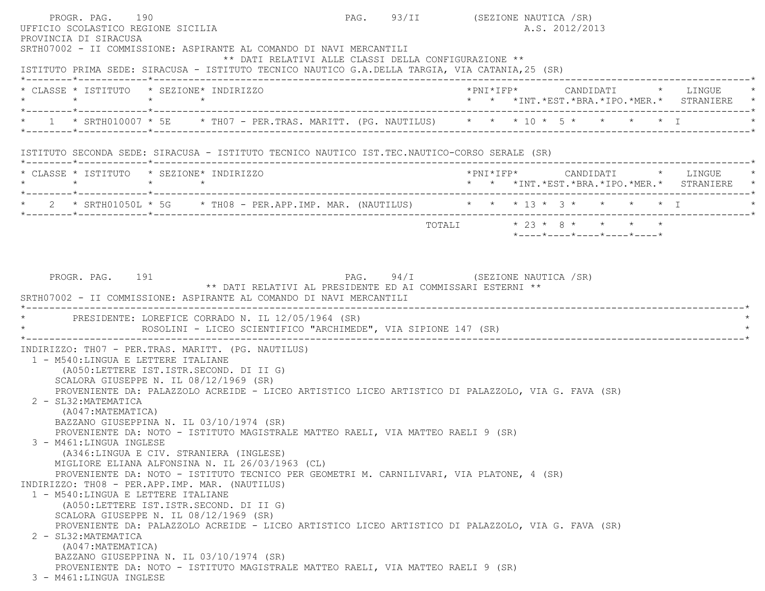PROGR. PAG. 190 PAG. 93/II (SEZIONE NAUTICA /SR) UFFICIO SCOLASTICO REGIONE SICILIA A.S. 2012/2013 PROVINCIA DI SIRACUSA SRTH07002 - II COMMISSIONE: ASPIRANTE AL COMANDO DI NAVI MERCANTILI \*\* DATI RELATIVI ALLE CLASSI DELLA CONFIGURAZIONE \*\* ISTITUTO PRIMA SEDE: SIRACUSA - ISTITUTO TECNICO NAUTICO G.A.DELLA TARGIA, VIA CATANIA,25 (SR) \*--------\*------------\*-------------------------------------------------------------------------------------------------------\* \* CLASSE \* ISTITUTO \* SEZIONE\* INDIRIZZO \*PNI\*IFP\* CANDIDATI \* LINGUE \* \* \* \* \* \* \* \*INT.\*EST.\*BRA.\*IPO.\*MER.\* STRANIERE \* \*--------\*------------\*-------------------------------------------------------------------------------------------------------\* $1 \times \text{SRTH010007} \times 5E$   $\times$  TH07 - PER.TRAS. MARITT. (PG. NAUTILUS)  $\times$   $\times$   $\times$  10  $\times$  5  $\times$   $\times$   $\times$   $\times$   $\times$  I \*--------\*------------\*-------------------------------------------------------------------------------------------------------\* ISTITUTO SECONDA SEDE: SIRACUSA - ISTITUTO TECNICO NAUTICO IST.TEC.NAUTICO-CORSO SERALE (SR) \*--------\*------------\*-------------------------------------------------------------------------------------------------------\* \* CLASSE \* ISTITUTO \* SEZIONE\* INDIRIZZO \*PNI\*IFP\* CANDIDATI \* LINGUE \* \* \* \* \* \* \* \*INT.\*EST.\*BRA.\*IPO.\*MER.\* STRANIERE \* \*--------\*------------\*-------------------------------------------------------------------------------------------------------\*2 \* SRTH01050L \* 5G \* TH08 - PER.APP.IMP. MAR. (NAUTILUS) \* \* \* 13 \* 3 \* \* \* \* \* \* I \*--------\*------------\*-------------------------------------------------------------------------------------------------------\*TOTALI  $* 23 * 8 * * * * * * * *$  \*----\*----\*----\*----\*----\* PROGR. PAG. 191 PAG. 94/I (SEZIONE NAUTICA /SR) \*\* DATI RELATIVI AL PRESIDENTE ED AI COMMISSARI ESTERNI \*\* SRTH07002 - II COMMISSIONE: ASPIRANTE AL COMANDO DI NAVI MERCANTILI \*----------------------------------------------------------------------------------------------------------------------------\*PRESIDENTE: LOREFICE CORRADO N. IL 12/05/1964 (SR) ROSOLINI - LICEO SCIENTIFICO "ARCHIMEDE", VIA SIPIONE 147 (SR) \*----------------------------------------------------------------------------------------------------------------------------\* INDIRIZZO: TH07 - PER.TRAS. MARITT. (PG. NAUTILUS) 1 - M540:LINGUA E LETTERE ITALIANE (A050:LETTERE IST.ISTR.SECOND. DI II G) SCALORA GIUSEPPE N. IL 08/12/1969 (SR) PROVENIENTE DA: PALAZZOLO ACREIDE - LICEO ARTISTICO LICEO ARTISTICO DI PALAZZOLO, VIA G. FAVA (SR) 2 - SL32:MATEMATICA (A047:MATEMATICA) BAZZANO GIUSEPPINA N. IL 03/10/1974 (SR) PROVENIENTE DA: NOTO - ISTITUTO MAGISTRALE MATTEO RAELI, VIA MATTEO RAELI 9 (SR) 3 - M461:LINGUA INGLESE (A346:LINGUA E CIV. STRANIERA (INGLESE) MIGLIORE ELIANA ALFONSINA N. IL 26/03/1963 (CL) PROVENIENTE DA: NOTO - ISTITUTO TECNICO PER GEOMETRI M. CARNILIVARI, VIA PLATONE, 4 (SR) INDIRIZZO: TH08 - PER.APP.IMP. MAR. (NAUTILUS) 1 - M540:LINGUA E LETTERE ITALIANE (A050:LETTERE IST.ISTR.SECOND. DI II G) SCALORA GIUSEPPE N. IL 08/12/1969 (SR) PROVENIENTE DA: PALAZZOLO ACREIDE - LICEO ARTISTICO LICEO ARTISTICO DI PALAZZOLO, VIA G. FAVA (SR) 2 - SL32:MATEMATICA (A047:MATEMATICA) BAZZANO GIUSEPPINA N. IL 03/10/1974 (SR) PROVENIENTE DA: NOTO - ISTITUTO MAGISTRALE MATTEO RAELI, VIA MATTEO RAELI 9 (SR) 3 - M461:LINGUA INGLESE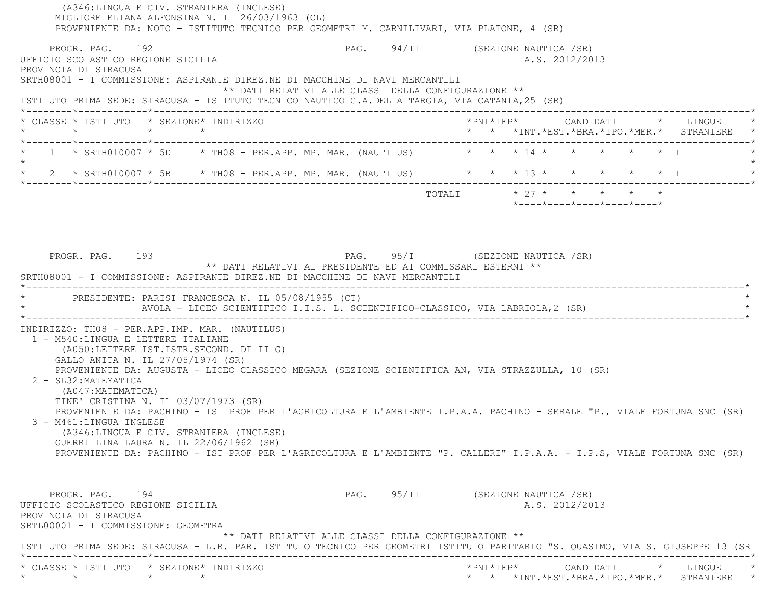(A346:LINGUA E CIV. STRANIERA (INGLESE) MIGLIORE ELIANA ALFONSINA N. IL 26/03/1963 (CL) PROVENIENTE DA: NOTO - ISTITUTO TECNICO PER GEOMETRI M. CARNILIVARI, VIA PLATONE, 4 (SR) PROGR. PAG. 192 PAG. 94/II (SEZIONE NAUTICA /SR) UFFICIO SCOLASTICO REGIONE SICILIA A.S. 2012/2013 PROVINCIA DI SIRACUSA SRTH08001 - I COMMISSIONE: ASPIRANTE DIREZ.NE DI MACCHINE DI NAVI MERCANTILI \*\* DATI RELATIVI ALLE CLASSI DELLA CONFIGURAZIONE \*\* ISTITUTO PRIMA SEDE: SIRACUSA - ISTITUTO TECNICO NAUTICO G.A.DELLA TARGIA, VIA CATANIA,25 (SR) \*--------\*------------\*-------------------------------------------------------------------------------------------------------\* \* CLASSE \* ISTITUTO \* SEZIONE\* INDIRIZZO \*PNI\*IFP\* CANDIDATI \* LINGUE \* \* \* \* \* \* \* \*INT.\*EST.\*BRA.\*IPO.\*MER.\* STRANIERE \* \*--------\*------------\*-------------------------------------------------------------------------------------------------------\* \* 1 \* SRTH010007 \* 5D \* TH08 - PER.APP.IMP. MAR. (NAUTILUS) \* \* \* 14 \* \* \* \* \* I \*  $\star$ 2 \* SRTH010007 \* 5B \* TH08 - PER.APP.IMP. MAR. (NAUTILUS) \* \* \* \* 13 \* \* \* \* \* \* \* I \*--------\*------------\*-------------------------------------------------------------------------------------------------------\* TOTALI \* 27 \* \* \* \* \* \*----\*----\*----\*----\*----\*PROGR. PAG. 193 **PAG.** 95/I (SEZIONE NAUTICA /SR) \*\* DATI RELATIVI AL PRESIDENTE ED AI COMMISSARI ESTERNI \*\* SRTH08001 - I COMMISSIONE: ASPIRANTE DIREZ.NE DI MACCHINE DI NAVI MERCANTILI \*----------------------------------------------------------------------------------------------------------------------------\* \* PRESIDENTE: PARISI FRANCESCA N. IL 05/08/1955 (CT) \* AVOLA - LICEO SCIENTIFICO I.I.S. L. SCIENTIFICO-CLASSICO, VIA LABRIOLA,2 (SR) \*----------------------------------------------------------------------------------------------------------------------------\* INDIRIZZO: TH08 - PER.APP.IMP. MAR. (NAUTILUS) 1 - M540:LINGUA E LETTERE ITALIANE (A050:LETTERE IST.ISTR.SECOND. DI II G) GALLO ANITA N. IL 27/05/1974 (SR) PROVENIENTE DA: AUGUSTA - LICEO CLASSICO MEGARA (SEZIONE SCIENTIFICA AN, VIA STRAZZULLA, 10 (SR) 2 - SL32:MATEMATICA (A047:MATEMATICA) TINE' CRISTINA N. IL 03/07/1973 (SR) PROVENIENTE DA: PACHINO - IST PROF PER L'AGRICOLTURA E L'AMBIENTE I.P.A.A. PACHINO - SERALE "P., VIALE FORTUNA SNC (SR) 3 - M461:LINGUA INGLESE (A346:LINGUA E CIV. STRANIERA (INGLESE) GUERRI LINA LAURA N. IL 22/06/1962 (SR) PROVENIENTE DA: PACHINO - IST PROF PER L'AGRICOLTURA E L'AMBIENTE "P. CALLERI" I.P.A.A. - I.P.S, VIALE FORTUNA SNC (SR) PROGR. PAG. 194 **PAG.** 95/II (SEZIONE NAUTICA /SR) UFFICIO SCOLASTICO REGIONE SICILIA A.S. 2012/2013 PROVINCIA DI SIRACUSA SRTL00001 - I COMMISSIONE: GEOMETRA \*\* DATI RELATIVI ALLE CLASSI DELLA CONFIGURAZIONE \*\* ISTITUTO PRIMA SEDE: SIRACUSA - L.R. PAR. ISTITUTO TECNICO PER GEOMETRI ISTITUTO PARITARIO "S. QUASIMO, VIA S. GIUSEPPE 13 (SR \*--------\*------------\*-------------------------------------------------------------------------------------------------------\* \* CLASSE \* ISTITUTO \* SEZIONE\* INDIRIZZO \*PNI\*IFP\* CANDIDATI \* LINGUE \*\* \* \* \* \* \* \*INT.\*EST.\*BRA.\*IPO.\*MER.\* STRANIERE \*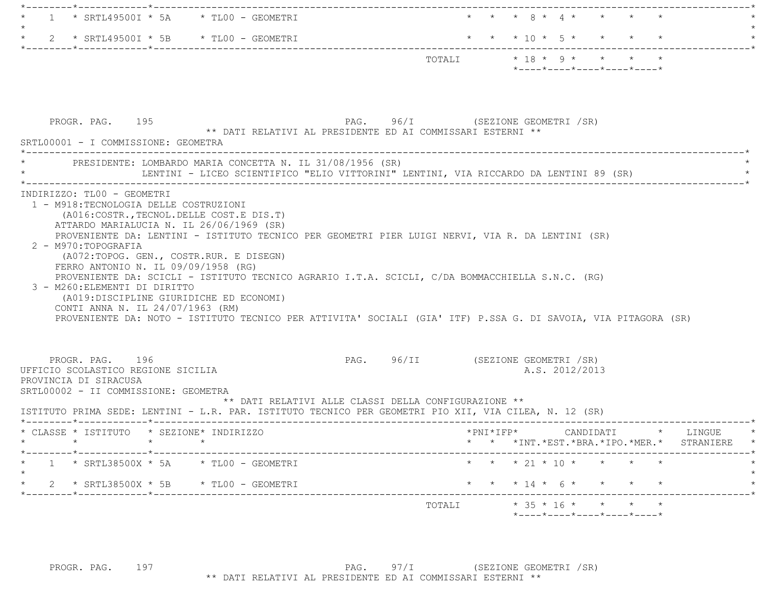| $1 * STRI149500I * 5A * TLO0 - GEOMETRYI$                                                                                                                                                                                                                                                                                                                                                                                                                                                                                                                                                                                                   | _____________________________________                      |           | $\star$ $\star$ $\star$ $\beta$ $\star$ $\beta$ $\star$ $\star$ $\star$ $\star$ $\star$ |                               |
|---------------------------------------------------------------------------------------------------------------------------------------------------------------------------------------------------------------------------------------------------------------------------------------------------------------------------------------------------------------------------------------------------------------------------------------------------------------------------------------------------------------------------------------------------------------------------------------------------------------------------------------------|------------------------------------------------------------|-----------|-----------------------------------------------------------------------------------------|-------------------------------|
| $\star$<br>2 * SRTL49500I * 5B * TL00 - GEOMETRI                                                                                                                                                                                                                                                                                                                                                                                                                                                                                                                                                                                            |                                                            |           | * * * 10 * 5 * * * * *                                                                  |                               |
|                                                                                                                                                                                                                                                                                                                                                                                                                                                                                                                                                                                                                                             |                                                            |           | $*$ - - - - $*$ - - - - $*$ - - - - $*$ - - - - $*$ - - - - $*$                         | -------------------           |
| PROGR. PAG. 195<br>SRTL00001 - I COMMISSIONE: GEOMETRA                                                                                                                                                                                                                                                                                                                                                                                                                                                                                                                                                                                      | ** DATI RELATIVI AL PRESIDENTE ED AI COMMISSARI ESTERNI ** |           | PAG. 96/I (SEZIONE GEOMETRI / SR)                                                       |                               |
| * PRESIDENTE: LOMBARDO MARIA CONCETTA N. IL 31/08/1956 (SR)<br>LENTINI - LICEO SCIENTIFICO "ELIO VITTORINI" LENTINI, VIA RICCARDO DA LENTINI 89 (SR)                                                                                                                                                                                                                                                                                                                                                                                                                                                                                        |                                                            |           |                                                                                         |                               |
| (A016: COSTR., TECNOL. DELLE COST. E DIS. T)<br>ATTARDO MARIALUCIA N. IL 26/06/1969 (SR)<br>PROVENIENTE DA: LENTINI - ISTITUTO TECNICO PER GEOMETRI PIER LUIGI NERVI, VIA R. DA LENTINI (SR)<br>2 - M970: TOPOGRAFIA<br>(A072:TOPOG. GEN., COSTR.RUR. E DISEGN)<br>FERRO ANTONIO N. IL 09/09/1958 (RG)<br>PROVENIENTE DA: SCICLI - ISTITUTO TECNICO AGRARIO I.T.A. SCICLI, C/DA BOMMACCHIELLA S.N.C. (RG)<br>3 - M260: ELEMENTI DI DIRITTO<br>(A019:DISCIPLINE GIURIDICHE ED ECONOMI)<br>CONTI ANNA N. IL 24/07/1963 (RM)<br>PROVENIENTE DA: NOTO - ISTITUTO TECNICO PER ATTIVITA' SOCIALI (GIA' ITF) P.SSA G. DI SAVOIA, VIA PITAGORA (SR) |                                                            |           |                                                                                         |                               |
| PROGR. PAG. 196<br>UFFICIO SCOLASTICO REGIONE SICILIA<br>PROVINCIA DI SIRACUSA<br>SRTL00002 - II COMMISSIONE: GEOMETRA<br>ISTITUTO PRIMA SEDE: LENTINI - L.R. PAR. ISTITUTO TECNICO PER GEOMETRI PIO XII, VIA CILEA, N. 12 (SR)                                                                                                                                                                                                                                                                                                                                                                                                             | ** DATI RELATIVI ALLE CLASSI DELLA CONFIGURAZIONE **       |           | PAG. 96/II (SEZIONE GEOMETRI / SR)<br>A.S. 2012/2013                                    |                               |
| * CLASSE * ISTITUTO * SEZIONE* INDIRIZZO                                                                                                                                                                                                                                                                                                                                                                                                                                                                                                                                                                                                    |                                                            | *PNI*IFP* | * * *INT. *EST. *BRA. *IPO. *MER. * STRANIERE                                           | CANDIDATI * LINGUE<br>$\star$ |
| $1 * SRTL38500X * 5A * TLO0 - GEOMETRYI$                                                                                                                                                                                                                                                                                                                                                                                                                                                                                                                                                                                                    |                                                            |           | * * * 21 * 10 * * * *                                                                   |                               |
| 2 * SRTL38500X * 5B * TL00 - GEOMETRI                                                                                                                                                                                                                                                                                                                                                                                                                                                                                                                                                                                                       |                                                            |           | * * * 14 * 6 * * * * *                                                                  |                               |
|                                                                                                                                                                                                                                                                                                                                                                                                                                                                                                                                                                                                                                             |                                                            |           | *----*----*----*----*----*                                                              |                               |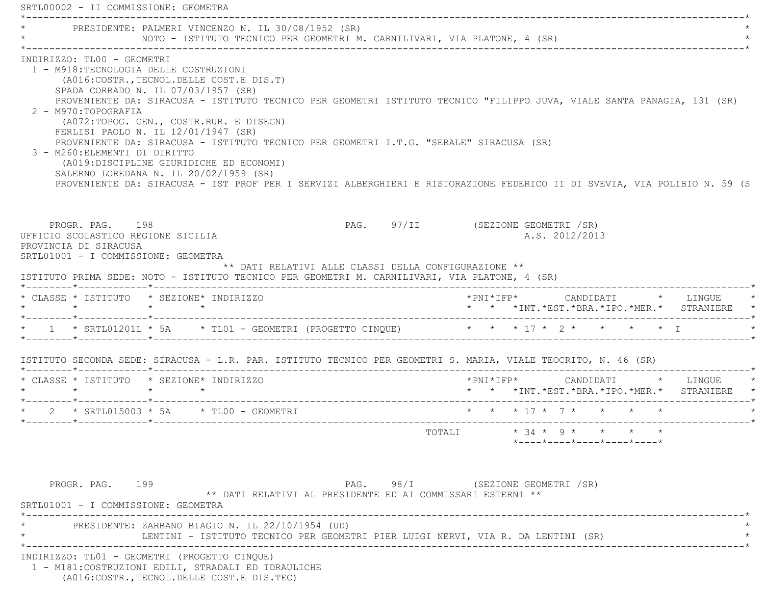SRTL00002 - II COMMISSIONE: GEOMETRA \*----------------------------------------------------------------------------------------------------------------------------\*PRESIDENTE: PALMERI VINCENZO N. IL 30/08/1952 (SR) NOTO - ISTITUTO TECNICO PER GEOMETRI M. CARNILIVARI, VIA PLATONE, 4 (SR) \*----------------------------------------------------------------------------------------------------------------------------\* INDIRIZZO: TL00 - GEOMETRI 1 - M918:TECNOLOGIA DELLE COSTRUZIONI (A016:COSTR.,TECNOL.DELLE COST.E DIS.T) SPADA CORRADO N. IL 07/03/1957 (SR) PROVENIENTE DA: SIRACUSA - ISTITUTO TECNICO PER GEOMETRI ISTITUTO TECNICO "FILIPPO JUVA, VIALE SANTA PANAGIA, 131 (SR) 2 - M970:TOPOGRAFIA (A072:TOPOG. GEN., COSTR.RUR. E DISEGN) FERLISI PAOLO N. IL 12/01/1947 (SR) PROVENIENTE DA: SIRACUSA - ISTITUTO TECNICO PER GEOMETRI I.T.G. "SERALE" SIRACUSA (SR) 3 - M260:ELEMENTI DI DIRITTO (A019:DISCIPLINE GIURIDICHE ED ECONOMI) SALERNO LOREDANA N. IL 20/02/1959 (SR) PROVENIENTE DA: SIRACUSA - IST PROF PER I SERVIZI ALBERGHIERI E RISTORAZIONE FEDERICO II DI SVEVIA, VIA POLIBIO N. 59 (S PROGR. PAG. 198 PROGR. PAG. 97/II (SEZIONE GEOMETRI / SR) UFFICIO SCOLASTICO REGIONE SICILIA A.S. 2012/2013 PROVINCIA DI SIRACUSA SRTL01001 - I COMMISSIONE: GEOMETRA \*\* DATI RELATIVI ALLE CLASSI DELLA CONFIGURAZIONE \*\* ISTITUTO PRIMA SEDE: NOTO - ISTITUTO TECNICO PER GEOMETRI M. CARNILIVARI, VIA PLATONE, 4 (SR) \*--------\*------------\*-------------------------------------------------------------------------------------------------------\* \* CLASSE \* ISTITUTO \* SEZIONE\* INDIRIZZO \*PNI\*IFP\* CANDIDATI \* LINGUE \* \* \* \* \* \* \* \*INT.\*EST.\*BRA.\*IPO.\*MER.\* STRANIERE \* \*--------\*------------\*-------------------------------------------------------------------------------------------------------\* \* 1 \* SRTL01201L \* 5A \* TL01 - GEOMETRI (PROGETTO CINQUE) \* \* \* 17 \* 2 \* \* \* \* I \* \*--------\*------------\*-------------------------------------------------------------------------------------------------------\* ISTITUTO SECONDA SEDE: SIRACUSA - L.R. PAR. ISTITUTO TECNICO PER GEOMETRI S. MARIA, VIALE TEOCRITO, N. 46 (SR) \*--------\*------------\*-------------------------------------------------------------------------------------------------------\* \* CLASSE \* ISTITUTO \* SEZIONE\* INDIRIZZO \*PNI\*IFP\* CANDIDATI \* LINGUE \* \* \* \* \* \* \* \*INT.\*EST.\*BRA.\*IPO.\*MER.\* STRANIERE \* \*--------\*------------\*-------------------------------------------------------------------------------------------------------\* \* 2 \* SRTL015003 \* 5A \* TL00 - GEOMETRI \* \* \* 17 \* 7 \* \* \* \* \* \*--------\*------------\*-------------------------------------------------------------------------------------------------------\*TOTALI  $* 34 * 9 * * * * * *$  \*----\*----\*----\*----\*----\*PROGR. PAG. 199 **PAG.** 98/I (SEZIONE GEOMETRI /SR) \*\* DATI RELATIVI AL PRESIDENTE ED AI COMMISSARI ESTERNI \*\* SRTL01001 - I COMMISSIONE: GEOMETRA \*----------------------------------------------------------------------------------------------------------------------------\*PRESIDENTE: ZARBANO BIAGIO N. IL 22/10/1954 (UD) LENTINI - ISTITUTO TECNICO PER GEOMETRI PIER LUIGI NERVI, VIA R. DA LENTINI (SR) \*----------------------------------------------------------------------------------------------------------------------------\* INDIRIZZO: TL01 - GEOMETRI (PROGETTO CINQUE) 1 - M181:COSTRUZIONI EDILI, STRADALI ED IDRAULICHE (A016:COSTR.,TECNOL.DELLE COST.E DIS.TEC)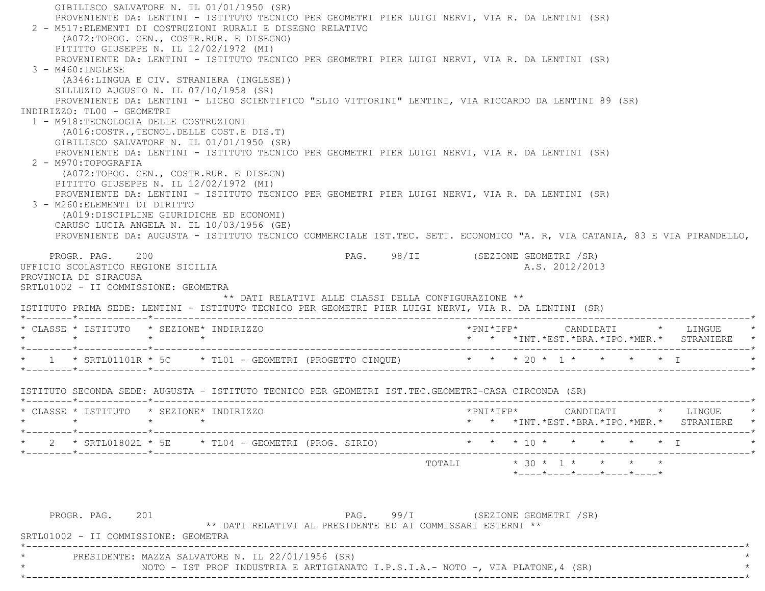GIBILISCO SALVATORE N. IL 01/01/1950 (SR) PROVENIENTE DA: LENTINI - ISTITUTO TECNICO PER GEOMETRI PIER LUIGI NERVI, VIA R. DA LENTINI (SR) 2 - M517:ELEMENTI DI COSTRUZIONI RURALI E DISEGNO RELATIVO (A072:TOPOG. GEN., COSTR.RUR. E DISEGNO) PITITTO GIUSEPPE N. IL 12/02/1972 (MI) PROVENIENTE DA: LENTINI - ISTITUTO TECNICO PER GEOMETRI PIER LUIGI NERVI, VIA R. DA LENTINI (SR)  $3 - M460 \cdot INGIERSE$  (A346:LINGUA E CIV. STRANIERA (INGLESE)) SILLUZIO AUGUSTO N. IL 07/10/1958 (SR) PROVENIENTE DA: LENTINI - LICEO SCIENTIFICO "ELIO VITTORINI" LENTINI, VIA RICCARDO DA LENTINI 89 (SR) INDIRIZZO: TL00 - GEOMETRI 1 - M918:TECNOLOGIA DELLE COSTRUZIONI (A016:COSTR.,TECNOL.DELLE COST.E DIS.T) GIBILISCO SALVATORE N. IL 01/01/1950 (SR) PROVENIENTE DA: LENTINI - ISTITUTO TECNICO PER GEOMETRI PIER LUIGI NERVI, VIA R. DA LENTINI (SR) 2 - M970:TOPOGRAFIA (A072:TOPOG. GEN., COSTR.RUR. E DISEGN) PITITTO GIUSEPPE N. IL 12/02/1972 (MI) PROVENIENTE DA: LENTINI - ISTITUTO TECNICO PER GEOMETRI PIER LUIGI NERVI, VIA R. DA LENTINI (SR) 3 - M260:ELEMENTI DI DIRITTO (A019:DISCIPLINE GIURIDICHE ED ECONOMI) CARUSO LUCIA ANGELA N. IL 10/03/1956 (GE) PROVENIENTE DA: AUGUSTA - ISTITUTO TECNICO COMMERCIALE IST.TEC. SETT. ECONOMICO "A. R, VIA CATANIA, 83 E VIA PIRANDELLO, PROGR. PAG. 200 200 PAG. 98/II (SEZIONE GEOMETRI / SR) UFFICIO SCOLASTICO REGIONE SICILIA A.S. 2012/2013 PROVINCIA DI SIRACUSA SRTL01002 - II COMMISSIONE: GEOMETRA \*\* DATI RELATIVI ALLE CLASSI DELLA CONFIGURAZIONE \*\* ISTITUTO PRIMA SEDE: LENTINI - ISTITUTO TECNICO PER GEOMETRI PIER LUIGI NERVI, VIA R. DA LENTINI (SR) \*--------\*------------\*-------------------------------------------------------------------------------------------------------\* \* CLASSE \* ISTITUTO \* SEZIONE\* INDIRIZZO \*PNI\*IFP\* CANDIDATI \* LINGUE \* \* \* \* \* \* \* \*INT.\*EST.\*BRA.\*IPO.\*MER.\* STRANIERE \* \*--------\*------------\*-------------------------------------------------------------------------------------------------------\*\* 1 \* SRTL01101R \* 5C \* TL01 - GEOMETRI (PROGETTO CINQUE) \* \* \* 20 \* 1 \* \* \* \* \* I \* \* \* I \*--------\*------------\*-------------------------------------------------------------------------------------------------------\* ISTITUTO SECONDA SEDE: AUGUSTA - ISTITUTO TECNICO PER GEOMETRI IST.TEC.GEOMETRI-CASA CIRCONDA (SR) \*--------\*------------\*-------------------------------------------------------------------------------------------------------\* \* CLASSE \* ISTITUTO \* SEZIONE\* INDIRIZZO \*PNI\*IFP\* CANDIDATI \* LINGUE \* \* \* \* \* \* \* \*INT.\*EST.\*BRA.\*IPO.\*MER.\* STRANIERE \* \*--------\*------------\*-------------------------------------------------------------------------------------------------------\* \* 2 \* SRTL01802L \* 5E \* TL04 - GEOMETRI (PROG. SIRIO) \* \* \* 10 \* \* \* \* \* I \* \*--------\*------------\*-------------------------------------------------------------------------------------------------------\*TOTALI  $* 30 * 1 * * * * * * * *$  \*----\*----\*----\*----\*----\*PROGR. PAG. 201 201 PAG. 99/I (SEZIONE GEOMETRI / SR) \*\* DATI RELATIVI AL PRESIDENTE ED AI COMMISSARI ESTERNI \*\*SRTL01002 - II COMMISSIONE: GEOMETRA

PRESIDENTE: MAZZA SALVATORE N. IL 22/01/1956 (SR)

NOTO - IST PROF INDUSTRIA E ARTIGIANATO I.P.S.I.A.- NOTO -, VIA PLATONE,4 (SR) \*----------------------------------------------------------------------------------------------------------------------------\*

\*----------------------------------------------------------------------------------------------------------------------------\*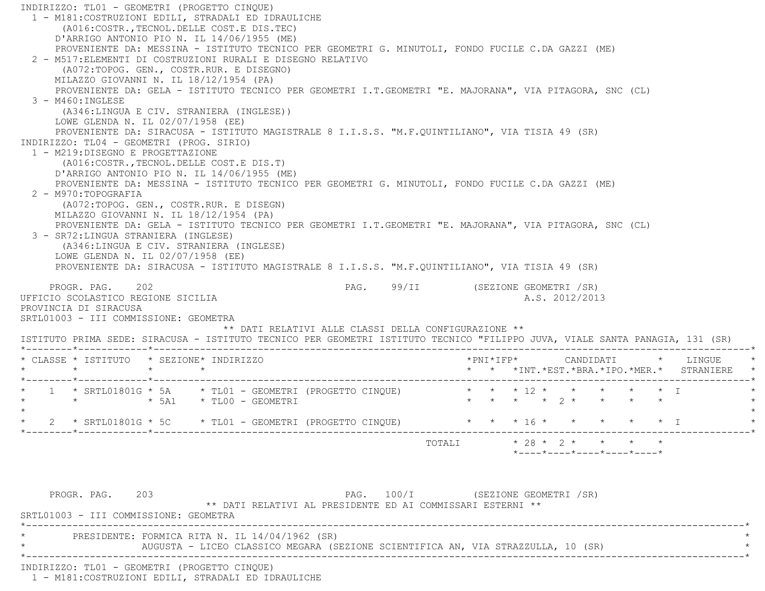INDIRIZZO: TL01 - GEOMETRI (PROGETTO CINQUE) 1 - M181:COSTRUZIONI EDILI, STRADALI ED IDRAULICHE (A016:COSTR.,TECNOL.DELLE COST.E DIS.TEC) D'ARRIGO ANTONIO PIO N. IL 14/06/1955 (ME) PROVENIENTE DA: MESSINA - ISTITUTO TECNICO PER GEOMETRI G. MINUTOLI, FONDO FUCILE C.DA GAZZI (ME) 2 - M517:ELEMENTI DI COSTRUZIONI RURALI E DISEGNO RELATIVO (A072:TOPOG. GEN., COSTR.RUR. E DISEGNO) MILAZZO GIOVANNI N. IL 18/12/1954 (PA) PROVENIENTE DA: GELA - ISTITUTO TECNICO PER GEOMETRI I.T.GEOMETRI "E. MAJORANA", VIA PITAGORA, SNC (CL) 3 - M460:INGLESE (A346:LINGUA E CIV. STRANIERA (INGLESE)) LOWE GLENDA N. IL 02/07/1958 (EE) PROVENIENTE DA: SIRACUSA - ISTITUTO MAGISTRALE 8 I.I.S.S. "M.F.QUINTILIANO", VIA TISIA 49 (SR) INDIRIZZO: TL04 - GEOMETRI (PROG. SIRIO) 1 - M219:DISEGNO E PROGETTAZIONE (A016:COSTR.,TECNOL.DELLE COST.E DIS.T) D'ARRIGO ANTONIO PIO N. IL 14/06/1955 (ME) PROVENIENTE DA: MESSINA - ISTITUTO TECNICO PER GEOMETRI G. MINUTOLI, FONDO FUCILE C.DA GAZZI (ME) 2 - M970:TOPOGRAFIA (A072:TOPOG. GEN., COSTR.RUR. E DISEGN) MILAZZO GIOVANNI N. IL 18/12/1954 (PA) PROVENIENTE DA: GELA - ISTITUTO TECNICO PER GEOMETRI I.T.GEOMETRI "E. MAJORANA", VIA PITAGORA, SNC (CL) 3 - SR72:LINGUA STRANIERA (INGLESE) (A346:LINGUA E CIV. STRANIERA (INGLESE) LOWE GLENDA N. IL 02/07/1958 (EE) PROVENIENTE DA: SIRACUSA - ISTITUTO MAGISTRALE 8 I.I.S.S. "M.F.QUINTILIANO", VIA TISIA 49 (SR) PROGR. PAG. 202 202 PAG. 99/II (SEZIONE GEOMETRI / SR) UFFICIO SCOLASTICO REGIONE SICILIA A.S. 2012/2013 PROVINCIA DI SIRACUSA SRTL01003 - III COMMISSIONE: GEOMETRA \*\* DATI RELATIVI ALLE CLASSI DELLA CONFIGURAZIONE \*\* ISTITUTO PRIMA SEDE: SIRACUSA - ISTITUTO TECNICO PER GEOMETRI ISTITUTO TECNICO "FILIPPO JUVA, VIALE SANTA PANAGIA, 131 (SR) \*--------\*------------\*-------------------------------------------------------------------------------------------------------\* \* CLASSE \* ISTITUTO \* SEZIONE\* INDIRIZZO \*PNI\*IFP\* CANDIDATI \* LINGUE \*\* \* \* \* \* \*INT.\*EST.\*BRA.\*IPO.\*MER.\* STRANIERE \*--------\*------------\*-------------------------------------------------------------------------------------------------------\*1 \* SRTL01801G \* 5A \* TL01 - GEOMETRI (PROGETTO CINQUE) \* \* \* \* 12 \* \* \* \* \* \* \* T \* \* \* 5A1 \* TL00 - GEOMETRI \* \* \* \* 2 \* \* \* \* \* $\star$ \* 2 \* SRTL01801G \* 5C \* TL01 - GEOMETRI (PROGETTO CINQUE) \* \* \* \* 16 \* \* \* \* \* \* \* \* I \*--------\*------------\*-------------------------------------------------------------------------------------------------------\*TOTALI  $* 28 * 2 * * * * * * * *$  \*----\*----\*----\*----\*----\*PROGR. PAG. 203 PAG. 100/I (SEZIONE GEOMETRI /SR) \*\* DATI RELATIVI AL PRESIDENTE ED AI COMMISSARI ESTERNI \*\* SRTL01003 - III COMMISSIONE: GEOMETRA\*----------------------------------------------------------------------------------------------------------------------------\*

 \* PRESIDENTE: FORMICA RITA N. IL 14/04/1962 (SR) \* AUGUSTA - LICEO CLASSICO MEGARA (SEZIONE SCIENTIFICA AN, VIA STRAZZULLA, 10 (SR)

\*----------------------------------------------------------------------------------------------------------------------------\*

INDIRIZZO: TL01 - GEOMETRI (PROGETTO CINQUE)

1 - M181:COSTRUZIONI EDILI, STRADALI ED IDRAULICHE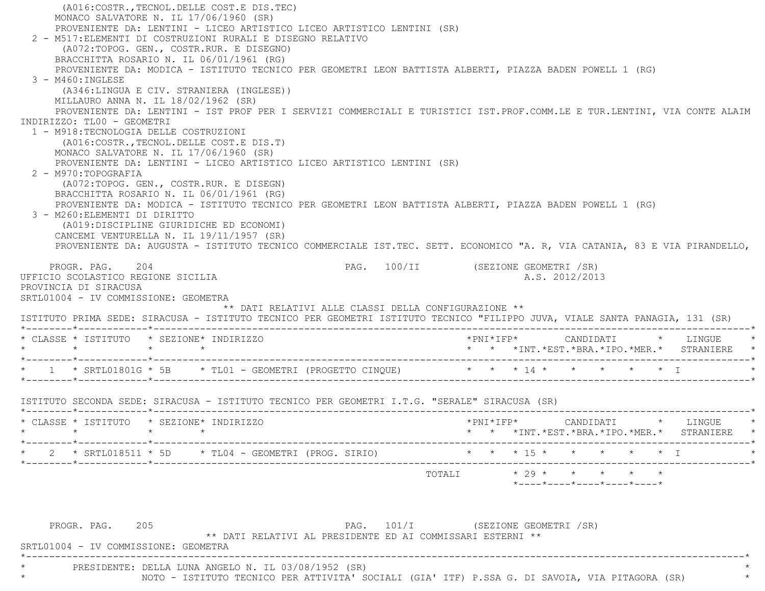(A016:COSTR.,TECNOL.DELLE COST.E DIS.TEC) MONACO SALVATORE N. IL 17/06/1960 (SR) PROVENIENTE DA: LENTINI - LICEO ARTISTICO LICEO ARTISTICO LENTINI (SR) 2 - M517:ELEMENTI DI COSTRUZIONI RURALI E DISEGNO RELATIVO (A072:TOPOG. GEN., COSTR.RUR. E DISEGNO) BRACCHITTA ROSARIO N. IL 06/01/1961 (RG) PROVENIENTE DA: MODICA - ISTITUTO TECNICO PER GEOMETRI LEON BATTISTA ALBERTI, PIAZZA BADEN POWELL 1 (RG) 3 - M460:INGLESE (A346:LINGUA E CIV. STRANIERA (INGLESE)) MILLAURO ANNA N. IL 18/02/1962 (SR) PROVENIENTE DA: LENTINI - IST PROF PER I SERVIZI COMMERCIALI E TURISTICI IST.PROF.COMM.LE E TUR.LENTINI, VIA CONTE ALAIM INDIRIZZO: TL00 - GEOMETRI 1 - M918:TECNOLOGIA DELLE COSTRUZIONI (A016:COSTR.,TECNOL.DELLE COST.E DIS.T) MONACO SALVATORE N. IL 17/06/1960 (SR) PROVENIENTE DA: LENTINI - LICEO ARTISTICO LICEO ARTISTICO LENTINI (SR) 2 - M970:TOPOGRAFIA (A072:TOPOG. GEN., COSTR.RUR. E DISEGN) BRACCHITTA ROSARIO N. IL 06/01/1961 (RG) PROVENIENTE DA: MODICA - ISTITUTO TECNICO PER GEOMETRI LEON BATTISTA ALBERTI, PIAZZA BADEN POWELL 1 (RG) 3 - M260:ELEMENTI DI DIRITTO (A019:DISCIPLINE GIURIDICHE ED ECONOMI) CANCEMI VENTURELLA N. IL 19/11/1957 (SR) PROVENIENTE DA: AUGUSTA - ISTITUTO TECNICO COMMERCIALE IST.TEC. SETT. ECONOMICO "A. R, VIA CATANIA, 83 E VIA PIRANDELLO, PROGR. PAG. 204 CHARGE 204 PAG. 100/II (SEZIONE GEOMETRI / SR) UFFICIO SCOLASTICO REGIONE SICILIA A.S. 2012/2013 PROVINCIA DI SIRACUSA SRTL01004 - IV COMMISSIONE: GEOMETRA \*\* DATI RELATIVI ALLE CLASSI DELLA CONFIGURAZIONE \*\* ISTITUTO PRIMA SEDE: SIRACUSA - ISTITUTO TECNICO PER GEOMETRI ISTITUTO TECNICO "FILIPPO JUVA, VIALE SANTA PANAGIA, 131 (SR) \*--------\*------------\*-------------------------------------------------------------------------------------------------------\* \* CLASSE \* ISTITUTO \* SEZIONE\* INDIRIZZO \*PNI\*IFP\* CANDIDATI \* LINGUE \* \* \* \* \* \* \* \*INT.\*EST.\*BRA.\*IPO.\*MER.\* STRANIERE \* \*--------\*------------\*-------------------------------------------------------------------------------------------------------\* \* 1 \* SRTL01801G \* 5B \* TL01 - GEOMETRI (PROGETTO CINQUE) \* \* \* 14 \* \* \* \* \* I \* \*--------\*------------\*-------------------------------------------------------------------------------------------------------\* ISTITUTO SECONDA SEDE: SIRACUSA - ISTITUTO TECNICO PER GEOMETRI I.T.G. "SERALE" SIRACUSA (SR) \*--------\*------------\*-------------------------------------------------------------------------------------------------------\* \* CLASSE \* ISTITUTO \* SEZIONE\* INDIRIZZO \*PNI\*IFP\* CANDIDATI \* LINGUE \* \* \* \* \* \* \* \*INT.\*EST.\*BRA.\*IPO.\*MER.\* STRANIERE \* \*--------\*------------\*-------------------------------------------------------------------------------------------------------\* \* 2 \* SRTL018511 \* 5D \* TL04 - GEOMETRI (PROG. SIRIO) \* \* \* 15 \* \* \* \* \* I \* \*--------\*------------\*-------------------------------------------------------------------------------------------------------\*TOTALI  $* 29 * * * * * * * * * *$  $*$ ---- $*$ ---- $*$ ---- $*$ ---- $*$ ---- $*$ PROGR. PAG. 205 PAG. 101/I (SEZIONE GEOMETRI /SR) \*\* DATI RELATIVI AL PRESIDENTE ED AI COMMISSARI ESTERNI \*\* SRTL01004 - IV COMMISSIONE: GEOMETRA \*----------------------------------------------------------------------------------------------------------------------------\*PRESIDENTE: DELLA LUNA ANGELO N. IL 03/08/1952 (SR)

NOTO - ISTITUTO TECNICO PER ATTIVITA' SOCIALI (GIA' ITF) P.SSA G. DI SAVOIA, VIA PITAGORA (SR)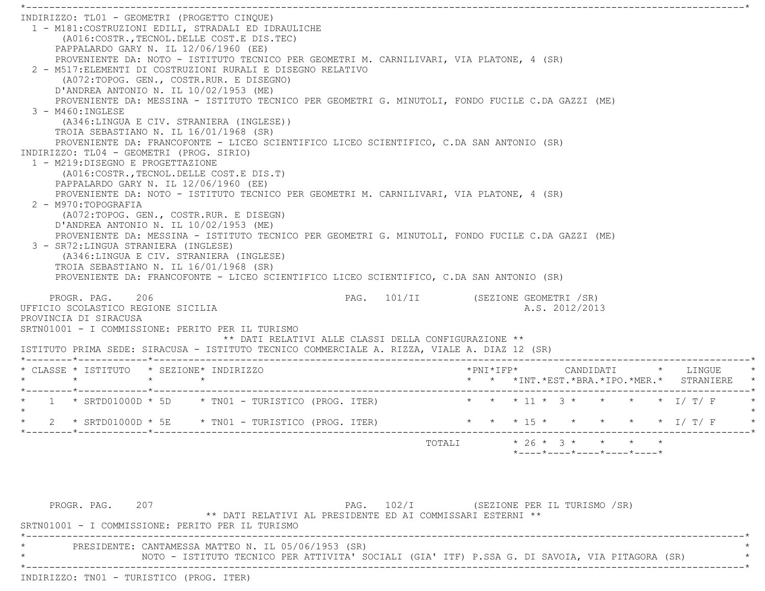$\star$  INDIRIZZO: TL01 - GEOMETRI (PROGETTO CINQUE) 1 - M181:COSTRUZIONI EDILI, STRADALI ED IDRAULICHE (A016:COSTR.,TECNOL.DELLE COST.E DIS.TEC) PAPPALARDO GARY N. IL 12/06/1960 (EE) PROVENIENTE DA: NOTO - ISTITUTO TECNICO PER GEOMETRI M. CARNILIVARI, VIA PLATONE, 4 (SR) 2 - M517:ELEMENTI DI COSTRUZIONI RURALI E DISEGNO RELATIVO (A072:TOPOG. GEN., COSTR.RUR. E DISEGNO) D'ANDREA ANTONIO N. IL 10/02/1953 (ME) PROVENIENTE DA: MESSINA - ISTITUTO TECNICO PER GEOMETRI G. MINUTOLI, FONDO FUCILE C.DA GAZZI (ME) 3 - M460:INGLESE (A346:LINGUA E CIV. STRANIERA (INGLESE)) TROIA SEBASTIANO N. IL 16/01/1968 (SR) PROVENIENTE DA: FRANCOFONTE - LICEO SCIENTIFICO LICEO SCIENTIFICO, C.DA SAN ANTONIO (SR) INDIRIZZO: TL04 - GEOMETRI (PROG. SIRIO) 1 - M219:DISEGNO E PROGETTAZIONE (A016:COSTR.,TECNOL.DELLE COST.E DIS.T) PAPPALARDO GARY N. IL 12/06/1960 (EE) PROVENIENTE DA: NOTO - ISTITUTO TECNICO PER GEOMETRI M. CARNILIVARI, VIA PLATONE, 4 (SR) 2 - M970:TOPOGRAFIA (A072:TOPOG. GEN., COSTR.RUR. E DISEGN) D'ANDREA ANTONIO N. IL 10/02/1953 (ME) PROVENIENTE DA: MESSINA - ISTITUTO TECNICO PER GEOMETRI G. MINUTOLI, FONDO FUCILE C.DA GAZZI (ME) 3 - SR72:LINGUA STRANIERA (INGLESE) (A346:LINGUA E CIV. STRANIERA (INGLESE) TROIA SEBASTIANO N. IL 16/01/1968 (SR) PROVENIENTE DA: FRANCOFONTE - LICEO SCIENTIFICO LICEO SCIENTIFICO, C.DA SAN ANTONIO (SR) PROGR. PAG. 206 206 PAG. 101/II (SEZIONE GEOMETRI /SR) UFFICIO SCOLASTICO REGIONE SICILIA A.S. 2012/2013 PROVINCIA DI SIRACUSA SRTN01001 - I COMMISSIONE: PERITO PER IL TURISMO \*\* DATI RELATIVI ALLE CLASSI DELLA CONFIGURAZIONE \*\* ISTITUTO PRIMA SEDE: SIRACUSA - ISTITUTO TECNICO COMMERCIALE A. RIZZA, VIALE A. DIAZ 12 (SR) \*--------\*------------\*-------------------------------------------------------------------------------------------------------\* \* CLASSE \* ISTITUTO \* SEZIONE\* INDIRIZZO \*PNI\*IFP\* CANDIDATI \* LINGUE \* \* \* \* \* \* \* \*INT.\*EST.\*BRA.\*IPO.\*MER.\* STRANIERE \* \*--------\*------------\*-------------------------------------------------------------------------------------------------------\*1 \* SRTD01000D \* 5D \* TN01 - TURISTICO (PROG. ITER) \* \* \* 11 \* 3 \* \* \* \* \* I/ T/ F  $\star$  \* 2 \* SRTD01000D \* 5E \* TN01 - TURISTICO (PROG. ITER) \* \* \* 15 \* \* \* \* \* I/ T/ F \* \*--------\*------------\*-------------------------------------------------------------------------------------------------------\* $\texttt{TOTALL} \qquad \qquad \star \; \; 26 \; \star \; \; \; 3 \; \star \qquad \star \qquad \star \qquad \star \qquad \star$ \*----\*----\*----\*----\*----\*

PROGR. PAG. 207 207 200 PAG. 102/I (SEZIONE PER IL TURISMO /SR) \*\* DATI RELATIVI AL PRESIDENTE ED AI COMMISSARI ESTERNI \*\* SRTN01001 - I COMMISSIONE: PERITO PER IL TURISMO \*----------------------------------------------------------------------------------------------------------------------------\*PRESIDENTE: CANTAMESSA MATTEO N. IL 05/06/1953 (SR) NOTO - ISTITUTO TECNICO PER ATTIVITA' SOCIALI (GIA' ITF) P.SSA G. DI SAVOIA, VIA PITAGORA (SR) \*----------------------------------------------------------------------------------------------------------------------------\*INDIRIZZO: TN01 - TURISTICO (PROG. ITER)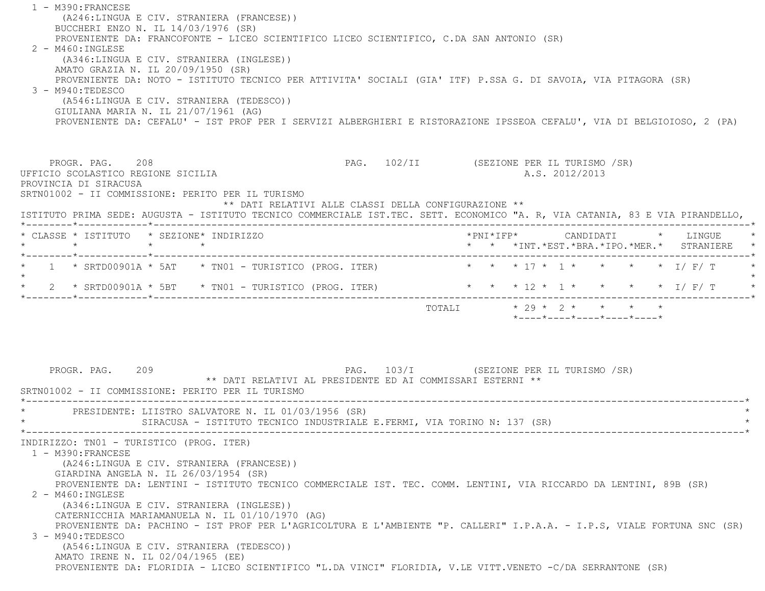1 - M390:FRANCESE (A246:LINGUA E CIV. STRANIERA (FRANCESE)) BUCCHERI ENZO N. IL 14/03/1976 (SR) PROVENIENTE DA: FRANCOFONTE - LICEO SCIENTIFICO LICEO SCIENTIFICO, C.DA SAN ANTONIO (SR) 2 - M460:INGLESE (A346:LINGUA E CIV. STRANIERA (INGLESE)) AMATO GRAZIA N. IL 20/09/1950 (SR) PROVENIENTE DA: NOTO - ISTITUTO TECNICO PER ATTIVITA' SOCIALI (GIA' ITF) P.SSA G. DI SAVOIA, VIA PITAGORA (SR) 3 - M940:TEDESCO (A546:LINGUA E CIV. STRANIERA (TEDESCO)) GIULIANA MARIA N. IL 21/07/1961 (AG) PROVENIENTE DA: CEFALU' - IST PROF PER I SERVIZI ALBERGHIERI E RISTORAZIONE IPSSEOA CEFALU', VIA DI BELGIOIOSO, 2 (PA) PROGR. PAG. 208 PAG. 102/II (SEZIONE PER IL TURISMO /SR) UFFICIO SCOLASTICO REGIONE SICILIA and a series of the series of the series of the series of the series of the series of the series of the series of the series of the series of the series of the series of the series of the PROVINCIA DI SIRACUSA SRTN01002 - II COMMISSIONE: PERITO PER IL TURISMO \*\* DATI RELATIVI ALLE CLASSI DELLA CONFIGURAZIONE \*\* ISTITUTO PRIMA SEDE: AUGUSTA - ISTITUTO TECNICO COMMERCIALE IST.TEC. SETT. ECONOMICO "A. R, VIA CATANIA, 83 E VIA PIRANDELLO, \*--------\*------------\*-------------------------------------------------------------------------------------------------------\* \* CLASSE \* ISTITUTO \* SEZIONE\* INDIRIZZO \*PNI\*IFP\* CANDIDATI \* LINGUE \* \* \* \* \* \* \* \*INT.\*EST.\*BRA.\*IPO.\*MER.\* STRANIERE \* \*--------\*------------\*-------------------------------------------------------------------------------------------------------\* \* 1 \* SRTD00901A \* 5AT \* TN01 - TURISTICO (PROG. ITER) \* \* \* 17 \* 1 \* \* \* \* I/ F/ T \*  $\star$ \* 2 \* SRTD00901A \* 5BT \* TN01 - TURISTICO (PROG. ITER) \* \* \* \* 12 \* 1 \* \* \* \* \* \* 1/ F/ T \* \*--------\*------------\*-------------------------------------------------------------------------------------------------------\*TOTALI  $* 29 * 2 * * * * * * * *$  $*$ ---- $*$ ---- $*$ ---- $*$ ---- $*$ ---- $*$ PROGR. PAG. 209 200 PAG. 103/I (SEZIONE PER IL TURISMO /SR) \*\* DATI RELATIVI AL PRESIDENTE ED AI COMMISSARI ESTERNI \*\* SRTN01002 - II COMMISSIONE: PERITO PER IL TURISMO \*----------------------------------------------------------------------------------------------------------------------------\*PRESIDENTE: LIISTRO SALVATORE N. IL 01/03/1956 (SR) SIRACUSA - ISTITUTO TECNICO INDUSTRIALE E.FERMI, VIA TORINO N: 137 (SR) \*----------------------------------------------------------------------------------------------------------------------------\* INDIRIZZO: TN01 - TURISTICO (PROG. ITER) 1 - M390:FRANCESE (A246:LINGUA E CIV. STRANIERA (FRANCESE)) GIARDINA ANGELA N. IL 26/03/1954 (SR) PROVENIENTE DA: LENTINI - ISTITUTO TECNICO COMMERCIALE IST. TEC. COMM. LENTINI, VIA RICCARDO DA LENTINI, 89B (SR) 2 - M460:INGLESE (A346:LINGUA E CIV. STRANIERA (INGLESE)) CATERNICCHIA MARIAMANUELA N. IL 01/10/1970 (AG) PROVENIENTE DA: PACHINO - IST PROF PER L'AGRICOLTURA E L'AMBIENTE "P. CALLERI" I.P.A.A. - I.P.S, VIALE FORTUNA SNC (SR) 3 - M940:TEDESCO (A546:LINGUA E CIV. STRANIERA (TEDESCO)) AMATO IRENE N. IL 02/04/1965 (EE) PROVENIENTE DA: FLORIDIA - LICEO SCIENTIFICO "L.DA VINCI" FLORIDIA, V.LE VITT.VENETO -C/DA SERRANTONE (SR)